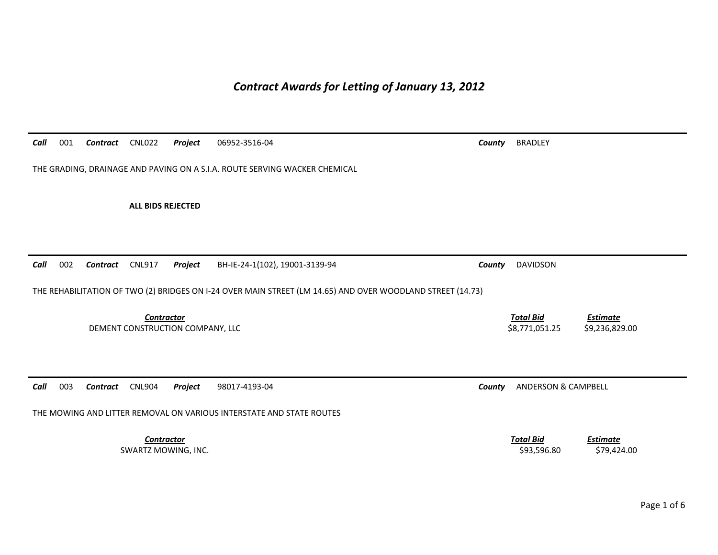*Contract Awards for Letting of January 13, 2012* 

*Call*001 *Contract* CNL022 *Project* 06952-3516-04 *County* BRADLEY

THE GRADING, DRAINAGE AND PAVING ON A S.I.A. ROUTE SERVING WACKER CHEMICAL

**ALL BIDS REJECTED** 

*Call*002 *Contract* CNL917 *Project* BH-IE-24-1(102), 19001-3139-94 *County* DAVIDSON

THE REHABILITATION OF TWO (2) BRIDGES ON I-24 OVER MAIN STREET (LM 14.65) AND OVER WOODLAND STREET (14.73)

**Contractor** Total Bid DEMENT CONSTRUCTION COMPANY, LLC 68,771,051.25 \$9,236,829.00

*Call*003 *Contract* CNL904 *Project* 98017-4193-04 *County* ANDERSON & CAMPBELL

THE MOWING AND LITTER REMOVAL ON VARIOUS INTERSTATE AND STATE ROUTES

**Contractor** Total Bid SWARTZ MOWING, INC. \$93,596.80 \$79,424.00

*Estimate*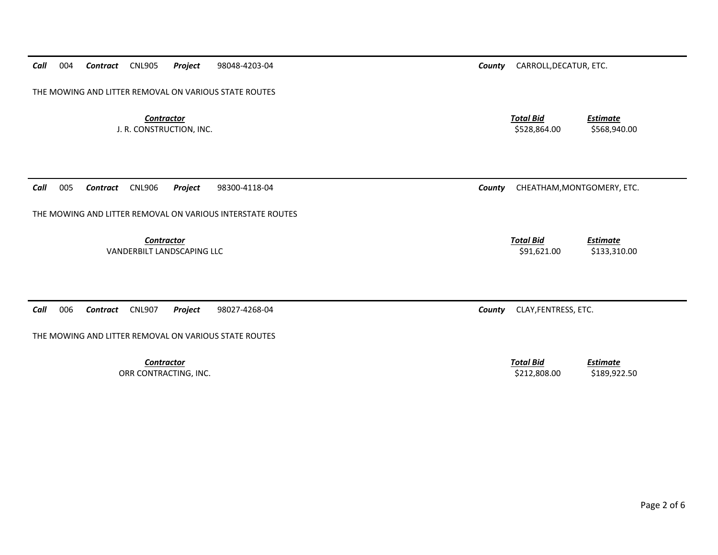*Call*004 *Contract* CNL905 *Project* 98048-4203-04 *County* CARROLL,DECATUR, ETC.

THE MOWING AND LITTER REMOVAL ON VARIOUS STATE ROUTES

**Contractor** Total Bid

*Call*005 *Contract* CNL906 *Project* 98300-4118-04 *County* CHEATHAM,MONTGOMERY, ETC.

THE MOWING AND LITTER REMOVAL ON VARIOUS INTERSTATE ROUTES

*Contractor Total Bid*

*Call*006 *Contract* CNL907 *Project* 98027-4268-04 *County* CLAY,FENTRESS, ETC.

THE MOWING AND LITTER REMOVAL ON VARIOUS STATE ROUTES

 *Estimate* J. R. CONSTRUCTION, INC. \$528,864.00 \$568,940.00

VANDERBILT LANDSCAPING LLC **Example 2016 12:00** \$133,310.00 \$133,310.00

*Estimate*

 *Estimate* ORR CONTRACTING, INC. 6. 2012.808.00 \$189,922.50

**Contractor** Total Bid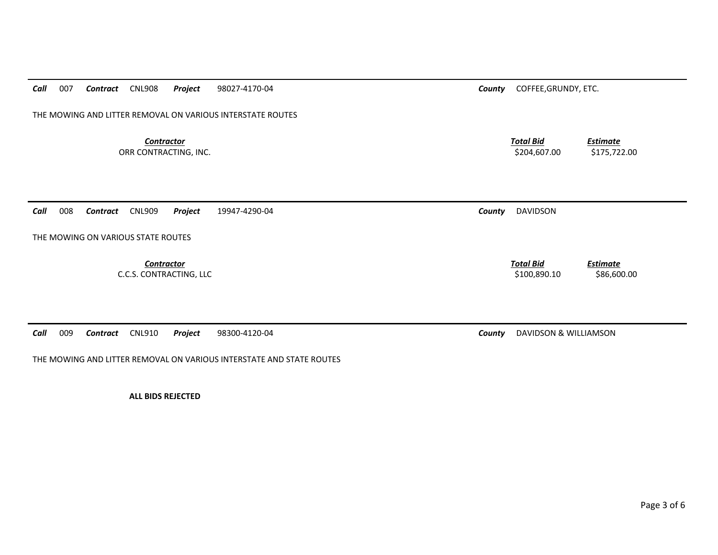*Call*007 *Contract* CNL908 *Project* 98027-4170-04 *County* COFFEE,GRUNDY, ETC.

THE MOWING AND LITTER REMOVAL ON VARIOUS INTERSTATE ROUTES

*Contractor Total Bid*ORR CONTRACTING, INC. \$204,607.00 \$175,722.00

*Call*008 *Contract* CNL909 *Project* 19947-4290-04 *County* DAVIDSON

THE MOWING ON VARIOUS STATE ROUTES

**Contractor** Total Bid C.C.S. CONTRACTING, LLC \$86,600.00 \$86,600.00

*Call*009 *Contract* CNL910 *Project* 98300-4120-04 *County* DAVIDSON & WILLIAMSON

THE MOWING AND LITTER REMOVAL ON VARIOUS INTERSTATE AND STATE ROUTES

**ALL BIDS REJECTED** 

*Estimate*

*Estimate*

Page 3 of 6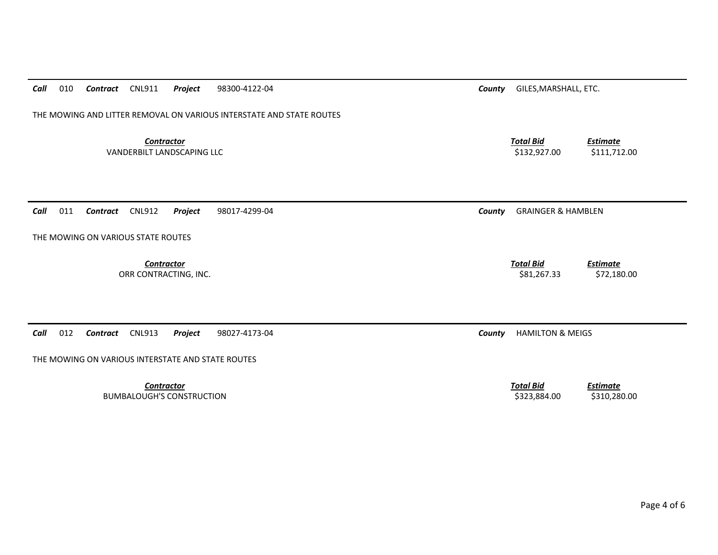| Call<br>010<br><b>CNL911</b><br>Project<br>98300-4122-04<br>Contract | County | GILES, MARSHALL, ETC.                                               |  |
|----------------------------------------------------------------------|--------|---------------------------------------------------------------------|--|
|                                                                      |        |                                                                     |  |
| THE MOWING AND LITTER REMOVAL ON VARIOUS INTERSTATE AND STATE ROUTES |        |                                                                     |  |
|                                                                      |        |                                                                     |  |
| <b>Contractor</b><br>VANDERBILT LANDSCAPING LLC                      |        | <b>Total Bid</b><br><b>Estimate</b><br>\$132,927.00<br>\$111,712.00 |  |
|                                                                      |        |                                                                     |  |
|                                                                      |        |                                                                     |  |
|                                                                      |        |                                                                     |  |
| 011<br>Call<br><b>CNL912</b><br>Contract<br>Project<br>98017-4299-04 | County | <b>GRAINGER &amp; HAMBLEN</b>                                       |  |
|                                                                      |        |                                                                     |  |
| THE MOWING ON VARIOUS STATE ROUTES                                   |        |                                                                     |  |
|                                                                      |        |                                                                     |  |
| <b>Contractor</b>                                                    |        | <b>Total Bid</b><br><b>Estimate</b>                                 |  |
| ORR CONTRACTING, INC.                                                |        | \$81,267.33<br>\$72,180.00                                          |  |
|                                                                      |        |                                                                     |  |
|                                                                      |        |                                                                     |  |
|                                                                      |        |                                                                     |  |
| 012<br><b>CNL913</b><br>Call<br>Contract<br>Project<br>98027-4173-04 | County | <b>HAMILTON &amp; MEIGS</b>                                         |  |
|                                                                      |        |                                                                     |  |
| THE MOWING ON VARIOUS INTERSTATE AND STATE ROUTES                    |        |                                                                     |  |
| <b>Contractor</b>                                                    |        | <b>Total Bid</b><br><b>Estimate</b>                                 |  |
| <b>BUMBALOUGH'S CONSTRUCTION</b>                                     |        | \$323,884.00<br>\$310,280.00                                        |  |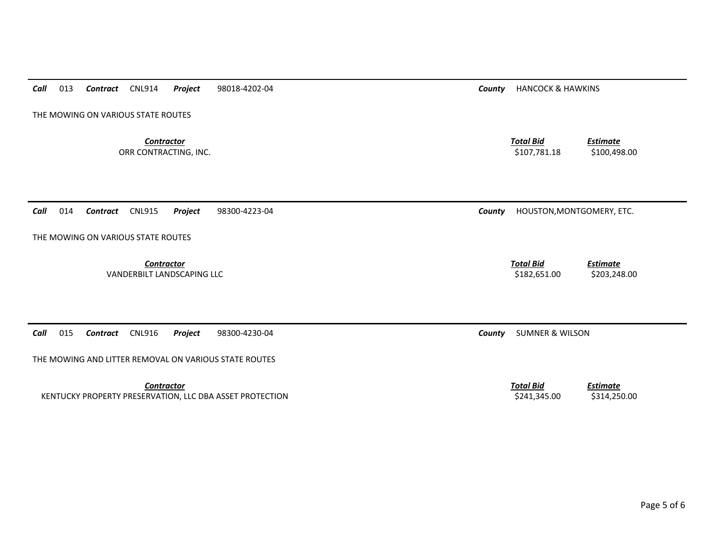|  | Call |  | 013 <b>Contract</b> CNL914 |  | Project | 98018-4202-04 |
|--|------|--|----------------------------|--|---------|---------------|
|--|------|--|----------------------------|--|---------|---------------|

THE MOWING ON VARIOUS STATE ROUTES

**Contractor** Total Bid ORR CONTRACTING, INC. \$100,498.00

*County* **HANCOCK & HAWKINS** 

*Estimate*

*Call*014 *Contract* CNL915 *Project* 98300-4223-04 *County* HOUSTON,MONTGOMERY, ETC.

THE MOWING ON VARIOUS STATE ROUTES

*Contractor Total Bid*VANDERBILT LANDSCAPING LLC \$182,651.00 \$203,248.00

*Call*015 *Contract* CNL916 *Project* 98300-4230-04 *County* SUMNER & WILSON

THE MOWING AND LITTER REMOVAL ON VARIOUS STATE ROUTES

**Contractor** Total Bid KENTUCKY PROPERTY PRESERVATION, LLC DBA ASSET PROTECTION **\$241,345.00** \$314,250.00 \$314,250.00

*Estimate*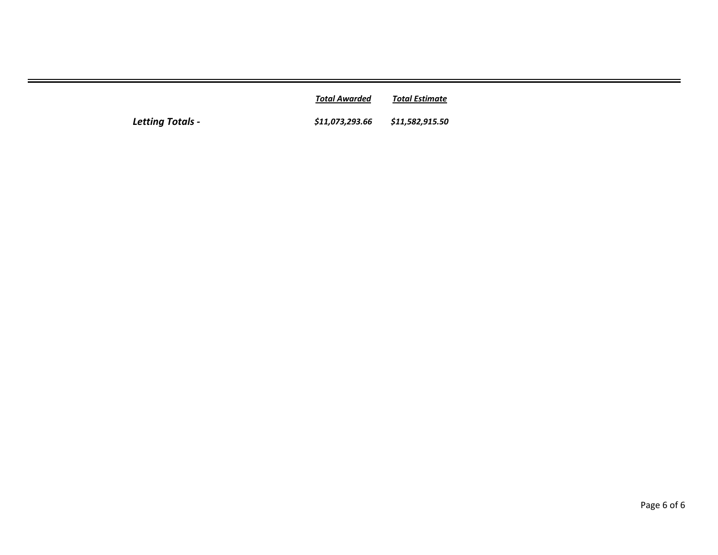|                  | Total Awarded                   | Total Estimate |
|------------------|---------------------------------|----------------|
| Letting Totals - | \$11,073,293.66 \$11,582,915.50 |                |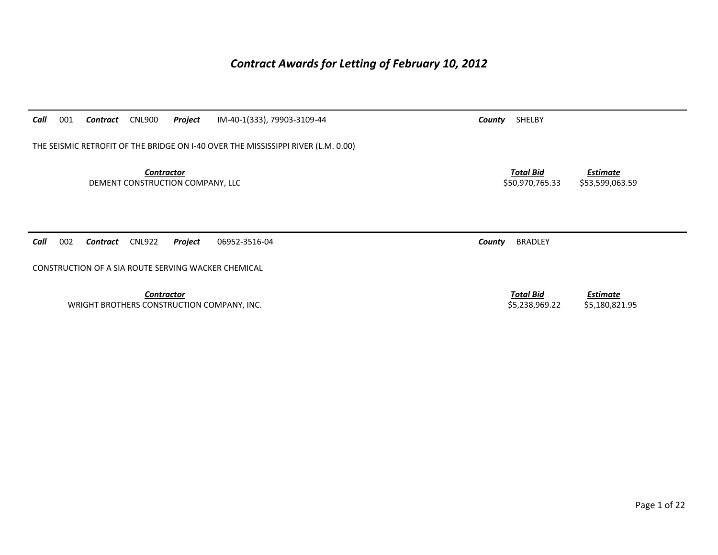## *Contract Awards for Letting of February 10, 2012*

| Call<br>001<br><b>CNL900</b><br>Project<br>IM-40-1(333), 79903-3109-44<br>Contract | SHELBY<br>County                                                          |
|------------------------------------------------------------------------------------|---------------------------------------------------------------------------|
| THE SEISMIC RETROFIT OF THE BRIDGE ON 1-40 OVER THE MISSISSIPPI RIVER (L.M. 0.00)  |                                                                           |
| <b>Contractor</b><br>DEMENT CONSTRUCTION COMPANY, LLC                              | <b>Total Bid</b><br><b>Estimate</b><br>\$53,599,063.59<br>\$50,970,765.33 |
| 002<br>Call<br><b>CNL922</b><br>Project<br>06952-3516-04<br>Contract               | <b>BRADLEY</b><br>County                                                  |
| CONSTRUCTION OF A SIA ROUTE SERVING WACKER CHEMICAL                                |                                                                           |
| <b>Contractor</b><br>WRIGHT BROTHERS CONSTRUCTION COMPANY, INC.                    | <b>Total Bid</b><br><b>Estimate</b><br>\$5,238,969.22<br>\$5,180,821.95   |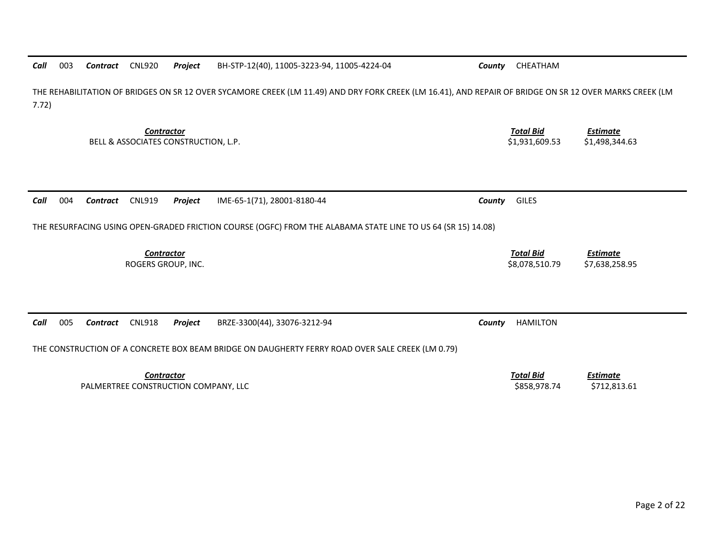| THE REHABILITATION OF BRIDGES ON SR 12 OVER SYCAMORE CREEK (LM 11.49) AND DRY FORK CREEK (LM 16.41), AND REPAIR OF BRIDGE ON SR 12 OVER MARKS CREEK (LM<br>7.72) |                                                                         |                                   |  |  |  |
|------------------------------------------------------------------------------------------------------------------------------------------------------------------|-------------------------------------------------------------------------|-----------------------------------|--|--|--|
| <b>Contractor</b><br>BELL & ASSOCIATES CONSTRUCTION, L.P.                                                                                                        | <b>Total Bid</b><br><b>Estimate</b><br>\$1,498,344.63<br>\$1,931,609.53 |                                   |  |  |  |
| 004<br><b>CNL919</b><br>IME-65-1(71), 28001-8180-44<br>Project<br>Call<br>Contract                                                                               | <b>GILES</b><br>County                                                  |                                   |  |  |  |
| THE RESURFACING USING OPEN-GRADED FRICTION COURSE (OGFC) FROM THE ALABAMA STATE LINE TO US 64 (SR 15) 14.08)                                                     |                                                                         |                                   |  |  |  |
| <b>Contractor</b><br>ROGERS GROUP, INC.                                                                                                                          | <b>Total Bid</b><br>\$8,078,510.79                                      | <b>Estimate</b><br>\$7,638,258.95 |  |  |  |
|                                                                                                                                                                  |                                                                         |                                   |  |  |  |
| BRZE-3300(44), 33076-3212-94<br>005<br><b>CNL918</b><br>Project<br>Call<br>Contract                                                                              | <b>HAMILTON</b><br>County                                               |                                   |  |  |  |
| THE CONSTRUCTION OF A CONCRETE BOX BEAM BRIDGE ON DAUGHERTY FERRY ROAD OVER SALE CREEK (LM 0.79)                                                                 |                                                                         |                                   |  |  |  |
| <b>Contractor</b><br>PALMERTREE CONSTRUCTION COMPANY, LLC                                                                                                        | <b>Total Bid</b><br>\$858,978.74                                        | <b>Estimate</b><br>\$712,813.61   |  |  |  |

*Contract* CNL920 *Project* BH‐STP‐12(40), 11005‐3223‐94, 11005‐4224‐04 *County* CHEATHAM

*Call*

003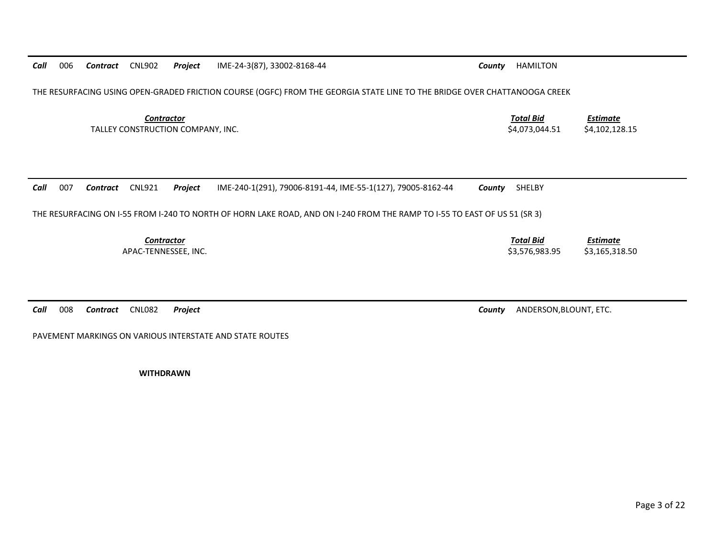*Call* 006*Contract* CNL902 *Project* IME‐24‐3(87), 33002‐8168‐44 *County* HAMILTON

THE RESURFACING USING OPEN‐GRADED FRICTION COURSE (OGFC) FROM THE GEORGIA STATE LINE TO THE BRIDGE OVER CHATTANOOGA CREEK

*Contractor Total Bid*TALLEY CONSTRUCTION COMPANY, INC. \$4,073,044.51 \$4,102,128.15

*Call* 007*Contract* CNL921 *Project* IME‐240‐1(291), 79006‐8191‐44, IME‐55‐1(127), 79005‐8162‐44 *County* SHELBY

THE RESURFACING ON I‐55 FROM I‐240 TO NORTH OF HORN LAKE ROAD, AND ON I‐240 FROM THE RAMP TO I‐55 TO EAST OF US 51 (SR 3)

*Contractor*

*Call*008

PAVEMENT MARKINGS ON VARIOUS INTERSTATE AND STATE ROUTES

**WITHDRAWN**

*Estimate*

 *Total Bid Estimate* APAC‐TENNESSEE, INC. \$3,576,983.95 \$3,165,318.50

*Contract* CNL082 *Project County* ANDERSON,BLOUNT, ETC.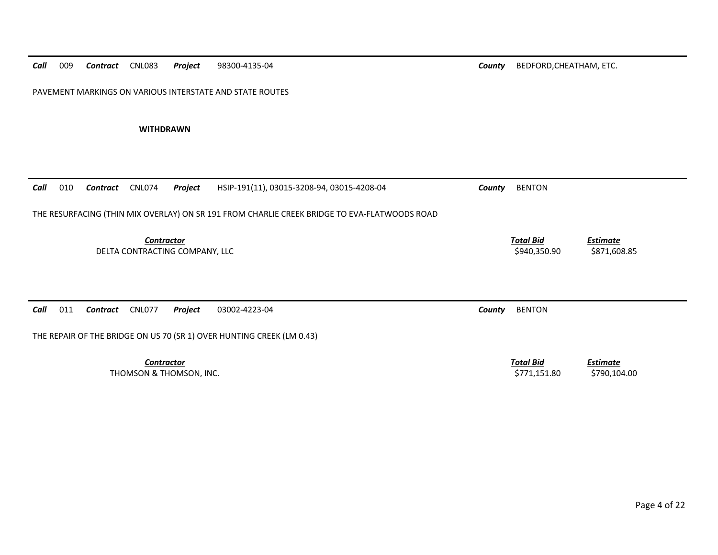| Call                                                | 009 | Contract | <b>CNL083</b>     | Project                 | 98300-4135-04                                                                                | County                           | BEDFORD, CHEATHAM, ETC.          |                                 |
|-----------------------------------------------------|-----|----------|-------------------|-------------------------|----------------------------------------------------------------------------------------------|----------------------------------|----------------------------------|---------------------------------|
|                                                     |     |          |                   |                         | PAVEMENT MARKINGS ON VARIOUS INTERSTATE AND STATE ROUTES                                     |                                  |                                  |                                 |
|                                                     |     |          | <b>WITHDRAWN</b>  |                         |                                                                                              |                                  |                                  |                                 |
|                                                     |     |          |                   |                         |                                                                                              |                                  |                                  |                                 |
| Call                                                | 010 | Contract | <b>CNL074</b>     | Project                 | HSIP-191(11), 03015-3208-94, 03015-4208-04                                                   | County                           | <b>BENTON</b>                    |                                 |
|                                                     |     |          |                   |                         | THE RESURFACING (THIN MIX OVERLAY) ON SR 191 FROM CHARLIE CREEK BRIDGE TO EVA-FLATWOODS ROAD |                                  |                                  |                                 |
| <b>Contractor</b><br>DELTA CONTRACTING COMPANY, LLC |     |          |                   |                         |                                                                                              | <b>Total Bid</b><br>\$940,350.90 | <b>Estimate</b><br>\$871,608.85  |                                 |
| Call                                                | 011 | Contract | <b>CNL077</b>     | Project                 | 03002-4223-04                                                                                | County                           | <b>BENTON</b>                    |                                 |
|                                                     |     |          |                   |                         | THE REPAIR OF THE BRIDGE ON US 70 (SR 1) OVER HUNTING CREEK (LM 0.43)                        |                                  |                                  |                                 |
|                                                     |     |          | <b>Contractor</b> | THOMSON & THOMSON, INC. |                                                                                              |                                  | <b>Total Bid</b><br>\$771,151.80 | <b>Estimate</b><br>\$790,104.00 |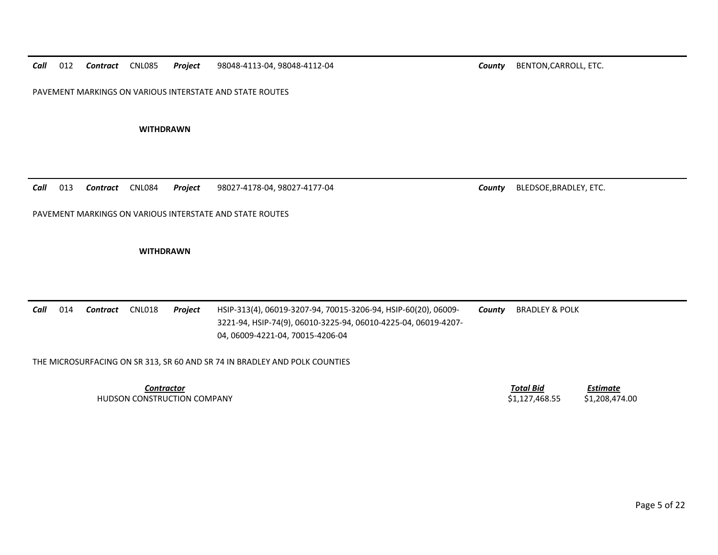*Call*012 **Contract** CNL085 *Contract* CNL085 *Project* 98048‐4113‐04, 98048‐4112‐04 *County* BENTON,CARROLL, ETC.

PAVEMENT MARKINGS ON VARIOUS INTERSTATE AND STATE ROUTES

**WITHDRAWN**

*Call* 013*Contract* CNL084 *Project* 98027‐4178‐04, 98027‐4177‐04 *County* BLEDSOE,BRADLEY, ETC.

PAVEMENT MARKINGS ON VARIOUS INTERSTATE AND STATE ROUTES

**WITHDRAWN**

*Call* 014 *Contract* CNL018 *Project* HSIP‐313(4), 06019‐3207‐94, 70015‐3206‐94, HSIP‐60(20), 06009‐ 3221‐94, HSIP‐74(9), 06010‐3225‐94, 06010‐4225‐04, 06019‐4207‐ 04, 06009‐4221‐04, 70015‐4206‐04 *County* BRADLEY & POLK

THE MICROSURFACING ON SR 313, SR 60 AND SR 74 IN BRADLEY AND POLK COUNTIES

*Contractor*HUDSON CONSTRUCTION COMPANY \$1,127,468.55 \$1,208,474.00

 *Total BidEstimate*

Page 5 of 22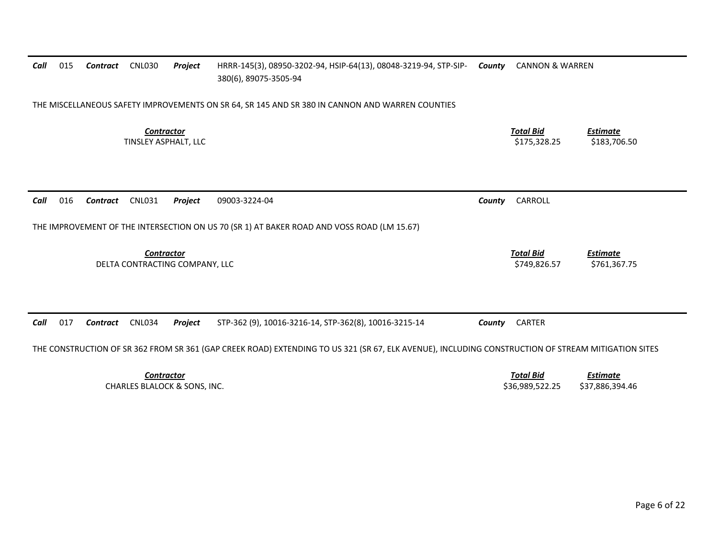| Call                                                | 015                                                                                                                                                | Contract | <b>CNL030</b>                                                | Project | HRRR-145(3), 08950-3202-94, HSIP-64(13), 08048-3219-94, STP-SIP- County<br>380(6), 89075-3505-94 |        | <b>CANNON &amp; WARREN</b>          |                                    |  |
|-----------------------------------------------------|----------------------------------------------------------------------------------------------------------------------------------------------------|----------|--------------------------------------------------------------|---------|--------------------------------------------------------------------------------------------------|--------|-------------------------------------|------------------------------------|--|
|                                                     | THE MISCELLANEOUS SAFETY IMPROVEMENTS ON SR 64, SR 145 AND SR 380 IN CANNON AND WARREN COUNTIES                                                    |          |                                                              |         |                                                                                                  |        |                                     |                                    |  |
|                                                     |                                                                                                                                                    |          | <b>Contractor</b><br>TINSLEY ASPHALT, LLC                    |         |                                                                                                  |        | <b>Total Bid</b><br>\$175,328.25    | <b>Estimate</b><br>\$183,706.50    |  |
| Call                                                | 016                                                                                                                                                | Contract | <b>CNL031</b>                                                | Project | 09003-3224-04                                                                                    | County | CARROLL                             |                                    |  |
|                                                     |                                                                                                                                                    |          |                                                              |         | THE IMPROVEMENT OF THE INTERSECTION ON US 70 (SR 1) AT BAKER ROAD AND VOSS ROAD (LM 15.67)       |        |                                     |                                    |  |
| <b>Contractor</b><br>DELTA CONTRACTING COMPANY, LLC |                                                                                                                                                    |          |                                                              |         |                                                                                                  |        | <b>Total Bid</b><br>\$749,826.57    | <b>Estimate</b><br>\$761,367.75    |  |
| Call                                                | 017                                                                                                                                                | Contract | <b>CNL034</b>                                                | Project | STP-362 (9), 10016-3216-14, STP-362(8), 10016-3215-14                                            | County | CARTER                              |                                    |  |
|                                                     | THE CONSTRUCTION OF SR 362 FROM SR 361 (GAP CREEK ROAD) EXTENDING TO US 321 (SR 67, ELK AVENUE), INCLUDING CONSTRUCTION OF STREAM MITIGATION SITES |          |                                                              |         |                                                                                                  |        |                                     |                                    |  |
|                                                     |                                                                                                                                                    |          | <b>Contractor</b><br><b>CHARLES BLALOCK &amp; SONS, INC.</b> |         |                                                                                                  |        | <b>Total Bid</b><br>\$36,989,522.25 | <b>Estimate</b><br>\$37,886,394.46 |  |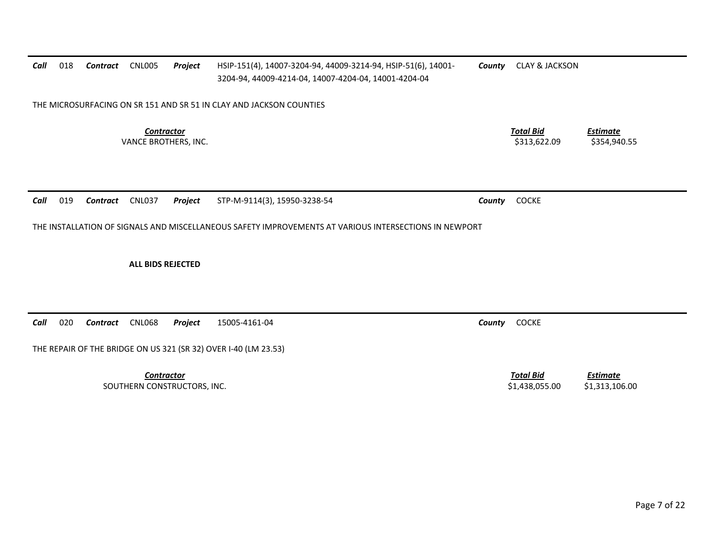| Call | 018                                                                                                   | Contract        | <b>CNL005</b>                                    | Project | HSIP-151(4), 14007-3204-94, 44009-3214-94, HSIP-51(6), 14001-<br>3204-94, 44009-4214-04, 14007-4204-04, 14001-4204-04 | County | <b>CLAY &amp; JACKSON</b>          |                                   |
|------|-------------------------------------------------------------------------------------------------------|-----------------|--------------------------------------------------|---------|-----------------------------------------------------------------------------------------------------------------------|--------|------------------------------------|-----------------------------------|
|      |                                                                                                       |                 |                                                  |         | THE MICROSURFACING ON SR 151 AND SR 51 IN CLAY AND JACKSON COUNTIES                                                   |        |                                    |                                   |
|      |                                                                                                       |                 | <b>Contractor</b><br>VANCE BROTHERS, INC.        |         |                                                                                                                       |        | <b>Total Bid</b><br>\$313,622.09   | <b>Estimate</b><br>\$354,940.55   |
| Call | 019                                                                                                   | <b>Contract</b> | <b>CNL037</b>                                    | Project | STP-M-9114(3), 15950-3238-54                                                                                          | County | <b>COCKE</b>                       |                                   |
|      | THE INSTALLATION OF SIGNALS AND MISCELLANEOUS SAFETY IMPROVEMENTS AT VARIOUS INTERSECTIONS IN NEWPORT |                 |                                                  |         |                                                                                                                       |        |                                    |                                   |
|      |                                                                                                       |                 | <b>ALL BIDS REJECTED</b>                         |         |                                                                                                                       |        |                                    |                                   |
| Call | 020                                                                                                   | <b>Contract</b> | <b>CNL068</b>                                    | Project | 15005-4161-04                                                                                                         | County | <b>COCKE</b>                       |                                   |
|      |                                                                                                       |                 |                                                  |         | THE REPAIR OF THE BRIDGE ON US 321 (SR 32) OVER I-40 (LM 23.53)                                                       |        |                                    |                                   |
|      |                                                                                                       |                 | <b>Contractor</b><br>SOUTHERN CONSTRUCTORS, INC. |         |                                                                                                                       |        | <b>Total Bid</b><br>\$1,438,055.00 | <b>Estimate</b><br>\$1,313,106.00 |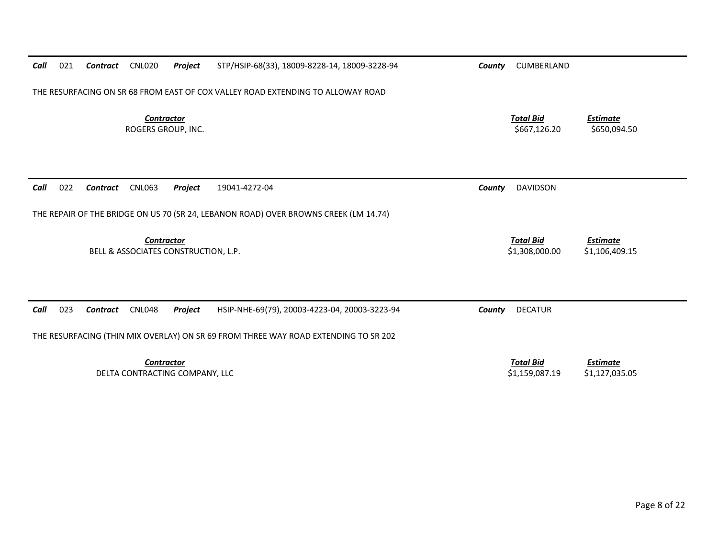| Call                                               | 021                                                                                  | Contract | <b>CNL020</b>                           | Project                        | STP/HSIP-68(33), 18009-8228-14, 18009-3228-94                                       | County | CUMBERLAND                         |                                   |  |
|----------------------------------------------------|--------------------------------------------------------------------------------------|----------|-----------------------------------------|--------------------------------|-------------------------------------------------------------------------------------|--------|------------------------------------|-----------------------------------|--|
|                                                    |                                                                                      |          |                                         |                                | THE RESURFACING ON SR 68 FROM EAST OF COX VALLEY ROAD EXTENDING TO ALLOWAY ROAD     |        |                                    |                                   |  |
|                                                    |                                                                                      |          | <b>Contractor</b><br>ROGERS GROUP, INC. |                                |                                                                                     |        | <b>Total Bid</b><br>\$667,126.20   | <b>Estimate</b><br>\$650,094.50   |  |
| Call                                               | 022                                                                                  | Contract | <b>CNL063</b>                           | Project                        | 19041-4272-04                                                                       | County | <b>DAVIDSON</b>                    |                                   |  |
|                                                    | THE REPAIR OF THE BRIDGE ON US 70 (SR 24, LEBANON ROAD) OVER BROWNS CREEK (LM 14.74) |          |                                         |                                |                                                                                     |        |                                    |                                   |  |
| Contractor<br>BELL & ASSOCIATES CONSTRUCTION, L.P. |                                                                                      |          |                                         |                                |                                                                                     |        | <b>Total Bid</b><br>\$1,308,000.00 | <b>Estimate</b><br>\$1,106,409.15 |  |
| Call                                               | 023                                                                                  | Contract | <b>CNL048</b>                           | Project                        | HSIP-NHE-69(79), 20003-4223-04, 20003-3223-94                                       | County | <b>DECATUR</b>                     |                                   |  |
|                                                    |                                                                                      |          |                                         |                                | THE RESURFACING (THIN MIX OVERLAY) ON SR 69 FROM THREE WAY ROAD EXTENDING TO SR 202 |        |                                    |                                   |  |
|                                                    |                                                                                      |          | <b>Contractor</b>                       | DELTA CONTRACTING COMPANY, LLC |                                                                                     |        | <b>Total Bid</b><br>\$1,159,087.19 | <b>Estimate</b><br>\$1,127,035.05 |  |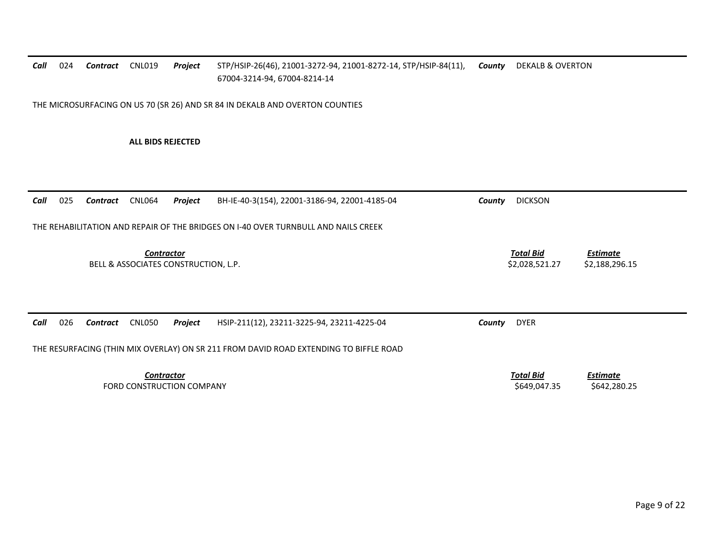## *Call* 024 *Contract* CNL019 *Project* STP/HSIP‐26(46), 21001‐3272‐94, 21001‐8272‐14, STP/HSIP‐84(11), 67004‐3214‐94, 67004‐8214‐14 *County* DEKALB & OVERTON THE MICROSURFACING ON US 70 (SR 26) AND SR 84 IN DEKALB AND OVERTON COUNTIES **ALL BIDS REJECTED***Call* 025 *Contract* CNL064 *Project* BH‐IE‐40‐3(154), 22001‐3186‐94, 22001‐4185‐04 *County* DICKSON THE REHABILITATION AND REPAIR OF THE BRIDGES ON I‐40 OVER TURNBULL AND NAILS CREEK *Contractor Total Bid Estimate* BELL & ASSOCIATES CONSTRUCTION, L.P. \$2,028,521.27 \$2,188,296.15 *Call* 026 *Contract* CNL050 *Project* HSIP‐211(12), 23211‐3225‐94, 23211‐4225‐04 *County* DYER THE RESURFACING (THIN MIX OVERLAY) ON SR 211 FROM DAVID ROAD EXTENDING TO BIFFLE ROAD *Contractor Total Bid Estimate* FORD CONSTRUCTIONN COMPANY \$642,280.25 \$649,047.35 \$642,280.25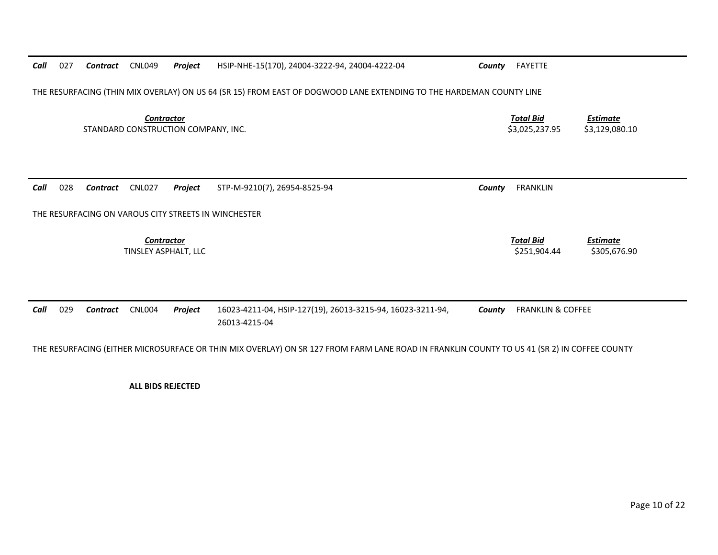| Call | 027                                                                                                                                         | Contract | <b>CNL049</b>                                    | Project                             | HSIP-NHE-15(170), 24004-3222-94, 24004-4222-04                              | County | FAYETTE                            |                                   |  |
|------|---------------------------------------------------------------------------------------------------------------------------------------------|----------|--------------------------------------------------|-------------------------------------|-----------------------------------------------------------------------------|--------|------------------------------------|-----------------------------------|--|
|      | THE RESURFACING (THIN MIX OVERLAY) ON US 64 (SR 15) FROM EAST OF DOGWOOD LANE EXTENDING TO THE HARDEMAN COUNTY LINE                         |          |                                                  |                                     |                                                                             |        |                                    |                                   |  |
|      |                                                                                                                                             |          | <b>Contractor</b>                                | STANDARD CONSTRUCTION COMPANY, INC. |                                                                             |        | <b>Total Bid</b><br>\$3,025,237.95 | <b>Estimate</b><br>\$3,129,080.10 |  |
| Call | 028                                                                                                                                         | Contract | <b>CNL027</b>                                    | Project                             | STP-M-9210(7), 26954-8525-94                                                | County | <b>FRANKLIN</b>                    |                                   |  |
|      |                                                                                                                                             |          |                                                  |                                     | THE RESURFACING ON VAROUS CITY STREETS IN WINCHESTER                        |        |                                    |                                   |  |
|      |                                                                                                                                             |          | <b>Contractor</b><br><b>TINSLEY ASPHALT, LLC</b> |                                     |                                                                             |        | <b>Total Bid</b><br>\$251.904.44   | <b>Estimate</b><br>\$305,676.90   |  |
| Call | 029                                                                                                                                         | Contract | CNL004                                           | Project                             | 16023-4211-04, HSIP-127(19), 26013-3215-94, 16023-3211-94,<br>26013-4215-04 | County | <b>FRANKLIN &amp; COFFEE</b>       |                                   |  |
|      | THE RESURFACING (EITHER MICROSURFACE OR THIN MIX OVERLAY) ON SR 127 FROM FARM LANE ROAD IN FRANKLIN COUNTY TO US 41 (SR 2) IN COFFEE COUNTY |          |                                                  |                                     |                                                                             |        |                                    |                                   |  |

**ALL BIDS REJECTED**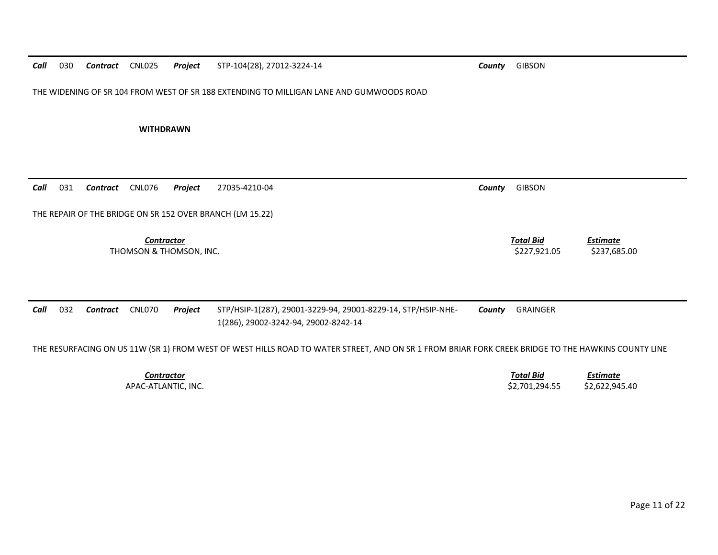THE WIDENING OF SR 104 FROM WEST OF SR 188 EXTENDING TO MILLIGAN LANE AND GUMWOODS ROAD

**WITHDRAWN**

*Call* 031*Contract* CNL076 *Project* 27035‐4210‐04 *County* GIBSON

THE REPAIR OF THE BRIDGE ON SR 152 OVER BRANCH (LM 15.22)

*Contractor Total Bid*THOMSON & THOMSON, INC. \$227,921.05 \$237,685.00

| <b>County GIBSON</b> |  |
|----------------------|--|

*Estimate*

*Call* 032 *Contract* CNL070 *Project* STP/HSIP‐1(287), 29001‐3229‐94, 29001‐8229‐14, STP/HSIP‐NHE‐ 1(286), 29002‐3242‐94, 29002‐8242‐14 *County* GRAINGER

THE RESURFACING ON US 11W (SR 1) FROM WEST OF WEST HILLS ROAD TO WATER STREET, AND ON SR 1 FROM BRIAR FORK CREEK BRIDGE TO THE HAWKINS COUNTY LINE

| Contractor          | <b>Total Bid</b> | <b>Estimate</b> |
|---------------------|------------------|-----------------|
| APAC-ATLANTIC. INC. | \$2.701.294.55   | \$2.622.945.40  |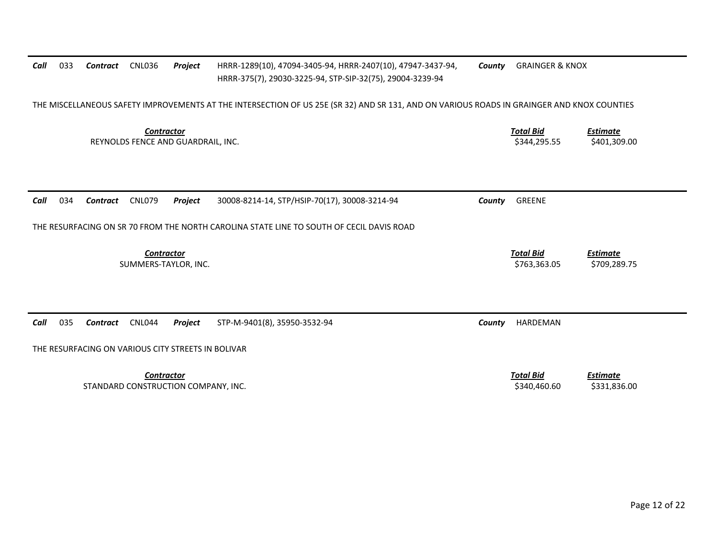| Call | 033 | Contract                                           | <b>CNL036</b>                                            | <b>Project</b> | HRRR-1289(10), 47094-3405-94, HRRR-2407(10), 47947-3437-94,<br>HRRR-375(7), 29030-3225-94, STP-SIP-32(75), 29004-3239-94                   | County | <b>GRAINGER &amp; KNOX</b>       |                                 |
|------|-----|----------------------------------------------------|----------------------------------------------------------|----------------|--------------------------------------------------------------------------------------------------------------------------------------------|--------|----------------------------------|---------------------------------|
|      |     |                                                    |                                                          |                | THE MISCELLANEOUS SAFETY IMPROVEMENTS AT THE INTERSECTION OF US 25E (SR 32) AND SR 131, AND ON VARIOUS ROADS IN GRAINGER AND KNOX COUNTIES |        |                                  |                                 |
|      |     |                                                    | <b>Contractor</b><br>REYNOLDS FENCE AND GUARDRAIL, INC.  |                |                                                                                                                                            |        | <b>Total Bid</b><br>\$344,295.55 | <b>Estimate</b><br>\$401,309.00 |
| Call | 034 | Contract                                           | <b>CNL079</b>                                            | Project        | 30008-8214-14, STP/HSIP-70(17), 30008-3214-94                                                                                              | County | GREENE                           |                                 |
|      |     |                                                    |                                                          |                | THE RESURFACING ON SR 70 FROM THE NORTH CAROLINA STATE LINE TO SOUTH OF CECIL DAVIS ROAD                                                   |        |                                  |                                 |
|      |     |                                                    | <b>Contractor</b><br>SUMMERS-TAYLOR, INC.                |                |                                                                                                                                            |        | <b>Total Bid</b><br>\$763,363.05 | <b>Estimate</b><br>\$709,289.75 |
| Call | 035 | Contract                                           | CNL044                                                   | Project        | STP-M-9401(8), 35950-3532-94                                                                                                               | County | HARDEMAN                         |                                 |
|      |     | THE RESURFACING ON VARIOUS CITY STREETS IN BOLIVAR |                                                          |                |                                                                                                                                            |        |                                  |                                 |
|      |     |                                                    | <b>Contractor</b><br>STANDARD CONSTRUCTION COMPANY, INC. |                |                                                                                                                                            |        | <b>Total Bid</b><br>\$340,460.60 | Estimate<br>\$331,836.00        |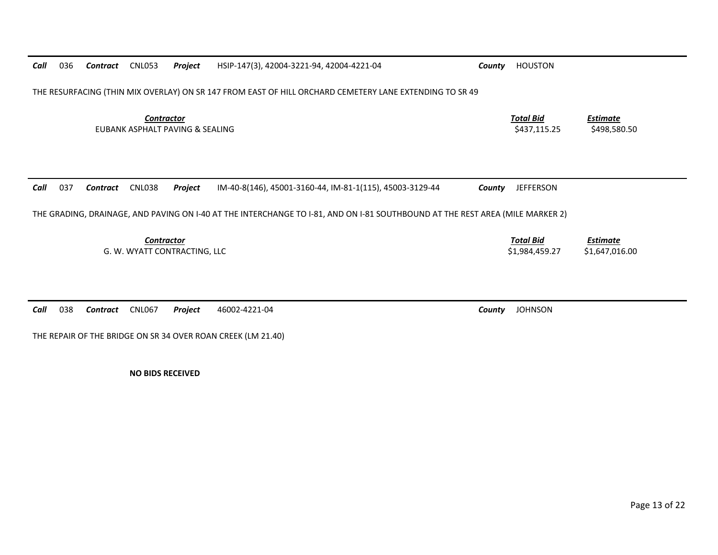| 036<br>Call | Contract | <b>CNL053</b>                                        | Project | HSIP-147(3), 42004-3221-94, 42004-4221-04                                                                                     | County | <b>HOUSTON</b>                     |                                   |
|-------------|----------|------------------------------------------------------|---------|-------------------------------------------------------------------------------------------------------------------------------|--------|------------------------------------|-----------------------------------|
|             |          |                                                      |         | THE RESURFACING (THIN MIX OVERLAY) ON SR 147 FROM EAST OF HILL ORCHARD CEMETERY LANE EXTENDING TO SR 49                       |        |                                    |                                   |
|             |          | <b>Contractor</b><br>EUBANK ASPHALT PAVING & SEALING |         |                                                                                                                               |        | <b>Total Bid</b><br>\$437,115.25   | <b>Estimate</b><br>\$498,580.50   |
| 037<br>Call | Contract | <b>CNL038</b>                                        | Project | IM-40-8(146), 45001-3160-44, IM-81-1(115), 45003-3129-44                                                                      | County | <b>JEFFERSON</b>                   |                                   |
|             |          |                                                      |         | THE GRADING, DRAINAGE, AND PAVING ON I-40 AT THE INTERCHANGE TO I-81, AND ON I-81 SOUTHBOUND AT THE REST AREA (MILE MARKER 2) |        |                                    |                                   |
|             |          | <b>Contractor</b><br>G. W. WYATT CONTRACTING, LLC    |         |                                                                                                                               |        | <b>Total Bid</b><br>\$1,984,459.27 | <b>Estimate</b><br>\$1,647,016.00 |
|             |          |                                                      |         |                                                                                                                               |        |                                    |                                   |
| 038<br>Call | Contract | <b>CNL067</b>                                        | Project | 46002-4221-04                                                                                                                 | County | <b>JOHNSON</b>                     |                                   |

THE REPAIR OF THE BRIDGE ON SR 34 OVER ROAN CREEK (LM 21.40)

**NO BIDS RECEIVED**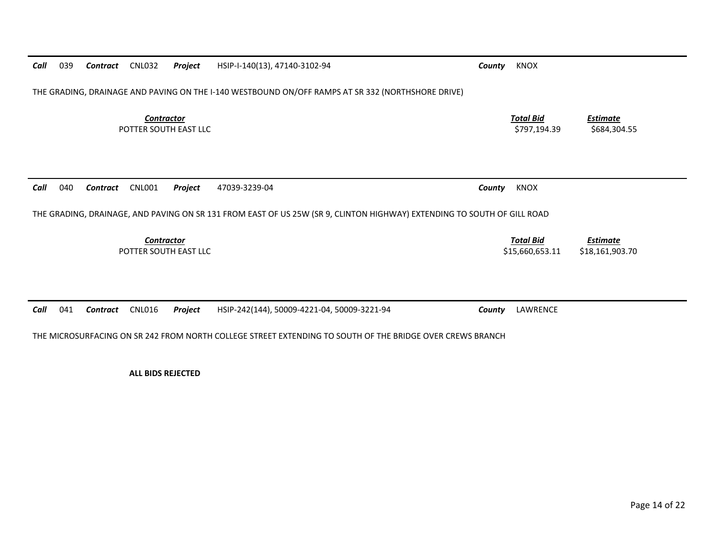| 039<br>Call | Contract        | <b>CNL032</b>                              | Project | HSIP-I-140(13), 47140-3102-94                                                                                                            | County | <b>KNOX</b>                         |                                    |
|-------------|-----------------|--------------------------------------------|---------|------------------------------------------------------------------------------------------------------------------------------------------|--------|-------------------------------------|------------------------------------|
|             |                 |                                            |         | THE GRADING, DRAINAGE AND PAVING ON THE I-140 WESTBOUND ON/OFF RAMPS AT SR 332 (NORTHSHORE DRIVE)                                        |        |                                     |                                    |
|             |                 | <b>Contractor</b><br>POTTER SOUTH EAST LLC |         |                                                                                                                                          |        | <b>Total Bid</b><br>\$797,194.39    | <b>Estimate</b><br>\$684,304.55    |
| 040<br>Call | <b>Contract</b> | <b>CNL001</b>                              | Project | 47039-3239-04<br>THE GRADING, DRAINAGE, AND PAVING ON SR 131 FROM EAST OF US 25W (SR 9, CLINTON HIGHWAY) EXTENDING TO SOUTH OF GILL ROAD | County | KNOX                                |                                    |
|             |                 |                                            |         |                                                                                                                                          |        |                                     |                                    |
|             |                 | <b>Contractor</b><br>POTTER SOUTH EAST LLC |         |                                                                                                                                          |        | <b>Total Bid</b><br>\$15,660,653.11 | <b>Estimate</b><br>\$18,161,903.70 |

**ALL BIDS REJECTED**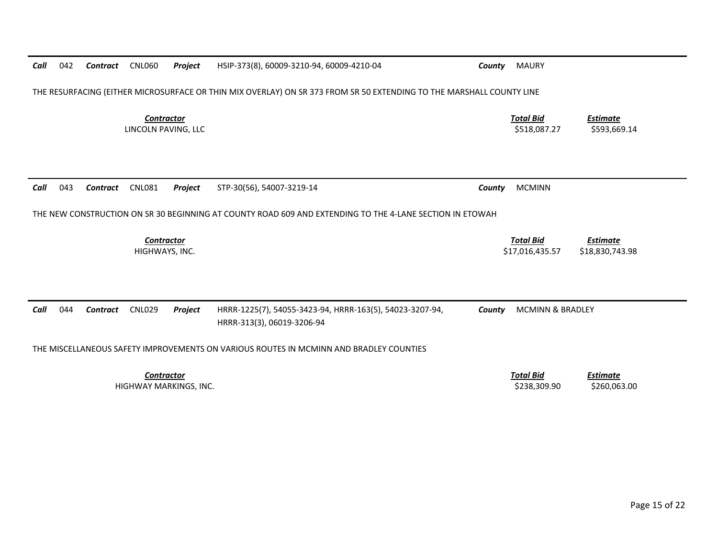| Call | 042 | Contract | <b>CNL060</b>                            | <b>Project</b> | HSIP-373(8), 60009-3210-94, 60009-4210-04                                                                            | County | <b>MAURY</b>                        |                                    |
|------|-----|----------|------------------------------------------|----------------|----------------------------------------------------------------------------------------------------------------------|--------|-------------------------------------|------------------------------------|
|      |     |          |                                          |                | THE RESURFACING (EITHER MICROSURFACE OR THIN MIX OVERLAY) ON SR 373 FROM SR 50 EXTENDING TO THE MARSHALL COUNTY LINE |        |                                     |                                    |
|      |     |          | <b>Contractor</b><br>LINCOLN PAVING, LLC |                |                                                                                                                      |        | <b>Total Bid</b><br>\$518,087.27    | <b>Estimate</b><br>\$593,669.14    |
|      |     |          |                                          |                |                                                                                                                      |        |                                     |                                    |
| Call | 043 | Contract | <b>CNL081</b>                            | Project        | STP-30(56), 54007-3219-14                                                                                            | County | <b>MCMINN</b>                       |                                    |
|      |     |          |                                          |                | THE NEW CONSTRUCTION ON SR 30 BEGINNING AT COUNTY ROAD 609 AND EXTENDING TO THE 4-LANE SECTION IN ETOWAH             |        |                                     |                                    |
|      |     |          |                                          |                |                                                                                                                      |        |                                     |                                    |
|      |     |          | Contractor<br>HIGHWAYS, INC.             |                |                                                                                                                      |        | <b>Total Bid</b><br>\$17,016,435.57 | <b>Estimate</b><br>\$18,830,743.98 |
|      |     |          |                                          |                |                                                                                                                      |        |                                     |                                    |
| Call | 044 | Contract | <b>CNL029</b>                            | Project        | HRRR-1225(7), 54055-3423-94, HRRR-163(5), 54023-3207-94,<br>HRRR-313(3), 06019-3206-94                               | County | <b>MCMINN &amp; BRADLEY</b>         |                                    |
|      |     |          |                                          |                | THE MISCELLANEOUS SAFETY IMPROVEMENTS ON VARIOUS ROUTES IN MCMINN AND BRADLEY COUNTIES                               |        |                                     |                                    |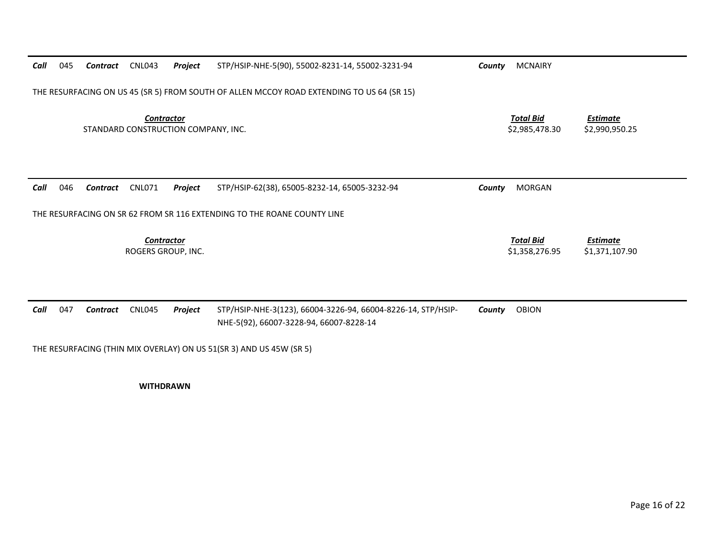| Call | 045 | Contract | <b>CNL043</b>                           | Project                             | STP/HSIP-NHE-5(90), 55002-8231-14, 55002-3231-94                                                        | County | <b>MCNAIRY</b>                     |                                   |
|------|-----|----------|-----------------------------------------|-------------------------------------|---------------------------------------------------------------------------------------------------------|--------|------------------------------------|-----------------------------------|
|      |     |          |                                         |                                     | THE RESURFACING ON US 45 (SR 5) FROM SOUTH OF ALLEN MCCOY ROAD EXTENDING TO US 64 (SR 15)               |        |                                    |                                   |
|      |     |          | <b>Contractor</b>                       | STANDARD CONSTRUCTION COMPANY, INC. |                                                                                                         |        | <b>Total Bid</b><br>\$2,985,478.30 | <b>Estimate</b><br>\$2,990,950.25 |
| Call | 046 | Contract | <b>CNL071</b>                           | Project                             | STP/HSIP-62(38), 65005-8232-14, 65005-3232-94                                                           | County | <b>MORGAN</b>                      |                                   |
|      |     |          |                                         |                                     | THE RESURFACING ON SR 62 FROM SR 116 EXTENDING TO THE ROANE COUNTY LINE                                 |        |                                    |                                   |
|      |     |          | <b>Contractor</b><br>ROGERS GROUP. INC. |                                     |                                                                                                         |        | <b>Total Bid</b><br>\$1,358,276.95 | <b>Estimate</b><br>\$1,371,107.90 |
| Call | 047 | Contract | <b>CNL045</b>                           | Project                             | STP/HSIP-NHE-3(123), 66004-3226-94, 66004-8226-14, STP/HSIP-<br>NHE-5(92), 66007-3228-94, 66007-8228-14 | County | OBION                              |                                   |

THE RESURFACING (THIN MIX OVERLAY) ON US 51(SR 3) AND US 45W (SR 5)

**WITHDRAWN**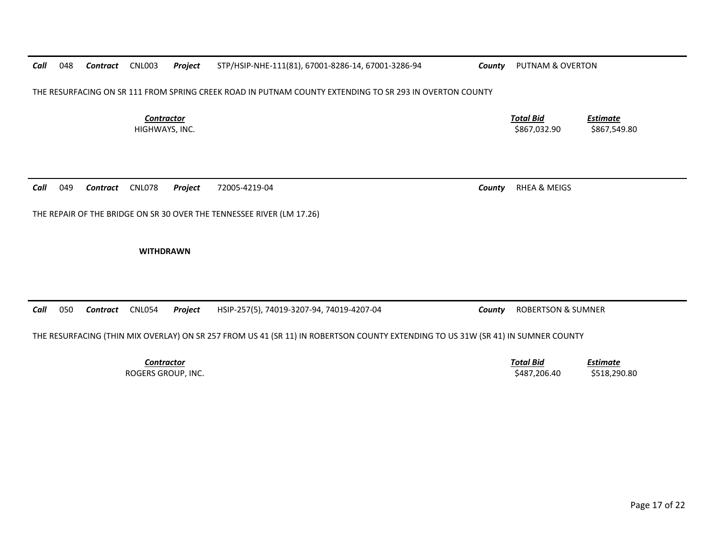*Call* 048*Contract* CNL003 *Project* STP/HSIP‐NHE‐111(81), 67001‐8286‐14, 67001‐3286‐94 *County* PUTNAM & OVERTON

THE RESURFACING ON SR 111 FROM SPRING CREEK ROAD IN PUTNAM COUNTY EXTENDING TO SR 293 IN OVERTON COUNTY

*Contractor*

*Call* 049*Contract* CNL078 *Project* 72005‐4219‐04 *County* RHEA & MEIGS

THE REPAIR OF THE BRIDGE ON SR 30 OVER THE TENNESSEE RIVER (LM 17.26)

**WITHDRAWN**

*Call* 050*Contract* CNL054 *Project* HSIP‐257(5), 74019‐3207‐94, 74019‐4207‐04 *County* ROBERTSON & SUMNER

THE RESURFACING (THIN MIX OVERLAY) ON SR 257 FROM US 41 (SR 11) IN ROBERTSON COUNTY EXTENDING TO US 31W (SR 41) IN SUMNER COUNTY

*Contractor*

 *Estimate* ROGERS GROUP, INC. \$487,206.40 \$518,290.80

*Total Bid*

 *Total Bid Estimate* HIGHWAYS, INC. \$867,032.90 \$867,549.80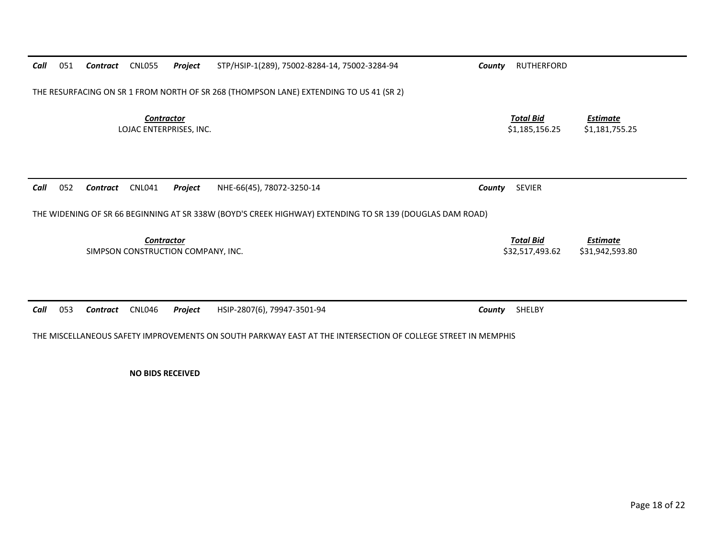| 051<br>Call | Contract | <b>CNL055</b><br>Project                         | STP/HSIP-1(289), 75002-8284-14, 75002-3284-94                                                                                         | County | RUTHERFORD                          |                                   |
|-------------|----------|--------------------------------------------------|---------------------------------------------------------------------------------------------------------------------------------------|--------|-------------------------------------|-----------------------------------|
|             |          |                                                  | THE RESURFACING ON SR 1 FROM NORTH OF SR 268 (THOMPSON LANE) EXTENDING TO US 41 (SR 2)                                                |        |                                     |                                   |
|             |          | <b>Contractor</b><br>LOJAC ENTERPRISES, INC.     |                                                                                                                                       |        | <b>Total Bid</b><br>\$1,185,156.25  | <b>Estimate</b><br>\$1,181,755.25 |
| 052<br>Call | Contract | <b>CNL041</b><br>Project                         | NHE-66(45), 78072-3250-14<br>THE WIDENING OF SR 66 BEGINNING AT SR 338W (BOYD'S CREEK HIGHWAY) EXTENDING TO SR 139 (DOUGLAS DAM ROAD) | County | <b>SEVIER</b>                       |                                   |
|             |          | Contractor<br>SIMPSON CONSTRUCTION COMPANY, INC. |                                                                                                                                       |        | <b>Total Bid</b><br>\$32,517,493.62 | Estimate<br>\$31,942,593.80       |
| 053<br>Call | Contract | <b>CNL046</b><br>Project                         | HSIP-2807(6), 79947-3501-94                                                                                                           | County | SHELBY                              |                                   |

THE MISCELLANEOUS SAFETY IMPROVEMENTS ON SOUTH PARKWAY EAST AT THE INTERSECTION OF COLLEGE STREET IN MEMPHIS

**NO BIDS RECEIVED**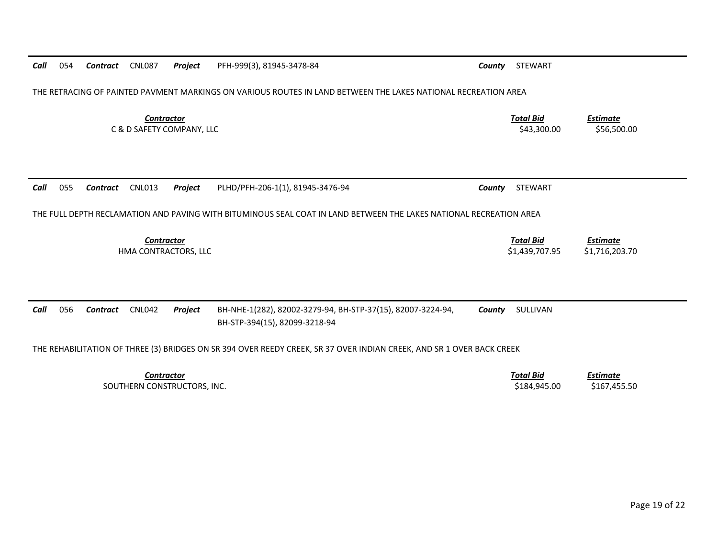| Call | 054 | Contract | <b>CNL087</b>                                    | Project | PFH-999(3), 81945-3478-84                                                                                             | County | STEWART                            |                                   |
|------|-----|----------|--------------------------------------------------|---------|-----------------------------------------------------------------------------------------------------------------------|--------|------------------------------------|-----------------------------------|
|      |     |          |                                                  |         | THE RETRACING OF PAINTED PAVMENT MARKINGS ON VARIOUS ROUTES IN LAND BETWEEN THE LAKES NATIONAL RECREATION AREA        |        |                                    |                                   |
|      |     |          | <b>Contractor</b><br>C & D SAFETY COMPANY, LLC   |         |                                                                                                                       |        | <b>Total Bid</b><br>\$43,300.00    | <b>Estimate</b><br>\$56,500.00    |
| Call | 055 | Contract | <b>CNL013</b>                                    | Project | PLHD/PFH-206-1(1), 81945-3476-94                                                                                      | County | <b>STEWART</b>                     |                                   |
|      |     |          |                                                  |         | THE FULL DEPTH RECLAMATION AND PAVING WITH BITUMINOUS SEAL COAT IN LAND BETWEEN THE LAKES NATIONAL RECREATION AREA    |        |                                    |                                   |
|      |     |          | <b>Contractor</b><br>HMA CONTRACTORS, LLC        |         |                                                                                                                       |        | <b>Total Bid</b><br>\$1,439,707.95 | <b>Estimate</b><br>\$1,716,203.70 |
|      |     |          |                                                  |         |                                                                                                                       |        |                                    |                                   |
| Call | 056 | Contract | <b>CNL042</b>                                    | Project | BH-NHE-1(282), 82002-3279-94, BH-STP-37(15), 82007-3224-94,<br>BH-STP-394(15), 82099-3218-94                          | County | SULLIVAN                           |                                   |
|      |     |          |                                                  |         | THE REHABILITATION OF THREE (3) BRIDGES ON SR 394 OVER REEDY CREEK, SR 37 OVER INDIAN CREEK, AND SR 1 OVER BACK CREEK |        |                                    |                                   |
|      |     |          | <b>Contractor</b><br>SOUTHERN CONSTRUCTORS, INC. |         |                                                                                                                       |        | <b>Total Bid</b><br>\$184,945.00   | <b>Estimate</b><br>\$167,455.50   |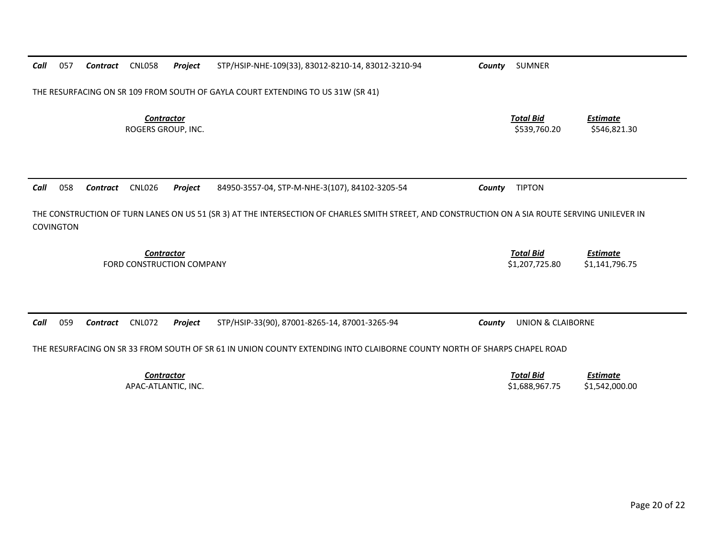| Call | 057              | Contract | <b>CNL058</b>                            | Project                   | STP/HSIP-NHE-109(33), 83012-8210-14, 83012-3210-94                                                                                              | County | <b>SUMNER</b>                      |                                   |
|------|------------------|----------|------------------------------------------|---------------------------|-------------------------------------------------------------------------------------------------------------------------------------------------|--------|------------------------------------|-----------------------------------|
|      |                  |          |                                          |                           | THE RESURFACING ON SR 109 FROM SOUTH OF GAYLA COURT EXTENDING TO US 31W (SR 41)                                                                 |        |                                    |                                   |
|      |                  |          | <b>Contractor</b><br>ROGERS GROUP, INC.  |                           |                                                                                                                                                 |        | <b>Total Bid</b><br>\$539,760.20   | <b>Estimate</b><br>\$546,821.30   |
| Call | 058              | Contract | <b>CNL026</b>                            | Project                   | 84950-3557-04, STP-M-NHE-3(107), 84102-3205-54                                                                                                  | County | <b>TIPTON</b>                      |                                   |
|      | <b>COVINGTON</b> |          |                                          |                           | THE CONSTRUCTION OF TURN LANES ON US 51 (SR 3) AT THE INTERSECTION OF CHARLES SMITH STREET, AND CONSTRUCTION ON A SIA ROUTE SERVING UNILEVER IN |        |                                    |                                   |
|      |                  |          | Contractor                               | FORD CONSTRUCTION COMPANY |                                                                                                                                                 |        | <b>Total Bid</b><br>\$1,207,725.80 | <b>Estimate</b><br>\$1,141,796.75 |
| Call | 059              | Contract | <b>CNL072</b>                            | Project                   | STP/HSIP-33(90), 87001-8265-14, 87001-3265-94                                                                                                   | County | <b>UNION &amp; CLAIBORNE</b>       |                                   |
|      |                  |          |                                          |                           | THE RESURFACING ON SR 33 FROM SOUTH OF SR 61 IN UNION COUNTY EXTENDING INTO CLAIBORNE COUNTY NORTH OF SHARPS CHAPEL ROAD                        |        |                                    |                                   |
|      |                  |          | <b>Contractor</b><br>APAC-ATLANTIC. INC. |                           |                                                                                                                                                 |        | <b>Total Bid</b><br>\$1,688,967.75 | <b>Estimate</b><br>\$1,542,000.00 |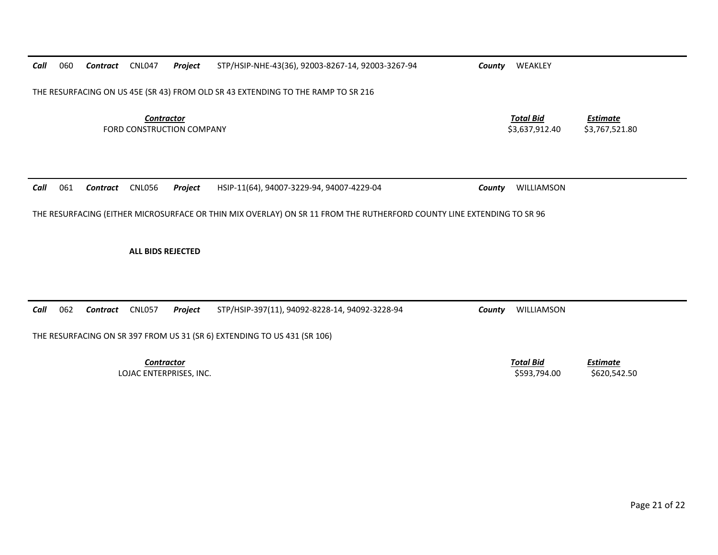| Call | 060 | Contract | CNL047                   | Project                   | STP/HSIP-NHE-43(36), 92003-8267-14, 92003-3267-94                                                                     | WEAKLEY<br>County                  |                                   |
|------|-----|----------|--------------------------|---------------------------|-----------------------------------------------------------------------------------------------------------------------|------------------------------------|-----------------------------------|
|      |     |          |                          |                           | THE RESURFACING ON US 45E (SR 43) FROM OLD SR 43 EXTENDING TO THE RAMP TO SR 216                                      |                                    |                                   |
|      |     |          | <b>Contractor</b>        | FORD CONSTRUCTION COMPANY |                                                                                                                       | <b>Total Bid</b><br>\$3,637,912.40 | <b>Estimate</b><br>\$3,767,521.80 |
| Call | 061 | Contract | <b>CNL056</b>            | Project                   | HSIP-11(64), 94007-3229-94, 94007-4229-04                                                                             | WILLIAMSON<br>County               |                                   |
|      |     |          |                          |                           |                                                                                                                       |                                    |                                   |
|      |     |          | <b>ALL BIDS REJECTED</b> |                           | THE RESURFACING (EITHER MICROSURFACE OR THIN MIX OVERLAY) ON SR 11 FROM THE RUTHERFORD COUNTY LINE EXTENDING TO SR 96 |                                    |                                   |
|      | 062 | Contract | <b>CNL057</b>            | Project                   | STP/HSIP-397(11), 94092-8228-14, 94092-3228-94                                                                        | WILLIAMSON<br>County               |                                   |
| Call |     |          |                          |                           | THE RESURFACING ON SR 397 FROM US 31 (SR 6) EXTENDING TO US 431 (SR 106)                                              |                                    |                                   |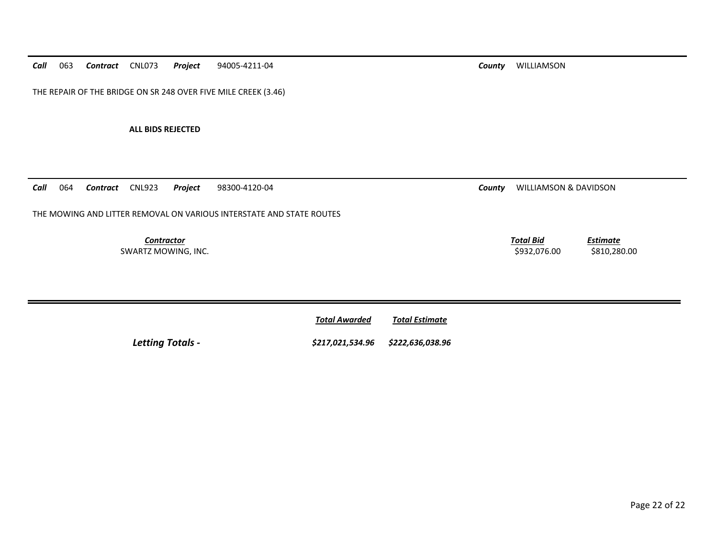*Call* 063*Contract* CNL073 *Project* 94005‐4211‐04 *County* WILLIAMSON

THE REPAIR OF THE BRIDGE ON SR 248 OVER FIVE MILE CREEK (3.46)

**ALL BIDS REJECTED**

*Call*064 **Contract** CNL923 **Project** 98300‐4120‐04 **County** WILLIAMSON & DAVIDSON

THE MOWING AND LITTER REMOVAL ON VARIOUS INTERSTATE AND STATE ROUTES

*Contractor*SWARTZ MOWING, INC. \$932,076.00 \$810,280.00

*Total Bid*

|                         | <b>Total Awarded</b> | <b>Total Estimate</b> |
|-------------------------|----------------------|-----------------------|
| <b>Letting Totals -</b> | \$217.021.534.96     | \$222.636.038.96      |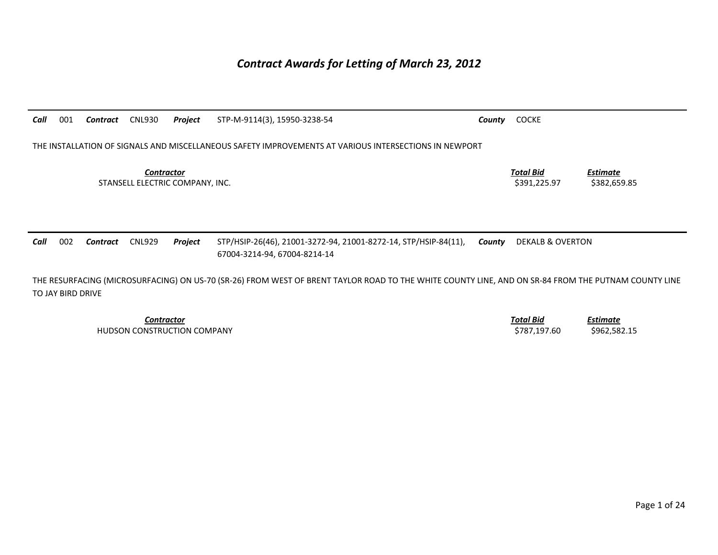## *Contract Awards for Letting of March 23, 2012*

| Call | 001 | Contract | CNL930                                               | Project | STP-M-9114(3), 15950-3238-54                                                                          | County | <b>COCKE</b>                     |                                 |
|------|-----|----------|------------------------------------------------------|---------|-------------------------------------------------------------------------------------------------------|--------|----------------------------------|---------------------------------|
|      |     |          |                                                      |         | THE INSTALLATION OF SIGNALS AND MISCELLANEOUS SAFETY IMPROVEMENTS AT VARIOUS INTERSECTIONS IN NEWPORT |        |                                  |                                 |
|      |     |          | <b>Contractor</b><br>STANSELL ELECTRIC COMPANY, INC. |         |                                                                                                       |        | <b>Total Bid</b><br>\$391.225.97 | <b>Estimate</b><br>\$382,659.85 |
| Call | 002 | Contract | <b>CNL929</b>                                        | Project | STP/HSIP-26(46), 21001-3272-94, 21001-8272-14, STP/HSIP-84(11),<br>67004-3214-94, 67004-8214-14       | County | <b>DEKALB &amp; OVERTON</b>      |                                 |

THE RESURFACING (MICROSURFACING) ON US-70 (SR-26) FROM WEST OF BRENT TAYLOR ROAD TO THE WHITE COUNTY LINE, AND ON SR-84 FROM THE PUTNAM COUNTY LINE TO JAY BIRD DRIVE

*Contractor Total Bid*HUDSON CONSTRUCTION COMPANY 6962,582.15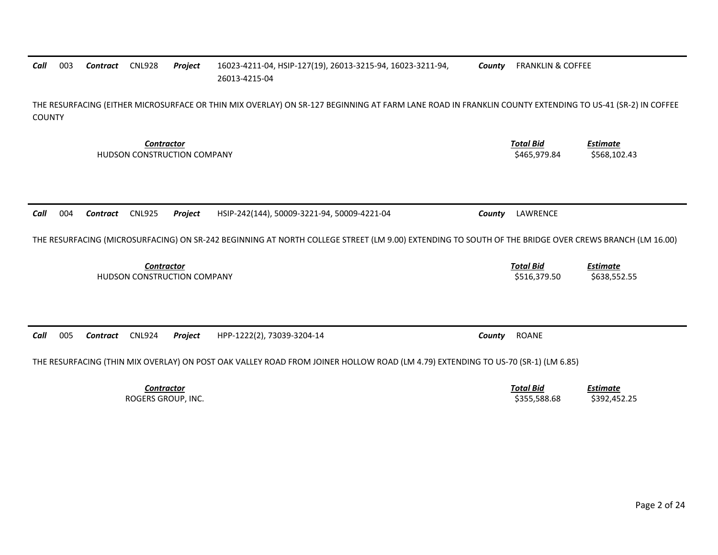## 26013-4215-04 THE RESURFACING (EITHER MICROSURFACE OR THIN MIX OVERLAY) ON SR-127 BEGINNING AT FARM LANE ROAD IN FRANKLIN COUNTY EXTENDING TO US-41 (SR-2) IN COFFEE COUNTY *Contractor Total Bid Estimate* HUDSON CONSTRUCTION COMPANY **\$465.979.84** \$568.102.43 *Call* 004 *Contract* CNL925 *Project* HSIP-242(144), 50009-3221-94, 50009-4221-04 *County* LAWRENCE THE RESURFACING (MICROSURFACING) ON SR-242 BEGINNING AT NORTH COLLEGE STREET (LM 9.00) EXTENDING TO SOUTH OF THE BRIDGE OVER CREWS BRANCH (LM 16.00) **Contractor** Total Bid *Estimate* HUDSON CONSTRUCTION COMPANY **\$516,379.50** \$638,552.55 *Call* 005 *Contract* CNL924 *Project* HPP-1222(2), 73039-3204-14 *County* ROANE THE RESURFACING (THIN MIX OVERLAY) ON POST OAK VALLEY ROAD FROM JOINER HOLLOW ROAD (LM 4.79) EXTENDING TO US-70 (SR-1) (LM 6.85) *Contractor Total BidEstimate*

*County* FRANKLIN & COFFEE

003 *Contract* CNL928 *Project* 16023-4211-04, HSIP-127(19), 26013-3215-94, 16023-3211-94,

ROGERS GROUP, INC. \$355,588.68 \$392,452.25

*Call*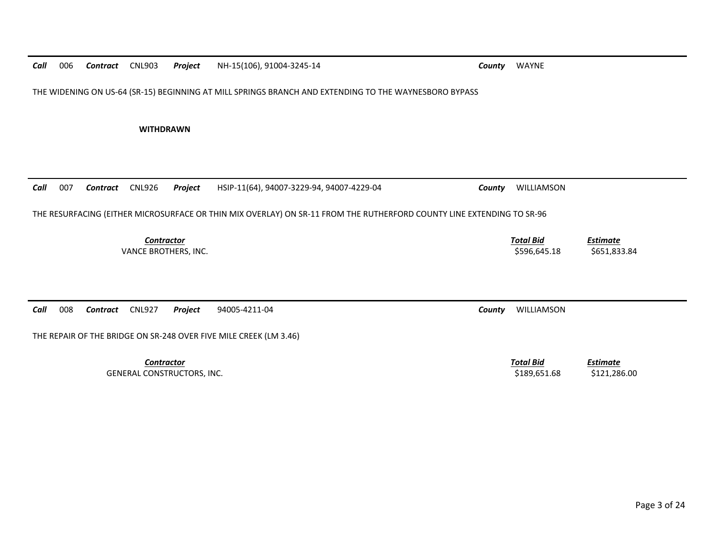| Call | 006 | <b>Contract</b> CNL903 |                                           | Project | NH-15(106), 91004-3245-14                                                                                             | County | WAYNE                            |                                 |
|------|-----|------------------------|-------------------------------------------|---------|-----------------------------------------------------------------------------------------------------------------------|--------|----------------------------------|---------------------------------|
|      |     |                        |                                           |         | THE WIDENING ON US-64 (SR-15) BEGINNING AT MILL SPRINGS BRANCH AND EXTENDING TO THE WAYNESBORO BYPASS                 |        |                                  |                                 |
|      |     |                        | <b>WITHDRAWN</b>                          |         |                                                                                                                       |        |                                  |                                 |
|      |     |                        |                                           |         |                                                                                                                       |        |                                  |                                 |
| Call | 007 | Contract               | <b>CNL926</b>                             | Project | HSIP-11(64), 94007-3229-94, 94007-4229-04                                                                             | County | WILLIAMSON                       |                                 |
|      |     |                        |                                           |         | THE RESURFACING (EITHER MICROSURFACE OR THIN MIX OVERLAY) ON SR-11 FROM THE RUTHERFORD COUNTY LINE EXTENDING TO SR-96 |        |                                  |                                 |
|      |     |                        |                                           |         |                                                                                                                       |        |                                  |                                 |
|      |     |                        | <b>Contractor</b><br>VANCE BROTHERS, INC. |         |                                                                                                                       |        | <b>Total Bid</b><br>\$596,645.18 | <b>Estimate</b><br>\$651,833.84 |
|      |     |                        |                                           |         |                                                                                                                       |        |                                  |                                 |
| Call | 008 | Contract               | <b>CNL927</b>                             | Project | 94005-4211-04                                                                                                         | County | WILLIAMSON                       |                                 |
|      |     |                        |                                           |         | THE REPAIR OF THE BRIDGE ON SR-248 OVER FIVE MILE CREEK (LM 3.46)                                                     |        |                                  |                                 |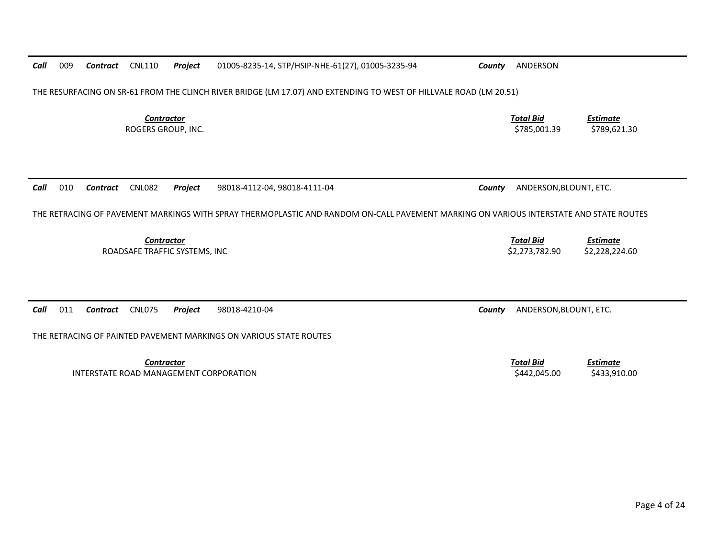| Call                                                                                                                                   | 009 | Contract        | <b>CNL110</b>                           | Project                       | 01005-8235-14, STP/HSIP-NHE-61(27), 01005-3235-94 | County | ANDERSON                           |                                   |  |
|----------------------------------------------------------------------------------------------------------------------------------------|-----|-----------------|-----------------------------------------|-------------------------------|---------------------------------------------------|--------|------------------------------------|-----------------------------------|--|
| THE RESURFACING ON SR-61 FROM THE CLINCH RIVER BRIDGE (LM 17.07) AND EXTENDING TO WEST OF HILLVALE ROAD (LM 20.51)                     |     |                 |                                         |                               |                                                   |        |                                    |                                   |  |
|                                                                                                                                        |     |                 | <b>Contractor</b><br>ROGERS GROUP, INC. |                               |                                                   |        | <b>Total Bid</b><br>\$785,001.39   | <b>Estimate</b><br>\$789,621.30   |  |
| Call                                                                                                                                   | 010 | <b>Contract</b> | <b>CNL082</b>                           | Project                       | 98018-4112-04, 98018-4111-04                      | County | ANDERSON, BLOUNT, ETC.             |                                   |  |
| THE RETRACING OF PAVEMENT MARKINGS WITH SPRAY THERMOPLASTIC AND RANDOM ON-CALL PAVEMENT MARKING ON VARIOUS INTERSTATE AND STATE ROUTES |     |                 |                                         |                               |                                                   |        |                                    |                                   |  |
|                                                                                                                                        |     |                 | <b>Contractor</b>                       | ROADSAFE TRAFFIC SYSTEMS, INC |                                                   |        | <b>Total Bid</b><br>\$2,273,782.90 | <b>Estimate</b><br>\$2,228,224.60 |  |
| Call                                                                                                                                   | 011 | <b>Contract</b> | <b>CNL075</b>                           | Project                       | 98018-4210-04                                     | County |                                    |                                   |  |
| ANDERSON, BLOUNT, ETC.<br>THE RETRACING OF PAINTED PAVEMENT MARKINGS ON VARIOUS STATE ROUTES                                           |     |                 |                                         |                               |                                                   |        |                                    |                                   |  |
|                                                                                                                                        |     |                 | Contractor                              |                               | INTERSTATE ROAD MANAGEMENT CORPORATION            |        | <b>Total Bid</b><br>\$442,045.00   | <b>Estimate</b><br>\$433,910.00   |  |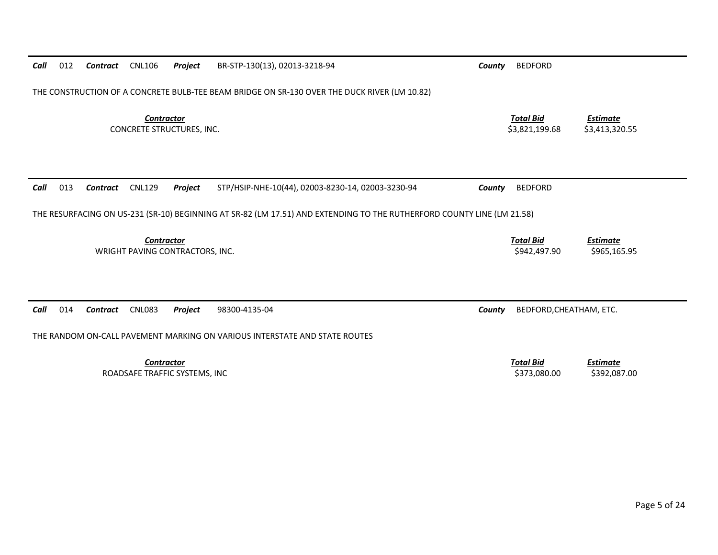| Call                                                                                                                   | 012                                                                                          | Contract | <b>CNL106</b>                                        | Project                       | BR-STP-130(13), 02013-3218-94                     | County | <b>BEDFORD</b>                     |                                   |  |  |
|------------------------------------------------------------------------------------------------------------------------|----------------------------------------------------------------------------------------------|----------|------------------------------------------------------|-------------------------------|---------------------------------------------------|--------|------------------------------------|-----------------------------------|--|--|
|                                                                                                                        | THE CONSTRUCTION OF A CONCRETE BULB-TEE BEAM BRIDGE ON SR-130 OVER THE DUCK RIVER (LM 10.82) |          |                                                      |                               |                                                   |        |                                    |                                   |  |  |
| <b>Contractor</b><br><b>CONCRETE STRUCTURES, INC.</b>                                                                  |                                                                                              |          |                                                      |                               |                                                   |        | <b>Total Bid</b><br>\$3,821,199.68 | <b>Estimate</b><br>\$3,413,320.55 |  |  |
|                                                                                                                        |                                                                                              |          |                                                      |                               |                                                   |        |                                    |                                   |  |  |
| Call                                                                                                                   | 013                                                                                          | Contract | <b>CNL129</b>                                        | Project                       | STP/HSIP-NHE-10(44), 02003-8230-14, 02003-3230-94 | County | <b>BEDFORD</b>                     |                                   |  |  |
| THE RESURFACING ON US-231 (SR-10) BEGINNING AT SR-82 (LM 17.51) AND EXTENDING TO THE RUTHERFORD COUNTY LINE (LM 21.58) |                                                                                              |          |                                                      |                               |                                                   |        |                                    |                                   |  |  |
|                                                                                                                        |                                                                                              |          | <b>Contractor</b><br>WRIGHT PAVING CONTRACTORS, INC. |                               |                                                   |        | <b>Total Bid</b><br>\$942,497.90   | <b>Estimate</b><br>\$965,165.95   |  |  |
| Call                                                                                                                   | 014                                                                                          | Contract | <b>CNL083</b>                                        | Project                       | 98300-4135-04                                     | County | BEDFORD, CHEATHAM, ETC.            |                                   |  |  |
| THE RANDOM ON-CALL PAVEMENT MARKING ON VARIOUS INTERSTATE AND STATE ROUTES                                             |                                                                                              |          |                                                      |                               |                                                   |        |                                    |                                   |  |  |
|                                                                                                                        |                                                                                              |          | <b>Contractor</b>                                    | ROADSAFE TRAFFIC SYSTEMS, INC |                                                   |        | <b>Total Bid</b><br>\$373,080.00   | <b>Estimate</b><br>\$392,087.00   |  |  |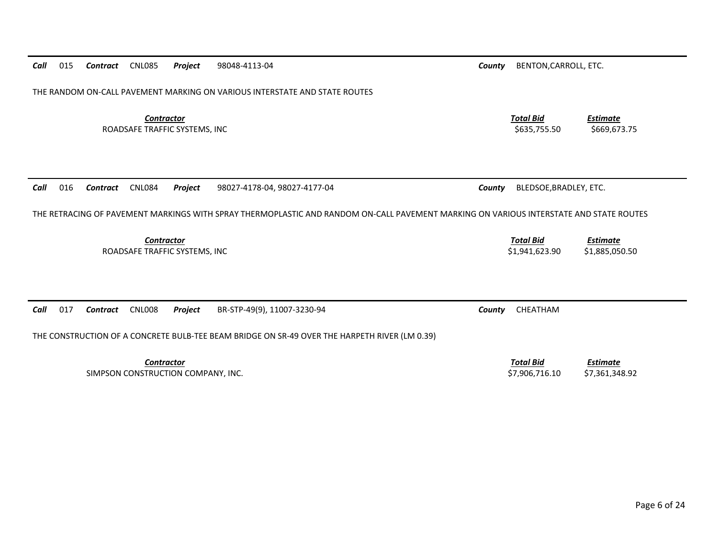| Call<br>015 | Contract CNL085                                         | Project | 98048-4113-04                                                                                                                          | County | BENTON, CARROLL, ETC.              |                                   |
|-------------|---------------------------------------------------------|---------|----------------------------------------------------------------------------------------------------------------------------------------|--------|------------------------------------|-----------------------------------|
|             |                                                         |         | THE RANDOM ON-CALL PAVEMENT MARKING ON VARIOUS INTERSTATE AND STATE ROUTES                                                             |        |                                    |                                   |
|             | <b>Contractor</b><br>ROADSAFE TRAFFIC SYSTEMS, INC      |         |                                                                                                                                        |        | <b>Total Bid</b><br>\$635,755.50   | <b>Estimate</b><br>\$669,673.75   |
| 016<br>Call | <b>CNL084</b><br>Contract                               | Project | 98027-4178-04, 98027-4177-04                                                                                                           | County | BLEDSOE, BRADLEY, ETC.             |                                   |
|             |                                                         |         | THE RETRACING OF PAVEMENT MARKINGS WITH SPRAY THERMOPLASTIC AND RANDOM ON-CALL PAVEMENT MARKING ON VARIOUS INTERSTATE AND STATE ROUTES |        |                                    |                                   |
|             | Contractor<br>ROADSAFE TRAFFIC SYSTEMS, INC             |         |                                                                                                                                        |        | <b>Total Bid</b><br>\$1,941,623.90 | <b>Estimate</b><br>\$1,885,050.50 |
| Call<br>017 | <b>CNL008</b><br>Contract                               | Project | BR-STP-49(9), 11007-3230-94<br>THE CONSTRUCTION OF A CONCRETE BULB-TEE BEAM BRIDGE ON SR-49 OVER THE HARPETH RIVER (LM 0.39)           | County | CHEATHAM                           |                                   |
|             | <b>Contractor</b><br>SIMPSON CONSTRUCTION COMPANY, INC. |         |                                                                                                                                        |        | <b>Total Bid</b><br>\$7,906,716.10 | <b>Estimate</b><br>\$7,361,348.92 |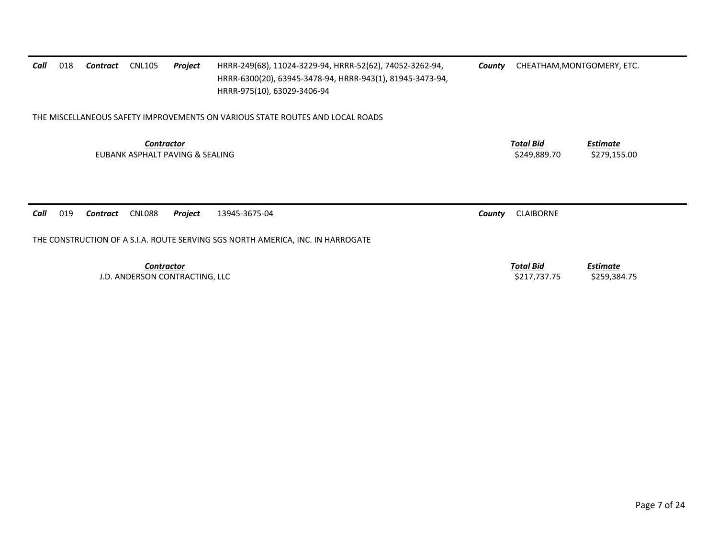| Call                                                                            | 018                                                  | Contract | <b>CNL105</b>     | Project                        | HRRR-249(68), 11024-3229-94, HRRR-52(62), 74052-3262-94,<br>HRRR-6300(20), 63945-3478-94, HRRR-943(1), 81945-3473-94,<br>HRRR-975(10), 63029-3406-94 | County | CHEATHAM, MONTGOMERY, ETC.       |                                 |  |
|---------------------------------------------------------------------------------|------------------------------------------------------|----------|-------------------|--------------------------------|------------------------------------------------------------------------------------------------------------------------------------------------------|--------|----------------------------------|---------------------------------|--|
| THE MISCELLANEOUS SAFETY IMPROVEMENTS ON VARIOUS STATE ROUTES AND LOCAL ROADS   |                                                      |          |                   |                                |                                                                                                                                                      |        |                                  |                                 |  |
|                                                                                 | <b>Contractor</b><br>EUBANK ASPHALT PAVING & SEALING |          |                   |                                |                                                                                                                                                      |        | <b>Total Bid</b><br>\$249,889.70 | <u>Estimate</u><br>\$279,155.00 |  |
| Call                                                                            | 019                                                  | Contract | CNL088            | Project                        | 13945-3675-04                                                                                                                                        | County | <b>CLAIBORNE</b>                 |                                 |  |
| THE CONSTRUCTION OF A S.I.A. ROUTE SERVING SGS NORTH AMERICA, INC. IN HARROGATE |                                                      |          |                   |                                |                                                                                                                                                      |        |                                  |                                 |  |
|                                                                                 |                                                      |          | <b>Contractor</b> |                                |                                                                                                                                                      |        | <u>Total Bid</u>                 | <b>Estimate</b>                 |  |
|                                                                                 |                                                      |          |                   | J.D. ANDERSON CONTRACTING, LLC |                                                                                                                                                      |        | \$217,737.75                     | \$259,384.75                    |  |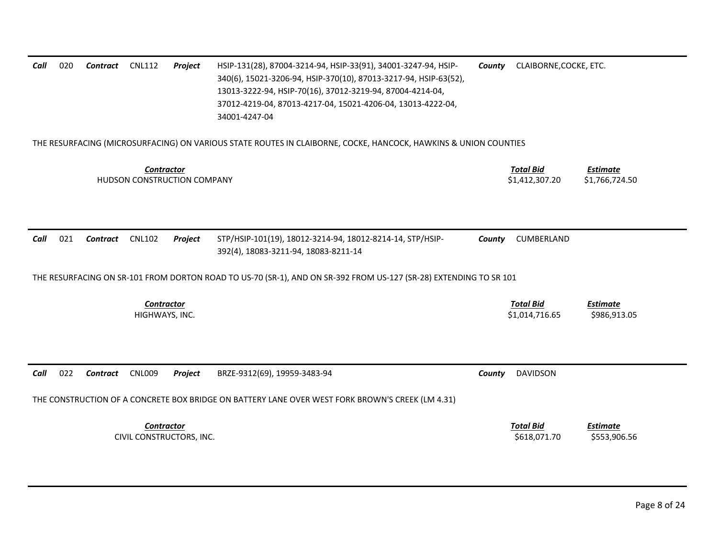| 020<br>Call                                                                                                                 | Contract        | <b>CNL112</b>                                 | Project | HSIP-131(28), 87004-3214-94, HSIP-33(91), 34001-3247-94, HSIP-<br>340(6), 15021-3206-94, HSIP-370(10), 87013-3217-94, HSIP-63(52),<br>13013-3222-94, HSIP-70(16), 37012-3219-94, 87004-4214-04,<br>37012-4219-04, 87013-4217-04, 15021-4206-04, 13013-4222-04,<br>34001-4247-04 | County | CLAIBORNE, COCKE, ETC.             |                                 |  |  |  |
|-----------------------------------------------------------------------------------------------------------------------------|-----------------|-----------------------------------------------|---------|---------------------------------------------------------------------------------------------------------------------------------------------------------------------------------------------------------------------------------------------------------------------------------|--------|------------------------------------|---------------------------------|--|--|--|
| THE RESURFACING (MICROSURFACING) ON VARIOUS STATE ROUTES IN CLAIBORNE, COCKE, HANCOCK, HAWKINS & UNION COUNTIES             |                 |                                               |         |                                                                                                                                                                                                                                                                                 |        |                                    |                                 |  |  |  |
| <b>Total Bid</b><br><b>Estimate</b><br><b>Contractor</b><br>\$1,412,307.20<br>HUDSON CONSTRUCTION COMPANY<br>\$1,766,724.50 |                 |                                               |         |                                                                                                                                                                                                                                                                                 |        |                                    |                                 |  |  |  |
| Call<br>021                                                                                                                 | <b>Contract</b> | <b>CNL102</b>                                 | Project | STP/HSIP-101(19), 18012-3214-94, 18012-8214-14, STP/HSIP-<br>392(4), 18083-3211-94, 18083-8211-14                                                                                                                                                                               | County | CUMBERLAND                         |                                 |  |  |  |
|                                                                                                                             |                 |                                               |         | THE RESURFACING ON SR-101 FROM DORTON ROAD TO US-70 (SR-1), AND ON SR-392 FROM US-127 (SR-28) EXTENDING TO SR 101                                                                                                                                                               |        |                                    |                                 |  |  |  |
|                                                                                                                             |                 | <b>Contractor</b><br>HIGHWAYS, INC.           |         |                                                                                                                                                                                                                                                                                 |        | <b>Total Bid</b><br>\$1,014,716.65 | <b>Estimate</b><br>\$986,913.05 |  |  |  |
| 022<br>Call                                                                                                                 | Contract        | <b>CNL009</b>                                 | Project | BRZE-9312(69), 19959-3483-94<br>THE CONSTRUCTION OF A CONCRETE BOX BRIDGE ON BATTERY LANE OVER WEST FORK BROWN'S CREEK (LM 4.31)                                                                                                                                                | County | <b>DAVIDSON</b>                    |                                 |  |  |  |
|                                                                                                                             |                 | <b>Contractor</b><br>CIVIL CONSTRUCTORS, INC. |         |                                                                                                                                                                                                                                                                                 |        | <b>Total Bid</b><br>\$618,071.70   | <b>Estimate</b><br>\$553,906.56 |  |  |  |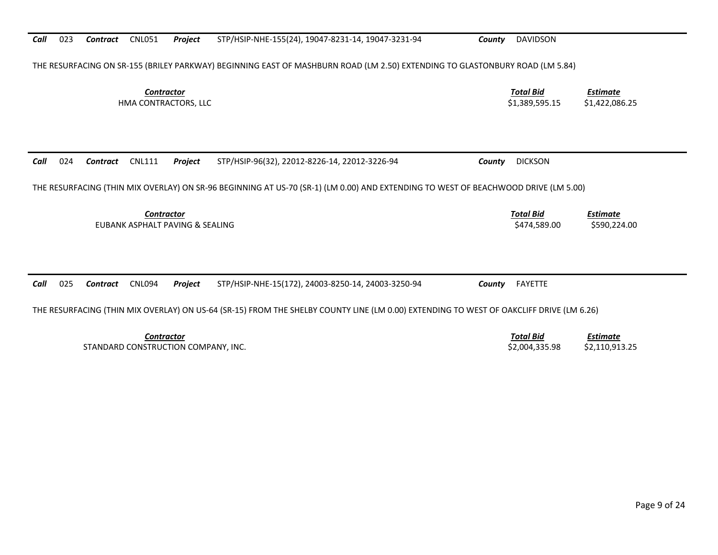*Call*023 *Contract* CNL051 *Project* STP/HSIP-NHE-155(24), 19047-8231-14, 19047-3231-94 *County* DAVIDSON

THE RESURFACING ON SR-155 (BRILEY PARKWAY) BEGINNING EAST OF MASHBURN ROAD (LM 2.50) EXTENDING TO GLASTONBURY ROAD (LM 5.84)

**Contractor** Total Bid

*Call*024 *Contract* CNL111 *Project* STP/HSIP-96(32), 22012-8226-14, 22012-3226-94 *County* DICKSON

THE RESURFACING (THIN MIX OVERLAY) ON SR-96 BEGINNING AT US-70 (SR-1) (LM 0.00) AND EXTENDING TO WEST OF BEACHWOOD DRIVE (LM 5.00)

**Contractor** Total Bid EUBANK ASPHALT PAVING & SEALING \$474,589.00 \$590,224.00

*Call*025 *Contract* CNL094 *Project* STP/HSIP-NHE-15(172), 24003-8250-14, 24003-3250-94 *County* FAYETTE

THE RESURFACING (THIN MIX OVERLAY) ON US-64 (SR-15) FROM THE SHELBY COUNTY LINE (LM 0.00) EXTENDING TO WEST OF OAKCLIFF DRIVE (LM 6.26)

*Contractor Total Bid*STANDARD CONSTRUCTION COMPANY, INC. \$2,004,335.98 \$2,110,913.25

*Estimate*

 *Estimate* HMA CONTRACTORS, LLC \$1,389,595.15 \$1,422,086.25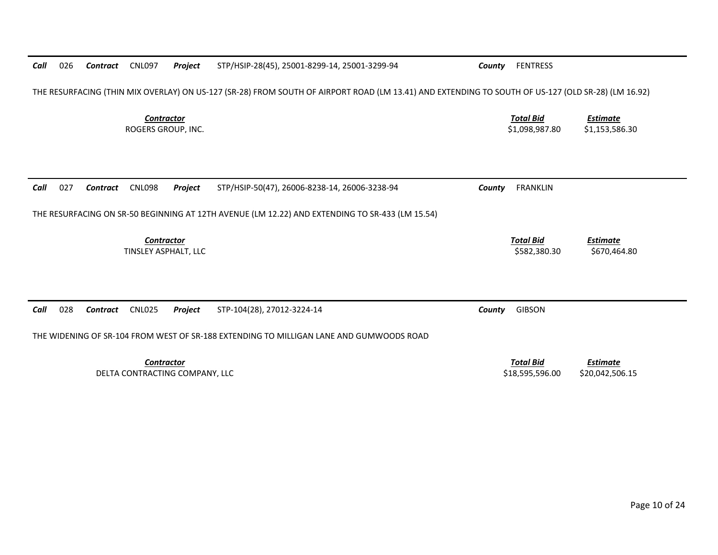| Call                                    | 026                                                                                     | Contract | <b>CNL097</b>                             | Project                        | STP/HSIP-28(45), 25001-8299-14, 25001-3299-94                                                                                                      | County | <b>FENTRESS</b>                     |                                    |  |
|-----------------------------------------|-----------------------------------------------------------------------------------------|----------|-------------------------------------------|--------------------------------|----------------------------------------------------------------------------------------------------------------------------------------------------|--------|-------------------------------------|------------------------------------|--|
|                                         |                                                                                         |          |                                           |                                | THE RESURFACING (THIN MIX OVERLAY) ON US-127 (SR-28) FROM SOUTH OF AIRPORT ROAD (LM 13.41) AND EXTENDING TO SOUTH OF US-127 (OLD SR-28) (LM 16.92) |        |                                     |                                    |  |
| <b>Contractor</b><br>ROGERS GROUP, INC. |                                                                                         |          |                                           |                                |                                                                                                                                                    |        | <b>Total Bid</b><br>\$1,098,987.80  | <b>Estimate</b><br>\$1,153,586.30  |  |
| Call                                    | 027                                                                                     | Contract | <b>CNL098</b>                             | Project                        | STP/HSIP-50(47), 26006-8238-14, 26006-3238-94                                                                                                      | County | <b>FRANKLIN</b>                     |                                    |  |
|                                         |                                                                                         |          |                                           |                                | THE RESURFACING ON SR-50 BEGINNING AT 12TH AVENUE (LM 12.22) AND EXTENDING TO SR-433 (LM 15.54)                                                    |        |                                     |                                    |  |
|                                         |                                                                                         |          | <b>Contractor</b><br>TINSLEY ASPHALT, LLC |                                |                                                                                                                                                    |        | <b>Total Bid</b><br>\$582,380.30    | <b>Estimate</b><br>\$670,464.80    |  |
| Call                                    | 028                                                                                     | Contract | <b>CNL025</b>                             | Project                        | STP-104(28), 27012-3224-14                                                                                                                         | County | <b>GIBSON</b>                       |                                    |  |
|                                         | THE WIDENING OF SR-104 FROM WEST OF SR-188 EXTENDING TO MILLIGAN LANE AND GUMWOODS ROAD |          |                                           |                                |                                                                                                                                                    |        |                                     |                                    |  |
|                                         |                                                                                         |          | <b>Contractor</b>                         | DELTA CONTRACTING COMPANY, LLC |                                                                                                                                                    |        | <b>Total Bid</b><br>\$18,595,596.00 | <b>Estimate</b><br>\$20,042,506.15 |  |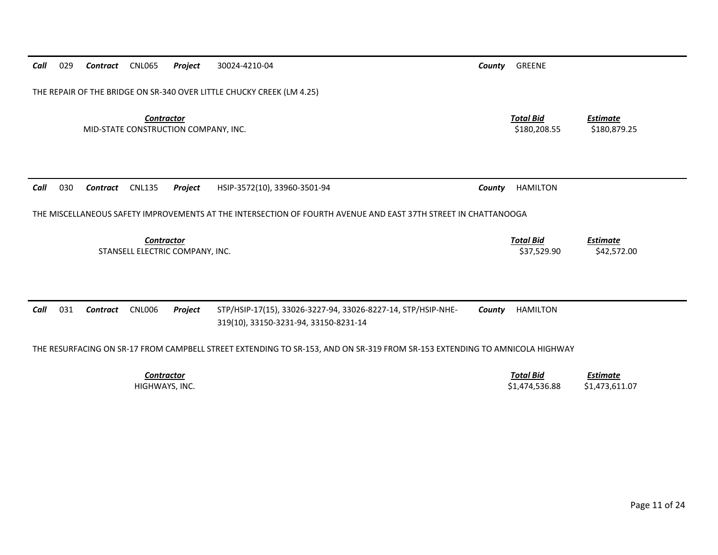| Call | 029                                                                                                                        | Contract | CNL065                                                    | Project | 30024-4210-04                                                                                                  | County | GREENE                             |                                   |  |  |
|------|----------------------------------------------------------------------------------------------------------------------------|----------|-----------------------------------------------------------|---------|----------------------------------------------------------------------------------------------------------------|--------|------------------------------------|-----------------------------------|--|--|
|      | THE REPAIR OF THE BRIDGE ON SR-340 OVER LITTLE CHUCKY CREEK (LM 4.25)                                                      |          |                                                           |         |                                                                                                                |        |                                    |                                   |  |  |
|      |                                                                                                                            |          | <b>Contractor</b><br>MID-STATE CONSTRUCTION COMPANY, INC. |         |                                                                                                                |        | <b>Total Bid</b><br>\$180,208.55   | <u>Estimate</u><br>\$180,879.25   |  |  |
| Call | 030                                                                                                                        | Contract | <b>CNL135</b>                                             | Project | HSIP-3572(10), 33960-3501-94                                                                                   | County | <b>HAMILTON</b>                    |                                   |  |  |
|      |                                                                                                                            |          |                                                           |         | THE MISCELLANEOUS SAFETY IMPROVEMENTS AT THE INTERSECTION OF FOURTH AVENUE AND EAST 37TH STREET IN CHATTANOOGA |        |                                    |                                   |  |  |
|      |                                                                                                                            |          | Contractor<br>STANSELL ELECTRIC COMPANY, INC.             |         |                                                                                                                |        | <b>Total Bid</b><br>\$37,529.90    | <b>Estimate</b><br>\$42,572.00    |  |  |
| Call | 031                                                                                                                        | Contract | <b>CNL006</b>                                             | Project | STP/HSIP-17(15), 33026-3227-94, 33026-8227-14, STP/HSIP-NHE-<br>319(10), 33150-3231-94, 33150-8231-14          | County | <b>HAMILTON</b>                    |                                   |  |  |
|      | THE RESURFACING ON SR-17 FROM CAMPBELL STREET EXTENDING TO SR-153, AND ON SR-319 FROM SR-153 EXTENDING TO AMNICOLA HIGHWAY |          |                                                           |         |                                                                                                                |        |                                    |                                   |  |  |
|      |                                                                                                                            |          | <b>Contractor</b><br>HIGHWAYS, INC.                       |         |                                                                                                                |        | <b>Total Bid</b><br>\$1,474,536.88 | <b>Estimate</b><br>\$1,473,611.07 |  |  |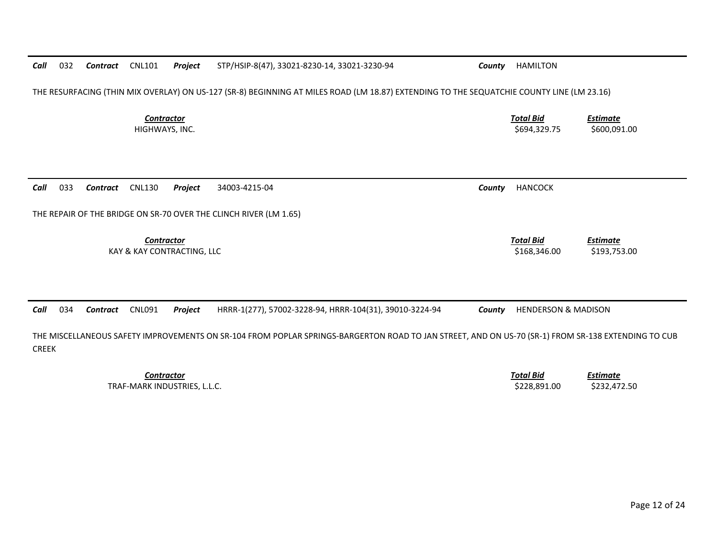**Contractor** Total Bid *Estimate* HIGHWAYS, INC. \$600,091.00 \$694,329.75 \$600,091.00 *Call* 033 *Contract* CNL130 *Project* 34003-4215-04 *County* HANCOCK THE REPAIR OF THE BRIDGE ON SR-70 OVER THE CLINCH RIVER (LM 1.65) *Contractor Total Bid Estimate* KAY & KAY CONTRACTING, LLC 6. 2012 12:30 12:30 12:30 12:30 12:30 12:30 12:30 12:30 12:30 12:30 12:30 12:30 12:30 12:30 12:30 12:30 12:30 12:30 12:30 12:30 12:30 12:30 12:30 12:30 12:30 12:30 12:30 12:30 12:30 12:30 12:30 1 *Call*034 *Contract* CNL091 *Project* HRRR-1(277), 57002-3228-94, HRRR-104(31), 39010-3224-94 *County* HENDERSON & MADISON

THE RESURFACING (THIN MIX OVERLAY) ON US-127 (SR-8) BEGINNING AT MILES ROAD (LM 18.87) EXTENDING TO THE SEQUATCHIE COUNTY LINE (LM 23.16)

THE MISCELLANEOUS SAFETY IMPROVEMENTS ON SR-104 FROM POPLAR SPRINGS-BARGERTON ROAD TO JAN STREET, AND ON US-70 (SR-1) FROM SR-138 EXTENDING TO CUB CREEK

> **Contractor** Total Bid TRAF-MARK INDUSTRIES, L.L.C. \$228,891.00 \$232,472.50

*Call*

*Estimate*

032 *Contract* CNL101 *Project* STP/HSIP-8(47), 33021-8230-14, 33021-3230-94 *County* HAMILTON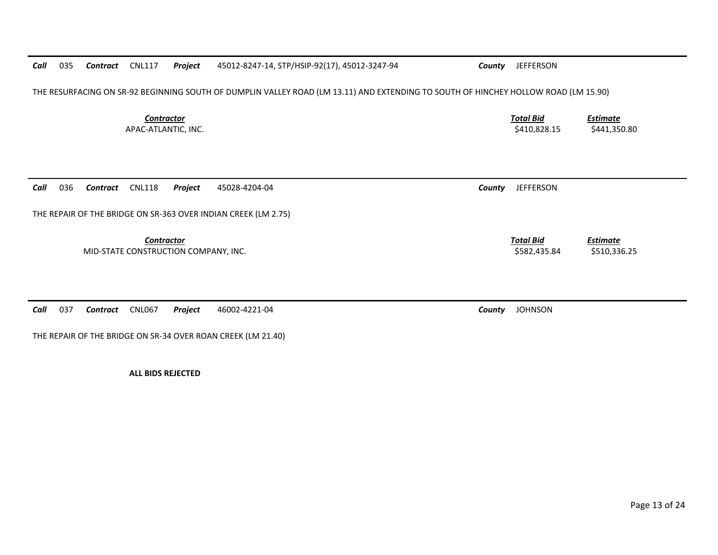*Call*035 *Contract* CNL117 *Project* 45012-8247-14, STP/HSIP-92(17), 45012-3247-94 *County* JEFFERSON

THE RESURFACING ON SR-92 BEGINNING SOUTH OF DUMPLIN VALLEY ROAD (LM 13.11) AND EXTENDING TO SOUTH OF HINCHEY HOLLOW ROAD (LM 15.90)

**Contractor** Total Bid APAC-ATLANTIC, INC. \$410,828.15 \$441,350.80

*Call*036 *Contract* CNL118 *Project* 45028-4204-04 *County* JEFFERSON

THE REPAIR OF THE BRIDGE ON SR-363 OVER INDIAN CREEK (LM 2.75)

**Contractor** Total Bid

MID-STATE CONSTRUCTION COMPANY, INC. THE SECONSTRUCTION COMPANY, INC.

*Call*037 *Contract* CNL067 *Project* 46002-4221-04 *County* JOHNSON

THE REPAIR OF THE BRIDGE ON SR-34 OVER ROAN CREEK (LM 21.40)

**ALL BIDS REJECTED** 

*Estimate*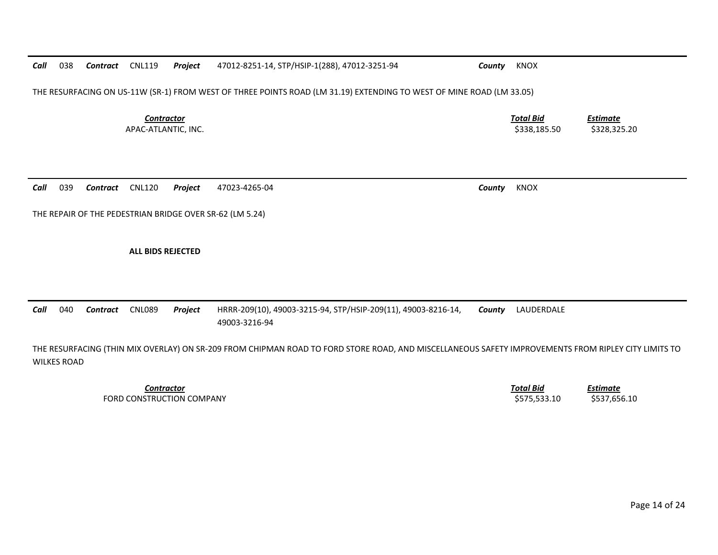Page 14 of 24

*Call*038 *Contract* CNL119 *Project* 47012-8251-14, STP/HSIP-1(288), 47012-3251-94 *County* KNOX

THE RESURFACING ON US-11W (SR-1) FROM WEST OF THREE POINTS ROAD (LM 31.19) EXTENDING TO WEST OF MINE ROAD (LM 33.05)

**Contractor** Total Bid APAC-ATLANTIC, INC. \$338,185.50 \$328,325.20

*Call*039 *Contract* CNL120 *Project* 47023-4265-04 *County* KNOX

THE REPAIR OF THE PEDESTRIAN BRIDGE OVER SR-62 (LM 5.24)

**ALL BIDS REJECTED** 

*Call* 040 *Contract* CNL089 *Project* HRRR-209(10), 49003-3215-94, STP/HSIP-209(11), 49003-8216-14, 49003-3216-94 *County* LAUDERDALE

THE RESURFACING (THIN MIX OVERLAY) ON SR-209 FROM CHIPMAN ROAD TO FORD STORE ROAD, AND MISCELLANEOUS SAFETY IMPROVEMENTS FROM RIPLEY CITY LIMITS TO WILKES ROAD

> *Contractor Total Bid*FORD CONSTRUCTION COMPANY **\$575,533.10** \$537,656.10

*Estimate*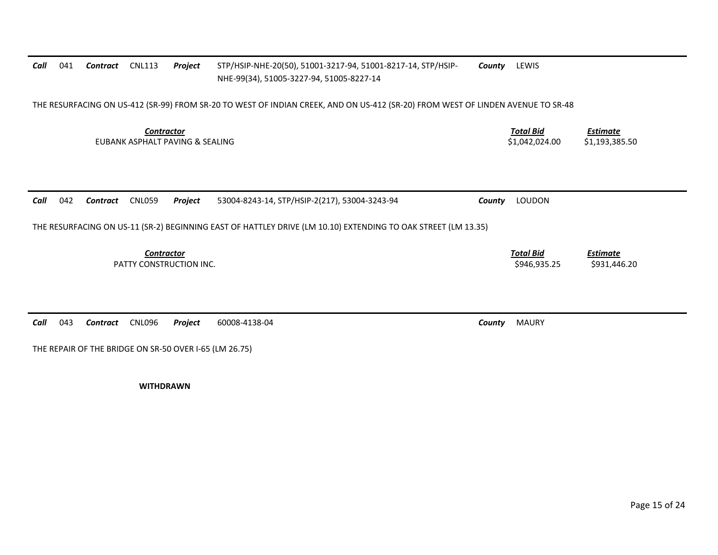| Call | 041                                                                                                                             | Contract        | <b>CNL113</b>                                        | Project | STP/HSIP-NHE-20(50), 51001-3217-94, 51001-8217-14, STP/HSIP-<br>NHE-99(34), 51005-3227-94, 51005-8227-14      | County | LEWIS                              |                                   |  |  |  |
|------|---------------------------------------------------------------------------------------------------------------------------------|-----------------|------------------------------------------------------|---------|---------------------------------------------------------------------------------------------------------------|--------|------------------------------------|-----------------------------------|--|--|--|
|      | THE RESURFACING ON US-412 (SR-99) FROM SR-20 TO WEST OF INDIAN CREEK, AND ON US-412 (SR-20) FROM WEST OF LINDEN AVENUE TO SR-48 |                 |                                                      |         |                                                                                                               |        |                                    |                                   |  |  |  |
|      |                                                                                                                                 |                 | <b>Contractor</b><br>EUBANK ASPHALT PAVING & SEALING |         |                                                                                                               |        | <b>Total Bid</b><br>\$1,042,024.00 | <b>Estimate</b><br>\$1,193,385.50 |  |  |  |
| Call | 042                                                                                                                             | Contract        | <b>CNL059</b>                                        | Project | 53004-8243-14, STP/HSIP-2(217), 53004-3243-94                                                                 | County | LOUDON                             |                                   |  |  |  |
|      |                                                                                                                                 |                 |                                                      |         | THE RESURFACING ON US-11 (SR-2) BEGINNING EAST OF HATTLEY DRIVE (LM 10.10) EXTENDING TO OAK STREET (LM 13.35) |        |                                    |                                   |  |  |  |
|      |                                                                                                                                 |                 | <b>Contractor</b><br>PATTY CONSTRUCTION INC.         |         |                                                                                                               |        | <b>Total Bid</b><br>\$946,935.25   | <b>Estimate</b><br>\$931,446.20   |  |  |  |
| Call | 043                                                                                                                             | <b>Contract</b> | <b>CNL096</b>                                        | Project | 60008-4138-04                                                                                                 | County | <b>MAURY</b>                       |                                   |  |  |  |

THE REPAIR OF THE BRIDGE ON SR-50 OVER I-65 (LM 26.75)

**WITHDRAWN**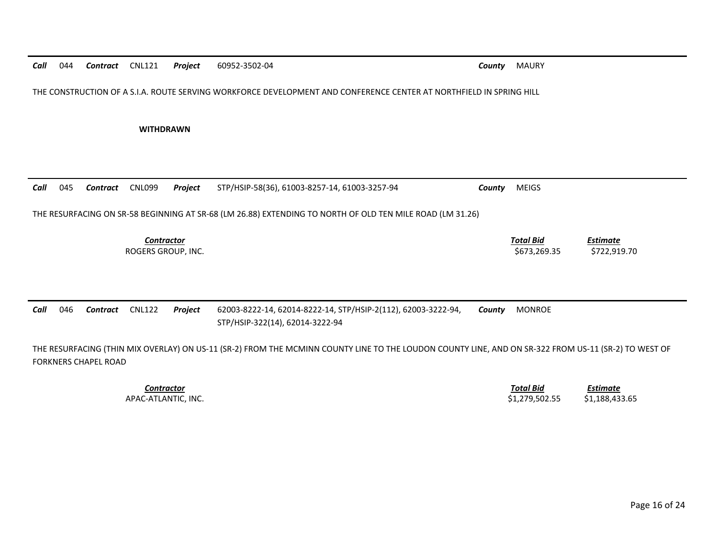| Call | 044                                                                                                                                                                                 | Contract | <b>CNL121</b>                           | Project | 60952-3502-04                                                                                                       | County | <b>MAURY</b>                     |                                 |  |
|------|-------------------------------------------------------------------------------------------------------------------------------------------------------------------------------------|----------|-----------------------------------------|---------|---------------------------------------------------------------------------------------------------------------------|--------|----------------------------------|---------------------------------|--|
|      |                                                                                                                                                                                     |          |                                         |         | THE CONSTRUCTION OF A S.I.A. ROUTE SERVING WORKFORCE DEVELOPMENT AND CONFERENCE CENTER AT NORTHFIELD IN SPRING HILL |        |                                  |                                 |  |
|      |                                                                                                                                                                                     |          | <b>WITHDRAWN</b>                        |         |                                                                                                                     |        |                                  |                                 |  |
| Call | 045                                                                                                                                                                                 | Contract | <b>CNL099</b>                           | Project | STP/HSIP-58(36), 61003-8257-14, 61003-3257-94                                                                       | County | <b>MEIGS</b>                     |                                 |  |
|      |                                                                                                                                                                                     |          |                                         |         | THE RESURFACING ON SR-58 BEGINNING AT SR-68 (LM 26.88) EXTENDING TO NORTH OF OLD TEN MILE ROAD (LM 31.26)           |        |                                  |                                 |  |
|      |                                                                                                                                                                                     |          | <b>Contractor</b><br>ROGERS GROUP, INC. |         |                                                                                                                     |        | <b>Total Bid</b><br>\$673,269.35 | <b>Estimate</b><br>\$722,919.70 |  |
|      |                                                                                                                                                                                     |          |                                         |         |                                                                                                                     |        |                                  |                                 |  |
| Call | 046                                                                                                                                                                                 | Contract | <b>CNL122</b>                           | Project | 62003-8222-14, 62014-8222-14, STP/HSIP-2(112), 62003-3222-94,<br>STP/HSIP-322(14), 62014-3222-94                    | County | <b>MONROE</b>                    |                                 |  |
|      | THE RESURFACING (THIN MIX OVERLAY) ON US-11 (SR-2) FROM THE MCMINN COUNTY LINE TO THE LOUDON COUNTY LINE, AND ON SR-322 FROM US-11 (SR-2) TO WEST OF<br><b>FORKNERS CHAPEL ROAD</b> |          |                                         |         |                                                                                                                     |        |                                  |                                 |  |
|      |                                                                                                                                                                                     |          | <b>Contractor</b>                       |         |                                                                                                                     |        | <b>Total Bid</b>                 | <b>Estimate</b>                 |  |

APAC-ATLANTIC, INC. 6. 2012 12:30 12:30 12:30 12:30 12:31 12:32 12:33.65 \$1,279,502.55 \$1,188,433.65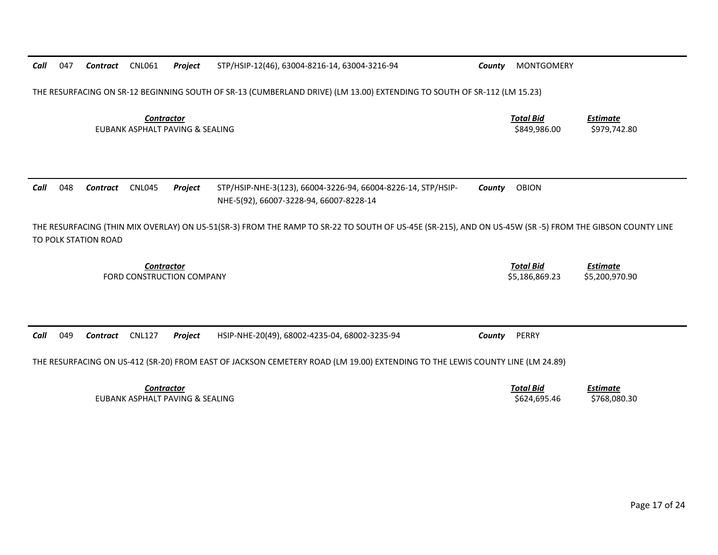|                                                      | THE RESURFACING ON SR-12 BEGINNING SOUTH OF SR-13 (CUMBERLAND DRIVE) (LM 13.00) EXTENDING TO SOUTH OF SR-112 (LM 15.23)                                                         |          |                                                      |                           |                                                                                                         |                                 |                                    |                                   |  |  |
|------------------------------------------------------|---------------------------------------------------------------------------------------------------------------------------------------------------------------------------------|----------|------------------------------------------------------|---------------------------|---------------------------------------------------------------------------------------------------------|---------------------------------|------------------------------------|-----------------------------------|--|--|
|                                                      |                                                                                                                                                                                 |          | <b>Contractor</b><br>EUBANK ASPHALT PAVING & SEALING |                           | <b>Total Bid</b><br>\$849,986.00                                                                        | <b>Estimate</b><br>\$979,742.80 |                                    |                                   |  |  |
| Call                                                 | 048                                                                                                                                                                             | Contract | CNL045                                               | Project                   | STP/HSIP-NHE-3(123), 66004-3226-94, 66004-8226-14, STP/HSIP-<br>NHE-5(92), 66007-3228-94, 66007-8228-14 | County                          | <b>OBION</b>                       |                                   |  |  |
|                                                      | THE RESURFACING (THIN MIX OVERLAY) ON US-51(SR-3) FROM THE RAMP TO SR-22 TO SOUTH OF US-45E (SR-215), AND ON US-45W (SR -5) FROM THE GIBSON COUNTY LINE<br>TO POLK STATION ROAD |          |                                                      |                           |                                                                                                         |                                 |                                    |                                   |  |  |
|                                                      |                                                                                                                                                                                 |          | <b>Contractor</b>                                    | FORD CONSTRUCTION COMPANY |                                                                                                         |                                 | <b>Total Bid</b><br>\$5,186,869.23 | <b>Estimate</b><br>\$5,200,970.90 |  |  |
| Call                                                 | 049                                                                                                                                                                             | Contract | <b>CNL127</b>                                        | Project                   | HSIP-NHE-20(49), 68002-4235-04, 68002-3235-94                                                           | County                          | PERRY                              |                                   |  |  |
|                                                      | THE RESURFACING ON US-412 (SR-20) FROM EAST OF JACKSON CEMETERY ROAD (LM 19.00) EXTENDING TO THE LEWIS COUNTY LINE (LM 24.89)                                                   |          |                                                      |                           |                                                                                                         |                                 |                                    |                                   |  |  |
| <b>Contractor</b><br>EUBANK ASPHALT PAVING & SEALING |                                                                                                                                                                                 |          |                                                      |                           |                                                                                                         |                                 | <b>Total Bid</b><br>\$624,695.46   | <b>Estimate</b><br>\$768,080.30   |  |  |

047 *Contract* CNL061 *Project* STP/HSIP-12(46), 63004-8216-14, 63004-3216-94 *County* MONTGOMERY

*Call*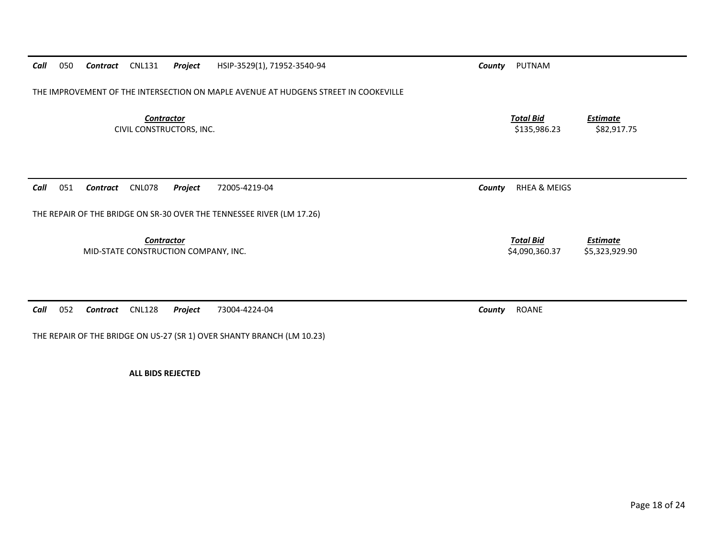| HSIP-3529(1), 71952-3540-94<br>050<br><b>CNL131</b><br>Call<br>Contract<br>Project  | PUTNAM<br>County                                                        |
|-------------------------------------------------------------------------------------|-------------------------------------------------------------------------|
| THE IMPROVEMENT OF THE INTERSECTION ON MAPLE AVENUE AT HUDGENS STREET IN COOKEVILLE |                                                                         |
| <b>Contractor</b><br>CIVIL CONSTRUCTORS, INC.                                       | <b>Total Bid</b><br><b>Estimate</b><br>\$135,986.23<br>\$82,917.75      |
|                                                                                     |                                                                         |
| 051<br><b>CNL078</b><br>Call<br>Contract<br>Project<br>72005-4219-04                | <b>RHEA &amp; MEIGS</b><br>County                                       |
| THE REPAIR OF THE BRIDGE ON SR-30 OVER THE TENNESSEE RIVER (LM 17.26)               |                                                                         |
| <b>Contractor</b><br>MID-STATE CONSTRUCTION COMPANY, INC.                           | <b>Total Bid</b><br><b>Estimate</b><br>\$5,323,929.90<br>\$4,090,360.37 |
|                                                                                     |                                                                         |
| 052<br><b>CNL128</b><br>Call<br>73004-4224-04<br>Contract<br>Project                | ROANE<br>County                                                         |

THE REPAIR OF THE BRIDGE ON US-27 (SR 1) OVER SHANTY BRANCH (LM 10.23)

**ALL BIDS REJECTED**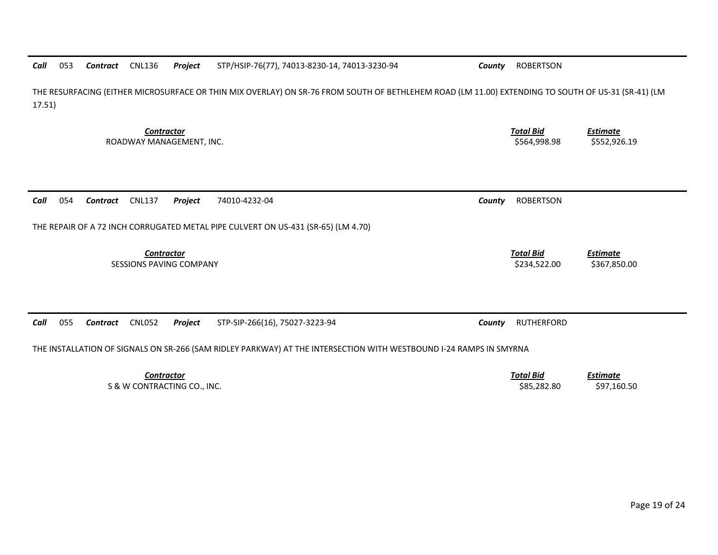| Call<br>053<br><b>CNL136</b><br>Project<br>Contract                               | STP/HSIP-76(77), 74013-8230-14, 74013-3230-94                                                                                                        | County | <b>ROBERTSON</b>                 |                                 |
|-----------------------------------------------------------------------------------|------------------------------------------------------------------------------------------------------------------------------------------------------|--------|----------------------------------|---------------------------------|
| 17.51)                                                                            | THE RESURFACING (EITHER MICROSURFACE OR THIN MIX OVERLAY) ON SR-76 FROM SOUTH OF BETHLEHEM ROAD (LM 11.00) EXTENDING TO SOUTH OF US-31 (SR-41) (LM   |        |                                  |                                 |
| <b>Contractor</b><br>ROADWAY MANAGEMENT, INC.                                     |                                                                                                                                                      |        | <b>Total Bid</b><br>\$564,998.98 | <b>Estimate</b><br>\$552,926.19 |
| 054<br><b>CNL137</b><br>Call<br>Contract<br>Project                               | 74010-4232-04                                                                                                                                        | County | <b>ROBERTSON</b>                 |                                 |
| THE REPAIR OF A 72 INCH CORRUGATED METAL PIPE CULVERT ON US-431 (SR-65) (LM 4.70) |                                                                                                                                                      |        |                                  |                                 |
| <b>Contractor</b><br><b>SESSIONS PAVING COMPANY</b>                               |                                                                                                                                                      |        | <b>Total Bid</b><br>\$234,522.00 | <b>Estimate</b><br>\$367,850.00 |
| Call<br>055<br><b>CNL052</b><br><b>Contract</b><br>Project                        | STP-SIP-266(16), 75027-3223-94<br>THE INSTALLATION OF SIGNALS ON SR-266 (SAM RIDLEY PARKWAY) AT THE INTERSECTION WITH WESTBOUND I-24 RAMPS IN SMYRNA | County | <b>RUTHERFORD</b>                |                                 |
| Contractor                                                                        |                                                                                                                                                      |        | Total Rid                        | Fetimata.                       |

*Contractor Total Bid Estimate* S & W CONTRACTING CO., INC. 697,160.50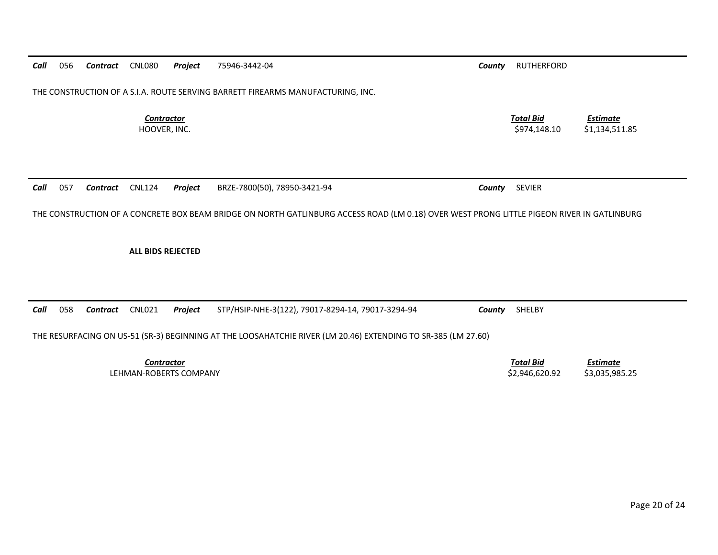| Call | 056                                                                             | Contract | CNL080                            | Project                | 75946-3442-04                                                                                                                              | County | <b>RUTHERFORD</b>                |                                   |  |  |
|------|---------------------------------------------------------------------------------|----------|-----------------------------------|------------------------|--------------------------------------------------------------------------------------------------------------------------------------------|--------|----------------------------------|-----------------------------------|--|--|
|      |                                                                                 |          |                                   |                        |                                                                                                                                            |        |                                  |                                   |  |  |
|      | THE CONSTRUCTION OF A S.I.A. ROUTE SERVING BARRETT FIREARMS MANUFACTURING, INC. |          |                                   |                        |                                                                                                                                            |        |                                  |                                   |  |  |
|      |                                                                                 |          |                                   |                        |                                                                                                                                            |        |                                  |                                   |  |  |
|      |                                                                                 |          | <b>Contractor</b><br>HOOVER, INC. |                        |                                                                                                                                            |        | <b>Total Bid</b><br>\$974,148.10 | <b>Estimate</b><br>\$1,134,511.85 |  |  |
|      |                                                                                 |          |                                   |                        |                                                                                                                                            |        |                                  |                                   |  |  |
|      |                                                                                 |          |                                   |                        |                                                                                                                                            |        |                                  |                                   |  |  |
|      |                                                                                 |          |                                   |                        |                                                                                                                                            |        |                                  |                                   |  |  |
| Call | 057                                                                             | Contract | <b>CNL124</b>                     | Project                | BRZE-7800(50), 78950-3421-94                                                                                                               | County | <b>SEVIER</b>                    |                                   |  |  |
|      |                                                                                 |          |                                   |                        |                                                                                                                                            |        |                                  |                                   |  |  |
|      |                                                                                 |          |                                   |                        | THE CONSTRUCTION OF A CONCRETE BOX BEAM BRIDGE ON NORTH GATLINBURG ACCESS ROAD (LM 0.18) OVER WEST PRONG LITTLE PIGEON RIVER IN GATLINBURG |        |                                  |                                   |  |  |
|      |                                                                                 |          |                                   |                        |                                                                                                                                            |        |                                  |                                   |  |  |
|      |                                                                                 |          |                                   |                        |                                                                                                                                            |        |                                  |                                   |  |  |
|      |                                                                                 |          | <b>ALL BIDS REJECTED</b>          |                        |                                                                                                                                            |        |                                  |                                   |  |  |
|      |                                                                                 |          |                                   |                        |                                                                                                                                            |        |                                  |                                   |  |  |
|      |                                                                                 |          |                                   |                        |                                                                                                                                            |        |                                  |                                   |  |  |
|      |                                                                                 |          |                                   |                        |                                                                                                                                            |        |                                  |                                   |  |  |
| Call | 058                                                                             | Contract | <b>CNL021</b>                     | Project                | STP/HSIP-NHE-3(122), 79017-8294-14, 79017-3294-94                                                                                          | County | SHELBY                           |                                   |  |  |
|      |                                                                                 |          |                                   |                        | THE RESURFACING ON US-51 (SR-3) BEGINNING AT THE LOOSAHATCHIE RIVER (LM 20.46) EXTENDING TO SR-385 (LM 27.60)                              |        |                                  |                                   |  |  |
|      |                                                                                 |          |                                   |                        |                                                                                                                                            |        |                                  |                                   |  |  |
|      |                                                                                 |          | <b>Contractor</b>                 |                        |                                                                                                                                            |        | <b>Total Bid</b>                 | <b>Estimate</b>                   |  |  |
|      |                                                                                 |          |                                   | LEHMAN-ROBERTS COMPANY |                                                                                                                                            |        | \$2,946,620.92                   | \$3,035,985.25                    |  |  |
|      |                                                                                 |          |                                   |                        |                                                                                                                                            |        |                                  |                                   |  |  |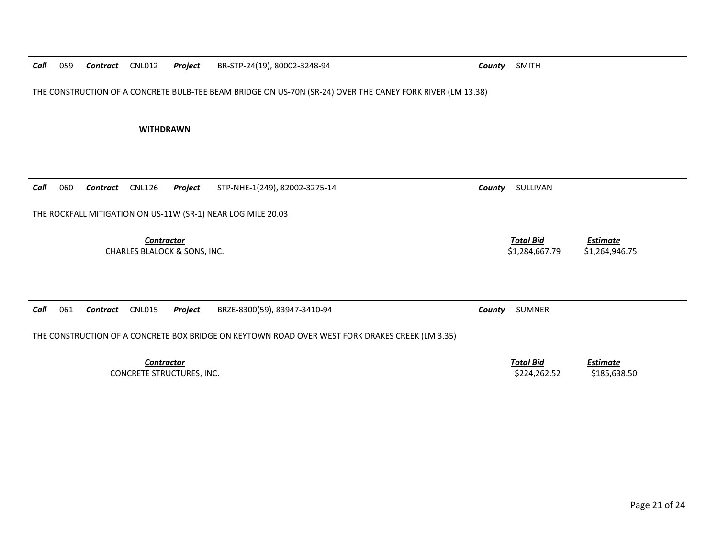THE CONSTRUCTION OF A CONCRETE BULB-TEE BEAM BRIDGE ON US-70N (SR-24) OVER THE CANEY FORK RIVER (LM 13.38)

**WITHDRAWN** 

| 060<br>Call | CNL126<br>Contract                                           | Project           | STP-NHE-1(249), 82002-3275-14                                                                   | County | SULLIVAN                           |                                   |  |  |  |  |
|-------------|--------------------------------------------------------------|-------------------|-------------------------------------------------------------------------------------------------|--------|------------------------------------|-----------------------------------|--|--|--|--|
|             | THE ROCKFALL MITIGATION ON US-11W (SR-1) NEAR LOG MILE 20.03 |                   |                                                                                                 |        |                                    |                                   |  |  |  |  |
|             | <b>CHARLES BLALOCK &amp; SONS, INC.</b>                      | Contractor        |                                                                                                 |        | <b>Total Bid</b><br>\$1,284,667.79 | <b>Estimate</b><br>\$1,264,946.75 |  |  |  |  |
| 061<br>Call | <b>CNL015</b><br>Contract                                    | <b>Project</b>    | BRZE-8300(59), 83947-3410-94                                                                    | County | <b>SUMNER</b>                      |                                   |  |  |  |  |
|             |                                                              |                   | THE CONSTRUCTION OF A CONCRETE BOX BRIDGE ON KEYTOWN ROAD OVER WEST FORK DRAKES CREEK (LM 3.35) |        |                                    |                                   |  |  |  |  |
|             | CONCRETE STRUCTURES, INC.                                    | <b>Contractor</b> |                                                                                                 |        | <b>Total Bid</b><br>\$224,262.52   | <b>Estimate</b><br>\$185,638.50   |  |  |  |  |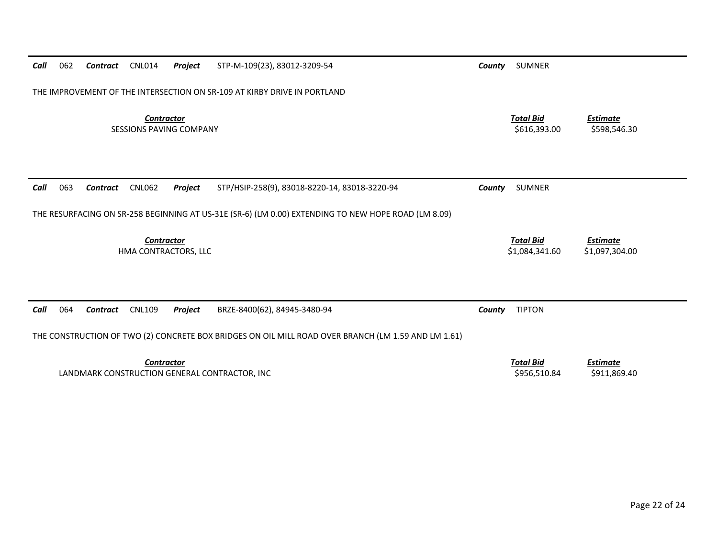| Call | 062                                                                                                 | Contract | <b>CNL014</b>                      | Project | STP-M-109(23), 83012-3209-54                                                                        | County | <b>SUMNER</b>                      |                                   |  |
|------|-----------------------------------------------------------------------------------------------------|----------|------------------------------------|---------|-----------------------------------------------------------------------------------------------------|--------|------------------------------------|-----------------------------------|--|
|      |                                                                                                     |          |                                    |         | THE IMPROVEMENT OF THE INTERSECTION ON SR-109 AT KIRBY DRIVE IN PORTLAND                            |        |                                    |                                   |  |
|      | <b>Contractor</b><br><b>SESSIONS PAVING COMPANY</b>                                                 |          |                                    |         |                                                                                                     |        | <b>Total Bid</b><br>\$616,393.00   | <b>Estimate</b><br>\$598,546.30   |  |
| Call | 063                                                                                                 | Contract | <b>CNL062</b>                      | Project | STP/HSIP-258(9), 83018-8220-14, 83018-3220-94                                                       | County | <b>SUMNER</b>                      |                                   |  |
|      |                                                                                                     |          |                                    |         | THE RESURFACING ON SR-258 BEGINNING AT US-31E (SR-6) (LM 0.00) EXTENDING TO NEW HOPE ROAD (LM 8.09) |        |                                    |                                   |  |
|      |                                                                                                     |          | Contractor<br>HMA CONTRACTORS, LLC |         |                                                                                                     |        | <b>Total Bid</b><br>\$1,084,341.60 | <b>Estimate</b><br>\$1,097,304.00 |  |
| Call | 064                                                                                                 | Contract | <b>CNL109</b>                      | Project | BRZE-8400(62), 84945-3480-94                                                                        | County | <b>TIPTON</b>                      |                                   |  |
|      | THE CONSTRUCTION OF TWO (2) CONCRETE BOX BRIDGES ON OIL MILL ROAD OVER BRANCH (LM 1.59 AND LM 1.61) |          |                                    |         |                                                                                                     |        |                                    |                                   |  |
|      |                                                                                                     |          | <b>Contractor</b>                  |         | LANDMARK CONSTRUCTION GENERAL CONTRACTOR, INC                                                       |        | <b>Total Bid</b><br>\$956,510.84   | <b>Estimate</b><br>\$911,869.40   |  |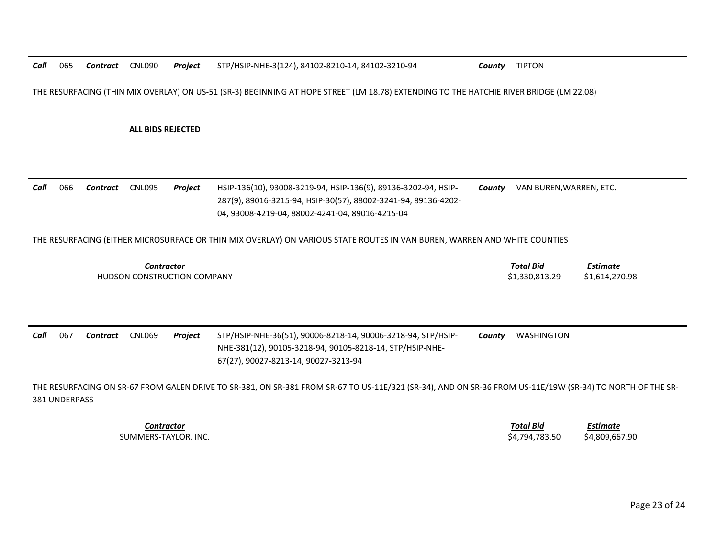*Call*065 *Contract* CNL090 *Project* STP/HSIP-NHE-3(124), 84102-8210-14, 84102-3210-94 *County* TIPTON

THE RESURFACING (THIN MIX OVERLAY) ON US-51 (SR-3) BEGINNING AT HOPE STREET (LM 18.78) EXTENDING TO THE HATCHIE RIVER BRIDGE (LM 22.08)

**ALL BIDS REJECTED** 

*Call* 066 *Contract* CNL095 *Project* HSIP-136(10), 93008-3219-94, HSIP-136(9), 89136-3202-94, HSIP-287(9), 89016-3215-94, HSIP-30(57), 88002-3241-94, 89136-4202- 04, 93008-4219-04, 88002-4241-04, 89016-4215-04 *County* VAN BUREN,WARREN, ETC.

THE RESURFACING (EITHER MICROSURFACE OR THIN MIX OVERLAY) ON VARIOUS STATE ROUTES IN VAN BUREN, WARREN AND WHITE COUNTIES

| _ontractor                  | Total Bid     | Estimate       |
|-----------------------------|---------------|----------------|
| HUDSON CONSTRUCTION COMPANY | 1,330,813.29ډ | \$1,614,270.98 |

*Call* 067 *Contract* CNL069 *Project* STP/HSIP-NHE-36(51), 90006-8218-14, 90006-3218-94, STP/HSIP-NHE-381(12), 90105-3218-94, 90105-8218-14, STP/HSIP-NHE-STP/HSIP-NHE-36(51), 90006-8218-14, 90006-3218-94, STP/HSIP- *County WASHINGTON*<br>NHE-381(12), 90105-3218-94, 90105-8218-14, STP/HSIP-NHE-<br>67(27), 90027-8213-14, 90027-3213-94

THE RESURFACING ON SR-67 FROM GALEN DRIVE TO SR-381, ON SR-381 FROM SR-67 TO US-11E/321 (SR-34), AND ON SR-36 FROM US-11E/19W (SR-34) TO NORTH OF THE SR-381 UNDERPASS

*Contractor Total Bid*

 *Estimate* SUMMERS-TAYLOR, INC. \$4,794,783.50 \$4,809,667.90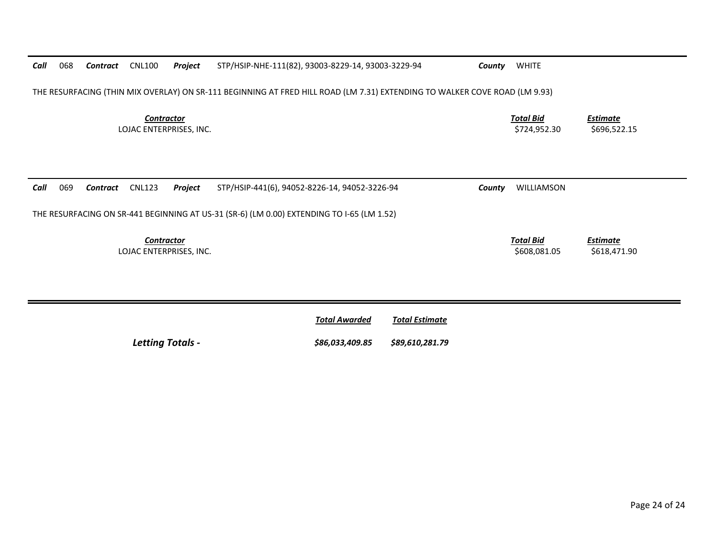| Call | 068                                                                                                                        | Contract | <b>CNL100</b>                                | Project | STP/HSIP-NHE-111(82), 93003-8229-14, 93003-3229-94 | County | <b>WHITE</b>                     |                                 |  |  |  |
|------|----------------------------------------------------------------------------------------------------------------------------|----------|----------------------------------------------|---------|----------------------------------------------------|--------|----------------------------------|---------------------------------|--|--|--|
|      | THE RESURFACING (THIN MIX OVERLAY) ON SR-111 BEGINNING AT FRED HILL ROAD (LM 7.31) EXTENDING TO WALKER COVE ROAD (LM 9.93) |          |                                              |         |                                                    |        |                                  |                                 |  |  |  |
|      | <b>Contractor</b><br>LOJAC ENTERPRISES, INC.                                                                               |          |                                              |         |                                                    |        | <u>Total Bid</u><br>\$724,952.30 | <b>Estimate</b><br>\$696,522.15 |  |  |  |
|      |                                                                                                                            |          |                                              |         |                                                    |        |                                  |                                 |  |  |  |
|      |                                                                                                                            |          |                                              |         |                                                    |        |                                  |                                 |  |  |  |
| Call | 069                                                                                                                        | Contract | <b>CNL123</b>                                | Project | STP/HSIP-441(6), 94052-8226-14, 94052-3226-94      | County | WILLIAMSON                       |                                 |  |  |  |
|      | THE RESURFACING ON SR-441 BEGINNING AT US-31 (SR-6) (LM 0.00) EXTENDING TO I-65 (LM 1.52)                                  |          |                                              |         |                                                    |        |                                  |                                 |  |  |  |
|      |                                                                                                                            |          | <b>Contractor</b><br>LOJAC ENTERPRISES, INC. |         |                                                    |        | <b>Total Bid</b><br>\$608,081.05 | <b>Estimate</b><br>\$618,471.90 |  |  |  |

|                         | <b>Total Awarded</b> | Total Estimate  |
|-------------------------|----------------------|-----------------|
| <b>Letting Totals -</b> | \$86,033,409.85      | \$89,610,281.79 |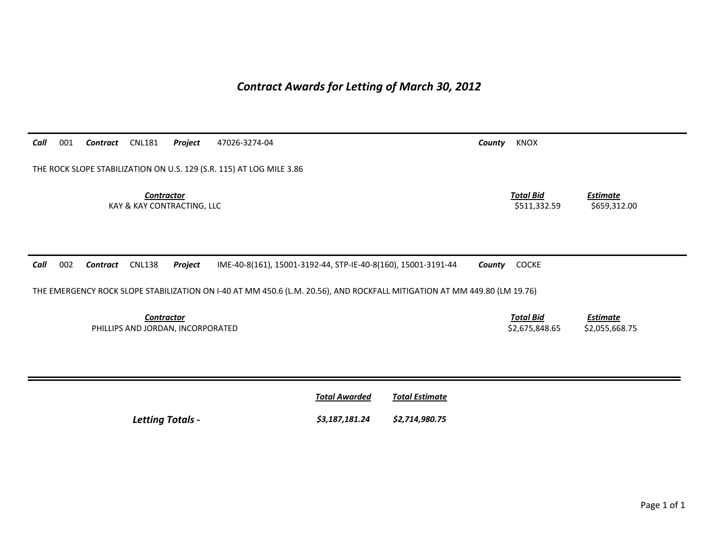# *Contract Awards for Letting of March 30, 2012*

*Call* 001 *Contract* CNL181 *Project* 47026-3274-04 *County* KNOX THE ROCK SLOPE STABILIZATION ON U.S. 129 (S.R. 115) AT LOG MILE 3.86 **Contractor** Total Bid *Estimate* KAY & KAY CONTRACTING, LLC 659,312.00 *Call* 002 *Contract* CNL138 *Project* IME-40-8(161), 15001-3192-44, STP-IE-40-8(160), 15001-3191-44 *County* COCKE THE EMERGENCY ROCK SLOPE STABILIZATION ON I-40 AT MM 450.6 (L.M. 20.56), AND ROCKFALL MITIGATION AT MM 449.80 (LM 19.76) **Contractor** Total Bid *Estimate* PHILLIPS AND JORDAN, INCORPORATED \$2,075,848.65 \$2,055,668.75 **Total Awarded Total Estimate** *Letting Totals - \$3,187,181.24 \$2,714,980.75*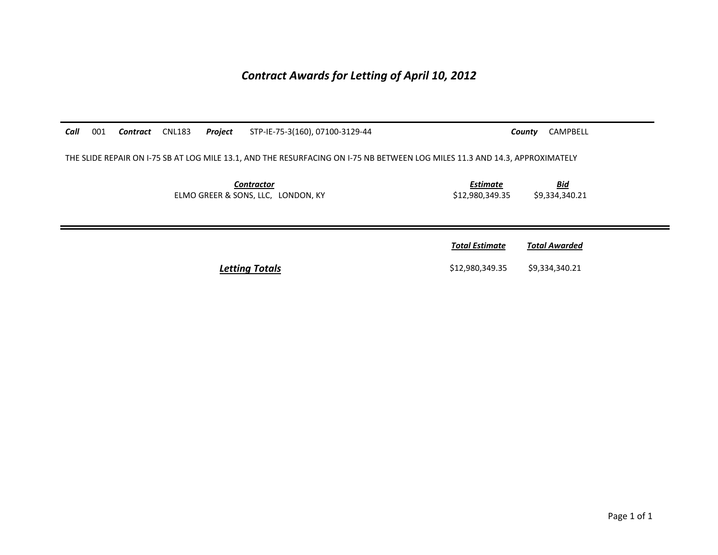*Contract Awards for Letting of April 10, 2012*

| Call | 001 | <b>Contract</b> CNL183 | Project | STP-IE-75-3(160), 07100-3129-44                                                                                             |                                    | CAMPBELL<br>County           |
|------|-----|------------------------|---------|-----------------------------------------------------------------------------------------------------------------------------|------------------------------------|------------------------------|
|      |     |                        |         | THE SLIDE REPAIR ON 1-75 SB AT LOG MILE 13.1, AND THE RESURFACING ON 1-75 NB BETWEEN LOG MILES 11.3 AND 14.3, APPROXIMATELY |                                    |                              |
|      |     |                        |         | <b>Contractor</b><br>ELMO GREER & SONS, LLC, LONDON, KY                                                                     | <b>Estimate</b><br>\$12,980,349.35 | <b>Bid</b><br>\$9,334,340.21 |
|      |     |                        |         |                                                                                                                             | <b>Total Estimate</b>              | <b>Total Awarded</b>         |
|      |     |                        |         | Letting Totals                                                                                                              | \$12,980,349.35                    | \$9,334,340.21               |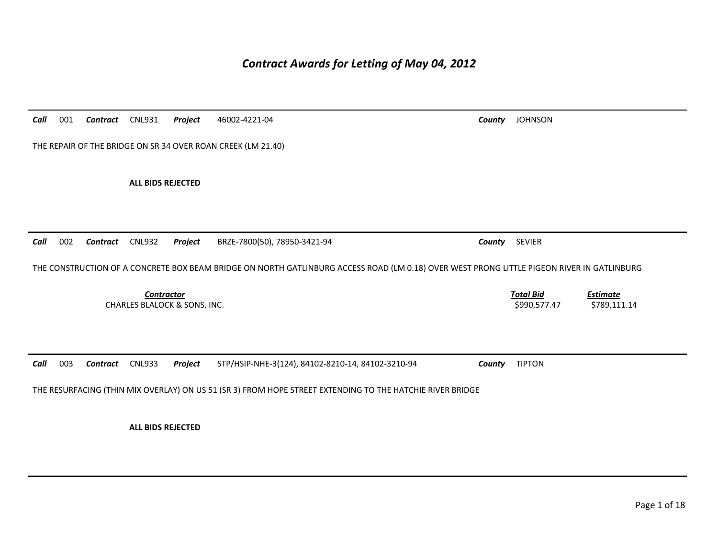## *Contract Awards for Letting of May 04, 2012*

*Call* 001 *Contract* CNL931 *Project* 46002-4221-04 *County* JOHNSON THE REPAIR OF THE BRIDGE ON SR 34 OVER ROAN CREEK (LM 21.40) **ALL BIDS REJECTED**  *Call* 002 *Contract* CNL932 *Project* BRZE-7800(50), 78950-3421-94 *County* SEVIER THE CONSTRUCTION OF A CONCRETE BOX BEAM BRIDGE ON NORTH GATLINBURG ACCESS ROAD (LM 0.18) OVER WEST PRONG LITTLE PIGEON RIVER IN GATLINBURG *Contractor Total Bid Estimate* CHARLES BLALOCK & SONS, INC. \$990,577.47 \$789,111.14 *Call* 003 *Contract* CNL933 *Project* STP/HSIP-NHE-3(124), 84102-8210-14, 84102-3210-94 *County* TIPTON THE RESURFACING (THIN MIX OVERLAY) ON US 51 (SR 3) FROM HOPE STREET EXTENDING TO THE HATCHIE RIVER BRIDGE

**ALL BIDS REJECTED**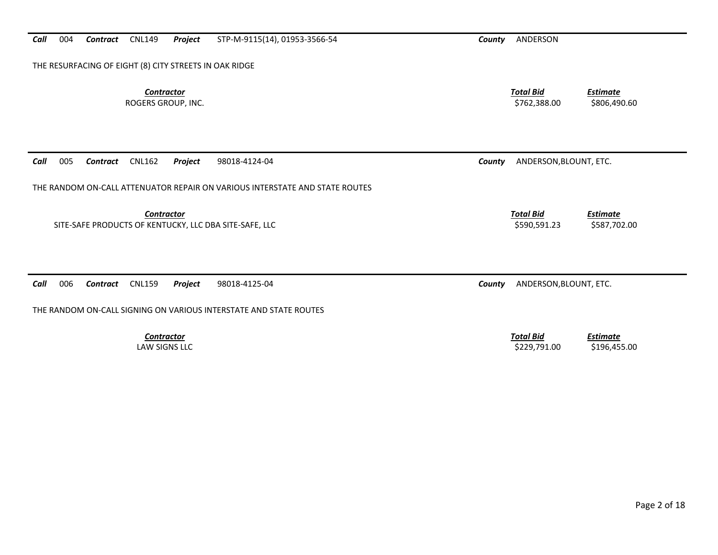| <b>Contractor</b><br>ROGERS GROUP, INC.                                     | <b>Total Bid</b><br><b>Estimate</b><br>\$762,388.00<br>\$806,490.60 |
|-----------------------------------------------------------------------------|---------------------------------------------------------------------|
| Call<br>005<br><b>CNL162</b><br>Project<br>98018-4124-04<br>Contract        | ANDERSON, BLOUNT, ETC.<br>County                                    |
| THE RANDOM ON-CALL ATTENUATOR REPAIR ON VARIOUS INTERSTATE AND STATE ROUTES |                                                                     |
| <b>Contractor</b><br>SITE-SAFE PRODUCTS OF KENTUCKY, LLC DBA SITE-SAFE, LLC | <b>Total Bid</b><br><b>Estimate</b><br>\$590,591.23<br>\$587,702.00 |
| Call<br>006<br><b>CNL159</b><br>Contract<br>Project<br>98018-4125-04        | ANDERSON, BLOUNT, ETC.<br>County                                    |
| THE RANDOM ON-CALL SIGNING ON VARIOUS INTERSTATE AND STATE ROUTES           |                                                                     |
| <b>Contractor</b><br><b>LAW SIGNS LLC</b>                                   | <b>Total Bid</b><br><b>Estimate</b><br>\$229,791.00<br>\$196,455.00 |

**Call** 004 **Contract** CNL149 **Project** STP-M-9115(14), 01953-3566-54 **County** ANDERSON

THE RESURFACING OF EIGHT (8) CITY STREETS IN OAK RIDGE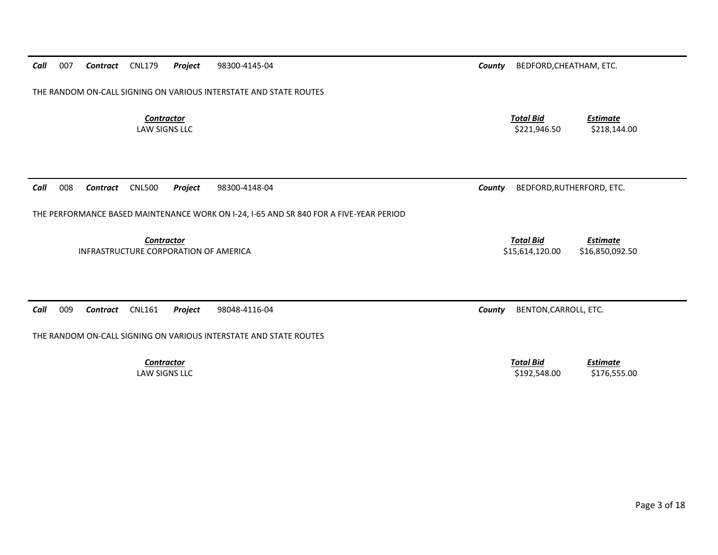| THE RANDOM ON-CALL SIGNING ON VARIOUS INTERSTATE AND STATE ROUTES                                           |                                                                     |  |  |  |  |  |  |  |
|-------------------------------------------------------------------------------------------------------------|---------------------------------------------------------------------|--|--|--|--|--|--|--|
| <b>Contractor</b><br><b>LAW SIGNS LLC</b>                                                                   | <b>Total Bid</b><br><b>Estimate</b><br>\$221,946.50<br>\$218,144.00 |  |  |  |  |  |  |  |
| 008<br><b>CNL500</b><br>Call<br>Project<br>98300-4148-04<br><b>Contract</b>                                 | BEDFORD, RUTHERFORD, ETC.<br>County                                 |  |  |  |  |  |  |  |
| THE PERFORMANCE BASED MAINTENANCE WORK ON I-24, I-65 AND SR 840 FOR A FIVE-YEAR PERIOD<br><b>Contractor</b> | <b>Total Bid</b><br><b>Estimate</b>                                 |  |  |  |  |  |  |  |
| INFRASTRUCTURE CORPORATION OF AMERICA                                                                       | \$15,614,120.00<br>\$16,850,092.50                                  |  |  |  |  |  |  |  |
|                                                                                                             |                                                                     |  |  |  |  |  |  |  |
| 009<br>Call<br><b>CNL161</b><br>Project<br>98048-4116-04<br><b>Contract</b>                                 | BENTON, CARROLL, ETC.<br>County                                     |  |  |  |  |  |  |  |
| THE RANDOM ON-CALL SIGNING ON VARIOUS INTERSTATE AND STATE ROUTES                                           |                                                                     |  |  |  |  |  |  |  |
| <b>Contractor</b><br><b>LAW SIGNS LLC</b>                                                                   | <b>Total Bid</b><br><b>Estimate</b><br>\$192,548.00<br>\$176,555.00 |  |  |  |  |  |  |  |

**Contract** CNL179 **Project** 98300-4145-04 **Contract County** BEDFORD, CHEATHAM, ETC.

*Call*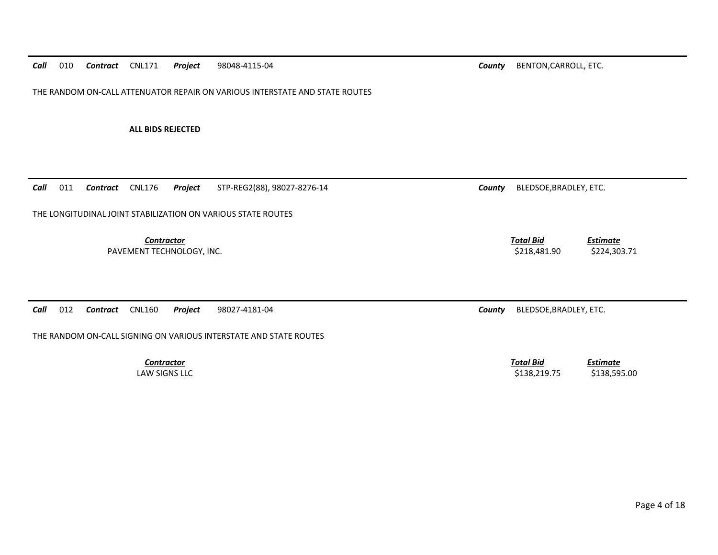*Call*010 *Contract* CNL171 *Project* 98048-4115-04 *County* BENTON,CARROLL, ETC.

THE RANDOM ON-CALL ATTENUATOR REPAIR ON VARIOUS INTERSTATE AND STATE ROUTES

**ALL BIDS REJECTED** 

*Call*011 **Contract** CNL176 **Project** STP-REG2(88), 98027-8276-14 **Contract County BLEDSOE, BRADLEY, ETC.** 

THE LONGITUDINAL JOINT STABILIZATION ON VARIOUS STATE ROUTES

*Contractor Total Bid*PAVEMENT TECHNOLOGY, INC. 224,303.71

*Call*012 *Contract* CNL160 *Project* 98027-4181-04 *County* BLEDSOE,BRADLEY, ETC.

THE RANDOM ON-CALL SIGNING ON VARIOUS INTERSTATE AND STATE ROUTES

*Contractor Total Bid*

 *Estimate* LAW SIGNS LLC \$138,219.75 \$138,595.00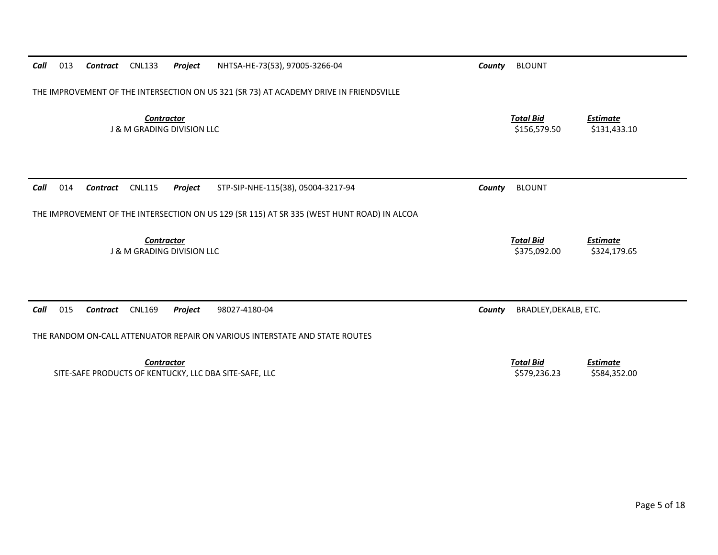| Call | 013                                                                                    | Contract | <b>CNL133</b>                                              | Project | NHTSA-HE-73(53), 97005-3266-04                                                             | County | <b>BLOUNT</b>                    |                                 |
|------|----------------------------------------------------------------------------------------|----------|------------------------------------------------------------|---------|--------------------------------------------------------------------------------------------|--------|----------------------------------|---------------------------------|
|      | THE IMPROVEMENT OF THE INTERSECTION ON US 321 (SR 73) AT ACADEMY DRIVE IN FRIENDSVILLE |          |                                                            |         |                                                                                            |        |                                  |                                 |
|      |                                                                                        |          | <b>Contractor</b><br><b>J &amp; M GRADING DIVISION LLC</b> |         |                                                                                            |        | <b>Total Bid</b><br>\$156,579.50 | <b>Estimate</b><br>\$131,433.10 |
| Call | 014                                                                                    | Contract | <b>CNL115</b>                                              | Project | STP-SIP-NHE-115(38), 05004-3217-94                                                         | County | <b>BLOUNT</b>                    |                                 |
|      |                                                                                        |          |                                                            |         | THE IMPROVEMENT OF THE INTERSECTION ON US 129 (SR 115) AT SR 335 (WEST HUNT ROAD) IN ALCOA |        |                                  |                                 |
|      |                                                                                        |          | <b>Contractor</b><br><b>J &amp; M GRADING DIVISION LLC</b> |         |                                                                                            |        | <b>Total Bid</b><br>\$375,092.00 | <b>Estimate</b><br>\$324,179.65 |
| Call | 015                                                                                    | Contract | <b>CNL169</b>                                              | Project | 98027-4180-04                                                                              | County | BRADLEY, DEKALB, ETC.            |                                 |
|      |                                                                                        |          |                                                            |         | THE RANDOM ON-CALL ATTENUATOR REPAIR ON VARIOUS INTERSTATE AND STATE ROUTES                |        |                                  |                                 |
|      |                                                                                        |          | <b>Contractor</b>                                          |         | SITE-SAFE PRODUCTS OF KENTUCKY, LLC DBA SITE-SAFE, LLC                                     |        | <b>Total Bid</b><br>\$579,236.23 | <b>Estimate</b><br>\$584,352.00 |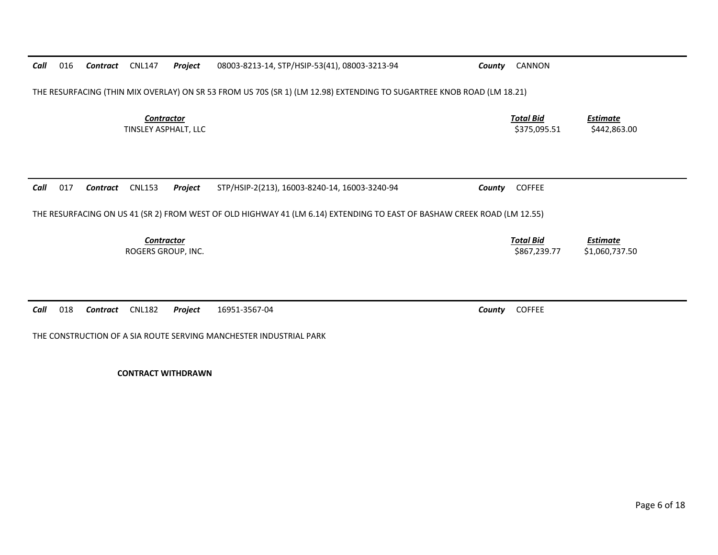*Contractor Total Bid Estimate* TINSLEY ASPHALT, LLC 6. 2008 12.00 12.00 1375,095.51 \$442,863.00 *Call* 017 *Contract* CNL153 *Project* STP/HSIP-2(213), 16003-8240-14, 16003-3240-94 *County* COFFEE THE RESURFACING ON US 41 (SR 2) FROM WEST OF OLD HIGHWAY 41 (LM 6.14) EXTENDING TO EAST OF BASHAW CREEK ROAD (LM 12.55) *Contractor Total Bid Estimate* ROGERS GROUP, INC. \$867,239.77 \$1,060,737.50 *Call*018 *Contract* CNL182 *Project* 16951-3567-04 *County* COFFEE

THE CONSTRUCTION OF A SIA ROUTE SERVING MANCHESTER INDUSTRIAL PARK

**CONTRACT WITHDRAWN** 

*Call*016 *Contract* CNL147 *Project* 08003-8213-14, STP/HSIP-53(41), 08003-3213-94 *County* CANNON

THE RESURFACING (THIN MIX OVERLAY) ON SR 53 FROM US 70S (SR 1) (LM 12.98) EXTENDING TO SUGARTREE KNOB ROAD (LM 18.21)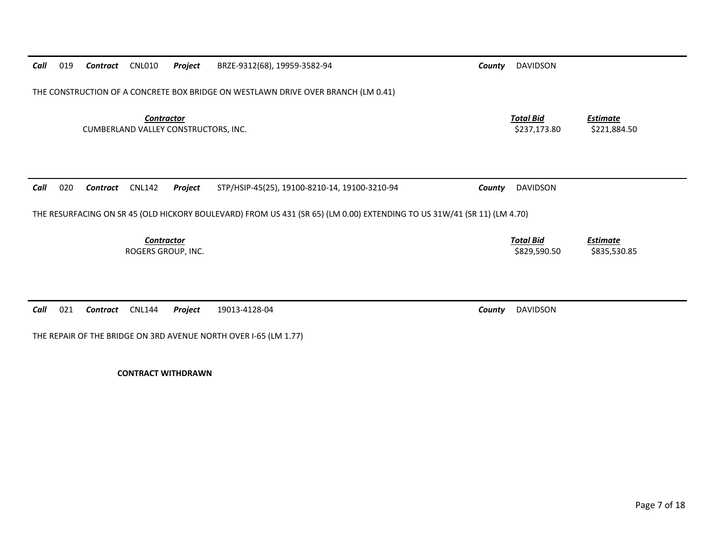| Call | 019 | Contract | <b>CNL010</b>                                             | Project | BRZE-9312(68), 19959-3582-94                                                                                            | County | <b>DAVIDSON</b>                  |                                 |
|------|-----|----------|-----------------------------------------------------------|---------|-------------------------------------------------------------------------------------------------------------------------|--------|----------------------------------|---------------------------------|
|      |     |          |                                                           |         |                                                                                                                         |        |                                  |                                 |
|      |     |          |                                                           |         | THE CONSTRUCTION OF A CONCRETE BOX BRIDGE ON WESTLAWN DRIVE OVER BRANCH (LM 0.41)                                       |        |                                  |                                 |
|      |     |          |                                                           |         |                                                                                                                         |        |                                  |                                 |
|      |     |          | <b>Contractor</b><br>CUMBERLAND VALLEY CONSTRUCTORS, INC. |         |                                                                                                                         |        | <b>Total Bid</b><br>\$237,173.80 | <b>Estimate</b><br>\$221,884.50 |
|      |     |          |                                                           |         |                                                                                                                         |        |                                  |                                 |
|      |     |          |                                                           |         |                                                                                                                         |        |                                  |                                 |
|      |     |          |                                                           |         |                                                                                                                         |        |                                  |                                 |
| Call | 020 | Contract | <b>CNL142</b>                                             | Project | STP/HSIP-45(25), 19100-8210-14, 19100-3210-94                                                                           | County | <b>DAVIDSON</b>                  |                                 |
|      |     |          |                                                           |         |                                                                                                                         |        |                                  |                                 |
|      |     |          |                                                           |         | THE RESURFACING ON SR 45 (OLD HICKORY BOULEVARD) FROM US 431 (SR 65) (LM 0.00) EXTENDING TO US 31W/41 (SR 11) (LM 4.70) |        |                                  |                                 |
|      |     |          | <b>Contractor</b>                                         |         |                                                                                                                         |        | <b>Total Bid</b>                 | <b>Estimate</b>                 |
|      |     |          | ROGERS GROUP, INC.                                        |         |                                                                                                                         |        | \$829,590.50                     | \$835,530.85                    |
|      |     |          |                                                           |         |                                                                                                                         |        |                                  |                                 |
|      |     |          |                                                           |         |                                                                                                                         |        |                                  |                                 |
| Call | 021 | Contract | <b>CNL144</b>                                             | Project | 19013-4128-04                                                                                                           | County | <b>DAVIDSON</b>                  |                                 |
|      |     |          |                                                           |         |                                                                                                                         |        |                                  |                                 |
|      |     |          |                                                           |         | THE REPAIR OF THE BRIDGE ON 3RD AVENUE NORTH OVER I-65 (LM 1.77)                                                        |        |                                  |                                 |

**CONTRACT WITHDRAWN**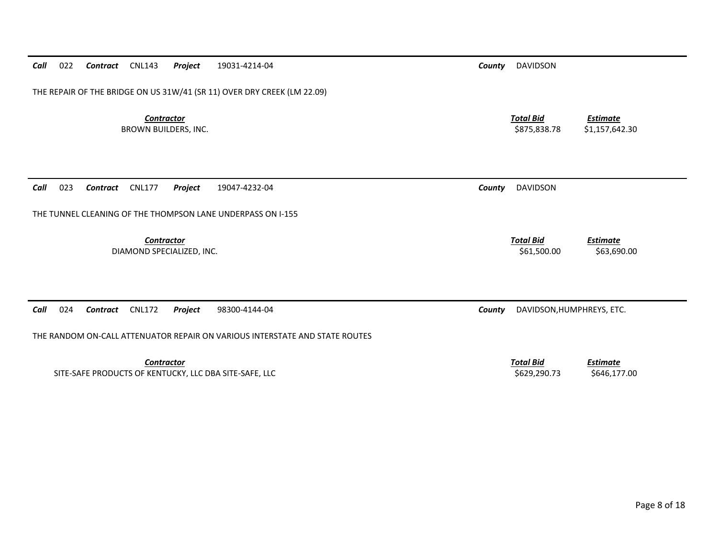**Contractor** Total Bid *Estimate* DIAMOND SPECIALIZED, INC. \$61,500.00 \$63,690.00 *Call* 024 *Contract* CNL172 *Project* 98300-4144-04 *County* DAVIDSON,HUMPHREYS, ETC. THE RANDOM ON-CALL ATTENUATOR REPAIR ON VARIOUS INTERSTATE AND STATE ROUTES*Contractor Total BidEstimate*

*Call*023 *Contract* CNL177 *Project* 19047-4232-04 *County* DAVIDSON

THE TUNNEL CLEANING OF THE THOMPSON LANE UNDERPASS ON I-155

SITE-SAFE PRODUCTS OF KENTUCKY, LLC DBA SITE-SAFE, LLC \$629,290.73 \$646,177.00

## *Call*022 *Contract* CNL143 *Project* 19031-4214-04 *County* DAVIDSON

THE REPAIR OF THE BRIDGE ON US 31W/41 (SR 11) OVER DRY CREEK (LM 22.09)

**Contractor** Total Bid

BROWN BUILDERS, INC. 6. 2012 12:30 \$1,157,642.30 \$1,157,642.30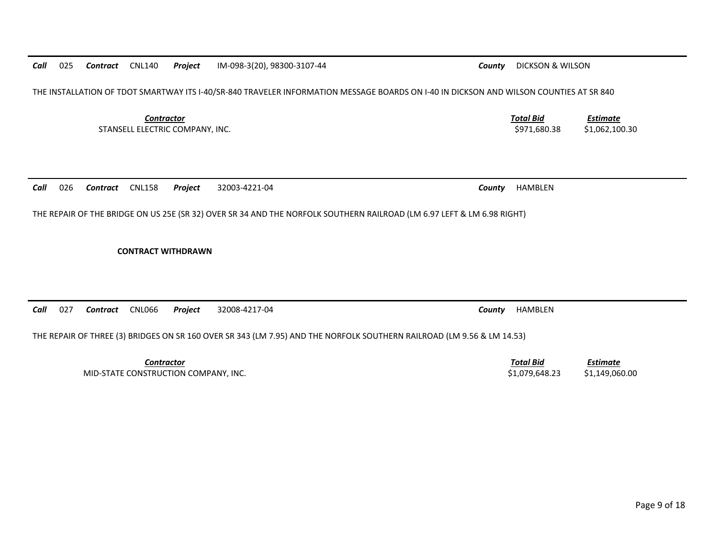*Call*025 *Contract* CNL140 *Project* IM-098-3(20), 98300-3107-44 *County* DICKSON & WILSON

THE INSTALLATION OF TDOT SMARTWAY ITS I-40/SR-840 TRAVELER INFORMATION MESSAGE BOARDS ON I-40 IN DICKSON AND WILSON COUNTIES AT SR 840

**Contractor** Total Bid STANSELL ELECTRIC COMPANY, INC. 6. 2010.30 \$1,062,100.30 \$1,062,100.30 \$1,062,100.30

*Call*026 *Contract* CNL158 *Project* 32003-4221-04 *County* HAMBLEN

THE REPAIR OF THE BRIDGE ON US 25E (SR 32) OVER SR 34 AND THE NORFOLK SOUTHERN RAILROAD (LM 6.97 LEFT & LM 6.98 RIGHT)

**CONTRACT WITHDRAWN** 

*Call*027 *Contract* CNL066 *Project* 32008-4217-04 *County* HAMBLEN

THE REPAIR OF THREE (3) BRIDGES ON SR 160 OVER SR 343 (LM 7.95) AND THE NORFOLK SOUTHERN RAILROAD (LM 9.56 & LM 14.53)

**Contractor** Total Bid

*Estimate*

*Estimate*

MID-STATE CONSTRUCTION COMPANY, INC. \$1,079,648.23 \$1,149,060.00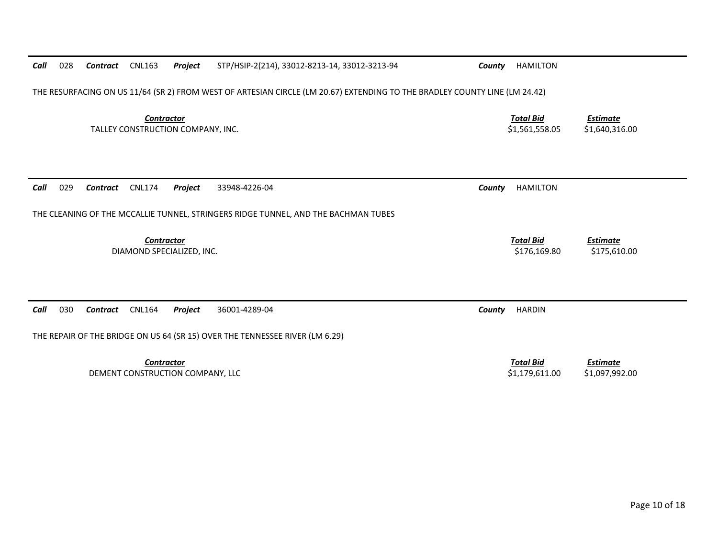| 028<br>Call | Contract        | <b>CNL163</b><br>Project                               | STP/HSIP-2(214), 33012-8213-14, 33012-3213-94                                                                              | County                             | HAMILTON                           |                                   |
|-------------|-----------------|--------------------------------------------------------|----------------------------------------------------------------------------------------------------------------------------|------------------------------------|------------------------------------|-----------------------------------|
|             |                 |                                                        | THE RESURFACING ON US 11/64 (SR 2) FROM WEST OF ARTESIAN CIRCLE (LM 20.67) EXTENDING TO THE BRADLEY COUNTY LINE (LM 24.42) |                                    |                                    |                                   |
|             |                 | <b>Contractor</b><br>TALLEY CONSTRUCTION COMPANY, INC. |                                                                                                                            | <b>Total Bid</b><br>\$1,561,558.05 | <b>Estimate</b><br>\$1,640,316.00  |                                   |
| 029<br>Call | <b>Contract</b> | <b>CNL174</b><br>Project                               | 33948-4226-04                                                                                                              | County                             | <b>HAMILTON</b>                    |                                   |
|             |                 |                                                        | THE CLEANING OF THE MCCALLIE TUNNEL, STRINGERS RIDGE TUNNEL, AND THE BACHMAN TUBES                                         |                                    |                                    |                                   |
|             |                 | Contractor<br>DIAMOND SPECIALIZED, INC.                |                                                                                                                            |                                    | <b>Total Bid</b><br>\$176,169.80   | <b>Estimate</b><br>\$175,610.00   |
| 030<br>Call | <b>Contract</b> | <b>CNL164</b><br>Project                               | 36001-4289-04                                                                                                              | County                             | <b>HARDIN</b>                      |                                   |
|             |                 |                                                        | THE REPAIR OF THE BRIDGE ON US 64 (SR 15) OVER THE TENNESSEE RIVER (LM 6.29)                                               |                                    |                                    |                                   |
|             |                 | <b>Contractor</b><br>DEMENT CONSTRUCTION COMPANY, LLC  |                                                                                                                            |                                    | <b>Total Bid</b><br>\$1,179,611.00 | <b>Estimate</b><br>\$1,097,992.00 |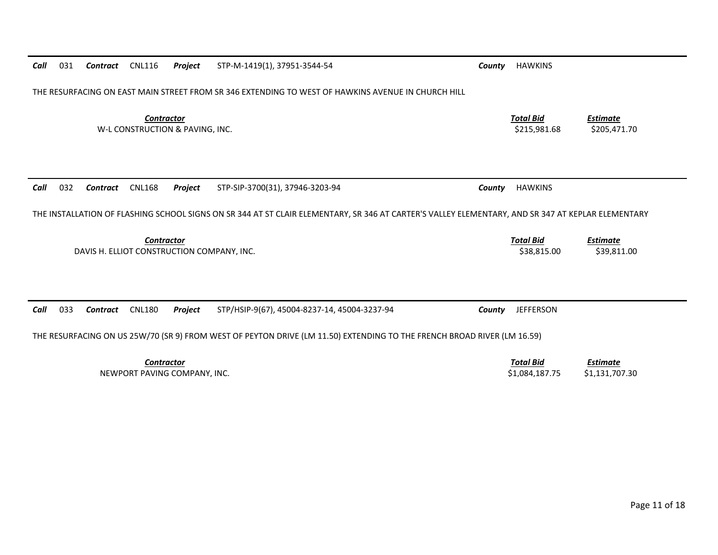| Call | 031                                                                                                                     | Contract | <b>CNL116</b>                                        | Project | STP-M-1419(1), 37951-3544-54                                                                                                                      | County | <b>HAWKINS</b>                     |                                   |
|------|-------------------------------------------------------------------------------------------------------------------------|----------|------------------------------------------------------|---------|---------------------------------------------------------------------------------------------------------------------------------------------------|--------|------------------------------------|-----------------------------------|
|      | THE RESURFACING ON EAST MAIN STREET FROM SR 346 EXTENDING TO WEST OF HAWKINS AVENUE IN CHURCH HILL                      |          |                                                      |         |                                                                                                                                                   |        |                                    |                                   |
|      |                                                                                                                         |          | <b>Contractor</b><br>W-L CONSTRUCTION & PAVING, INC. |         |                                                                                                                                                   |        | <b>Total Bid</b><br>\$215,981.68   | <b>Estimate</b><br>\$205,471.70   |
| Call | 032                                                                                                                     | Contract | <b>CNL168</b>                                        | Project | STP-SIP-3700(31), 37946-3203-94                                                                                                                   | County | <b>HAWKINS</b>                     |                                   |
|      |                                                                                                                         |          |                                                      |         | THE INSTALLATION OF FLASHING SCHOOL SIGNS ON SR 344 AT ST CLAIR ELEMENTARY, SR 346 AT CARTER'S VALLEY ELEMENTARY, AND SR 347 AT KEPLAR ELEMENTARY |        |                                    |                                   |
|      |                                                                                                                         |          | <b>Contractor</b>                                    |         | DAVIS H. ELLIOT CONSTRUCTION COMPANY, INC.                                                                                                        |        | <b>Total Bid</b><br>\$38,815.00    | <b>Estimate</b><br>\$39,811.00    |
|      |                                                                                                                         |          |                                                      |         |                                                                                                                                                   |        |                                    |                                   |
| Call | 033                                                                                                                     | Contract | <b>CNL180</b>                                        | Project | STP/HSIP-9(67), 45004-8237-14, 45004-3237-94                                                                                                      | County | <b>JEFFERSON</b>                   |                                   |
|      | THE RESURFACING ON US 25W/70 (SR 9) FROM WEST OF PEYTON DRIVE (LM 11.50) EXTENDING TO THE FRENCH BROAD RIVER (LM 16.59) |          |                                                      |         |                                                                                                                                                   |        |                                    |                                   |
|      |                                                                                                                         |          | <b>Contractor</b><br>NEWPORT PAVING COMPANY, INC.    |         |                                                                                                                                                   |        | <b>Total Bid</b><br>\$1,084,187.75 | <b>Estimate</b><br>\$1,131,707.30 |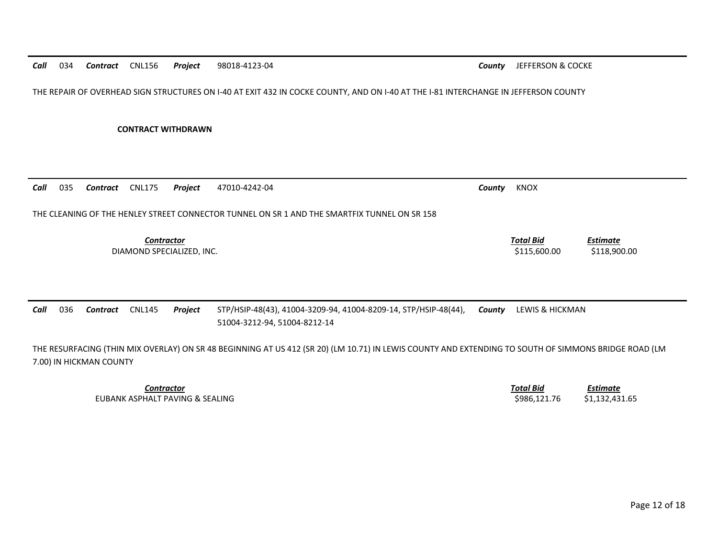THE REPAIR OF OVERHEAD SIGN STRUCTURES ON I-40 AT EXIT 432 IN COCKE COUNTY, AND ON I-40 AT THE I-81 INTERCHANGE IN JEFFERSON COUNTY

**CONTRACT WITHDRAWN** 

| 035<br>Call | Contract | <b>CNL175</b>                                  | Project | 47010-4242-04                                                                                   | County | KNOX                             |                                 |
|-------------|----------|------------------------------------------------|---------|-------------------------------------------------------------------------------------------------|--------|----------------------------------|---------------------------------|
|             |          |                                                |         | THE CLEANING OF THE HENLEY STREET CONNECTOR TUNNEL ON SR 1 AND THE SMARTFIX TUNNEL ON SR 158    |        |                                  |                                 |
|             |          | <b>Contractor</b><br>DIAMOND SPECIALIZED, INC. |         |                                                                                                 |        | <b>Total Bid</b><br>\$115,600.00 | <b>Estimate</b><br>\$118,900.00 |
| Call<br>036 | Contract | <b>CNL145</b>                                  | Project | STP/HSIP-48(43), 41004-3209-94, 41004-8209-14, STP/HSIP-48(44),<br>51004-3212-94, 51004-8212-14 | County | LEWIS & HICKMAN                  |                                 |

THE RESURFACING (THIN MIX OVERLAY) ON SR 48 BEGINNING AT US 412 (SR 20) (LM 10.71) IN LEWIS COUNTY AND EXTENDING TO SOUTH OF SIMMONS BRIDGE ROAD (LM 7.00) IN HICKMAN COUNTY

> **Contractor** Total Bid *Estimate* EUBANK ASPHALT PAVING & SEALING **\$2000 \$986,121.76** \$1,132,431.65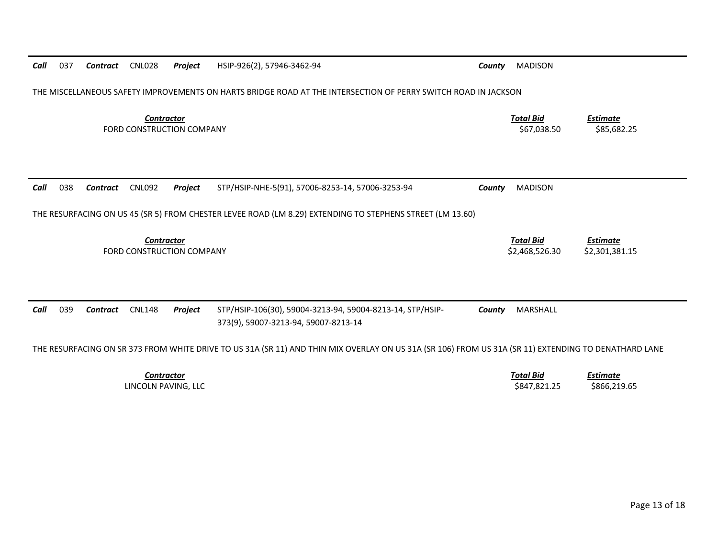| 037<br>Call | <b>CNL028</b><br><b>Contract</b>               | Project | HSIP-926(2), 57946-3462-94                                                                                                                           | County | <b>MADISON</b>                     |                                   |
|-------------|------------------------------------------------|---------|------------------------------------------------------------------------------------------------------------------------------------------------------|--------|------------------------------------|-----------------------------------|
|             |                                                |         | THE MISCELLANEOUS SAFETY IMPROVEMENTS ON HARTS BRIDGE ROAD AT THE INTERSECTION OF PERRY SWITCH ROAD IN JACKSON                                       |        |                                    |                                   |
|             | <b>Contractor</b><br>FORD CONSTRUCTION COMPANY |         |                                                                                                                                                      |        | <b>Total Bid</b><br>\$67,038.50    | <b>Estimate</b><br>\$85,682.25    |
|             |                                                |         |                                                                                                                                                      |        |                                    |                                   |
| 038<br>Call | <b>CNL092</b><br>Contract                      | Project | STP/HSIP-NHE-5(91), 57006-8253-14, 57006-3253-94                                                                                                     | County | <b>MADISON</b>                     |                                   |
|             |                                                |         | THE RESURFACING ON US 45 (SR 5) FROM CHESTER LEVEE ROAD (LM 8.29) EXTENDING TO STEPHENS STREET (LM 13.60)                                            |        |                                    |                                   |
|             | Contractor<br>FORD CONSTRUCTION COMPANY        |         |                                                                                                                                                      |        | <b>Total Bid</b><br>\$2,468,526.30 | <b>Estimate</b><br>\$2,301,381.15 |
|             |                                                |         |                                                                                                                                                      |        |                                    |                                   |
| Call<br>039 | <b>CNL148</b><br><b>Contract</b>               | Project | STP/HSIP-106(30), 59004-3213-94, 59004-8213-14, STP/HSIP-<br>373(9), 59007-3213-94, 59007-8213-14                                                    | County | MARSHALL                           |                                   |
|             |                                                |         | THE RESURFACING ON SR 373 FROM WHITE DRIVE TO US 31A (SR 11) AND THIN MIX OVERLAY ON US 31A (SR 106) FROM US 31A (SR 11) EXTENDING TO DENATHARD LANE |        |                                    |                                   |
|             | <b>Contractor</b><br>LINCOLN PAVING, LLC       |         |                                                                                                                                                      |        | <b>Total Bid</b><br>\$847,821.25   | <b>Estimate</b><br>\$866,219.65   |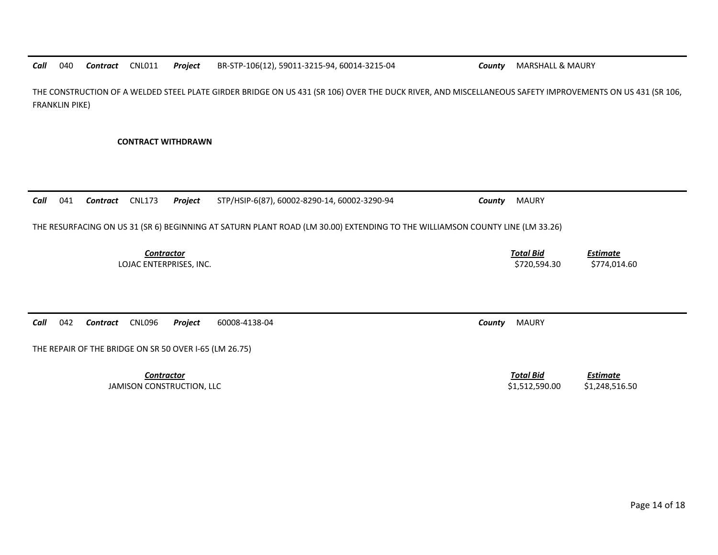*Call*040 *Contract* CNL011 *Project* BR-STP-106(12), 59011-3215-94, 60014-3215-04 *County* MARSHALL & MAURY

THE CONSTRUCTION OF A WELDED STEEL PLATE GIRDER BRIDGE ON US 431 (SR 106) OVER THE DUCK RIVER, AND MISCELLANEOUS SAFETY IMPROVEMENTS ON US 431 (SR 106, FRANKLIN PIKE)

**CONTRACT WITHDRAWN** 

*Call* 041 *Contract* CNL173 *Project* STP/HSIP-6(87), 60002-8290-14, 60002-3290-94 *County* MAURY THE RESURFACING ON US 31 (SR 6) BEGINNING AT SATURN PLANT ROAD (LM 30.00) EXTENDING TO THE WILLIAMSON COUNTY LINE (LM 33.26) *Contractor Total Bid Estimate* LOJAC ENTERPRISES, INC. 6. 2012 12:30 \$720,594.30 \$774,014.60 *Call* 042 *Contract* CNL096 *Project* 60008-4138-04 *County* MAURY THE REPAIR OF THE BRIDGE ON SR 50 OVER I-65 (LM 26.75) **Contractor** Total Bid *Estimate*

JAMISON CONSTRUCTION, LLC 61,2248,516.50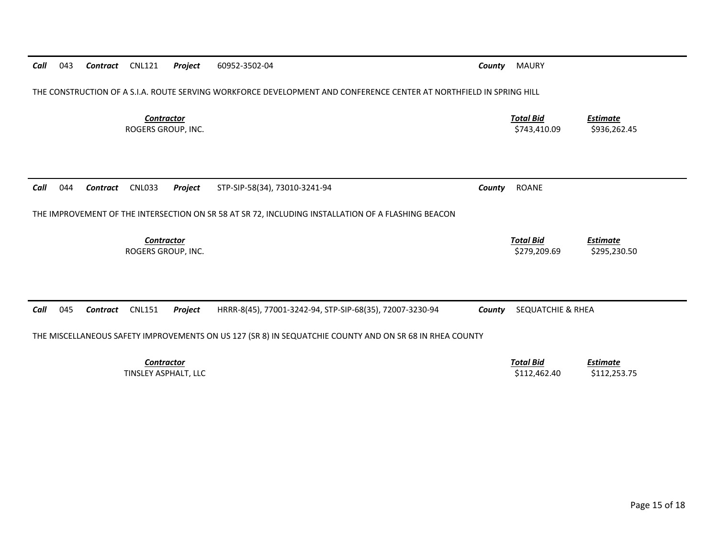| Call                                    | 043                                                                                                                 | Contract | <b>CNL121</b>                             | <b>Project</b> | 60952-3502-04                                                                                           | County | <b>MAURY</b>                     |                                 |  |
|-----------------------------------------|---------------------------------------------------------------------------------------------------------------------|----------|-------------------------------------------|----------------|---------------------------------------------------------------------------------------------------------|--------|----------------------------------|---------------------------------|--|
|                                         | THE CONSTRUCTION OF A S.I.A. ROUTE SERVING WORKFORCE DEVELOPMENT AND CONFERENCE CENTER AT NORTHFIELD IN SPRING HILL |          |                                           |                |                                                                                                         |        |                                  |                                 |  |
| <b>Contractor</b><br>ROGERS GROUP, INC. |                                                                                                                     |          |                                           |                |                                                                                                         |        | <b>Total Bid</b><br>\$743,410.09 | <b>Estimate</b><br>\$936,262.45 |  |
|                                         |                                                                                                                     |          |                                           |                |                                                                                                         |        |                                  |                                 |  |
| Call                                    | 044                                                                                                                 | Contract | <b>CNL033</b>                             | Project        | STP-SIP-58(34), 73010-3241-94                                                                           | County | <b>ROANE</b>                     |                                 |  |
|                                         |                                                                                                                     |          |                                           |                | THE IMPROVEMENT OF THE INTERSECTION ON SR 58 AT SR 72, INCLUDING INSTALLATION OF A FLASHING BEACON      |        |                                  |                                 |  |
|                                         |                                                                                                                     |          | Contractor<br>ROGERS GROUP, INC.          |                |                                                                                                         |        | <b>Total Bid</b><br>\$279,209.69 | <b>Estimate</b><br>\$295,230.50 |  |
|                                         |                                                                                                                     |          |                                           |                |                                                                                                         |        |                                  |                                 |  |
| Call                                    | 045                                                                                                                 | Contract | <b>CNL151</b>                             | <b>Project</b> | HRRR-8(45), 77001-3242-94, STP-SIP-68(35), 72007-3230-94                                                | County | SEQUATCHIE & RHEA                |                                 |  |
|                                         |                                                                                                                     |          |                                           |                | THE MISCELLANEOUS SAFETY IMPROVEMENTS ON US 127 (SR 8) IN SEQUATCHIE COUNTY AND ON SR 68 IN RHEA COUNTY |        |                                  |                                 |  |
|                                         |                                                                                                                     |          | <b>Contractor</b><br>TINSLEY ASPHALT, LLC |                |                                                                                                         |        | <b>Total Bid</b><br>\$112,462.40 | <b>Estimate</b><br>\$112,253.75 |  |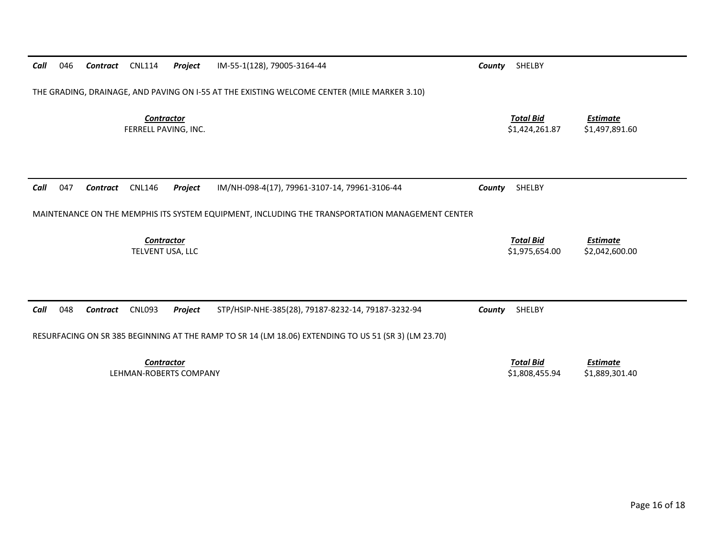| Call                                                                                                 | 046 | Contract | <b>CNL114</b>                             | <b>Project</b> | IM-55-1(128), 79005-3164-44                        | County | SHELBY                             |                                   |  |  |
|------------------------------------------------------------------------------------------------------|-----|----------|-------------------------------------------|----------------|----------------------------------------------------|--------|------------------------------------|-----------------------------------|--|--|
| THE GRADING, DRAINAGE, AND PAVING ON I-55 AT THE EXISTING WELCOME CENTER (MILE MARKER 3.10)          |     |          |                                           |                |                                                    |        |                                    |                                   |  |  |
|                                                                                                      |     |          | <b>Contractor</b><br>FERRELL PAVING, INC. |                |                                                    |        | <b>Total Bid</b><br>\$1,424,261.87 | Estimate<br>\$1,497,891.60        |  |  |
|                                                                                                      |     |          |                                           |                |                                                    |        |                                    |                                   |  |  |
| Call                                                                                                 | 047 | Contract | <b>CNL146</b>                             | Project        | IM/NH-098-4(17), 79961-3107-14, 79961-3106-44      | County | SHELBY                             |                                   |  |  |
| MAINTENANCE ON THE MEMPHIS ITS SYSTEM EQUIPMENT, INCLUDING THE TRANSPORTATION MANAGEMENT CENTER      |     |          |                                           |                |                                                    |        |                                    |                                   |  |  |
|                                                                                                      |     |          |                                           |                |                                                    |        |                                    |                                   |  |  |
|                                                                                                      |     |          | <b>Contractor</b><br>TELVENT USA, LLC     |                |                                                    |        | <b>Total Bid</b><br>\$1,975,654.00 | <b>Estimate</b><br>\$2,042,600.00 |  |  |
|                                                                                                      |     |          |                                           |                |                                                    |        |                                    |                                   |  |  |
|                                                                                                      |     |          |                                           |                |                                                    |        |                                    |                                   |  |  |
| Call                                                                                                 | 048 | Contract | <b>CNL093</b>                             | <b>Project</b> | STP/HSIP-NHE-385(28), 79187-8232-14, 79187-3232-94 | County | SHELBY                             |                                   |  |  |
| RESURFACING ON SR 385 BEGINNING AT THE RAMP TO SR 14 (LM 18.06) EXTENDING TO US 51 (SR 3) (LM 23.70) |     |          |                                           |                |                                                    |        |                                    |                                   |  |  |
|                                                                                                      |     |          | <b>Contractor</b>                         |                |                                                    |        | <b>Total Bid</b>                   | Estimate                          |  |  |
| LEHMAN-ROBERTS COMPANY                                                                               |     |          |                                           |                |                                                    |        | \$1,808,455.94                     | \$1,889,301.40                    |  |  |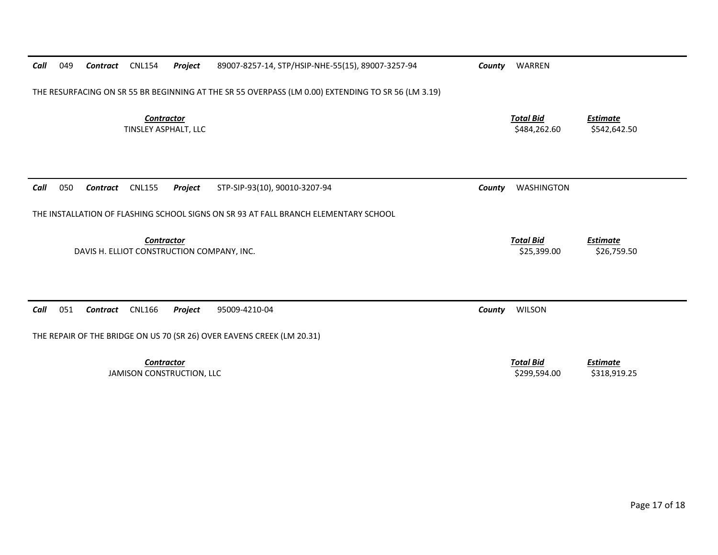| Call                                                                                               | 049 | Contract        | <b>CNL154</b>                                  | Project | 89007-8257-14, STP/HSIP-NHE-55(15), 89007-3257-94 | County                          | WARREN                           |                                 |  |  |
|----------------------------------------------------------------------------------------------------|-----|-----------------|------------------------------------------------|---------|---------------------------------------------------|---------------------------------|----------------------------------|---------------------------------|--|--|
| THE RESURFACING ON SR 55 BR BEGINNING AT THE SR 55 OVERPASS (LM 0.00) EXTENDING TO SR 56 (LM 3.19) |     |                 |                                                |         |                                                   |                                 |                                  |                                 |  |  |
|                                                                                                    |     |                 | <b>Contractor</b><br>TINSLEY ASPHALT, LLC      |         | <b>Total Bid</b><br>\$484,262.60                  | <b>Estimate</b><br>\$542,642.50 |                                  |                                 |  |  |
| Call                                                                                               | 050 | Contract        | <b>CNL155</b>                                  | Project | STP-SIP-93(10), 90010-3207-94                     | County                          | <b>WASHINGTON</b>                |                                 |  |  |
| THE INSTALLATION OF FLASHING SCHOOL SIGNS ON SR 93 AT FALL BRANCH ELEMENTARY SCHOOL                |     |                 |                                                |         |                                                   |                                 |                                  |                                 |  |  |
|                                                                                                    |     |                 | Contractor                                     |         | DAVIS H. ELLIOT CONSTRUCTION COMPANY, INC.        |                                 | <b>Total Bid</b><br>\$25,399.00  | <b>Estimate</b><br>\$26,759.50  |  |  |
| Call                                                                                               | 051 | <b>Contract</b> | <b>CNL166</b>                                  | Project | 95009-4210-04                                     | County                          | <b>WILSON</b>                    |                                 |  |  |
| THE REPAIR OF THE BRIDGE ON US 70 (SR 26) OVER EAVENS CREEK (LM 20.31)                             |     |                 |                                                |         |                                                   |                                 |                                  |                                 |  |  |
|                                                                                                    |     |                 | <b>Contractor</b><br>JAMISON CONSTRUCTION, LLC |         |                                                   |                                 | <b>Total Bid</b><br>\$299,594.00 | <b>Estimate</b><br>\$318,919.25 |  |  |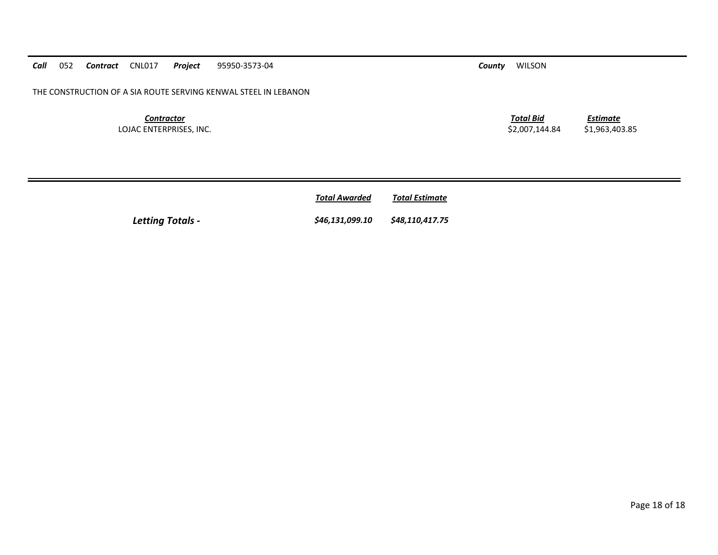*<u>Total Awarded</u>* **Total Estimate** 

*Letting Totals - \$46,131,099.10 \$48,110,417.75* 

*Estimate*

*Call*052 *Contract* CNL017 *Project* 95950-3573-04 *County* WILSON

THE CONSTRUCTION OF A SIA ROUTE SERVING KENWAL STEEL IN LEBANON

*Contractor Total Bid*LOJAC ENTERPRISES, INC. 6. 2,007,144.84 \$1,963,403.85

Page 18 of 18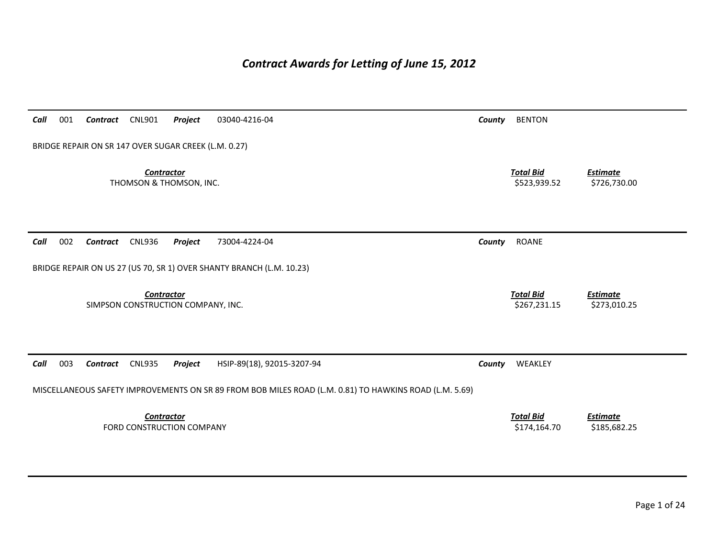# *Contract Awards for Letting of June 15, 2012*

| Call | 001 | Contract                                             | <b>CNL901</b>     | Project                            | 03040-4216-04                                                                                          | County | <b>BENTON</b>                    |                                 |
|------|-----|------------------------------------------------------|-------------------|------------------------------------|--------------------------------------------------------------------------------------------------------|--------|----------------------------------|---------------------------------|
|      |     | BRIDGE REPAIR ON SR 147 OVER SUGAR CREEK (L.M. 0.27) |                   |                                    |                                                                                                        |        |                                  |                                 |
|      |     |                                                      | <b>Contractor</b> | THOMSON & THOMSON, INC.            |                                                                                                        |        | <b>Total Bid</b><br>\$523,939.52 | <b>Estimate</b><br>\$726,730.00 |
| Call | 002 | Contract                                             | <b>CNL936</b>     | Project                            | 73004-4224-04                                                                                          | County | ROANE                            |                                 |
|      |     |                                                      |                   |                                    | BRIDGE REPAIR ON US 27 (US 70, SR 1) OVER SHANTY BRANCH (L.M. 10.23)                                   |        |                                  |                                 |
|      |     |                                                      | <b>Contractor</b> | SIMPSON CONSTRUCTION COMPANY, INC. |                                                                                                        |        | <b>Total Bid</b><br>\$267,231.15 | <b>Estimate</b><br>\$273,010.25 |
| Call | 003 | Contract                                             | <b>CNL935</b>     | Project                            | HSIP-89(18), 92015-3207-94                                                                             | County | WEAKLEY                          |                                 |
|      |     |                                                      |                   |                                    | MISCELLANEOUS SAFETY IMPROVEMENTS ON SR 89 FROM BOB MILES ROAD (L.M. 0.81) TO HAWKINS ROAD (L.M. 5.69) |        |                                  |                                 |
|      |     |                                                      | <b>Contractor</b> | FORD CONSTRUCTION COMPANY          |                                                                                                        |        | <b>Total Bid</b><br>\$174,164.70 | <b>Estimate</b><br>\$185,682.25 |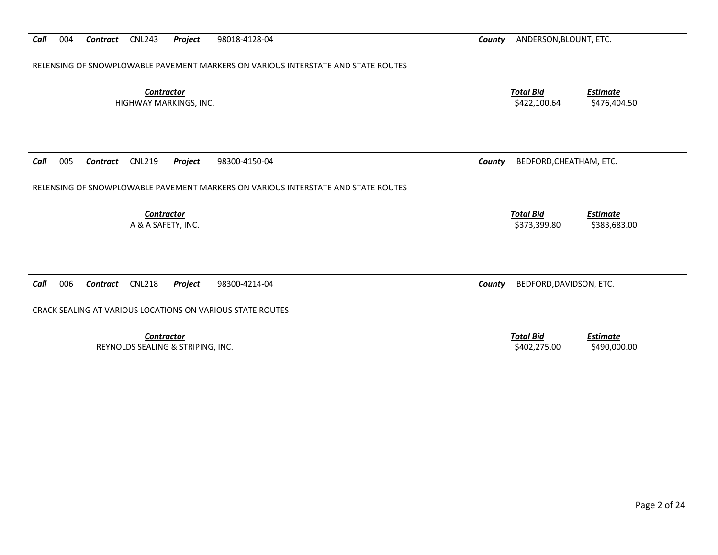RELENSING OF SNOWPLOWABLE PAVEMENT MARKERS ON VARIOUS INTERSTATE AND STATE ROUTES *Contractor Total Bid Estimate* HIGHWAY MARKINGS, INC. \$422,100.64 \$476,404.50 *Call* 005 *Contract* CNL219 *Project* 98300‐4150‐04 *County* BEDFORD,CHEATHAM, ETC. RELENSING OF SNOWPLOWABLE PAVEMENT MARKERS ON VARIOUS INTERSTATE AND STATE ROUTES *Contractor Total Bid Estimate* A & A SAFETY, INC. \$373,399.80 \$383,683.00

*Call* 006*Contract* CNL218 *Project* 98300‐4214‐04 *County* BEDFORD,DAVIDSON, ETC.

CRACK SEALING AT VARIOUS LOCATIONS ON VARIOUS STATE ROUTES

*Contractor Total Bid*REYNOLDS SEALING & STRIPING, INC. \$402,275.00 \$490,000.00

*Call* 004*Contract* CNL243 *Project* 98018‐4128‐04 *County* ANDERSON,BLOUNT, ETC.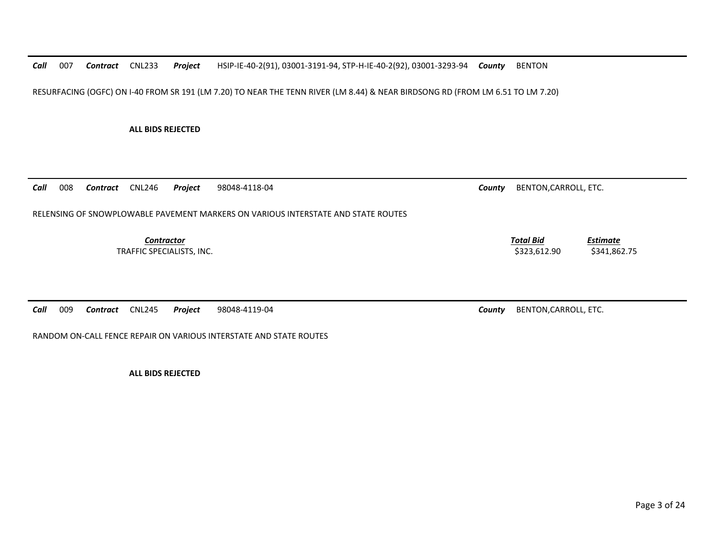*Call* 007*Contract* CNL233 *Project* HSIP‐IE‐40‐2(91), 03001‐3191‐94, STP‐H‐IE‐40‐2(92), 03001‐3293‐94 *County* BENTON

RESURFACING (OGFC) ON I‐40 FROM SR 191 (LM 7.20) TO NEAR THE TENN RIVER (LM 8.44) & NEAR BIRDSONG RD (FROM LM 6.51 TO LM 7.20)

**ALL BIDS REJECTED**

*Call* 008*Contract* CNL246 *Project* 98048‐4118‐04 *County* BENTON,CARROLL, ETC.

RELENSING OF SNOWPLOWABLE PAVEMENT MARKERS ON VARIOUS INTERSTATE AND STATE ROUTES

*Contractor Total Bid*TRAFFIC SPECIALISTS, INC. \$323,612.90 \$341,862.75

*Call* 009*Contract* CNL245 *Project* 98048‐4119‐04 *County* BENTON,CARROLL, ETC.

RANDOM ON‐CALL FENCE REPAIR ON VARIOUS INTERSTATE AND STATE ROUTES

**ALL BIDS REJECTED**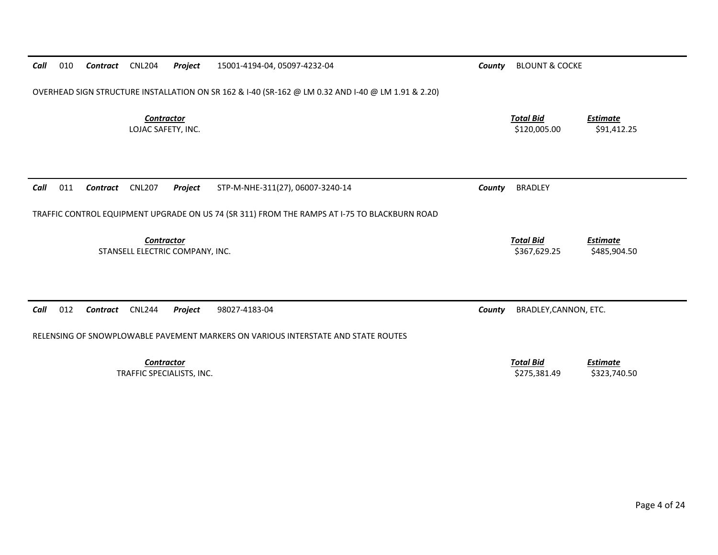| Call | 010 | Contract | <b>CNL204</b>                           | Project                         | 15001-4194-04, 05097-4232-04                                                                       | County | <b>BLOUNT &amp; COCKE</b>        |                                 |
|------|-----|----------|-----------------------------------------|---------------------------------|----------------------------------------------------------------------------------------------------|--------|----------------------------------|---------------------------------|
|      |     |          |                                         |                                 | OVERHEAD SIGN STRUCTURE INSTALLATION ON SR 162 & I-40 (SR-162 @ LM 0.32 AND I-40 @ LM 1.91 & 2.20) |        |                                  |                                 |
|      |     |          | <b>Contractor</b><br>LOJAC SAFETY, INC. |                                 |                                                                                                    |        | <b>Total Bid</b><br>\$120,005.00 | <b>Estimate</b><br>\$91,412.25  |
| Call | 011 | Contract | <b>CNL207</b>                           | Project                         | STP-M-NHE-311(27), 06007-3240-14                                                                   | County | <b>BRADLEY</b>                   |                                 |
|      |     |          |                                         |                                 | TRAFFIC CONTROL EQUIPMENT UPGRADE ON US 74 (SR 311) FROM THE RAMPS AT I-75 TO BLACKBURN ROAD       |        |                                  |                                 |
|      |     |          | Contractor                              | STANSELL ELECTRIC COMPANY, INC. |                                                                                                    |        | <b>Total Bid</b><br>\$367,629.25 | <b>Estimate</b><br>\$485,904.50 |
| Call | 012 | Contract | <b>CNL244</b>                           | Project                         | 98027-4183-04<br>RELENSING OF SNOWPLOWABLE PAVEMENT MARKERS ON VARIOUS INTERSTATE AND STATE ROUTES | County | BRADLEY, CANNON, ETC.            |                                 |
|      |     |          | <b>Contractor</b>                       | TRAFFIC SPECIALISTS, INC.       |                                                                                                    |        | <b>Total Bid</b><br>\$275,381.49 | <b>Estimate</b><br>\$323,740.50 |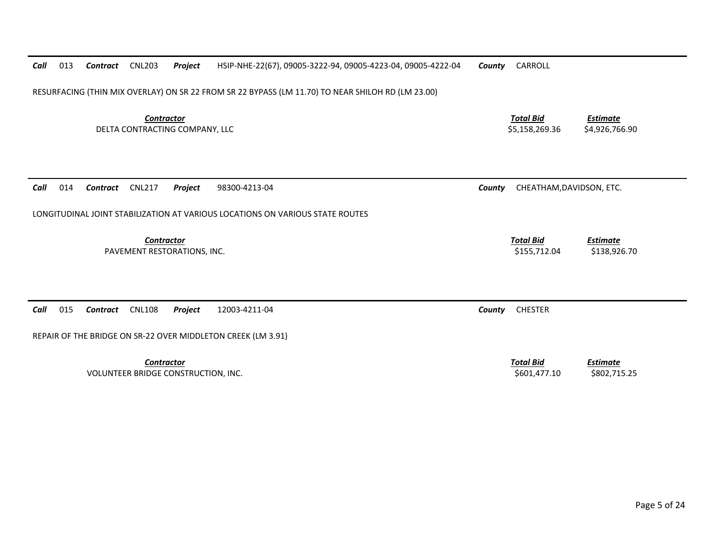| Call | 013 | Contract | <b>CNL203</b>                                            | Project | HSIP-NHE-22(67), 09005-3222-94, 09005-4223-04, 09005-4222-04                                      | County | CARROLL                            |                                   |
|------|-----|----------|----------------------------------------------------------|---------|---------------------------------------------------------------------------------------------------|--------|------------------------------------|-----------------------------------|
|      |     |          |                                                          |         | RESURFACING (THIN MIX OVERLAY) ON SR 22 FROM SR 22 BYPASS (LM 11.70) TO NEAR SHILOH RD (LM 23.00) |        |                                    |                                   |
|      |     |          | <b>Contractor</b><br>DELTA CONTRACTING COMPANY, LLC      |         |                                                                                                   |        | <b>Total Bid</b><br>\$5,158,269.36 | <b>Estimate</b><br>\$4,926,766.90 |
| Call | 014 | Contract | <b>CNL217</b>                                            | Project | 98300-4213-04                                                                                     | County | CHEATHAM, DAVIDSON, ETC.           |                                   |
|      |     |          |                                                          |         | LONGITUDINAL JOINT STABILIZATION AT VARIOUS LOCATIONS ON VARIOUS STATE ROUTES                     |        |                                    |                                   |
|      |     |          | Contractor<br>PAVEMENT RESTORATIONS, INC.                |         |                                                                                                   |        | <b>Total Bid</b><br>\$155,712.04   | <b>Estimate</b><br>\$138,926.70   |
| Call | 015 | Contract | <b>CNL108</b>                                            | Project | 12003-4211-04                                                                                     | County | <b>CHESTER</b>                     |                                   |
|      |     |          |                                                          |         | REPAIR OF THE BRIDGE ON SR-22 OVER MIDDLETON CREEK (LM 3.91)                                      |        |                                    |                                   |
|      |     |          | <b>Contractor</b><br>VOLUNTEER BRIDGE CONSTRUCTION, INC. |         |                                                                                                   |        | <b>Total Bid</b><br>\$601,477.10   | <b>Estimate</b><br>\$802,715.25   |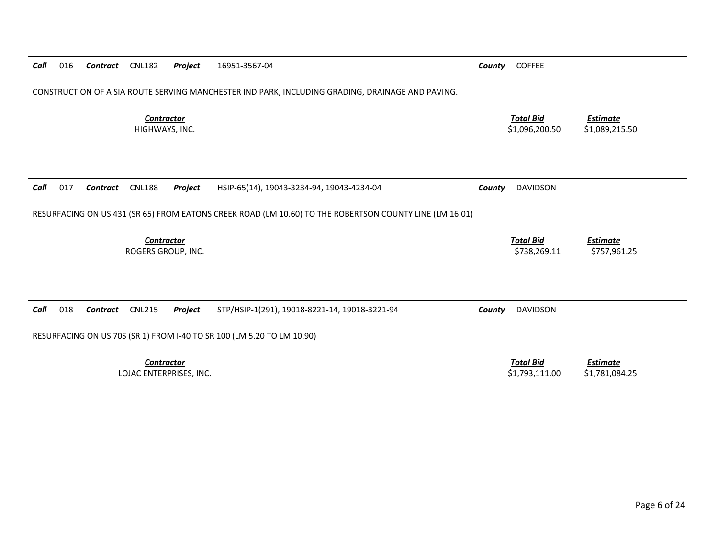| Call | 016 | Contract | <b>CNL182</b>                                | Project | 16951-3567-04                                                                                           | County | <b>COFFEE</b>                      |                                   |
|------|-----|----------|----------------------------------------------|---------|---------------------------------------------------------------------------------------------------------|--------|------------------------------------|-----------------------------------|
|      |     |          |                                              |         | CONSTRUCTION OF A SIA ROUTE SERVING MANCHESTER IND PARK, INCLUDING GRADING, DRAINAGE AND PAVING.        |        |                                    |                                   |
|      |     |          | <b>Contractor</b><br>HIGHWAYS, INC.          |         |                                                                                                         |        | <b>Total Bid</b><br>\$1,096,200.50 | <b>Estimate</b><br>\$1,089,215.50 |
| Call | 017 | Contract | <b>CNL188</b>                                | Project | HSIP-65(14), 19043-3234-94, 19043-4234-04                                                               | County | <b>DAVIDSON</b>                    |                                   |
|      |     |          |                                              |         | RESURFACING ON US 431 (SR 65) FROM EATONS CREEK ROAD (LM 10.60) TO THE ROBERTSON COUNTY LINE (LM 16.01) |        |                                    |                                   |
|      |     |          | Contractor<br>ROGERS GROUP, INC.             |         |                                                                                                         |        | <b>Total Bid</b><br>\$738,269.11   | <b>Estimate</b><br>\$757,961.25   |
| Call | 018 | Contract | <b>CNL215</b>                                | Project | STP/HSIP-1(291), 19018-8221-14, 19018-3221-94                                                           | County | <b>DAVIDSON</b>                    |                                   |
|      |     |          |                                              |         | RESURFACING ON US 70S (SR 1) FROM I-40 TO SR 100 (LM 5.20 TO LM 10.90)                                  |        |                                    |                                   |
|      |     |          | <b>Contractor</b><br>LOJAC ENTERPRISES, INC. |         |                                                                                                         |        | <b>Total Bid</b><br>\$1,793,111.00 | <b>Estimate</b><br>\$1,781,084.25 |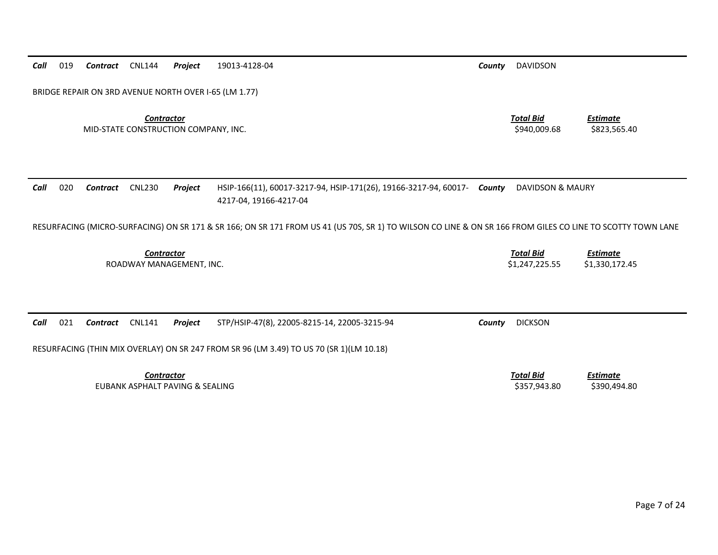|  |  |  |  |  | Call 019 Contract CNL144 Project 19013-4128-04 | Countv | DAVIDSON |
|--|--|--|--|--|------------------------------------------------|--------|----------|
|--|--|--|--|--|------------------------------------------------|--------|----------|

BRIDGE REPAIR ON 3RD AVENUE NORTH OVER I‐65 (LM 1.77)

*Contractor Total Bid*MID‐STATE CONSTRUCTION COMPANY, INC. \$940,009.68 \$823,565.40

*Estimate*

#### *Call* 020 *Contract* CNL230 *Project* HSIP‐166(11), 60017‐3217‐94, HSIP‐171(26), 19166‐3217‐94, 60017‐ 4217‐04, 19166‐4217‐04 *County* DAVIDSON & MAURY

RESURFACING (MICRO‐SURFACING) ON SR 171 & SR 166; ON SR 171 FROM US 41 (US 70S, SR 1) TO WILSON CO LINE & ON SR 166 FROM GILES CO LINE TO SCOTTY TOWN LANE

*Contractor Total Bid Estimate* ROADWAY MANAGEMENT, INC. \$1,247,225.55 \$1,330,172.45

*Call* 021*Contract* CNL141 *Project* STP/HSIP‐47(8), 22005‐8215‐14, 22005‐3215‐94 *County* DICKSON

RESURFACING (THIN MIX OVERLAY) ON SR 247 FROM SR 96 (LM 3.49) TO US 70 (SR 1)(LM 10.18)

*Contractor Total Bid*EUBANK ASPHALT PAVING &

 *Estimate* \$357,943.80 \$390,494.80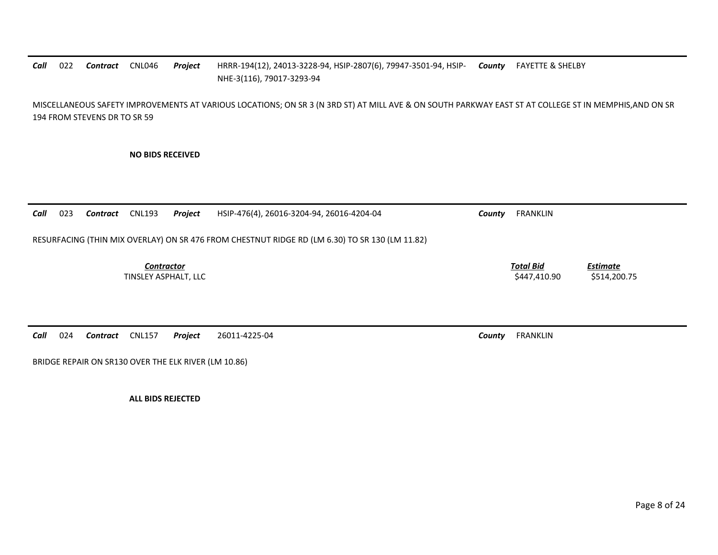### *Call*022 **Contract** CNL046 *Contract* CNL046 *Project* HRRR‐194(12), 24013‐3228‐94, HSIP‐2807(6), 79947‐3501‐94, HSIP‐ *County* FAYETTE & SHELBY NHE‐3(116), 79017‐3293‐94

MISCELLANEOUS SAFETY IMPROVEMENTS AT VARIOUS LOCATIONS; ON SR 3 (N 3RD ST) AT MILL AVE & ON SOUTH PARKWAY EAST ST AT COLLEGE ST IN MEMPHIS,AND ON SR 194 FROM STEVENS DR TO SR 59

**NO BIDS RECEIVED**

*Call* 023 *Contract* CNL193 *Project* HSIP‐476(4), 26016‐3204‐94, 26016‐4204‐04 *County* FRANKLIN RESURFACING (THIN MIX OVERLAY) ON SR 476 FROM CHESTNUT RIDGE RD (LM 6.30) TO SR 130 (LM 11.82) *Contractor Total Bid Estimate* TINSLEY ASPHALT, LLC \$447,410.90 \$514,200.75

*Call* 024*Contract* CNL157 *Project* 26011‐4225‐04 *County* FRANKLIN

BRIDGE REPAIR ON SR130 OVER THE ELK RIVER (LM 10.86)

**ALL BIDS REJECTED**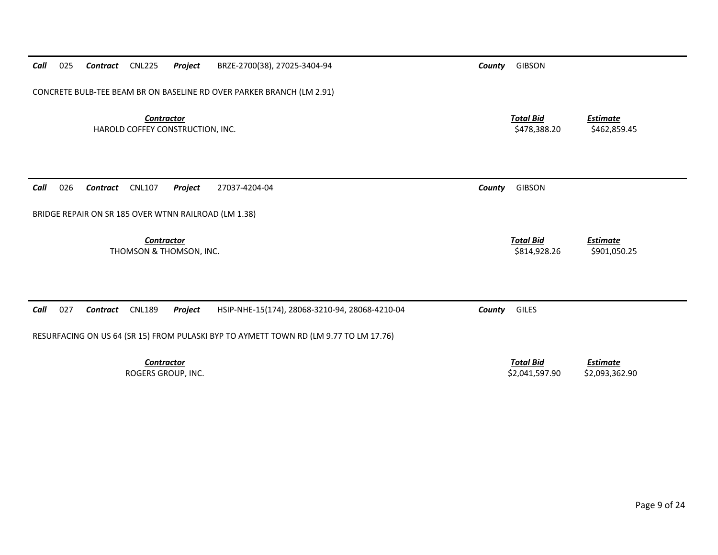| Call<br>025<br><b>CNL225</b><br>Project<br>Contract                   | BRZE-2700(38), 27025-3404-94                                                          | County | <b>GIBSON</b>                      |                                   |
|-----------------------------------------------------------------------|---------------------------------------------------------------------------------------|--------|------------------------------------|-----------------------------------|
| CONCRETE BULB-TEE BEAM BR ON BASELINE RD OVER PARKER BRANCH (LM 2.91) |                                                                                       |        |                                    |                                   |
| <b>Contractor</b><br>HAROLD COFFEY CONSTRUCTION, INC.                 |                                                                                       |        | <b>Total Bid</b><br>\$478,388.20   | <b>Estimate</b><br>\$462,859.45   |
|                                                                       |                                                                                       |        |                                    |                                   |
| 026<br><b>CNL107</b><br>Project<br>Call<br>Contract                   | 27037-4204-04                                                                         | County | <b>GIBSON</b>                      |                                   |
| BRIDGE REPAIR ON SR 185 OVER WTNN RAILROAD (LM 1.38)                  |                                                                                       |        |                                    |                                   |
| <b>Contractor</b><br>THOMSON & THOMSON, INC.                          |                                                                                       |        | <b>Total Bid</b><br>\$814,928.26   | <b>Estimate</b><br>\$901,050.25   |
|                                                                       |                                                                                       |        |                                    |                                   |
| 027<br><b>CNL189</b><br>Call<br><b>Contract</b><br>Project            | HSIP-NHE-15(174), 28068-3210-94, 28068-4210-04                                        | County | <b>GILES</b>                       |                                   |
|                                                                       | RESURFACING ON US 64 (SR 15) FROM PULASKI BYP TO AYMETT TOWN RD (LM 9.77 TO LM 17.76) |        |                                    |                                   |
| <b>Contractor</b><br>ROGERS GROUP, INC.                               |                                                                                       |        | <b>Total Bid</b><br>\$2,041,597.90 | <b>Estimate</b><br>\$2,093,362.90 |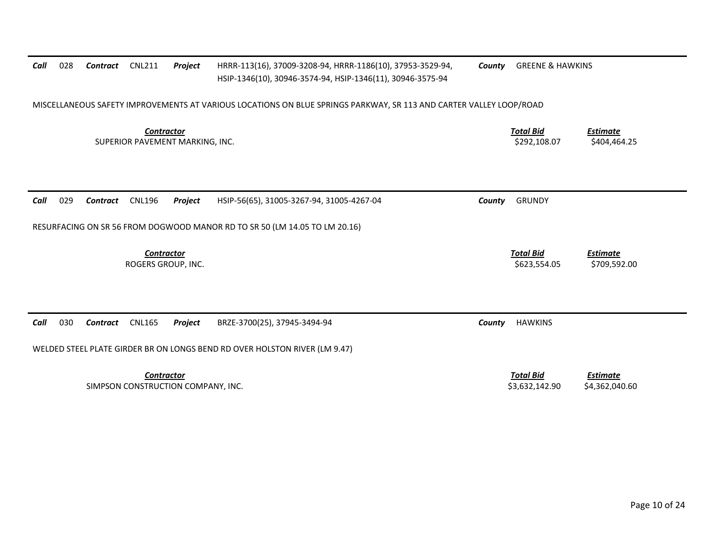| Call | 028 | Contract | <b>CNL211</b>                                           | Project | HRRR-113(16), 37009-3208-94, HRRR-1186(10), 37953-3529-94,<br>HSIP-1346(10), 30946-3574-94, HSIP-1346(11), 30946-3575-94 | County | <b>GREENE &amp; HAWKINS</b>        |                                   |
|------|-----|----------|---------------------------------------------------------|---------|--------------------------------------------------------------------------------------------------------------------------|--------|------------------------------------|-----------------------------------|
|      |     |          |                                                         |         | MISCELLANEOUS SAFETY IMPROVEMENTS AT VARIOUS LOCATIONS ON BLUE SPRINGS PARKWAY, SR 113 AND CARTER VALLEY LOOP/ROAD       |        |                                    |                                   |
|      |     |          | <b>Contractor</b><br>SUPERIOR PAVEMENT MARKING, INC.    |         |                                                                                                                          |        | <b>Total Bid</b><br>\$292,108.07   | <b>Estimate</b><br>\$404,464.25   |
| Call | 029 | Contract | <b>CNL196</b>                                           | Project | HSIP-56(65), 31005-3267-94, 31005-4267-04                                                                                | County | <b>GRUNDY</b>                      |                                   |
|      |     |          |                                                         |         | RESURFACING ON SR 56 FROM DOGWOOD MANOR RD TO SR 50 (LM 14.05 TO LM 20.16)                                               |        |                                    |                                   |
|      |     |          | <b>Contractor</b><br>ROGERS GROUP, INC.                 |         |                                                                                                                          |        | <b>Total Bid</b><br>\$623,554.05   | <b>Estimate</b><br>\$709,592.00   |
| Call | 030 | Contract | <b>CNL165</b>                                           | Project | BRZE-3700(25), 37945-3494-94                                                                                             | County | <b>HAWKINS</b>                     |                                   |
|      |     |          |                                                         |         | WELDED STEEL PLATE GIRDER BR ON LONGS BEND RD OVER HOLSTON RIVER (LM 9.47)                                               |        |                                    |                                   |
|      |     |          | <b>Contractor</b><br>SIMPSON CONSTRUCTION COMPANY, INC. |         |                                                                                                                          |        | <b>Total Bid</b><br>\$3,632,142.90 | <b>Estimate</b><br>\$4,362,040.60 |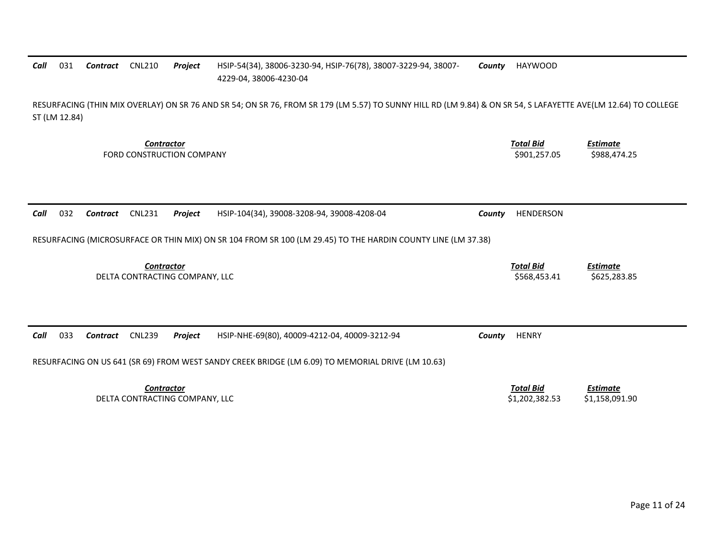#### *Call*031 **Contract** CNL210 *Contract* CNL210 *Project* HSIP‐54(34), 38006‐3230‐94, HSIP‐76(78), 38007‐3229‐94, 38007‐ 4229‐04, 38006‐4230‐04 *County* HAYWOOD

RESURFACING (THIN MIX OVERLAY) ON SR 76 AND SR 54; ON SR 76, FROM SR 179 (LM 5.57) TO SUNNY HILL RD (LM 9.84) & ON SR 54, S LAFAYETTE AVE(LM 12.64) TO COLLEGE ST (LM 12.84)

> *Contractor Total Bid*FORD CONSTRUCTION

 *Estimate* N COMPANY \$901,257.05 \$988,474.25 \$901,257.05 \$988,474.25

*Call*032 **Contract** CNL231 **Project** HSIP‐104(34), 39008‐3208‐94, 39008‐4208‐04 **County HENDERSON** 

RESURFACING (MICROSURFACE OR THIN MIX) ON SR 104 FROM SR 100 (LM 29.45) TO THE HARDIN COUNTY LINE (LM 37.38)

*Contractor Total Bid Estimate* DELTA CONTRACTING COMPANY, LLC \$568,453.41 \$625,283.85

| Call | 033 | Contract | <b>CNL239</b>     | Proiect                        | HSIP-NHE-69(80), 40009-4212-04, 40009-3212-94                                                     | Countv | <b>HENRY</b>     |                |  |
|------|-----|----------|-------------------|--------------------------------|---------------------------------------------------------------------------------------------------|--------|------------------|----------------|--|
|      |     |          |                   |                                | RESURFACING ON US 641 (SR 69) FROM WEST SANDY CREEK BRIDGE (LM 6.09) TO MEMORIAL DRIVE (LM 10.63) |        |                  |                |  |
|      |     |          | <b>Contractor</b> |                                |                                                                                                   |        | <b>Total Bid</b> | Estimate       |  |
|      |     |          |                   | DELTA CONTRACTING COMPANY, LLC |                                                                                                   |        | \$1,202,382.53   | \$1,158,091.90 |  |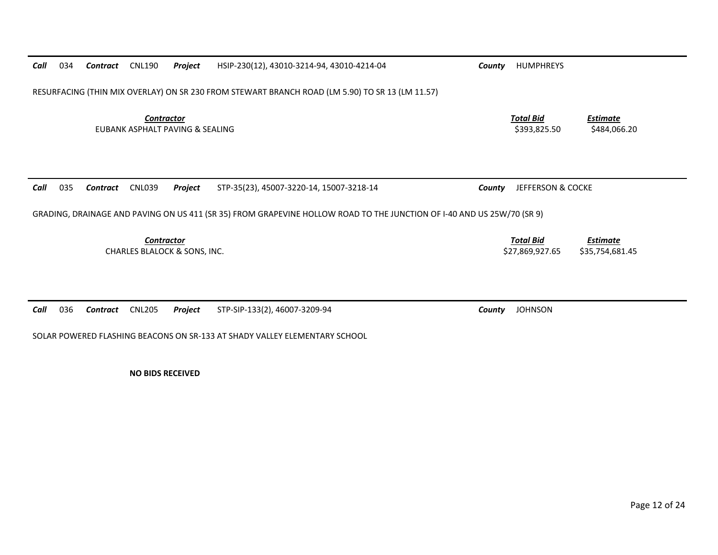| 034<br>Call | Contract | <b>CNL190</b>                                        | Project | HSIP-230(12), 43010-3214-94, 43010-4214-04                                                                             | County | <b>HUMPHREYS</b>                    |                                    |
|-------------|----------|------------------------------------------------------|---------|------------------------------------------------------------------------------------------------------------------------|--------|-------------------------------------|------------------------------------|
|             |          |                                                      |         | RESURFACING (THIN MIX OVERLAY) ON SR 230 FROM STEWART BRANCH ROAD (LM 5.90) TO SR 13 (LM 11.57)                        |        |                                     |                                    |
|             |          | <b>Contractor</b><br>EUBANK ASPHALT PAVING & SEALING |         |                                                                                                                        |        | <b>Total Bid</b><br>\$393,825.50    | <b>Estimate</b><br>\$484,066.20    |
|             |          |                                                      |         |                                                                                                                        |        |                                     |                                    |
| 035         | Contract | <b>CNL039</b>                                        | Project | STP-35(23), 45007-3220-14, 15007-3218-14                                                                               | County | JEFFERSON & COCKE                   |                                    |
|             |          |                                                      |         | GRADING, DRAINAGE AND PAVING ON US 411 (SR 35) FROM GRAPEVINE HOLLOW ROAD TO THE JUNCTION OF I-40 AND US 25W/70 (SR 9) |        |                                     |                                    |
| Call        |          | <b>Contractor</b><br>CHARLES BLALOCK & SONS, INC.    |         |                                                                                                                        |        | <b>Total Bid</b><br>\$27,869,927.65 | <b>Estimate</b><br>\$35,754,681.45 |
| 036         |          | <b>CNL205</b>                                        | Project | STP-SIP-133(2), 46007-3209-94                                                                                          |        | <b>JOHNSON</b>                      |                                    |

**NO BIDS RECEIVED**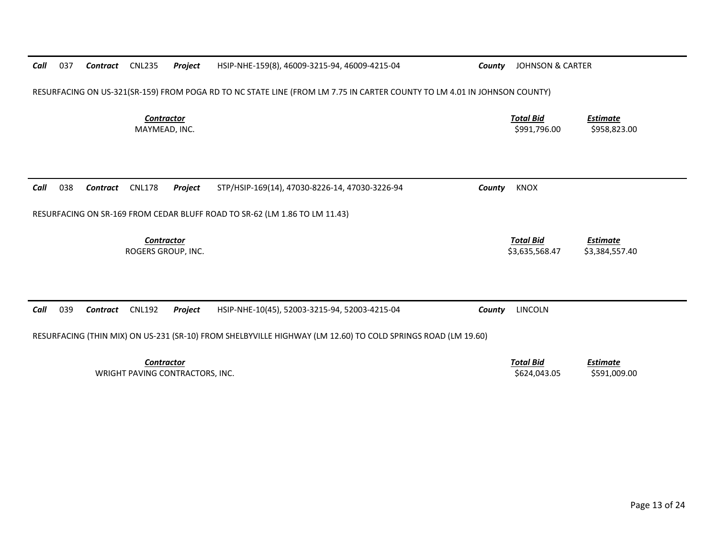| Call | 037 | Contract        | <b>CNL235</b>                      | Project                         | HSIP-NHE-159(8), 46009-3215-94, 46009-4215-04                                                                            | County | <b>JOHNSON &amp; CARTER</b>        |                                   |
|------|-----|-----------------|------------------------------------|---------------------------------|--------------------------------------------------------------------------------------------------------------------------|--------|------------------------------------|-----------------------------------|
|      |     |                 |                                    |                                 | RESURFACING ON US-321(SR-159) FROM POGA RD TO NC STATE LINE (FROM LM 7.75 IN CARTER COUNTY TO LM 4.01 IN JOHNSON COUNTY) |        |                                    |                                   |
|      |     |                 | <b>Contractor</b><br>MAYMEAD, INC. |                                 |                                                                                                                          |        | <b>Total Bid</b><br>\$991,796.00   | <b>Estimate</b><br>\$958,823.00   |
| Call | 038 | <b>Contract</b> | <b>CNL178</b>                      | Project                         | STP/HSIP-169(14), 47030-8226-14, 47030-3226-94                                                                           | County | <b>KNOX</b>                        |                                   |
|      |     |                 |                                    |                                 | RESURFACING ON SR-169 FROM CEDAR BLUFF ROAD TO SR-62 (LM 1.86 TO LM 11.43)                                               |        |                                    |                                   |
|      |     |                 | Contractor<br>ROGERS GROUP, INC.   |                                 |                                                                                                                          |        | <b>Total Bid</b><br>\$3,635,568.47 | <b>Estimate</b><br>\$3,384,557.40 |
|      |     |                 |                                    |                                 |                                                                                                                          |        |                                    |                                   |
| Call | 039 | <b>Contract</b> | <b>CNL192</b>                      | Project                         | HSIP-NHE-10(45), 52003-3215-94, 52003-4215-04                                                                            | County | <b>LINCOLN</b>                     |                                   |
|      |     |                 |                                    |                                 | RESURFACING (THIN MIX) ON US-231 (SR-10) FROM SHELBYVILLE HIGHWAY (LM 12.60) TO COLD SPRINGS ROAD (LM 19.60)             |        |                                    |                                   |
|      |     |                 | <b>Contractor</b>                  | WRIGHT PAVING CONTRACTORS, INC. |                                                                                                                          |        | <b>Total Bid</b><br>\$624,043.05   | Estimate<br>\$591,009.00          |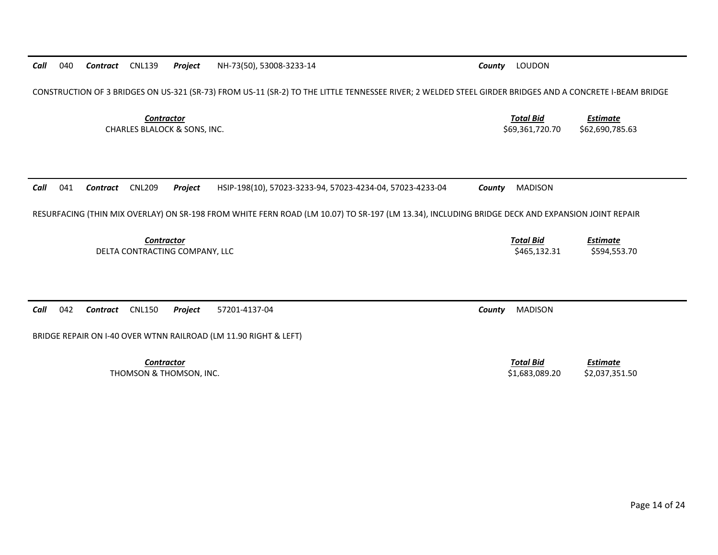CONSTRUCTION OF 3 BRIDGES ON US‐321 (SR‐73) FROM US‐11 (SR‐2) TO THE LITTLE TENNESSEE RIVER; 2 WELDED STEEL GIRDER BRIDGES AND A CONCRETE I‐BEAM BRIDGE *Contractor Total Bid*CHARLES BLALOCK &

*Call*041

RESURFACING (THIN MIX OVERLAY) ON SR‐198 FROM WHITE FERN ROAD (LM 10.07) TO SR‐197 (LM 13.34), INCLUDING BRIDGE DECK AND EXPANSION JOINT REPAIR

*Call*042

BRIDGE REPAIR ON I‐40 OVER WTNN RAILROAD (LM 11.90 RIGHT & LEFT)

*Contractor*

 *Contract* CNL209 *Project* HSIP‐198(10), 57023‐3233‐94, 57023‐4234‐04, 57023‐4233‐04 *County* MADISON *Contractor Total Bid Estimate* DELTA CONTRACTING COMPANY, LLC \$465,132.31 \$594,553.70 *Contract* CNL150 *Project* 57201‐4137‐04 *County* MADISON *Total Bid Estimate* THOMSON & THOMSON, INC. \$1,683,089.20 \$2,037,351.50

 *Estimate* \$69,361,720.70 \$62,690,785.63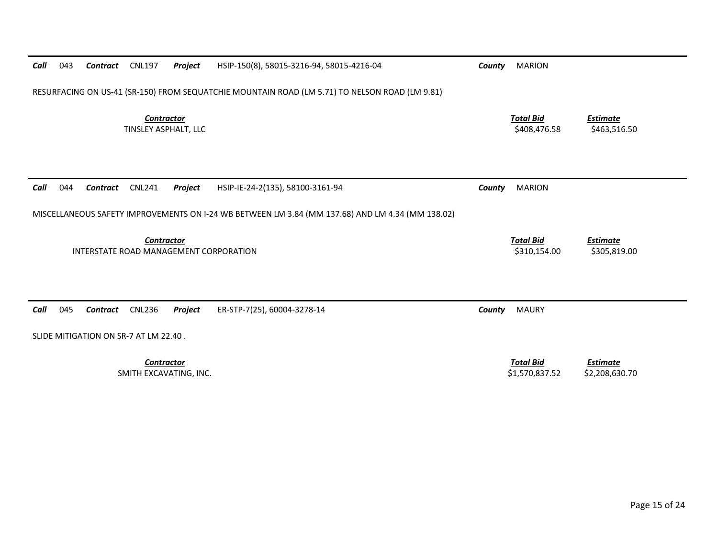| Call | 043 | Contract        | <b>CNL197</b>                               | Project | HSIP-150(8), 58015-3216-94, 58015-4216-04                                                        | County | <b>MARION</b>                      |                                   |
|------|-----|-----------------|---------------------------------------------|---------|--------------------------------------------------------------------------------------------------|--------|------------------------------------|-----------------------------------|
|      |     |                 |                                             |         | RESURFACING ON US-41 (SR-150) FROM SEQUATCHIE MOUNTAIN ROAD (LM 5.71) TO NELSON ROAD (LM 9.81)   |        |                                    |                                   |
|      |     |                 | <b>Contractor</b><br>TINSLEY ASPHALT, LLC   |         |                                                                                                  |        | <b>Total Bid</b><br>\$408,476.58   | <b>Estimate</b><br>\$463,516.50   |
| Call | 044 | <b>Contract</b> | <b>CNL241</b>                               | Project | HSIP-IE-24-2(135), 58100-3161-94                                                                 | County | <b>MARION</b>                      |                                   |
|      |     |                 |                                             |         | MISCELLANEOUS SAFETY IMPROVEMENTS ON I-24 WB BETWEEN LM 3.84 (MM 137.68) AND LM 4.34 (MM 138.02) |        |                                    |                                   |
|      |     |                 | <b>Contractor</b>                           |         | INTERSTATE ROAD MANAGEMENT CORPORATION                                                           |        | <b>Total Bid</b><br>\$310,154.00   | <b>Estimate</b><br>\$305,819.00   |
| Call | 045 | Contract        | <b>CNL236</b>                               | Project | ER-STP-7(25), 60004-3278-14                                                                      | County | <b>MAURY</b>                       |                                   |
|      |     |                 | SLIDE MITIGATION ON SR-7 AT LM 22.40.       |         |                                                                                                  |        |                                    |                                   |
|      |     |                 | <b>Contractor</b><br>SMITH EXCAVATING, INC. |         |                                                                                                  |        | <b>Total Bid</b><br>\$1,570,837.52 | <b>Estimate</b><br>\$2,208,630.70 |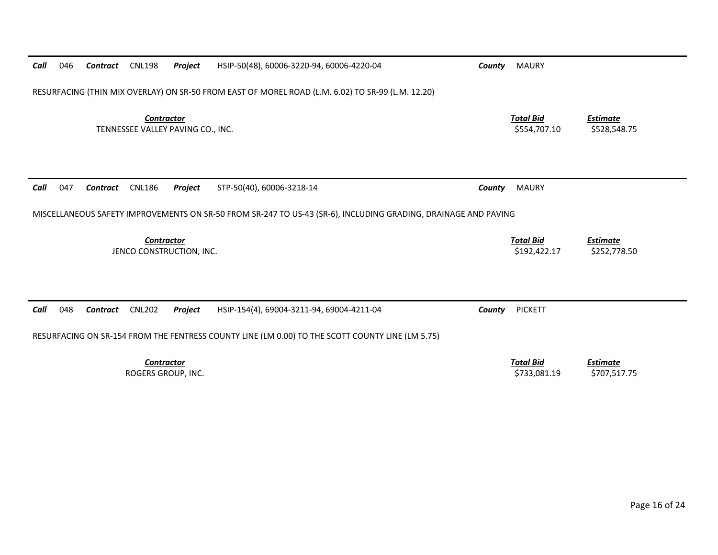| Call | 046 | Contract | <b>CNL198</b>                                          | Project                  | HSIP-50(48), 60006-3220-94, 60006-4220-04                                                                      | County | <b>MAURY</b>                     |                                 |
|------|-----|----------|--------------------------------------------------------|--------------------------|----------------------------------------------------------------------------------------------------------------|--------|----------------------------------|---------------------------------|
|      |     |          |                                                        |                          | RESURFACING (THIN MIX OVERLAY) ON SR-50 FROM EAST OF MOREL ROAD (L.M. 6.02) TO SR-99 (L.M. 12.20)              |        |                                  |                                 |
|      |     |          | <b>Contractor</b><br>TENNESSEE VALLEY PAVING CO., INC. |                          |                                                                                                                |        | <b>Total Bid</b><br>\$554,707.10 | <b>Estimate</b><br>\$528,548.75 |
|      |     |          |                                                        |                          |                                                                                                                |        |                                  |                                 |
| Call | 047 | Contract | <b>CNL186</b>                                          | Project                  | STP-50(40), 60006-3218-14                                                                                      | County | <b>MAURY</b>                     |                                 |
|      |     |          |                                                        |                          | MISCELLANEOUS SAFETY IMPROVEMENTS ON SR-50 FROM SR-247 TO US-43 (SR-6), INCLUDING GRADING, DRAINAGE AND PAVING |        |                                  |                                 |
|      |     |          | <b>Contractor</b>                                      | JENCO CONSTRUCTION, INC. |                                                                                                                |        | <b>Total Bid</b>                 | <b>Estimate</b>                 |
|      |     |          |                                                        |                          |                                                                                                                |        | \$192,422.17                     | \$252,778.50                    |
|      |     |          |                                                        |                          |                                                                                                                |        |                                  |                                 |
| Call | 048 | Contract | <b>CNL202</b>                                          | Project                  | HSIP-154(4), 69004-3211-94, 69004-4211-04                                                                      | County | <b>PICKETT</b>                   |                                 |
|      |     |          |                                                        |                          | RESURFACING ON SR-154 FROM THE FENTRESS COUNTY LINE (LM 0.00) TO THE SCOTT COUNTY LINE (LM 5.75)               |        |                                  |                                 |
|      |     |          | <b>Contractor</b>                                      |                          |                                                                                                                |        | <b>Total Bid</b>                 | <u>Estimate</u>                 |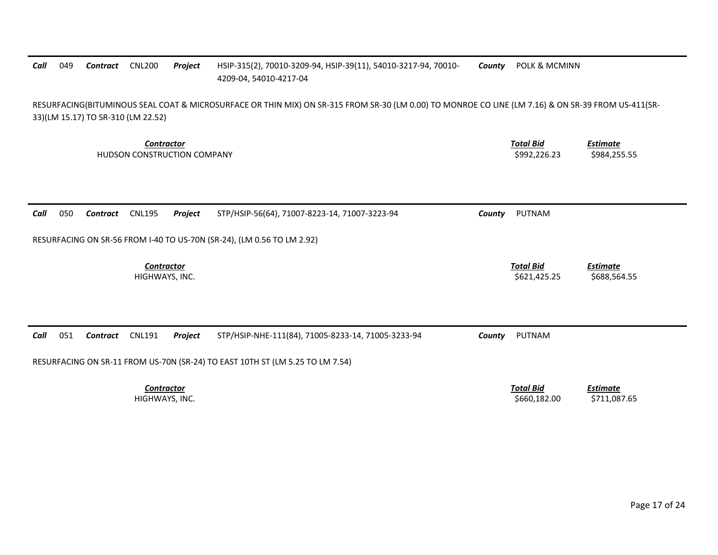## *Call* 049 *Contract* CNL200 *Project* HSIP‐315(2), 70010‐3209‐94, HSIP‐39(11), 54010‐3217‐94, 70010‐ 4209‐04, 54010‐4217‐04 *County* POLK & MCMINN RESURFACING(BITUMINOUS SEAL COAT & MICROSURFACE OR THIN MIX) ON SR‐315 FROM SR‐30 (LM 0.00) TO MONROE CO LINE (LM 7.16) & ON SR‐39 FROM US‐411(SR‐ 33)(LM 15.17) TO SR‐310 (LM 22.52) *Contractor Total Bid Estimate* HUDSON CONSTRUCTION COMPANY \$992,226.23 \$984,255.55 *Call* 050 *Contract* CNL195 *Project* STP/HSIP‐56(64), 71007‐8223‐14, 71007‐3223‐94 *County* PUTNAM RESURFACING ON SR‐56 FROM I‐40 TO US‐70N (SR‐24), (LM 0.56 TO LM 2.92) *Contractor Total Bid Estimate* HIGHWAYS, INC. \$621,425.25 \$688,564.55 *Call* 051 *Contract* CNL191 *Project* STP/HSIP‐NHE‐111(84), 71005‐8233‐14, 71005‐3233‐94 *County* PUTNAM RESURFACING ON SR‐11 FROM US‐70N (SR‐24) TO EAST 10TH ST (LM 5.25 TO LM 7.54) *Contractor Total Bid Estimate* HIGHWAYS, INC. \$660,182.00 \$711,087.65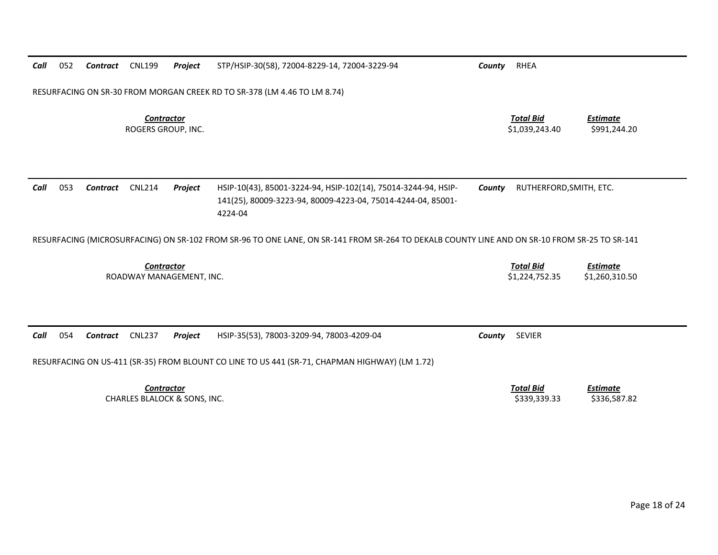| Call                                          | 052 | Contract | <b>CNL199</b>      | Project           | STP/HSIP-30(58), 72004-8229-14, 72004-3229-94                                                                                                | County | RHEA                               |                                   |
|-----------------------------------------------|-----|----------|--------------------|-------------------|----------------------------------------------------------------------------------------------------------------------------------------------|--------|------------------------------------|-----------------------------------|
|                                               |     |          |                    |                   | RESURFACING ON SR-30 FROM MORGAN CREEK RD TO SR-378 (LM 4.46 TO LM 8.74)                                                                     |        |                                    |                                   |
|                                               |     |          | ROGERS GROUP, INC. | <b>Contractor</b> |                                                                                                                                              |        | <b>Total Bid</b><br>\$1,039,243.40 | Estimate<br>\$991,244.20          |
| Call                                          | 053 | Contract | <b>CNL214</b>      | Project           | HSIP-10(43), 85001-3224-94, HSIP-102(14), 75014-3244-94, HSIP-<br>141(25), 80009-3223-94, 80009-4223-04, 75014-4244-04, 85001-<br>4224-04    | County | RUTHERFORD, SMITH, ETC.            |                                   |
|                                               |     |          |                    |                   | RESURFACING (MICROSURFACING) ON SR-102 FROM SR-96 TO ONE LANE, ON SR-141 FROM SR-264 TO DEKALB COUNTY LINE AND ON SR-10 FROM SR-25 TO SR-141 |        |                                    |                                   |
| <b>Contractor</b><br>ROADWAY MANAGEMENT. INC. |     |          |                    |                   |                                                                                                                                              |        | <b>Total Bid</b><br>\$1,224,752.35 | <b>Estimate</b><br>\$1,260,310.50 |

| Call                         | 054 | Contract | <b>CNL237</b> | <b>Project</b> | HSIP-35(53), 78003-3209-94, 78003-4209-04                                                      | Countv | <b>SEVIER</b> |              |
|------------------------------|-----|----------|---------------|----------------|------------------------------------------------------------------------------------------------|--------|---------------|--------------|
|                              |     |          |               |                | RESURFACING ON US-411 (SR-35) FROM BLOUNT CO LINE TO US 441 (SR-71, CHAPMAN HIGHWAY) (LM 1.72) |        |               |              |
| Contractor                   |     |          |               |                |                                                                                                |        | Total Bid     | Estimate     |
| CHARLES BLALOCK & SONS, INC. |     |          |               |                |                                                                                                |        | \$339.339.33  | \$336,587.82 |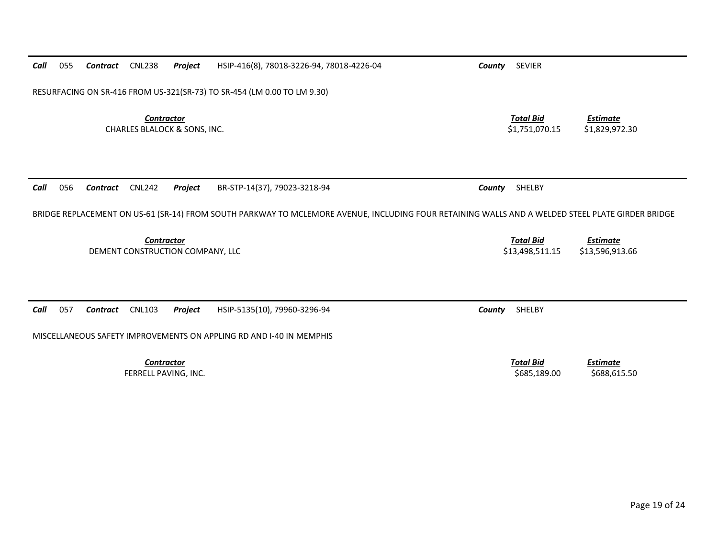| Call | 055                                                                     | Contract | <b>CNL238</b>                                                | Project | HSIP-416(8), 78018-3226-94, 78018-4226-04                                                                                                        | <b>SEVIER</b><br>County             |                                    |  |  |  |  |
|------|-------------------------------------------------------------------------|----------|--------------------------------------------------------------|---------|--------------------------------------------------------------------------------------------------------------------------------------------------|-------------------------------------|------------------------------------|--|--|--|--|
|      | RESURFACING ON SR-416 FROM US-321(SR-73) TO SR-454 (LM 0.00 TO LM 9.30) |          |                                                              |         |                                                                                                                                                  |                                     |                                    |  |  |  |  |
|      |                                                                         |          | <b>Contractor</b><br><b>CHARLES BLALOCK &amp; SONS, INC.</b> |         |                                                                                                                                                  | <b>Total Bid</b><br>\$1,751,070.15  | <b>Estimate</b><br>\$1,829,972.30  |  |  |  |  |
| Call | 056                                                                     | Contract | <b>CNL242</b>                                                | Project | BR-STP-14(37), 79023-3218-94                                                                                                                     | SHELBY<br>County                    |                                    |  |  |  |  |
|      |                                                                         |          |                                                              |         | BRIDGE REPLACEMENT ON US-61 (SR-14) FROM SOUTH PARKWAY TO MCLEMORE AVENUE, INCLUDING FOUR RETAINING WALLS AND A WELDED STEEL PLATE GIRDER BRIDGE |                                     |                                    |  |  |  |  |
|      |                                                                         |          | Contractor<br>DEMENT CONSTRUCTION COMPANY, LLC               |         |                                                                                                                                                  | <b>Total Bid</b><br>\$13,498,511.15 | <b>Estimate</b><br>\$13,596,913.66 |  |  |  |  |
|      |                                                                         |          |                                                              |         |                                                                                                                                                  |                                     |                                    |  |  |  |  |
| Call | 057                                                                     | Contract | <b>CNL103</b>                                                | Project | HSIP-5135(10), 79960-3296-94                                                                                                                     | SHELBY<br>County                    |                                    |  |  |  |  |
|      |                                                                         |          |                                                              |         | MISCELLANEOUS SAFETY IMPROVEMENTS ON APPLING RD AND I-40 IN MEMPHIS                                                                              |                                     |                                    |  |  |  |  |
|      |                                                                         |          |                                                              |         |                                                                                                                                                  |                                     |                                    |  |  |  |  |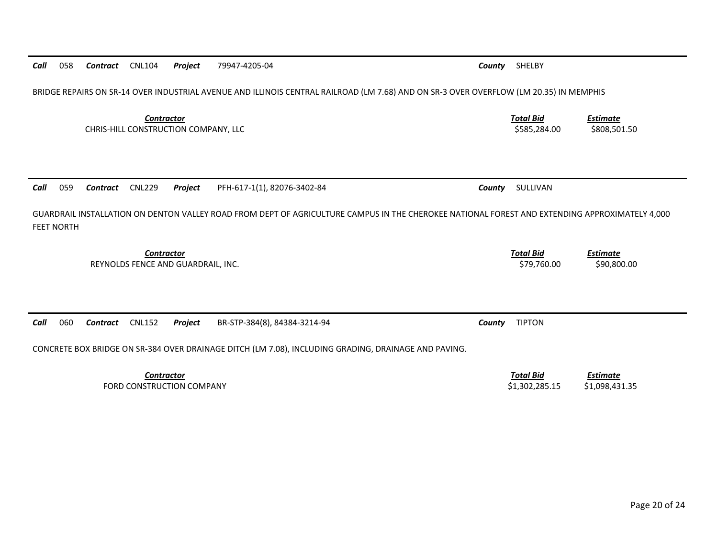| Call                                                                                                                                                                | 059                                                                                                  | Contract | <b>CNL229</b>                                           | Project | PFH-617-1(1), 82076-3402-84  | County | SULLIVAN                        |                         |  |
|---------------------------------------------------------------------------------------------------------------------------------------------------------------------|------------------------------------------------------------------------------------------------------|----------|---------------------------------------------------------|---------|------------------------------|--------|---------------------------------|-------------------------|--|
| GUARDRAIL INSTALLATION ON DENTON VALLEY ROAD FROM DEPT OF AGRICULTURE CAMPUS IN THE CHEROKEE NATIONAL FOREST AND EXTENDING APPROXIMATELY 4,000<br><b>FEET NORTH</b> |                                                                                                      |          |                                                         |         |                              |        |                                 |                         |  |
|                                                                                                                                                                     |                                                                                                      |          | <b>Contractor</b><br>REYNOLDS FENCE AND GUARDRAIL. INC. |         |                              |        | <b>Total Bid</b><br>\$79,760.00 | Estimate<br>\$90,800.00 |  |
| Call                                                                                                                                                                | 060                                                                                                  | Contract | <b>CNL152</b>                                           | Project | BR-STP-384(8), 84384-3214-94 | County | <b>TIPTON</b>                   |                         |  |
|                                                                                                                                                                     | CONCRETE BOX BRIDGE ON SR-384 OVER DRAINAGE DITCH (LM 7.08), INCLUDING GRADING, DRAINAGE AND PAVING. |          |                                                         |         |                              |        |                                 |                         |  |

CHRIS‐HILL CONSTRUCTION COMPANY, LLC \$585,284.00 \$808,501.50

*Total Bid*

*Estimate*

*Contract* CNL104 *Project* 79947‐4205‐04 *County* SHELBY

BRIDGE REPAIRS ON SR‐14 OVER INDUSTRIAL AVENUE AND ILLINOIS CENTRAL RAILROAD (LM 7.68) AND ON SR‐3 OVER OVERFLOW (LM 20.35) IN MEMPHIS

*Call*

058

*Contractor*

*Contractor Total Bid Estimate* FORD CONSTRUCTION\$1,302,285.15 \$1,098,431.35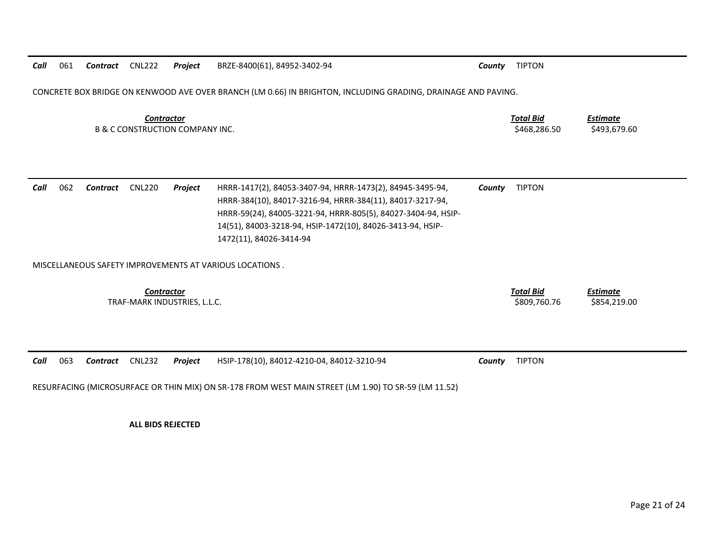CONCRETE BOX BRIDGE ON KENWOOD AVE OVER BRANCH (LM 0.66) IN BRIGHTON, INCLUDING GRADING, DRAINAGE AND PAVING.

*Contractor Total Bid*B & C CONSTRUCTION COMPANY INC. \$468,286.50 \$493,679.60

*Estimate*

| Call | 062 | Contract | CNL220 | Proiect | HRRR-1417(2), 84053-3407-94, HRRR-1473(2), 84945-3495-94,     | County | <b>TIPTON</b> |
|------|-----|----------|--------|---------|---------------------------------------------------------------|--------|---------------|
|      |     |          |        |         | HRRR-384(10), 84017-3216-94, HRRR-384(11), 84017-3217-94,     |        |               |
|      |     |          |        |         | HRRR-59(24), 84005-3221-94, HRRR-805(5), 84027-3404-94, HSIP- |        |               |
|      |     |          |        |         | 14(51), 84003-3218-94, HSIP-1472(10), 84026-3413-94, HSIP-    |        |               |
|      |     |          |        |         | 1472(11), 84026-3414-94                                       |        |               |

MISCELLANEOUS SAFETY IMPROVEMENTS AT VARIOUS LOCATIONS .

| Contractor                   | <b>Total Bid</b> | <b>Estimate</b> |
|------------------------------|------------------|-----------------|
| TRAF-MARK INDUSTRIES, L.L.C. | \$809,760.76     | \$854,219.00    |

|  |  |                                                                             | <b>TIPTON</b><br>County |
|--|--|-----------------------------------------------------------------------------|-------------------------|
|  |  | Call 063 Contract CNL232 Project HSIP-178(10), 84012-4210-04, 84012-3210-94 |                         |

RESURFACING (MICROSURFACE OR THIN MIX) ON SR‐178 FROM WEST MAIN STREET (LM 1.90) TO SR‐59 (LM 11.52)

**ALL BIDS REJECTED**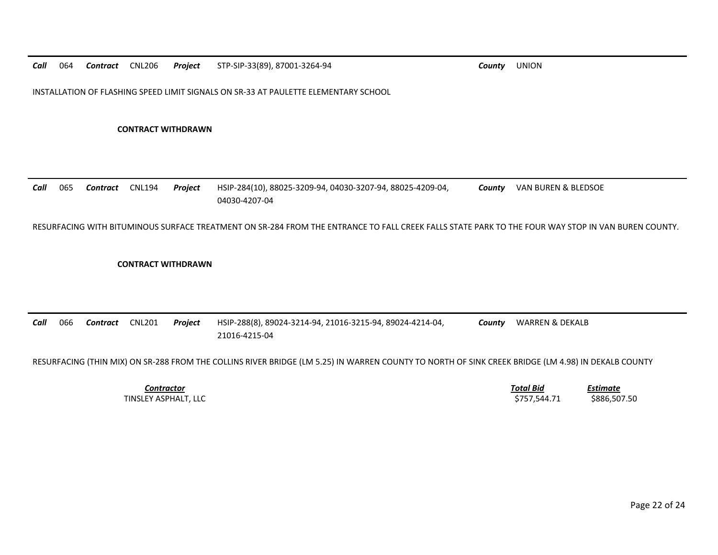INSTALLATION OF FLASHING SPEED LIMIT SIGNALS ON SR‐33 AT PAULETTE ELEMENTARY SCHOOL

**CONTRACT WITHDRAWN**

*Call* 065 *Contract* CNL194 *Project* HSIP‐284(10), 88025‐3209‐94, 04030‐3207‐94, 88025‐4209‐04, 04030‐4207‐04*County* VAN BUREN & BLEDSOE

RESURFACING WITH BITUMINOUS SURFACE TREATMENT ON SR‐284 FROM THE ENTRANCE TO FALL CREEK FALLS STATE PARK TO THE FOUR WAY STOP IN VAN BUREN COUNTY.

### **CONTRACT WITHDRAWN**

*Call* 066 *Contract* CNL201 *Project* HSIP‐288(8), 89024‐3214‐94, 21016‐3215‐94, 89024‐4214‐04, 21016‐4215‐04 *County* WARREN & DEKALB

RESURFACING (THIN MIX) ON SR‐288 FROM THE COLLINS RIVER BRIDGE (LM 5.25) IN WARREN COUNTY TO NORTH OF SINK CREEK BRIDGE (LM 4.98) IN DEKALB COUNTY

*Contractor*

 *Total Bid Estimate* TINSLEY ASPHALT, LLC \$757,544.71 \$886,507.50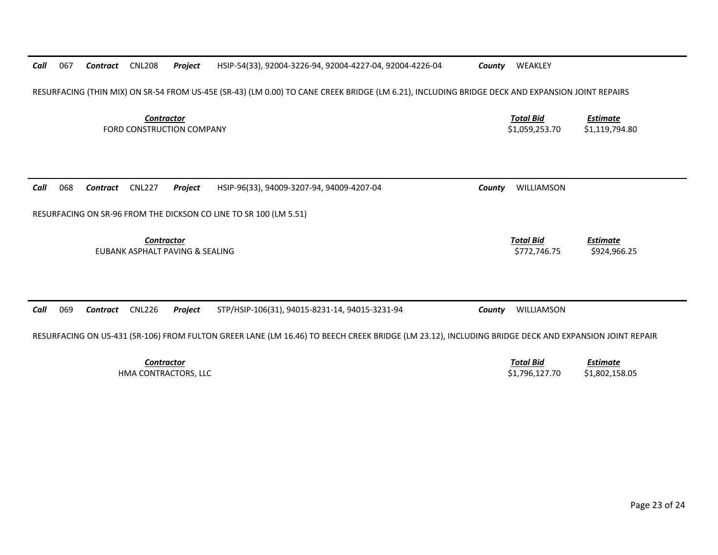| Call | 067 | Contract | <b>CNL208</b>     | Project                          | HSIP-54(33), 92004-3226-94, 92004-4227-04, 92004-4226-04                                                                                            | County | WEAKLEY                            |                                   |
|------|-----|----------|-------------------|----------------------------------|-----------------------------------------------------------------------------------------------------------------------------------------------------|--------|------------------------------------|-----------------------------------|
|      |     |          |                   |                                  | RESURFACING (THIN MIX) ON SR-54 FROM US-45E (SR-43) (LM 0.00) TO CANE CREEK BRIDGE (LM 6.21), INCLUDING BRIDGE DECK AND EXPANSION JOINT REPAIRS     |        |                                    |                                   |
|      |     |          | <b>Contractor</b> | <b>FORD CONSTRUCTION COMPANY</b> |                                                                                                                                                     |        | <b>Total Bid</b><br>\$1,059,253.70 | <b>Estimate</b><br>\$1,119,794.80 |
| Call | 068 | Contract | <b>CNL227</b>     | Project                          | HSIP-96(33), 94009-3207-94, 94009-4207-04                                                                                                           | County | WILLIAMSON                         |                                   |
|      |     |          | <b>Contractor</b> | EUBANK ASPHALT PAVING & SEALING  | RESURFACING ON SR-96 FROM THE DICKSON CO LINE TO SR 100 (LM 5.51)                                                                                   |        | <b>Total Bid</b><br>\$772.746.75   | <b>Estimate</b><br>\$924,966.25   |
| Call | 069 | Contract | <b>CNL226</b>     | Project                          | STP/HSIP-106(31), 94015-8231-14, 94015-3231-94                                                                                                      | County | WILLIAMSON                         |                                   |
|      |     |          |                   |                                  | RESURFACING ON US-431 (SR-106) FROM FULTON GREER LANE (LM 16.46) TO BEECH CREEK BRIDGE (LM 23.12), INCLUDING BRIDGE DECK AND EXPANSION JOINT REPAIR |        |                                    |                                   |
|      |     |          | <b>Contractor</b> |                                  |                                                                                                                                                     |        | <b>Total Bid</b>                   | <b>Estimate</b>                   |

HMA CONTRACTORS, LLC

CONTRACTORS, LLC \$1,796,127.70 \$1,802,158.05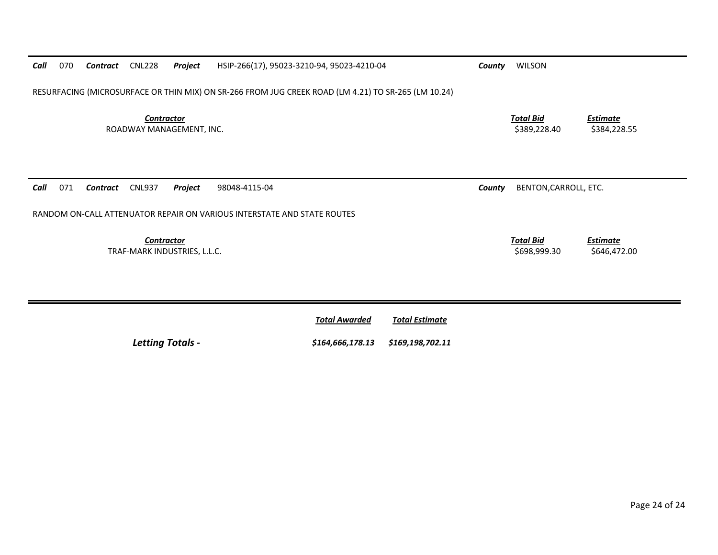| Call<br>070                                                          | Contract                                                                                            | CNL228                                        | Project | HSIP-266(17), 95023-3210-94, 95023-4210-04                              | County | <b>WILSON</b>                    |                                 |  |  |  |
|----------------------------------------------------------------------|-----------------------------------------------------------------------------------------------------|-----------------------------------------------|---------|-------------------------------------------------------------------------|--------|----------------------------------|---------------------------------|--|--|--|
|                                                                      | RESURFACING (MICROSURFACE OR THIN MIX) ON SR-266 FROM JUG CREEK ROAD (LM 4.21) TO SR-265 (LM 10.24) |                                               |         |                                                                         |        |                                  |                                 |  |  |  |
|                                                                      |                                                                                                     | <b>Contractor</b><br>ROADWAY MANAGEMENT, INC. |         |                                                                         |        | <u>Total Bid</u><br>\$389,228.40 | <b>Estimate</b><br>\$384,228.55 |  |  |  |
| 071<br><b>CNL937</b><br>Call<br>Project<br>98048-4115-04<br>Contract |                                                                                                     |                                               |         |                                                                         |        |                                  |                                 |  |  |  |
|                                                                      |                                                                                                     |                                               |         |                                                                         | County | BENTON, CARROLL, ETC.            |                                 |  |  |  |
|                                                                      |                                                                                                     |                                               |         | RANDOM ON-CALL ATTENUATOR REPAIR ON VARIOUS INTERSTATE AND STATE ROUTES |        |                                  |                                 |  |  |  |

|                         | <b>Total Awarded</b>              | Total Estimate |
|-------------------------|-----------------------------------|----------------|
| <b>Letting Totals -</b> | \$164,666,178.13 \$169,198,702.11 |                |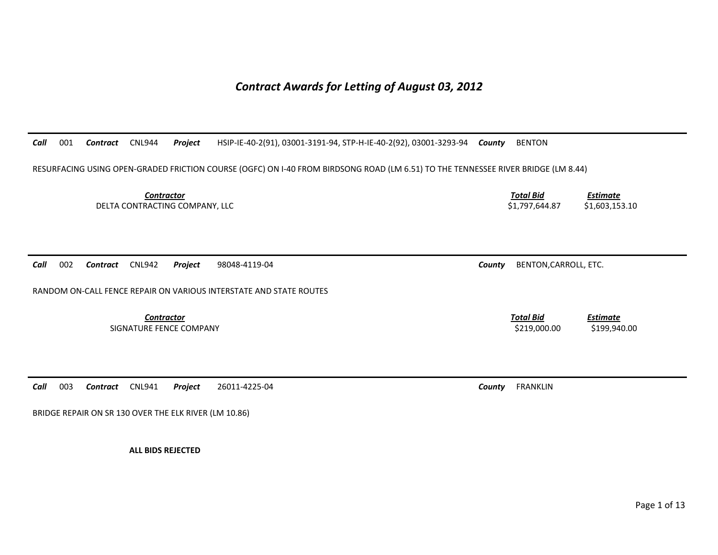# *Contract Awards for Letting of August 03, 2012*

*Call*001 *Contract* CNL944 *Project* HSIP-IE-40-2(91), 03001-3191-94, STP-H-IE-40-2(92), 03001-3293-94 *County* BENTON

RESURFACING USING OPEN-GRADED FRICTION COURSE (OGFC) ON I-40 FROM BIRDSONG ROAD (LM 6.51) TO THE TENNESSEE RIVER BRIDGE (LM 8.44)

**Contractor** Total Bid DELTA CONTRACTING COMPANY, LLC **Example 20 and 20 and 20 and 20 and 20 and 20 and 20 and 20 and 20 and 20 and 20 and 20 and 20 and 20 and 20 and 20 and 20 and 20 and 20 and 20 and 20 and 20 and 20 and 20 and 20 and 20 and** 

*Call*002 *Contract* CNL942 *Project* 98048-4119-04 *County* BENTON,CARROLL, ETC.

RANDOM ON-CALL FENCE REPAIR ON VARIOUS INTERSTATE AND STATE ROUTES

**Contractor** Total Bid SIGNATURE FENCE COMPANY **\$219,000.00 \$199,940.00** \$199,940.00

*Call*003 *Contract* CNL941 *Project* 26011-4225-04 *County* FRANKLIN

BRIDGE REPAIR ON SR 130 OVER THE ELK RIVER (LM 10.86)

**ALL BIDS REJECTED** 

*Estimate*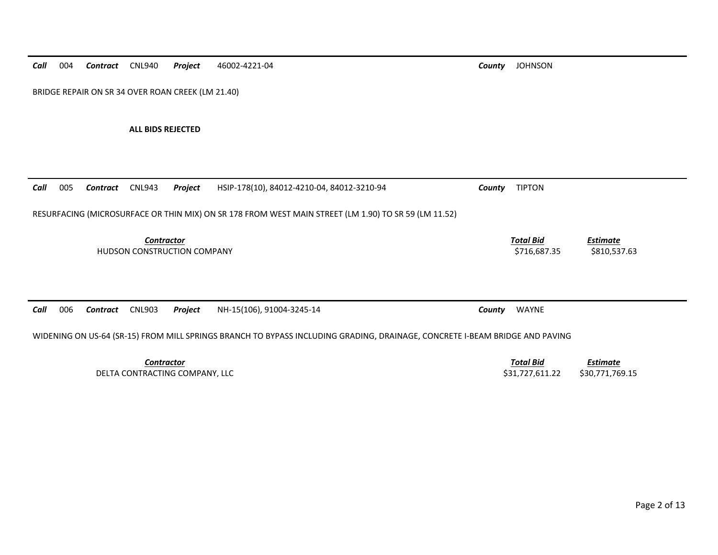*Call* 004 *Contract* CNL940 *Project* 46002-4221-04 *County* JOHNSON BRIDGE REPAIR ON SR 34 OVER ROAN CREEK (LM 21.40) **ALL BIDS REJECTED**  *Call* 005 *Contract* CNL943 *Project* HSIP-178(10), 84012-4210-04, 84012-3210-94 *County* TIPTON RESURFACING (MICROSURFACE OR THIN MIX) ON SR 178 FROM WEST MAIN STREET (LM 1.90) TO SR 59 (LM 11.52) *Contractor Total Bid Estimate* HUDSON CONSTRUCTION COMPANY **SAULTER SEE ASSESS** \$810,537.63 \$810,537.63 *Call* 006 *Contract* CNL903 *Project* NH-15(106), 91004-3245-14 *County* WAYNE WIDENING ON US-64 (SR-15) FROM MILL SPRINGS BRANCH TO BYPASS INCLUDING GRADING, DRAINAGE, CONCRETE I-BEAM BRIDGE AND PAVING *Contractor Total BidEstimate*

DELTA CONTRACTING COMPANY, LLC **Example 2018 12:00 SELTA CONTRACTING COMPANY, LLC** 630,771,769.15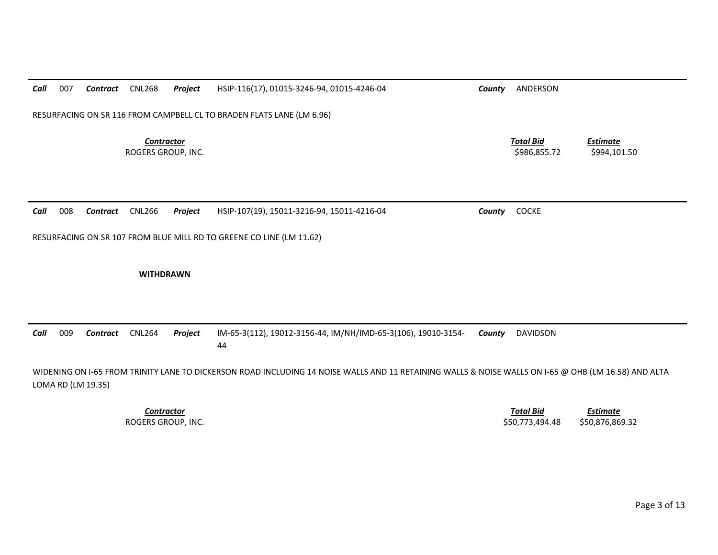| Call | 007 | Contract | <b>CNL268</b>                           | Project | HSIP-116(17), 01015-3246-94, 01015-4246-04                            | County | ANDERSON                         |                                 |
|------|-----|----------|-----------------------------------------|---------|-----------------------------------------------------------------------|--------|----------------------------------|---------------------------------|
|      |     |          |                                         |         | RESURFACING ON SR 116 FROM CAMPBELL CL TO BRADEN FLATS LANE (LM 6.96) |        |                                  |                                 |
|      |     |          | <b>Contractor</b><br>ROGERS GROUP, INC. |         |                                                                       |        | <b>Total Bid</b><br>\$986,855.72 | <b>Estimate</b><br>\$994,101.50 |
| Call | 008 | Contract | <b>CNL266</b>                           | Project | HSIP-107(19), 15011-3216-94, 15011-4216-04                            | County | <b>COCKE</b>                     |                                 |
|      |     |          |                                         |         | RESURFACING ON SR 107 FROM BLUE MILL RD TO GREENE CO LINE (LM 11.62)  |        |                                  |                                 |
|      |     |          |                                         |         |                                                                       |        |                                  |                                 |
|      |     |          | <b>WITHDRAWN</b>                        |         |                                                                       |        |                                  |                                 |

*Contractor Total Bid*

 *Estimate* ROGERS GROUP, INC. \$50,773,494.48 \$50,876,869.32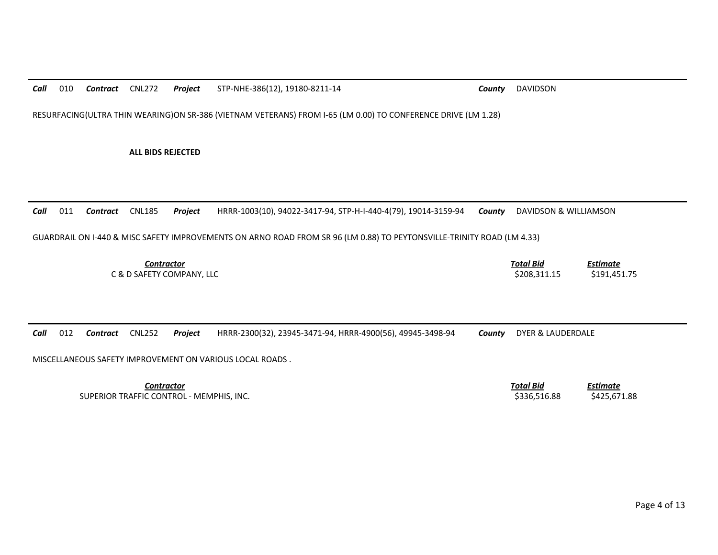*Call*010 *Contract* CNL272 *Project* STP-NHE-386(12), 19180-8211-14 *County* DAVIDSON

RESURFACING(ULTRA THIN WEARING)ON SR-386 (VIETNAM VETERANS) FROM I-65 (LM 0.00) TO CONFERENCE DRIVE (LM 1.28)

### **ALL BIDS REJECTED**

*Call*011 *Contract* CNL185 *Project* HRRR-1003(10), 94022-3417-94, STP-H-I-440-4(79), 19014-3159-94 *County* DAVIDSON & WILLIAMSON

## GUARDRAIL ON I-440 & MISC SAFETY IMPROVEMENTS ON ARNO ROAD FROM SR 96 (LM 0.88) TO PEYTONSVILLE-TRINITY ROAD (LM 4.33)

| Contractor                | Total Bid    | Estimate     |  |
|---------------------------|--------------|--------------|--|
| C & D SAFETY COMPANY, LLC | \$208.311.15 | \$191,451.75 |  |

|  | Call 012 Contract CNL252 Project |  |  |  | HRRR-2300(32), 23945-3471-94, HRRR-4900(56), 49945-3498-94 |  | <b>County</b> DYER & LAUDERDALE |
|--|----------------------------------|--|--|--|------------------------------------------------------------|--|---------------------------------|
|--|----------------------------------|--|--|--|------------------------------------------------------------|--|---------------------------------|

MISCELLANEOUS SAFETY IMPROVEMENT ON VARIOUS LOCAL ROADS .

**Contractor** Total Bid SUPERIOR TRAFFIC CONTROL - MEMPHIS, INC. \$336,516.88 \$425,671.88 \$425,671.88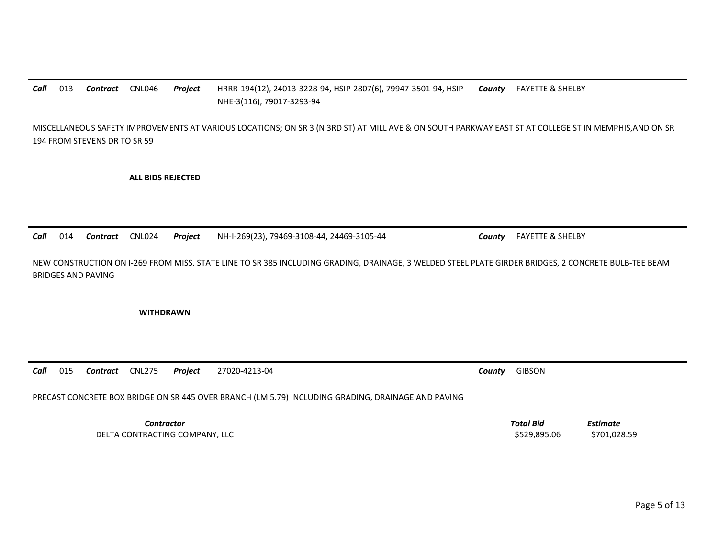## *Call*013 *Contract* CNL046 *Project* HRRR-194(12), 24013-3228-94, HSIP-2807(6), 79947-3501-94, HSIP-NHE-3(116), 79017-3293-94 *County* FAYETTE & SHELBY

MISCELLANEOUS SAFETY IMPROVEMENTS AT VARIOUS LOCATIONS; ON SR 3 (N 3RD ST) AT MILL AVE & ON SOUTH PARKWAY EAST ST AT COLLEGE ST IN MEMPHIS,AND ON SR 194 FROM STEVENS DR TO SR 59

**ALL BIDS REJECTED** 

*Call*014 *Contract* CNL024 *Project* NH-I-269(23), 79469-3108-44, 24469-3105-44 *County* FAYETTE & SHELBY

NEW CONSTRUCTION ON I-269 FROM MISS. STATE LINE TO SR 385 INCLUDING GRADING, DRAINAGE, 3 WELDED STEEL PLATE GIRDER BRIDGES, 2 CONCRETE BULB-TEE BEAM BRIDGES AND PAVING

**WITHDRAWN** 

*Call*015 *Contract* CNL275 *Project* 27020-4213-04 *County* GIBSON

PRECAST CONCRETE BOX BRIDGE ON SR 445 OVER BRANCH (LM 5.79) INCLUDING GRADING, DRAINAGE AND PAVING

**Contractor** Total Bid DELTA CONTRACTING COMPANY, LLC **Example 2001** to the state of the state of the state of the state of the state of the state of the state of the state of the state of the state of the state of the state of the state of the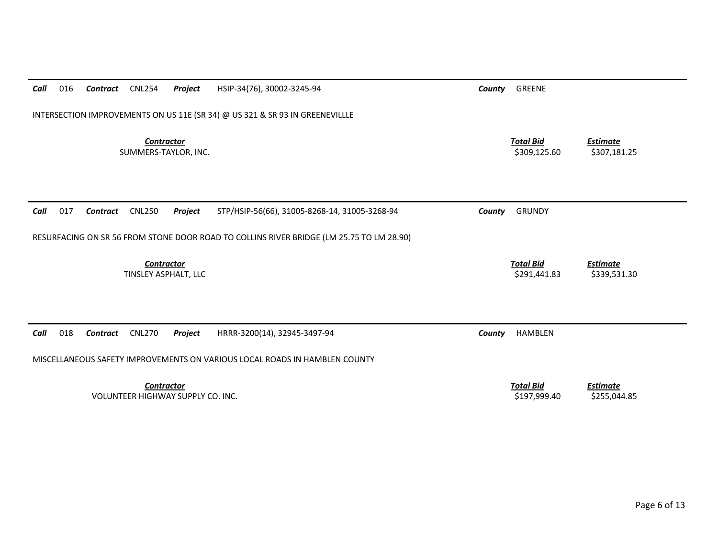| Call | 016                                                                                      | Contract | <b>CNL254</b>                             | Project                           | HSIP-34(76), 30002-3245-94                    | County | GREENE                           |                                 |  |  |  |
|------|------------------------------------------------------------------------------------------|----------|-------------------------------------------|-----------------------------------|-----------------------------------------------|--------|----------------------------------|---------------------------------|--|--|--|
|      | INTERSECTION IMPROVEMENTS ON US 11E (SR 34) @ US 321 & SR 93 IN GREENEVILLLE             |          |                                           |                                   |                                               |        |                                  |                                 |  |  |  |
|      |                                                                                          |          | <b>Contractor</b>                         | SUMMERS-TAYLOR, INC.              |                                               |        | <b>Total Bid</b><br>\$309,125.60 | <b>Estimate</b><br>\$307,181.25 |  |  |  |
| Call | 017                                                                                      | Contract | <b>CNL250</b>                             | Project                           | STP/HSIP-56(66), 31005-8268-14, 31005-3268-94 | County | <b>GRUNDY</b>                    |                                 |  |  |  |
|      | RESURFACING ON SR 56 FROM STONE DOOR ROAD TO COLLINS RIVER BRIDGE (LM 25.75 TO LM 28.90) |          |                                           |                                   |                                               |        |                                  |                                 |  |  |  |
|      |                                                                                          |          | <b>Contractor</b><br>TINSLEY ASPHALT, LLC |                                   |                                               |        | <b>Total Bid</b><br>\$291,441.83 | <b>Estimate</b><br>\$339,531.30 |  |  |  |
| Call | 018                                                                                      | Contract | <b>CNL270</b>                             | Project                           | HRRR-3200(14), 32945-3497-94                  | County | <b>HAMBLEN</b>                   |                                 |  |  |  |
|      | MISCELLANEOUS SAFETY IMPROVEMENTS ON VARIOUS LOCAL ROADS IN HAMBLEN COUNTY               |          |                                           |                                   |                                               |        |                                  |                                 |  |  |  |
|      |                                                                                          |          | <b>Contractor</b>                         | VOLUNTEER HIGHWAY SUPPLY CO. INC. |                                               |        | <b>Total Bid</b><br>\$197,999.40 | <b>Estimate</b><br>\$255,044.85 |  |  |  |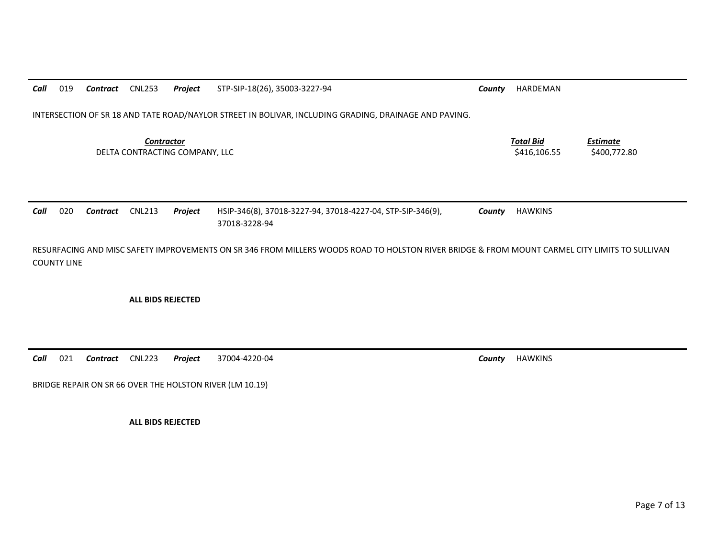| Call | 019                                                                                                                                                                                   | Contract | <b>CNL253</b>                                       | Project | STP-SIP-18(26), 35003-3227-94                                                                         | County | HARDEMAN                         |                                 |  |  |
|------|---------------------------------------------------------------------------------------------------------------------------------------------------------------------------------------|----------|-----------------------------------------------------|---------|-------------------------------------------------------------------------------------------------------|--------|----------------------------------|---------------------------------|--|--|
|      |                                                                                                                                                                                       |          |                                                     |         | INTERSECTION OF SR 18 AND TATE ROAD/NAYLOR STREET IN BOLIVAR, INCLUDING GRADING, DRAINAGE AND PAVING. |        |                                  |                                 |  |  |
|      |                                                                                                                                                                                       |          | <b>Contractor</b><br>DELTA CONTRACTING COMPANY, LLC |         |                                                                                                       |        | <b>Total Bid</b><br>\$416,106.55 | <b>Estimate</b><br>\$400,772.80 |  |  |
| Call | 020                                                                                                                                                                                   | Contract | <b>CNL213</b>                                       | Project | HSIP-346(8), 37018-3227-94, 37018-4227-04, STP-SIP-346(9),                                            | County | <b>HAWKINS</b>                   |                                 |  |  |
|      | 37018-3228-94<br>RESURFACING AND MISC SAFETY IMPROVEMENTS ON SR 346 FROM MILLERS WOODS ROAD TO HOLSTON RIVER BRIDGE & FROM MOUNT CARMEL CITY LIMITS TO SULLIVAN<br><b>COUNTY LINE</b> |          |                                                     |         |                                                                                                       |        |                                  |                                 |  |  |

**ALL BIDS REJECTED** 

*Call*021 *Contract* CNL223 *Project* 37004-4220-04 *County* HAWKINS

BRIDGE REPAIR ON SR 66 OVER THE HOLSTON RIVER (LM 10.19)

**ALL BIDS REJECTED**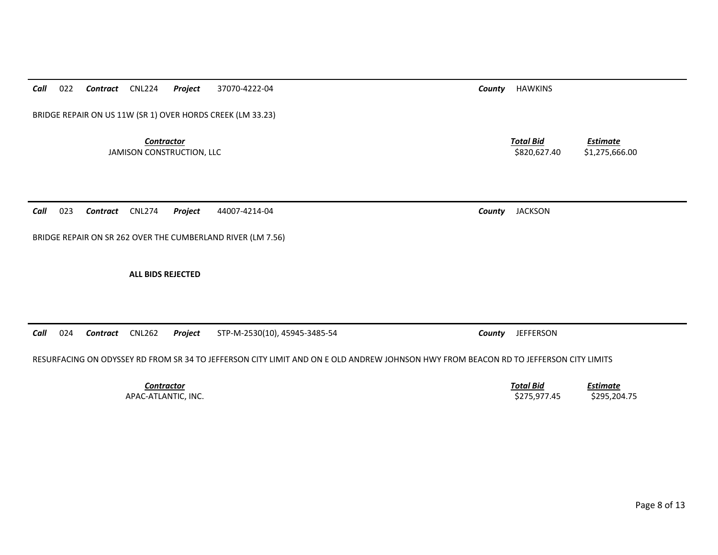*Call*022 *Contract* CNL224 *Project* 37070-4222-04 *County* HAWKINS

BRIDGE REPAIR ON US 11W (SR 1) OVER HORDS CREEK (LM 33.23)

*Contractor Total Bid*JAMISON CONSTRUCTION, LLC \$820,627.40 \$1,275,666.00

*Call*023 *Contract* CNL274 *Project* 44007-4214-04 *County* JACKSON

BRIDGE REPAIR ON SR 262 OVER THE CUMBERLAND RIVER (LM 7.56)

**ALL BIDS REJECTED** 

*Call*024 *Contract* CNL262 *Project* STP-M-2530(10), 45945-3485-54 *County* JEFFERSON

RESURFACING ON ODYSSEY RD FROM SR 34 TO JEFFERSON CITY LIMIT AND ON E OLD ANDREW JOHNSON HWY FROM BEACON RD TO JEFFERSON CITY LIMITS

**Contractor** Total Bid

*Estimate*

 *Estimate* APAC-ATLANTIC, INC. \$295,204.75 \$295,204.75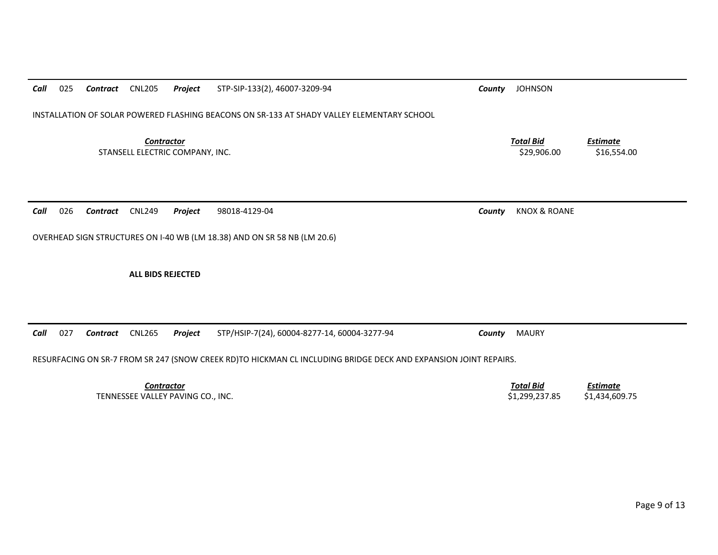| 025<br>Call | Contract | <b>CNL205</b>     | Project                           | STP-SIP-133(2), 46007-3209-94                                                                                   | County | <b>JOHNSON</b>                     |                                   |
|-------------|----------|-------------------|-----------------------------------|-----------------------------------------------------------------------------------------------------------------|--------|------------------------------------|-----------------------------------|
|             |          |                   |                                   | INSTALLATION OF SOLAR POWERED FLASHING BEACONS ON SR-133 AT SHADY VALLEY ELEMENTARY SCHOOL                      |        |                                    |                                   |
|             |          | <b>Contractor</b> | STANSELL ELECTRIC COMPANY, INC.   |                                                                                                                 |        | <b>Total Bid</b><br>\$29,906.00    | Estimate<br>\$16,554.00           |
| 026<br>Call | Contract | <b>CNL249</b>     | Project                           | 98018-4129-04                                                                                                   | County | <b>KNOX &amp; ROANE</b>            |                                   |
|             |          |                   |                                   | OVERHEAD SIGN STRUCTURES ON I-40 WB (LM 18.38) AND ON SR 58 NB (LM 20.6)                                        |        |                                    |                                   |
|             |          | ALL BIDS REJECTED |                                   |                                                                                                                 |        |                                    |                                   |
| 027<br>Call | Contract | <b>CNL265</b>     | Project                           | STP/HSIP-7(24), 60004-8277-14, 60004-3277-94                                                                    | County | <b>MAURY</b>                       |                                   |
|             |          |                   |                                   | RESURFACING ON SR-7 FROM SR 247 (SNOW CREEK RD)TO HICKMAN CL INCLUDING BRIDGE DECK AND EXPANSION JOINT REPAIRS. |        |                                    |                                   |
|             |          | <b>Contractor</b> | TENNESSEE VALLEY PAVING CO., INC. |                                                                                                                 |        | <b>Total Bid</b><br>\$1,299,237.85 | <b>Estimate</b><br>\$1,434,609.75 |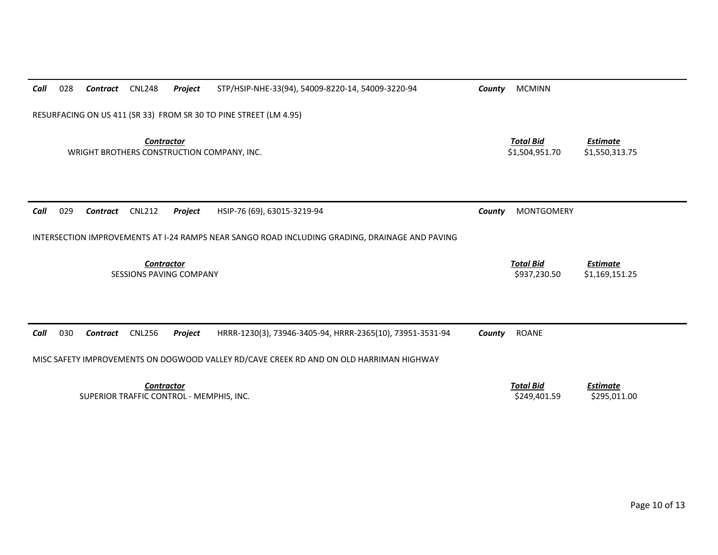| Call                                                              | 028                                                                                            | Contract | <b>CNL248</b> | Project | STP/HSIP-NHE-33(94), 54009-8220-14, 54009-3220-94         | County | <b>MCMINN</b>                      |                                   |  |  |
|-------------------------------------------------------------------|------------------------------------------------------------------------------------------------|----------|---------------|---------|-----------------------------------------------------------|--------|------------------------------------|-----------------------------------|--|--|
| RESURFACING ON US 411 (SR 33) FROM SR 30 TO PINE STREET (LM 4.95) |                                                                                                |          |               |         |                                                           |        |                                    |                                   |  |  |
| <b>Contractor</b><br>WRIGHT BROTHERS CONSTRUCTION COMPANY, INC.   |                                                                                                |          |               |         |                                                           |        | <b>Total Bid</b><br>\$1,504,951.70 | <b>Estimate</b><br>\$1,550,313.75 |  |  |
| Call                                                              | 029                                                                                            | Contract | <b>CNL212</b> | Project | HSIP-76 (69), 63015-3219-94                               | County | <b>MONTGOMERY</b>                  |                                   |  |  |
|                                                                   | INTERSECTION IMPROVEMENTS AT I-24 RAMPS NEAR SANGO ROAD INCLUDING GRADING, DRAINAGE AND PAVING |          |               |         |                                                           |        |                                    |                                   |  |  |
| <b>Contractor</b><br><b>SESSIONS PAVING COMPANY</b>               |                                                                                                |          |               |         |                                                           |        | <b>Total Bid</b><br>\$937,230.50   | <b>Estimate</b><br>\$1,169,151.25 |  |  |
|                                                                   |                                                                                                |          |               |         |                                                           |        |                                    |                                   |  |  |
| Call                                                              | 030                                                                                            | Contract | <b>CNL256</b> | Project | HRRR-1230(3), 73946-3405-94, HRRR-2365(10), 73951-3531-94 | County | <b>ROANE</b>                       |                                   |  |  |
|                                                                   | MISC SAFETY IMPROVEMENTS ON DOGWOOD VALLEY RD/CAVE CREEK RD AND ON OLD HARRIMAN HIGHWAY        |          |               |         |                                                           |        |                                    |                                   |  |  |
| <b>Contractor</b><br>SUPERIOR TRAFFIC CONTROL - MEMPHIS, INC.     |                                                                                                |          |               |         |                                                           |        | <b>Total Bid</b><br>\$249,401.59   | <b>Estimate</b><br>\$295,011.00   |  |  |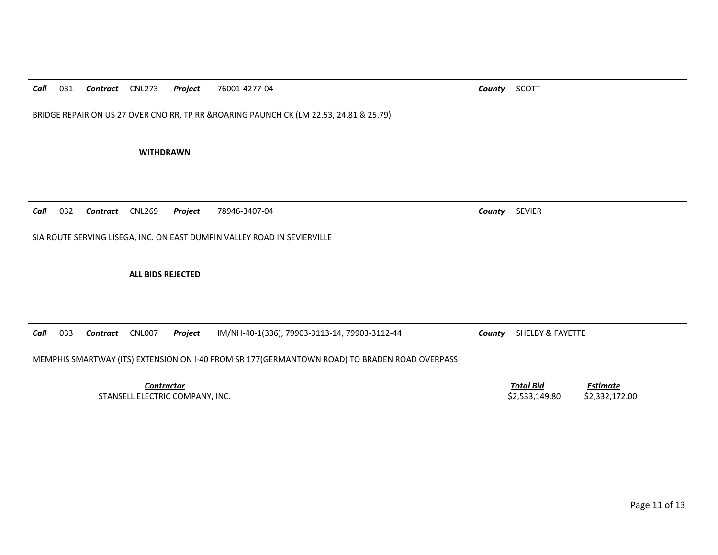*Call*031 *Contract* CNL273 *Project* 76001-4277-04 *County* SCOTT

BRIDGE REPAIR ON US 27 OVER CNO RR, TP RR &ROARING PAUNCH CK (LM 22.53, 24.81 & 25.79)

**WITHDRAWN** 

*Call*032 *Contract* CNL269 *Project* 78946-3407-04 *County* SEVIER

SIA ROUTE SERVING LISEGA, INC. ON EAST DUMPIN VALLEY ROAD IN SEVIERVILLE

**ALL BIDS REJECTED** 

*Call*033 *Contract* CNL007 *Project* IM/NH-40-1(336), 79903-3113-14, 79903-3112-44 *County* SHELBY & FAYETTE

MEMPHIS SMARTWAY (ITS) EXTENSION ON I-40 FROM SR 177(GERMANTOWN ROAD) TO BRADEN ROAD OVERPASS

*Contractor Total Bid*STANSELL ELECTRIC COMPANY, INC. \$2,533,149.80 \$2,332,172.00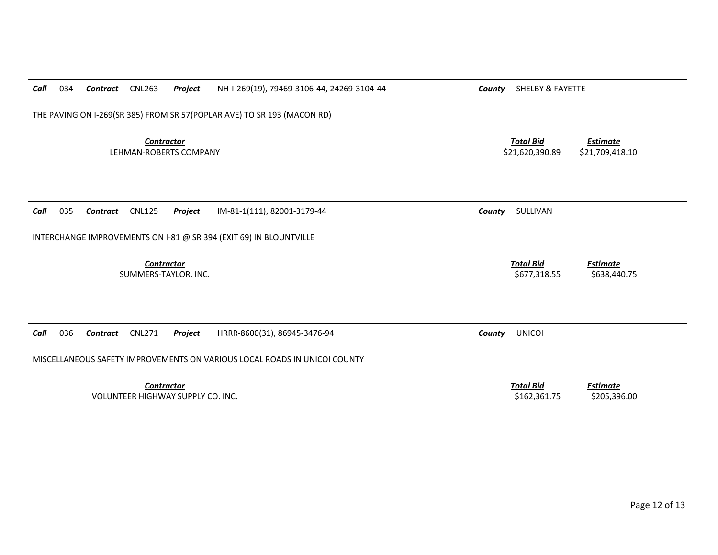| Call                                                                      | 034                                                                     | Contract        | <b>CNL263</b>                             | Project                                  | NH-I-269(19), 79469-3106-44, 24269-3104-44 | County | <b>SHELBY &amp; FAYETTE</b>         |                                    |  |  |  |  |
|---------------------------------------------------------------------------|-------------------------------------------------------------------------|-----------------|-------------------------------------------|------------------------------------------|--------------------------------------------|--------|-------------------------------------|------------------------------------|--|--|--|--|
|                                                                           | THE PAVING ON I-269(SR 385) FROM SR 57(POPLAR AVE) TO SR 193 (MACON RD) |                 |                                           |                                          |                                            |        |                                     |                                    |  |  |  |  |
|                                                                           |                                                                         |                 | <b>Contractor</b>                         | LEHMAN-ROBERTS COMPANY                   |                                            |        | <b>Total Bid</b><br>\$21,620,390.89 | <b>Estimate</b><br>\$21,709,418.10 |  |  |  |  |
| Call                                                                      | 035                                                                     | Contract        | <b>CNL125</b>                             | Project                                  | IM-81-1(111), 82001-3179-44                | County | SULLIVAN                            |                                    |  |  |  |  |
|                                                                           | INTERCHANGE IMPROVEMENTS ON I-81 @ SR 394 (EXIT 69) IN BLOUNTVILLE      |                 |                                           |                                          |                                            |        |                                     |                                    |  |  |  |  |
|                                                                           |                                                                         |                 | <b>Contractor</b><br>SUMMERS-TAYLOR, INC. |                                          |                                            |        | <b>Total Bid</b><br>\$677,318.55    | <b>Estimate</b><br>\$638,440.75    |  |  |  |  |
| Call                                                                      | 036                                                                     | <b>Contract</b> | <b>CNL271</b>                             | Project                                  | HRRR-8600(31), 86945-3476-94               | County | <b>UNICOI</b>                       |                                    |  |  |  |  |
| MISCELLANEOUS SAFETY IMPROVEMENTS ON VARIOUS LOCAL ROADS IN UNICOI COUNTY |                                                                         |                 |                                           |                                          |                                            |        |                                     |                                    |  |  |  |  |
|                                                                           |                                                                         |                 | <b>Contractor</b>                         | <b>VOLUNTEER HIGHWAY SUPPLY CO. INC.</b> |                                            |        | <b>Total Bid</b><br>\$162,361.75    | <b>Estimate</b><br>\$205,396.00    |  |  |  |  |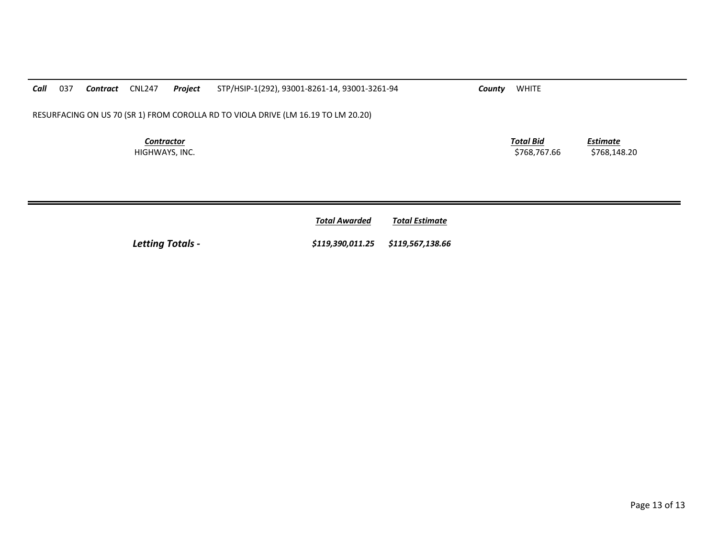| Call                                | 037                                                                               | Contract | CNL247 | Project | STP/HSIP-1(292), 93001-8261-14, 93001-3261-94 | County | <b>WHITE</b>                     |                          |  |
|-------------------------------------|-----------------------------------------------------------------------------------|----------|--------|---------|-----------------------------------------------|--------|----------------------------------|--------------------------|--|
|                                     | RESURFACING ON US 70 (SR 1) FROM COROLLA RD TO VIOLA DRIVE (LM 16.19 TO LM 20.20) |          |        |         |                                               |        |                                  |                          |  |
| <b>Contractor</b><br>HIGHWAYS, INC. |                                                                                   |          |        |         |                                               |        | <b>Total Bid</b><br>\$768.767.66 | Estimate<br>\$768.148.20 |  |

|                         | <b>Total Awarded</b>              | <b>Total Estimate</b> |
|-------------------------|-----------------------------------|-----------------------|
| <b>Letting Totals -</b> | \$119,390,011.25 \$119,567,138.66 |                       |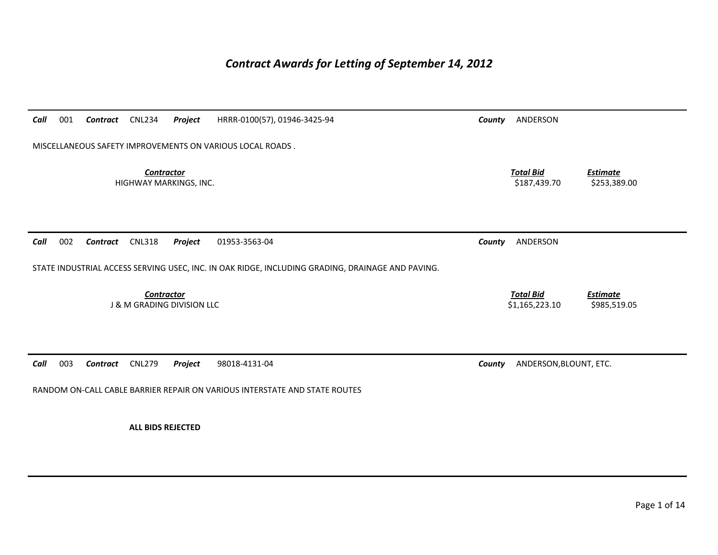# *Contract Awards for Letting of September 14, 2012*

| Call | 001                                                       | <b>Contract</b> | <b>CNL234</b>                                              | Project | HRRR-0100(57), 01946-3425-94                                                                     | County | ANDERSON                           |                                 |
|------|-----------------------------------------------------------|-----------------|------------------------------------------------------------|---------|--------------------------------------------------------------------------------------------------|--------|------------------------------------|---------------------------------|
|      | MISCELLANEOUS SAFETY IMPROVEMENTS ON VARIOUS LOCAL ROADS. |                 |                                                            |         |                                                                                                  |        |                                    |                                 |
|      |                                                           |                 | <b>Contractor</b><br>HIGHWAY MARKINGS, INC.                |         |                                                                                                  |        | <b>Total Bid</b><br>\$187,439.70   | <b>Estimate</b><br>\$253,389.00 |
| Call | 002                                                       | <b>Contract</b> | <b>CNL318</b>                                              | Project | 01953-3563-04                                                                                    | County | ANDERSON                           |                                 |
|      |                                                           |                 |                                                            |         | STATE INDUSTRIAL ACCESS SERVING USEC, INC. IN OAK RIDGE, INCLUDING GRADING, DRAINAGE AND PAVING. |        |                                    |                                 |
|      |                                                           |                 | <b>Contractor</b><br><b>J &amp; M GRADING DIVISION LLC</b> |         |                                                                                                  |        | <b>Total Bid</b><br>\$1,165,223.10 | <b>Estimate</b><br>\$985,519.05 |
| Call | 003                                                       | Contract        | <b>CNL279</b>                                              | Project | 98018-4131-04                                                                                    | County | ANDERSON, BLOUNT, ETC.             |                                 |
|      |                                                           |                 |                                                            |         | RANDOM ON-CALL CABLE BARRIER REPAIR ON VARIOUS INTERSTATE AND STATE ROUTES                       |        |                                    |                                 |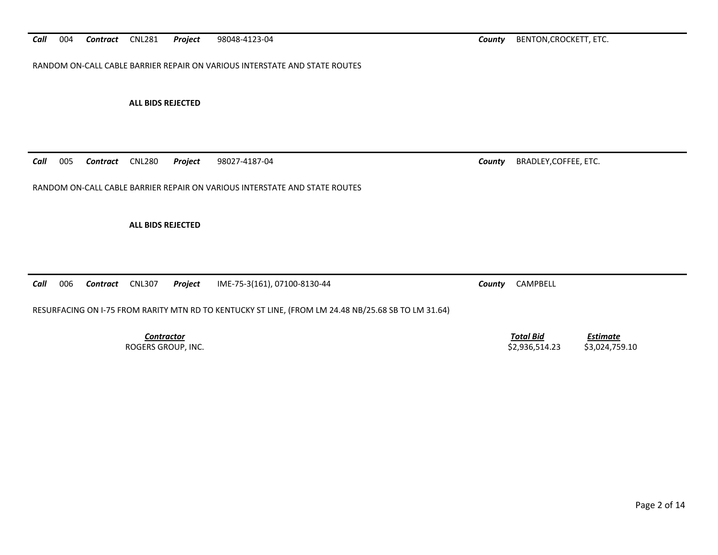RANDOM ON-CALL CABLE BARRIER REPAIR ON VARIOUS INTERSTATE AND STATE ROUTES

**ALL BIDS REJECTED** 

*Call*005 *Contract* CNL280 *Project* 98027-4187-04 *County* BRADLEY,COFFEE, ETC.

RANDOM ON-CALL CABLE BARRIER REPAIR ON VARIOUS INTERSTATE AND STATE ROUTES

**ALL BIDS REJECTED** 

*Call*006 *Contract* CNL307 *Project* IME-75-3(161), 07100-8130-44 *County* CAMPBELL

RESURFACING ON I-75 FROM RARITY MTN RD TO KENTUCKY ST LINE, (FROM LM 24.48 NB/25.68 SB TO LM 31.64)

**Contractor** Total Bid *Estimate* ROGERS GROUP, INC. \$3,024,759.10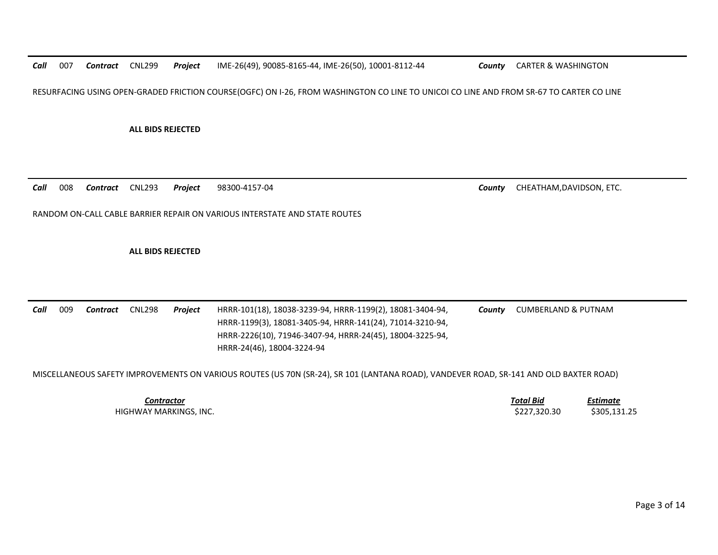*Call*007 *Contract* CNL299 *Project* IME-26(49), 90085-8165-44, IME-26(50), 10001-8112-44 *County* CARTER & WASHINGTON

RESURFACING USING OPEN-GRADED FRICTION COURSE(OGFC) ON I-26, FROM WASHINGTON CO LINE TO UNICOI CO LINE AND FROM SR-67 TO CARTER CO LINE

**ALL BIDS REJECTED** 

*Call*008 *Contract* CNL293 *Project* 98300-4157-04 *County* CHEATHAM,DAVIDSON, ETC.

RANDOM ON-CALL CABLE BARRIER REPAIR ON VARIOUS INTERSTATE AND STATE ROUTES

**ALL BIDS REJECTED** 

*Call* 009 *Contract* CNL298 *Project* HRRR-101(18), 18038-3239-94, HRRR-1199(2), 18081-3404-94, HRRR-1199(3), 18081-3405-94, HRRR-141(24), 71014-3210-94, HRRR-2226(10), 71946-3407-94, HRRR-24(45), 18004-3225-94, HRRR-24(46), 18004-3224-94 *County* CUMBERLAND & PUTNAM

MISCELLANEOUS SAFETY IMPROVEMENTS ON VARIOUS ROUTES (US 70N (SR-24), SR 101 (LANTANA ROAD), VANDEVER ROAD, SR-141 AND OLD BAXTER ROAD)

| Contractor             | Total Bid            | .stimate             |
|------------------------|----------------------|----------------------|
| HIGHWAY MARKINGS, INC. | \$227.320.30<br>5227 | \$305<br>131 25<br>. |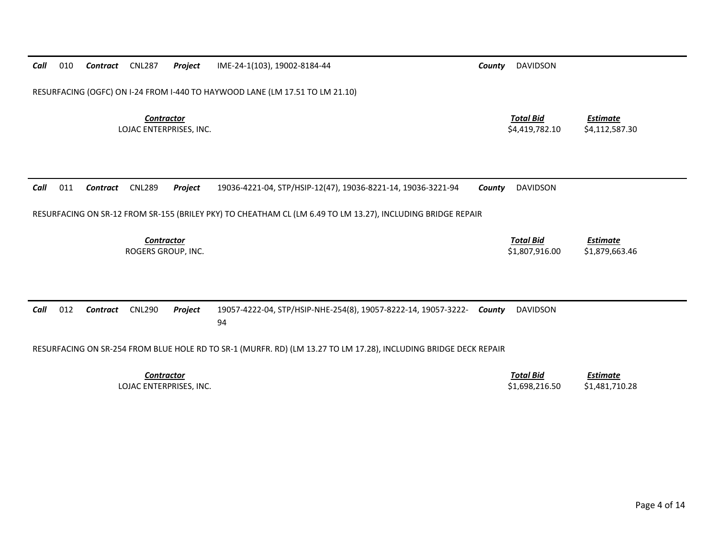| 010<br>Call | Contract        | <b>CNL287</b>     | Project                 | IME-24-1(103), 19002-8184-44                                                                                     | County | <b>DAVIDSON</b>                    |                                   |
|-------------|-----------------|-------------------|-------------------------|------------------------------------------------------------------------------------------------------------------|--------|------------------------------------|-----------------------------------|
|             |                 |                   |                         | RESURFACING (OGFC) ON I-24 FROM I-440 TO HAYWOOD LANE (LM 17.51 TO LM 21.10)                                     |        |                                    |                                   |
|             |                 | <b>Contractor</b> | LOJAC ENTERPRISES, INC. |                                                                                                                  |        | <b>Total Bid</b><br>\$4,419,782.10 | <b>Estimate</b><br>\$4,112,587.30 |
| 011<br>Call | Contract        | <b>CNL289</b>     | Project                 | 19036-4221-04, STP/HSIP-12(47), 19036-8221-14, 19036-3221-94                                                     | County | <b>DAVIDSON</b>                    |                                   |
|             |                 |                   |                         | RESURFACING ON SR-12 FROM SR-155 (BRILEY PKY) TO CHEATHAM CL (LM 6.49 TO LM 13.27), INCLUDING BRIDGE REPAIR      |        |                                    |                                   |
|             |                 | <b>Contractor</b> | ROGERS GROUP, INC.      |                                                                                                                  |        | <b>Total Bid</b><br>\$1,807,916.00 | <b>Estimate</b><br>\$1,879,663.46 |
|             |                 |                   |                         |                                                                                                                  |        |                                    |                                   |
|             |                 |                   |                         |                                                                                                                  |        |                                    |                                   |
| 012         | <b>Contract</b> | <b>CNL290</b>     | Project                 | 19057-4222-04, STP/HSIP-NHE-254(8), 19057-8222-14, 19057-3222-<br>94                                             | County | <b>DAVIDSON</b>                    |                                   |
|             |                 |                   |                         | RESURFACING ON SR-254 FROM BLUE HOLE RD TO SR-1 (MURFR. RD) (LM 13.27 TO LM 17.28), INCLUDING BRIDGE DECK REPAIR |        |                                    |                                   |
| Call        |                 | <b>Contractor</b> | LOJAC ENTERPRISES, INC. |                                                                                                                  |        | <b>Total Bid</b><br>\$1,698,216.50 | <b>Estimate</b><br>\$1,481,710.28 |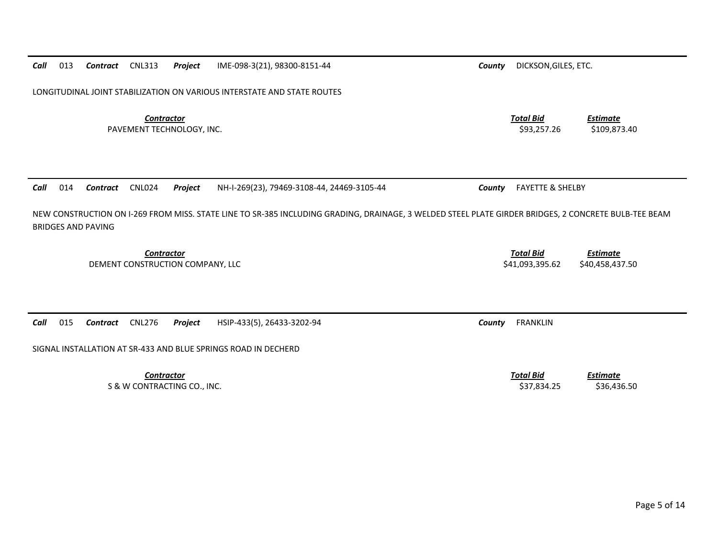**Contractor** Total Bid PAVEMENT TECHNOLOGY, INC. 6. 109,873.40 *Call*014 *Contract* CNL024 *Project* NH-I-269(23), 79469-3108-44, 24469-3105-44 *County* FAYETTE & SHELBY

NEW CONSTRUCTION ON I-269 FROM MISS. STATE LINE TO SR-385 INCLUDING GRADING, DRAINAGE, 3 WELDED STEEL PLATE GIRDER BRIDGES, 2 CONCRETE BULB-TEE BEAM BRIDGES AND PAVING

**Contractor** Total Bid

*Call*

*Call*015 *Contract* CNL276 *Project* HSIP-433(5), 26433-3202-94 *County* FRANKLIN

SIGNAL INSTALLATION AT SR-433 AND BLUE SPRINGS ROAD IN DECHERD

**Contractor** Total Bid S & W CONTRACTING CO., INC. 636,436.50

LONGITUDINAL JOINT STABILIZATION ON VARIOUS INTERSTATE AND STATE ROUTES

DEMENT CONSTRUCTION COMPANY, LLC \$41,093,395.62 \$40,458,437.50

*Estimate*

*Estimate*

*Estimate*

013 *Contract* CNL313 *Project* IME-098-3(21), 98300-8151-44 *County* DICKSON,GILES, ETC.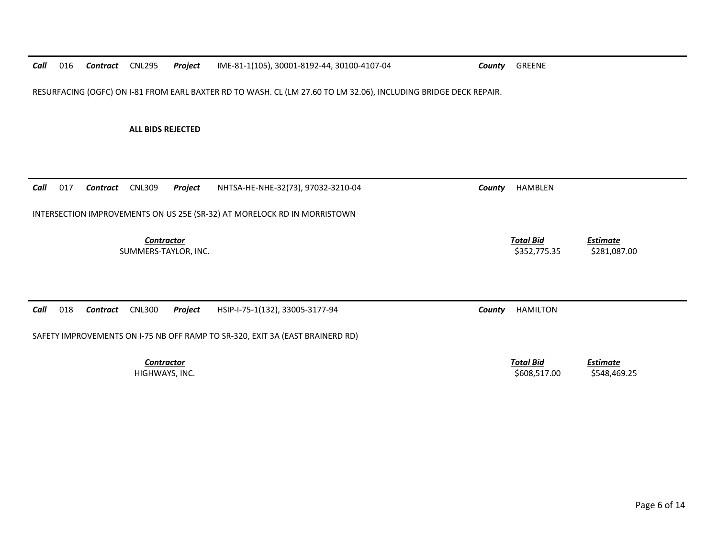*Call* 016 *Contract* CNL295 *Project* IME-81-1(105), 30001-8192-44, 30100-4107-04 *County* GREENE RESURFACING (OGFC) ON I-81 FROM EARL BAXTER RD TO WASH. CL (LM 27.60 TO LM 32.06), INCLUDING BRIDGE DECK REPAIR. **ALL BIDS REJECTED** *Call* 017 *Contract* CNL309 *Project* NHTSA-HE-NHE-32(73), 97032-3210-04 *County* HAMBLEN INTERSECTION IMPROVEMENTS ON US 25E (SR-32) AT MORELOCK RD IN MORRISTOWN **Contractor** Total Bid *Estimate* SUMMERS-TAYLOR, INC. \$281,087.00 *Call* 018 *Contract* CNL300 *Project* HSIP-I-75-1(132), 33005-3177-94 *County* HAMILTON SAFETY IMPROVEMENTS ON I-75 NB OFF RAMP TO SR-320, EXIT 3A (EAST BRAINERD RD) *Contractor Total Bid Estimate* HIGHWAYS, INC. \$608,517.00 \$548,469.25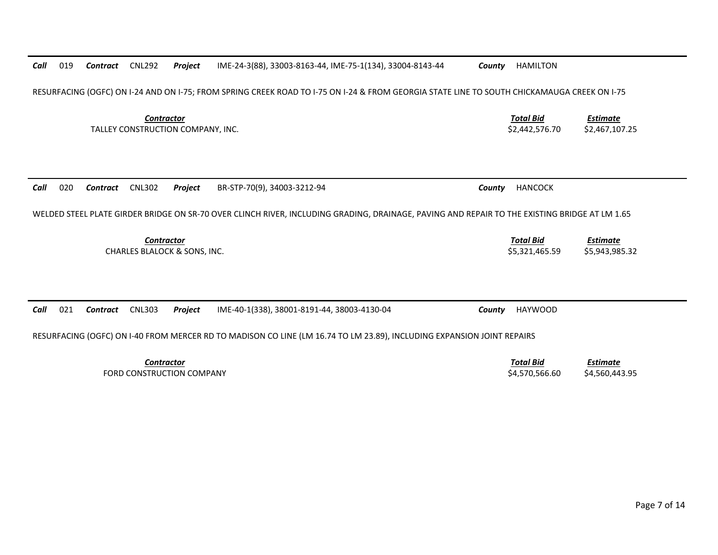| Call | 019                                                                                                                                         | <b>Contract</b> | <b>CNL292</b>     | Project                                 | IME-24-3(88), 33003-8163-44, IME-75-1(134), 33004-8143-44                                                                                     | County | <b>HAMILTON</b>                    |                                   |
|------|---------------------------------------------------------------------------------------------------------------------------------------------|-----------------|-------------------|-----------------------------------------|-----------------------------------------------------------------------------------------------------------------------------------------------|--------|------------------------------------|-----------------------------------|
|      | RESURFACING (OGFC) ON I-24 AND ON I-75; FROM SPRING CREEK ROAD TO I-75 ON I-24 & FROM GEORGIA STATE LINE TO SOUTH CHICKAMAUGA CREEK ON I-75 |                 |                   |                                         |                                                                                                                                               |        |                                    |                                   |
|      |                                                                                                                                             |                 | <b>Contractor</b> | TALLEY CONSTRUCTION COMPANY, INC.       |                                                                                                                                               |        | <b>Total Bid</b><br>\$2,442,576.70 | <b>Estimate</b><br>\$2,467,107.25 |
| Call | 020                                                                                                                                         | Contract        | <b>CNL302</b>     | Project                                 | BR-STP-70(9), 34003-3212-94                                                                                                                   | County | <b>HANCOCK</b>                     |                                   |
|      |                                                                                                                                             |                 |                   |                                         | WELDED STEEL PLATE GIRDER BRIDGE ON SR-70 OVER CLINCH RIVER, INCLUDING GRADING, DRAINAGE, PAVING AND REPAIR TO THE EXISTING BRIDGE AT LM 1.65 |        |                                    |                                   |
|      |                                                                                                                                             |                 | Contractor        | <b>CHARLES BLALOCK &amp; SONS. INC.</b> |                                                                                                                                               |        | <b>Total Bid</b><br>\$5.321.465.59 | <b>Estimate</b><br>\$5,943,985.32 |
|      |                                                                                                                                             |                 |                   |                                         |                                                                                                                                               |        |                                    |                                   |
| Call | 021                                                                                                                                         | Contract        | <b>CNL303</b>     | Project                                 | IME-40-1(338), 38001-8191-44, 38003-4130-04                                                                                                   | County | <b>HAYWOOD</b>                     |                                   |
|      | RESURFACING (OGFC) ON 1-40 FROM MERCER RD TO MADISON CO LINE (LM 16.74 TO LM 23.89), INCLUDING EXPANSION JOINT REPAIRS                      |                 |                   |                                         |                                                                                                                                               |        |                                    |                                   |
|      |                                                                                                                                             |                 | <b>Contractor</b> | FORD CONSTRUCTION COMPANY               |                                                                                                                                               |        | <b>Total Bid</b><br>\$4,570,566.60 | <b>Estimate</b><br>\$4,560,443.95 |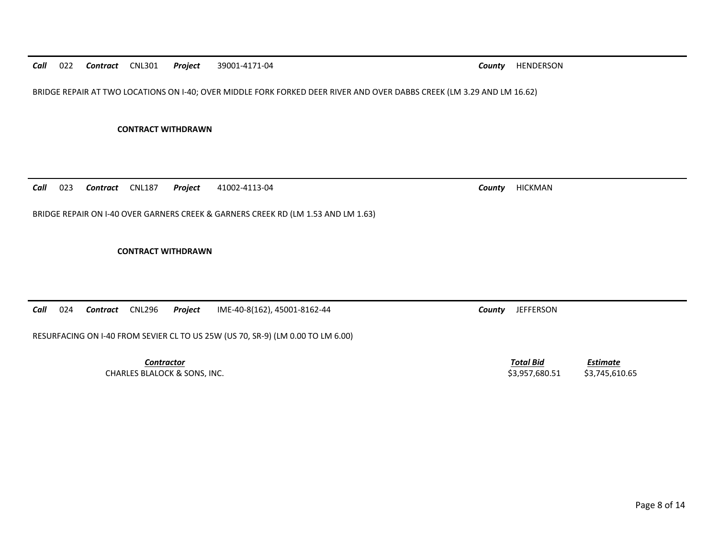BRIDGE REPAIR AT TWO LOCATIONS ON I-40; OVER MIDDLE FORK FORKED DEER RIVER AND OVER DABBS CREEK (LM 3.29 AND LM 16.62)

**CONTRACT WITHDRAWN** 

*Call*023 *Contract* CNL187 *Project* 41002-4113-04 *County* HICKMAN

BRIDGE REPAIR ON I-40 OVER GARNERS CREEK & GARNERS CREEK RD (LM 1.53 AND LM 1.63)

**CONTRACT WITHDRAWN** 

|  |  |  | <b>Call</b> 024 <b>Contract</b> CNL296 <b>Project</b> IME-40-8(162), 45001-8162-44 |
|--|--|--|------------------------------------------------------------------------------------|

RESURFACING ON I-40 FROM SEVIER CL TO US 25W (US 70, SR-9) (LM 0.00 TO LM 6.00)

*Contractor Total Bid*CHARLES BLALOCK & SONS, INC. \$3,957,680.51 \$3,745,610.65

*Estimate*

**County** JEFFERSON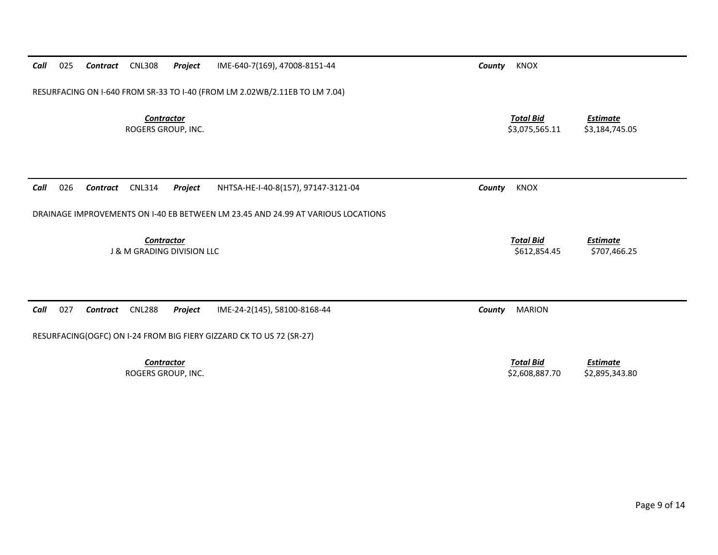| Call | 025                                                                        | Contract | <b>CNL308</b>                           | Project                               | IME-640-7(169), 47008-8151-44                                                    | County | <b>KNOX</b>                        |                                   |
|------|----------------------------------------------------------------------------|----------|-----------------------------------------|---------------------------------------|----------------------------------------------------------------------------------|--------|------------------------------------|-----------------------------------|
|      | RESURFACING ON I-640 FROM SR-33 TO I-40 (FROM LM 2.02WB/2.11EB TO LM 7.04) |          |                                         |                                       |                                                                                  |        |                                    |                                   |
|      |                                                                            |          | <b>Contractor</b><br>ROGERS GROUP, INC. |                                       |                                                                                  |        | <b>Total Bid</b><br>\$3,075,565.11 | <b>Estimate</b><br>\$3,184,745.05 |
| Call | 026                                                                        | Contract | <b>CNL314</b>                           | Project                               | NHTSA-HE-I-40-8(157), 97147-3121-04                                              | County | <b>KNOX</b>                        |                                   |
|      |                                                                            |          |                                         |                                       | DRAINAGE IMPROVEMENTS ON I-40 EB BETWEEN LM 23.45 AND 24.99 AT VARIOUS LOCATIONS |        |                                    |                                   |
|      |                                                                            |          | <b>Contractor</b>                       | <b>J &amp; M GRADING DIVISION LLC</b> |                                                                                  |        | <b>Total Bid</b><br>\$612,854.45   | <b>Estimate</b><br>\$707,466.25   |
| Call | 027                                                                        | Contract | <b>CNL288</b>                           | Project                               | IME-24-2(145), 58100-8168-44                                                     | County | <b>MARION</b>                      |                                   |
|      |                                                                            |          |                                         |                                       | RESURFACING(OGFC) ON I-24 FROM BIG FIERY GIZZARD CK TO US 72 (SR-27)             |        |                                    |                                   |
|      |                                                                            |          | <b>Contractor</b><br>ROGERS GROUP, INC. |                                       |                                                                                  |        | <b>Total Bid</b><br>\$2,608,887.70 | <b>Estimate</b><br>\$2,895,343.80 |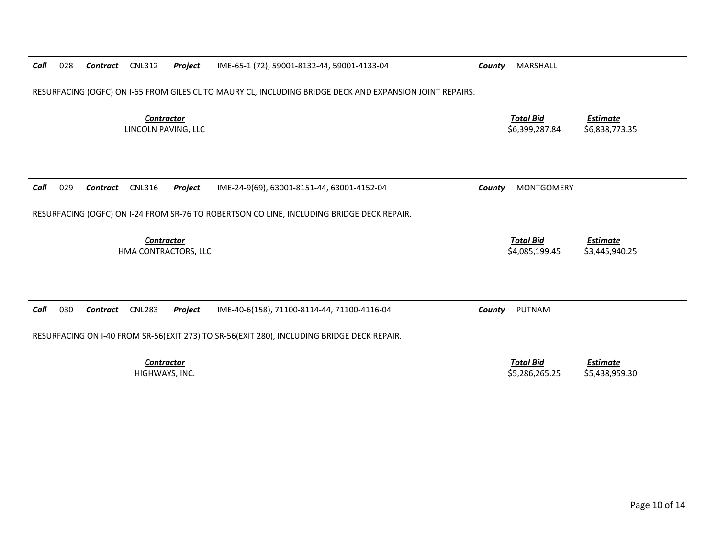| Call                               | 028                                                                                                      | Contract        | <b>CNL312</b>                            | Project | IME-65-1 (72), 59001-8132-44, 59001-4133-04                                                                                               | County | MARSHALL                           |                                   |  |
|------------------------------------|----------------------------------------------------------------------------------------------------------|-----------------|------------------------------------------|---------|-------------------------------------------------------------------------------------------------------------------------------------------|--------|------------------------------------|-----------------------------------|--|
|                                    | RESURFACING (OGFC) ON I-65 FROM GILES CL TO MAURY CL, INCLUDING BRIDGE DECK AND EXPANSION JOINT REPAIRS. |                 |                                          |         |                                                                                                                                           |        |                                    |                                   |  |
|                                    |                                                                                                          |                 | <b>Contractor</b><br>LINCOLN PAVING, LLC |         |                                                                                                                                           |        | <b>Total Bid</b><br>\$6,399,287.84 | <b>Estimate</b><br>\$6,838,773.35 |  |
| Call                               | 029                                                                                                      | <b>Contract</b> | <b>CNL316</b>                            | Project | IME-24-9(69), 63001-8151-44, 63001-4152-04                                                                                                | County | <b>MONTGOMERY</b>                  |                                   |  |
|                                    |                                                                                                          |                 |                                          |         | RESURFACING (OGFC) ON I-24 FROM SR-76 TO ROBERTSON CO LINE, INCLUDING BRIDGE DECK REPAIR.                                                 |        |                                    |                                   |  |
| Contractor<br>HMA CONTRACTORS, LLC |                                                                                                          |                 |                                          |         |                                                                                                                                           |        | <b>Total Bid</b><br>\$4,085,199.45 | <b>Estimate</b><br>\$3,445,940.25 |  |
| Call                               | 030                                                                                                      | Contract        | <b>CNL283</b>                            | Project | IME-40-6(158), 71100-8114-44, 71100-4116-04<br>RESURFACING ON I-40 FROM SR-56(EXIT 273) TO SR-56(EXIT 280), INCLUDING BRIDGE DECK REPAIR. | County | PUTNAM                             |                                   |  |
|                                    |                                                                                                          |                 | <b>Contractor</b><br>HIGHWAYS, INC.      |         |                                                                                                                                           |        | <b>Total Bid</b><br>\$5,286,265.25 | <b>Estimate</b><br>\$5,438,959.30 |  |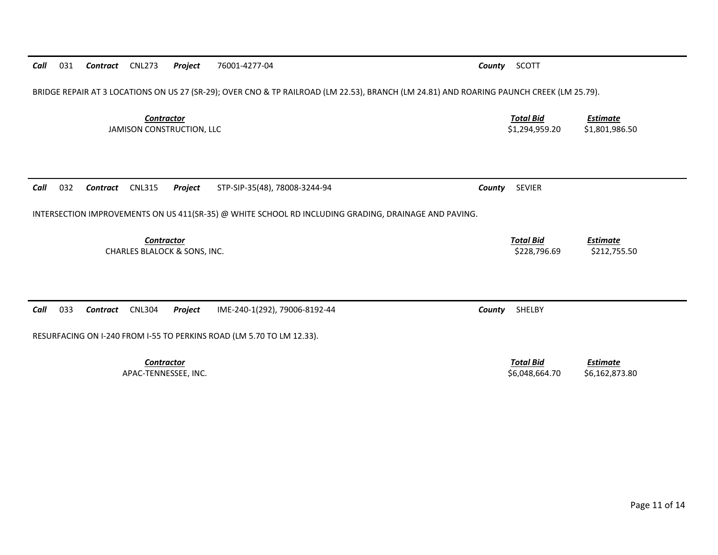| BRIDGE REPAIR AT 3 LOCATIONS ON US 27 (SR-29); OVER CNO & TP RAILROAD (LM 22.53), BRANCH (LM 24.81) AND ROARING PAUNCH CREEK (LM 25.79). |                                    |                                   |  |  |  |  |  |
|------------------------------------------------------------------------------------------------------------------------------------------|------------------------------------|-----------------------------------|--|--|--|--|--|
| <b>Contractor</b><br>JAMISON CONSTRUCTION, LLC                                                                                           | <b>Total Bid</b><br>\$1,294,959.20 | <b>Estimate</b><br>\$1,801,986.50 |  |  |  |  |  |
| 032<br><b>CNL315</b><br>STP-SIP-35(48), 78008-3244-94<br>Call<br>Project<br>Contract                                                     | <b>SEVIER</b><br>County            |                                   |  |  |  |  |  |
| INTERSECTION IMPROVEMENTS ON US 411(SR-35) @ WHITE SCHOOL RD INCLUDING GRADING, DRAINAGE AND PAVING.                                     |                                    |                                   |  |  |  |  |  |
| <b>Contractor</b><br>CHARLES BLALOCK & SONS, INC.                                                                                        | <b>Total Bid</b><br>\$228,796.69   | <b>Estimate</b><br>\$212,755.50   |  |  |  |  |  |
|                                                                                                                                          |                                    |                                   |  |  |  |  |  |
| 033<br><b>CNL304</b><br>IME-240-1(292), 79006-8192-44<br>Call<br>Project<br>Contract                                                     | SHELBY<br>County                   |                                   |  |  |  |  |  |
| RESURFACING ON I-240 FROM I-55 TO PERKINS ROAD (LM 5.70 TO LM 12.33).                                                                    |                                    |                                   |  |  |  |  |  |
| <b>Contractor</b><br>APAC-TENNESSEE, INC.                                                                                                | <b>Total Bid</b><br>\$6,048,664.70 | <b>Estimate</b><br>\$6,162,873.80 |  |  |  |  |  |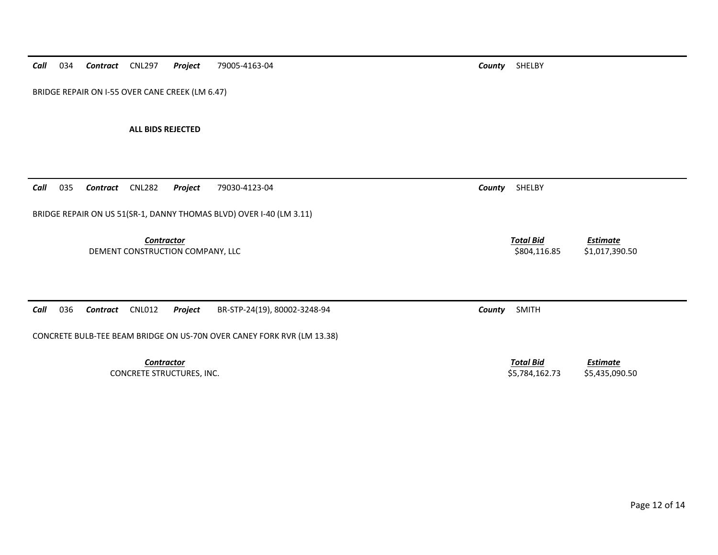*Call*034 *Contract* CNL297 *Project* 79005-4163-04 *County* SHELBY

BRIDGE REPAIR ON I-55 OVER CANE CREEK (LM 6.47)

**ALL BIDS REJECTED** 

| BRIDGE REPAIR ON US 51(SR-1, DANNY THOMAS BLVD) OVER I-40 (LM 3.11)<br><b>Contractor</b><br>DEMENT CONSTRUCTION COMPANY, LLC | <b>Total Bid</b><br><b>Estimate</b><br>\$804,116.85<br>\$1,017,390.50   |  |  |  |  |  |
|------------------------------------------------------------------------------------------------------------------------------|-------------------------------------------------------------------------|--|--|--|--|--|
| Call<br>036<br>Project<br>BR-STP-24(19), 80002-3248-94<br>CNL012<br>Contract                                                 | <b>SMITH</b><br>County                                                  |  |  |  |  |  |
| CONCRETE BULB-TEE BEAM BRIDGE ON US-70N OVER CANEY FORK RVR (LM 13.38)                                                       |                                                                         |  |  |  |  |  |
| <b>Contractor</b><br>CONCRETE STRUCTURES, INC.                                                                               | <b>Total Bid</b><br><u>Estimate</u><br>\$5,784,162.73<br>\$5,435,090.50 |  |  |  |  |  |

*Call* 035 *Contract* CNL282 *Project* 79030-4123-04 *County* SHELBY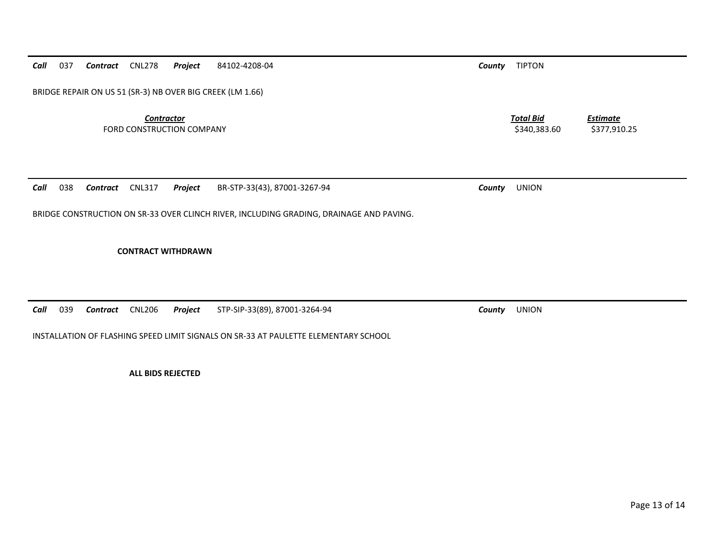*Call*037 *Contract* CNL278 *Project* 84102-4208-04 *County* TIPTON

BRIDGE REPAIR ON US 51 (SR-3) NB OVER BIG CREEK (LM 1.66)

**Contractor** Total Bid FORD CONSTRUCTION COMPANY 6377,910.25

*Call*038 *Contract* CNL317 *Project* BR-STP-33(43), 87001-3267-94 *County* UNION

BRIDGE CONSTRUCTION ON SR-33 OVER CLINCH RIVER, INCLUDING GRADING, DRAINAGE AND PAVING.

**CONTRACT WITHDRAWN** 

*Call*039 *Contract* CNL206 *Project* STP-SIP-33(89), 87001-3264-94 *County* UNION

INSTALLATION OF FLASHING SPEED LIMIT SIGNALS ON SR-33 AT PAULETTE ELEMENTARY SCHOOL

**ALL BIDS REJECTED** 

*Estimate*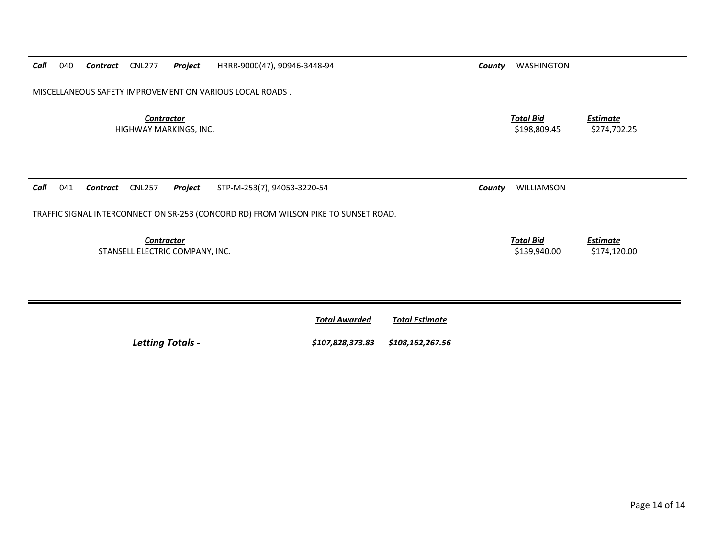| Call | 040                                                      | Contract | <b>CNL277</b>     | Project                         | HRRR-9000(47), 90946-3448-94                                                        | County | WASHINGTON                       |                                 |  |  |
|------|----------------------------------------------------------|----------|-------------------|---------------------------------|-------------------------------------------------------------------------------------|--------|----------------------------------|---------------------------------|--|--|
|      | MISCELLANEOUS SAFETY IMPROVEMENT ON VARIOUS LOCAL ROADS. |          |                   |                                 |                                                                                     |        |                                  |                                 |  |  |
|      |                                                          |          | <b>Contractor</b> | HIGHWAY MARKINGS, INC.          |                                                                                     |        | <b>Total Bid</b><br>\$198,809.45 | <b>Estimate</b><br>\$274,702.25 |  |  |
| Call | 041                                                      | Contract | <b>CNL257</b>     | Project                         | STP-M-253(7), 94053-3220-54                                                         | County | WILLIAMSON                       |                                 |  |  |
|      |                                                          |          |                   |                                 | TRAFFIC SIGNAL INTERCONNECT ON SR-253 (CONCORD RD) FROM WILSON PIKE TO SUNSET ROAD. |        |                                  |                                 |  |  |
|      |                                                          |          | <b>Contractor</b> | STANSELL ELECTRIC COMPANY, INC. |                                                                                     |        | <b>Total Bid</b><br>\$139,940.00 | <b>Estimate</b><br>\$174,120.00 |  |  |

|                         | <b>Total Awarded</b>              | Total Estimate |
|-------------------------|-----------------------------------|----------------|
| <b>Letting Totals -</b> | \$107,828,373.83 \$108,162,267.56 |                |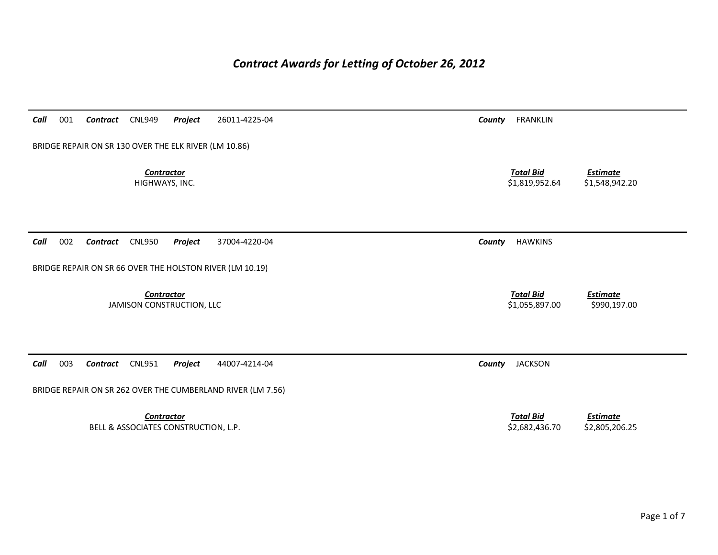## *Contract Awards for Letting of October 26, 2012*

| 001<br>Call | Contract                                              | <b>CNL949</b>                        | Project           | 26011-4225-04                                               | County | <b>FRANKLIN</b>                    |                                   |
|-------------|-------------------------------------------------------|--------------------------------------|-------------------|-------------------------------------------------------------|--------|------------------------------------|-----------------------------------|
|             | BRIDGE REPAIR ON SR 130 OVER THE ELK RIVER (LM 10.86) |                                      |                   |                                                             |        |                                    |                                   |
|             |                                                       | HIGHWAYS, INC.                       | <b>Contractor</b> |                                                             |        | <b>Total Bid</b><br>\$1,819,952.64 | <b>Estimate</b><br>\$1,548,942.20 |
| 002<br>Call | Contract                                              | <b>CNL950</b>                        | Project           | 37004-4220-04                                               | County | <b>HAWKINS</b>                     |                                   |
|             |                                                       |                                      |                   | BRIDGE REPAIR ON SR 66 OVER THE HOLSTON RIVER (LM 10.19)    |        |                                    |                                   |
|             |                                                       | JAMISON CONSTRUCTION, LLC            | <b>Contractor</b> |                                                             |        | <b>Total Bid</b><br>\$1,055,897.00 | <b>Estimate</b><br>\$990,197.00   |
|             |                                                       |                                      |                   |                                                             |        |                                    |                                   |
| 003<br>Call | Contract                                              | <b>CNL951</b>                        | Project           | 44007-4214-04                                               | County | <b>JACKSON</b>                     |                                   |
|             |                                                       |                                      |                   | BRIDGE REPAIR ON SR 262 OVER THE CUMBERLAND RIVER (LM 7.56) |        |                                    |                                   |
|             |                                                       | BELL & ASSOCIATES CONSTRUCTION, L.P. | <b>Contractor</b> |                                                             |        | <b>Total Bid</b><br>\$2,682,436.70 | <b>Estimate</b><br>\$2,805,206.25 |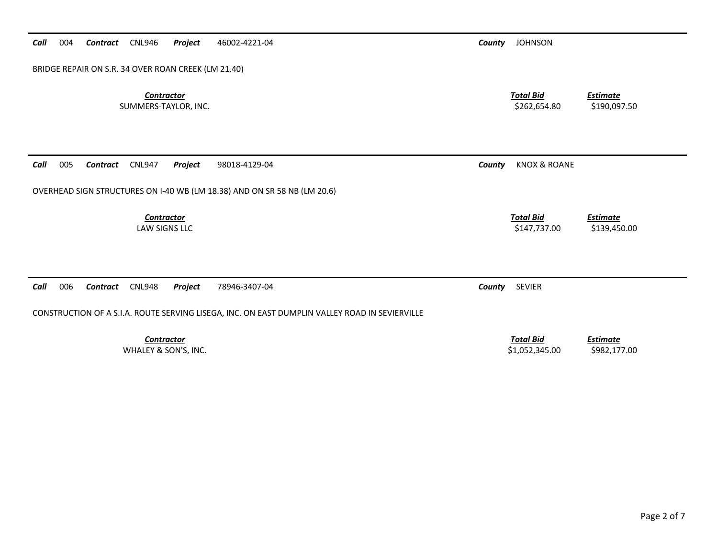| BRIDGE REPAIR ON S.R. 34 OVER ROAN CREEK (LM 21.40)                                            |                                                                       |
|------------------------------------------------------------------------------------------------|-----------------------------------------------------------------------|
| <b>Contractor</b><br>SUMMERS-TAYLOR, INC.                                                      | <b>Total Bid</b><br><b>Estimate</b><br>\$262,654.80<br>\$190,097.50   |
| 005<br>Call<br><b>CNL947</b><br>98018-4129-04<br>Contract<br>Project                           | <b>KNOX &amp; ROANE</b><br>County                                     |
| OVERHEAD SIGN STRUCTURES ON I-40 WB (LM 18.38) AND ON SR 58 NB (LM 20.6)                       |                                                                       |
| <b>Contractor</b><br>LAW SIGNS LLC                                                             | <b>Total Bid</b><br><b>Estimate</b><br>\$147,737.00<br>\$139,450.00   |
| 006<br>Call<br><b>CNL948</b><br>78946-3407-04<br><b>Contract</b><br>Project                    | <b>SEVIER</b><br>County                                               |
| CONSTRUCTION OF A S.I.A. ROUTE SERVING LISEGA, INC. ON EAST DUMPLIN VALLEY ROAD IN SEVIERVILLE |                                                                       |
| <b>Contractor</b><br>WHALEY & SON'S, INC.                                                      | <b>Total Bid</b><br><b>Estimate</b><br>\$1,052,345.00<br>\$982,177.00 |

S.R. 34 OVER ROAN CREEK (LM 21.40)

*Call* 004 *Contract* CNL946 *Project* 46002‐4221‐04 *County* JOHNSON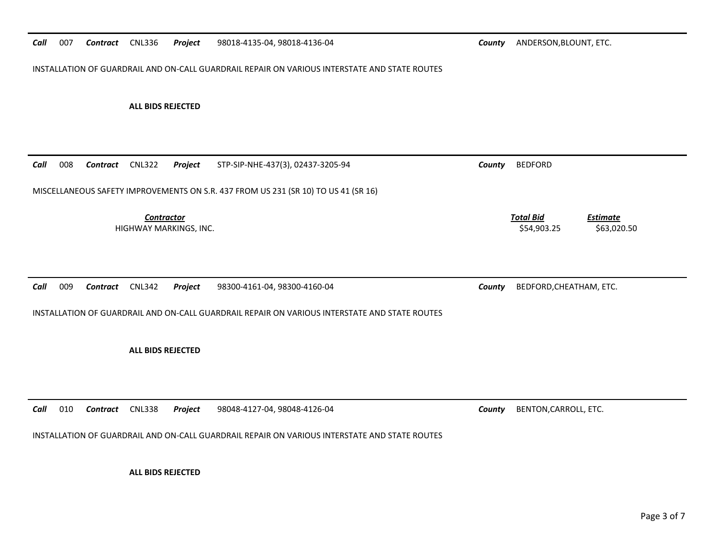#### *Call* 007*Contract* CNL336 *Project* 98018‐4135‐04, 98018‐4136‐04 *County* ANDERSON,BLOUNT, ETC.

INSTALLATION OF GUARDRAIL AND ON‐CALL GUARDRAIL REPAIR ON VARIOUS INTERSTATE AND STATE ROUTES

### **ALL BIDS REJECTED**

| Call | 008 | Contract | <b>CNL322</b>                               | Project | STP-SIP-NHE-437(3), 02437-3205-94                                                             | County | <b>BEDFORD</b>                                                    |
|------|-----|----------|---------------------------------------------|---------|-----------------------------------------------------------------------------------------------|--------|-------------------------------------------------------------------|
|      |     |          |                                             |         | MISCELLANEOUS SAFETY IMPROVEMENTS ON S.R. 437 FROM US 231 (SR 10) TO US 41 (SR 16)            |        |                                                                   |
|      |     |          | <b>Contractor</b><br>HIGHWAY MARKINGS, INC. |         |                                                                                               |        | <b>Total Bid</b><br><b>Estimate</b><br>\$54,903.25<br>\$63,020.50 |
| Call | 009 | Contract | <b>CNL342</b>                               | Project | 98300-4161-04, 98300-4160-04                                                                  | County | BEDFORD, CHEATHAM, ETC.                                           |
|      |     |          |                                             |         | INSTALLATION OF GUARDRAIL AND ON-CALL GUARDRAIL REPAIR ON VARIOUS INTERSTATE AND STATE ROUTES |        |                                                                   |
|      |     |          | <b>ALL BIDS REJECTED</b>                    |         |                                                                                               |        |                                                                   |
|      |     |          |                                             |         |                                                                                               |        |                                                                   |
| Call | 010 | Contract | <b>CNL338</b>                               | Project | 98048-4127-04, 98048-4126-04                                                                  | County | BENTON, CARROLL, ETC.                                             |
|      |     |          |                                             |         | INSTALLATION OF GUARDRAIL AND ON-CALL GUARDRAIL REPAIR ON VARIOUS INTERSTATE AND STATE ROUTES |        |                                                                   |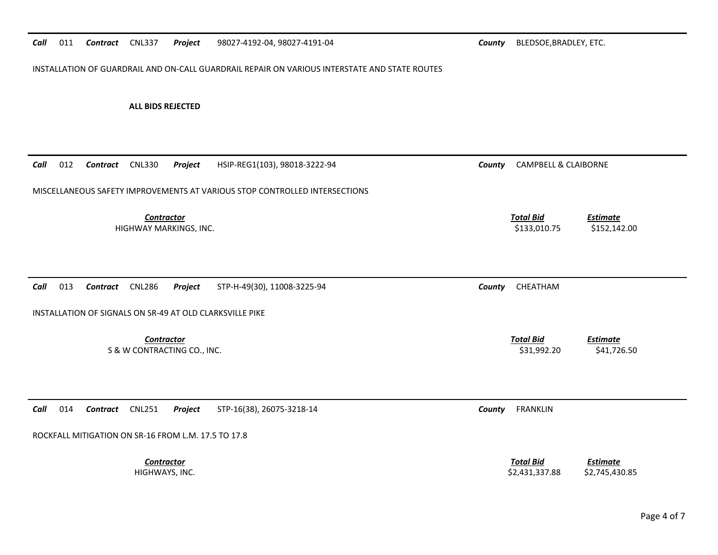#### *Call*011 **Contract** CNL337 **Project** 98027-4192-04, 98027-4191-04 **County** BLEDSOE,BRADLEY, ETC.

INSTALLATION OF GUARDRAIL AND ON‐CALL GUARDRAIL REPAIR ON VARIOUS INTERSTATE AND STATE ROUTES

| Call | 012 | Contract        | <b>CNL330</b>                                       | Project | HSIP-REG1(103), 98018-3222-94                                                           | County | <b>CAMPBELL &amp; CLAIBORNE</b>    |                                   |
|------|-----|-----------------|-----------------------------------------------------|---------|-----------------------------------------------------------------------------------------|--------|------------------------------------|-----------------------------------|
|      |     |                 |                                                     |         | MISCELLANEOUS SAFETY IMPROVEMENTS AT VARIOUS STOP CONTROLLED INTERSECTIONS              |        |                                    |                                   |
|      |     |                 | <b>Contractor</b><br>HIGHWAY MARKINGS, INC.         |         |                                                                                         |        | <b>Total Bid</b><br>\$133,010.75   | <b>Estimate</b><br>\$152,142.00   |
| Call | 013 | Contract        | <b>CNL286</b>                                       | Project | STP-H-49(30), 11008-3225-94<br>INSTALLATION OF SIGNALS ON SR-49 AT OLD CLARKSVILLE PIKE | County | CHEATHAM                           |                                   |
|      |     |                 | <b>Contractor</b>                                   |         |                                                                                         |        | <b>Total Bid</b>                   | <b>Estimate</b>                   |
|      |     |                 | S & W CONTRACTING CO., INC.                         |         |                                                                                         |        | \$31,992.20                        | \$41,726.50                       |
|      |     |                 |                                                     |         |                                                                                         |        |                                    |                                   |
| Call | 014 | <b>Contract</b> | <b>CNL251</b>                                       | Project | STP-16(38), 26075-3218-14                                                               | County | <b>FRANKLIN</b>                    |                                   |
|      |     |                 | ROCKFALL MITIGATION ON SR-16 FROM L.M. 17.5 TO 17.8 |         |                                                                                         |        |                                    |                                   |
|      |     |                 | <b>Contractor</b><br>HIGHWAYS, INC.                 |         |                                                                                         |        | <b>Total Bid</b><br>\$2,431,337.88 | <b>Estimate</b><br>\$2,745,430.85 |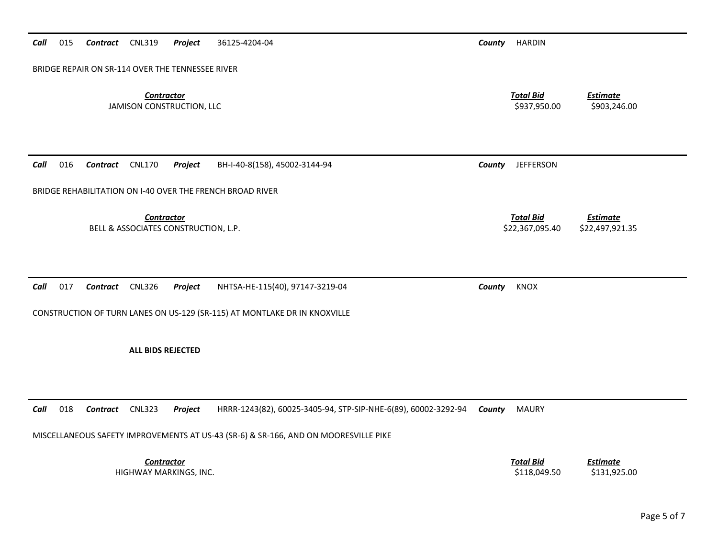## BRIDGE REPAIR ON SR‐114 OVER THE TENNESSEE RIVER *Contractor Total Bid Estimate* JAMISON CONSTRUCTION, LLC \$937,950.00 \$903,246.00 *Call* 016 *Contract* CNL170 *Project* BH‐I‐40‐8(158), 45002‐3144‐94 *County* JEFFERSON BRIDGE REHABILITATION ON I‐40 OVER THE FRENCH BROAD RIVER *Contractor Total Bid Estimate* BELL & ASSOCIATES CONSTRUCTION, L.P. \$22,367,095.40 \$22,497,921.35 *Call* 017 *Contract* CNL326 *Project* NHTSA‐HE‐115(40), 97147‐3219‐04 *County* KNOX CONSTRUCTION OF TURN LANES ON US‐129 (SR‐115) AT MONTLAKE DR IN KNOXVILLE **ALL BIDS REJECTED***Call* 018*Contract* CNL323 *Project* HRRR‐1243(82), 60025‐3405‐94, STP‐SIP‐NHE‐6(89), 60002‐3292‐94 *County* MAURY

MISCELLANEOUS SAFETY IMPROVEMENTS AT US‐43 (SR‐6) & SR‐166, AND ON MOORESVILLE PIKE

*Contractor Total Bid*HIGHWAY MARKINGS, INC. \$118,049.50 \$131,925.00

*Estimate*

*Call* 015*Contract* CNL319 *Project* 36125‐4204‐04 *County* HARDIN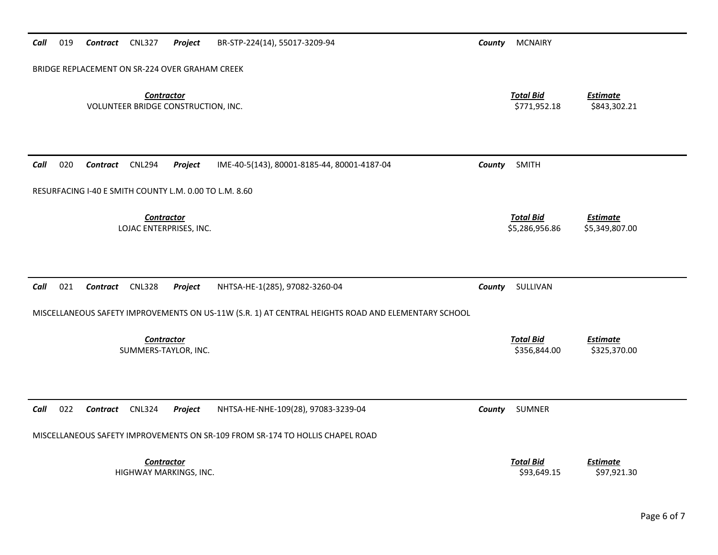| 019<br>Contract CNL327<br>Project<br>BR-STP-224(14), 55017-3209-94<br>Call                         | <b>MCNAIRY</b><br>County           |                                   |
|----------------------------------------------------------------------------------------------------|------------------------------------|-----------------------------------|
| BRIDGE REPLACEMENT ON SR-224 OVER GRAHAM CREEK                                                     |                                    |                                   |
| <b>Contractor</b><br>VOLUNTEER BRIDGE CONSTRUCTION, INC.                                           | <b>Total Bid</b><br>\$771,952.18   | <b>Estimate</b><br>\$843,302.21   |
| 020<br>Call<br>Contract<br><b>CNL294</b><br>Project<br>IME-40-5(143), 80001-8185-44, 80001-4187-04 | <b>SMITH</b><br>County             |                                   |
| RESURFACING I-40 E SMITH COUNTY L.M. 0.00 TO L.M. 8.60                                             |                                    |                                   |
| <b>Contractor</b><br>LOJAC ENTERPRISES, INC.                                                       | <b>Total Bid</b><br>\$5,286,956.86 | <b>Estimate</b><br>\$5,349,807.00 |
| Call<br>021<br><b>CNL328</b><br>Contract<br>Project<br>NHTSA-HE-1(285), 97082-3260-04              | SULLIVAN<br>County                 |                                   |
| MISCELLANEOUS SAFETY IMPROVEMENTS ON US-11W (S.R. 1) AT CENTRAL HEIGHTS ROAD AND ELEMENTARY SCHOOL |                                    |                                   |
| <b>Contractor</b><br>SUMMERS-TAYLOR, INC.                                                          | <b>Total Bid</b><br>\$356,844.00   | <b>Estimate</b><br>\$325,370.00   |
| 022<br>Call<br><b>CNL324</b><br>Project<br>NHTSA-HE-NHE-109(28), 97083-3239-04<br><b>Contract</b>  | SUMNER<br>County                   |                                   |
| MISCELLANEOUS SAFETY IMPROVEMENTS ON SR-109 FROM SR-174 TO HOLLIS CHAPEL ROAD                      |                                    |                                   |
| <b>Contractor</b><br>HIGHWAY MARKINGS, INC.                                                        | <b>Total Bid</b><br>\$93,649.15    | <b>Estimate</b><br>\$97,921.30    |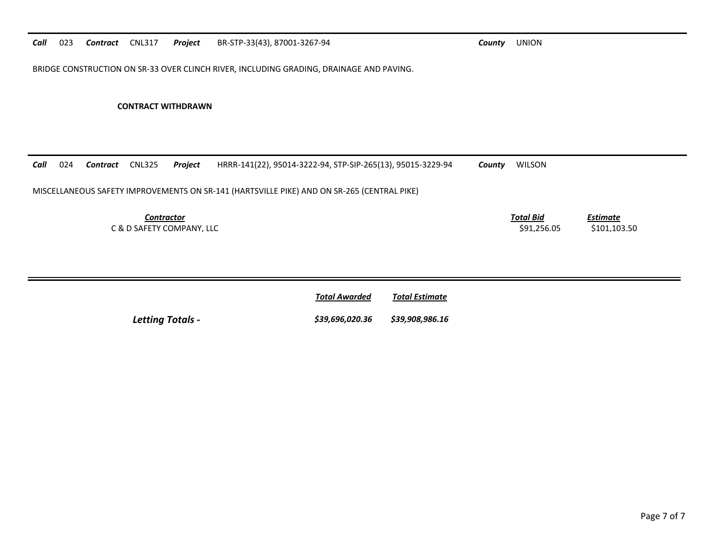BRIDGE CONSTRUCTION ON SR‐33 OVER CLINCH RIVER, INCLUDING GRADING, DRAINAGE AND PAVING.

### **CONTRACT WITHDRAWN**

| Call | 024 | Contract | <b>CNL325</b>     | Project                   | HRRR-141(22), 95014-3222-94, STP-SIP-265(13), 95015-3229-94                                | County | <b>WILSON</b>                   |                          |
|------|-----|----------|-------------------|---------------------------|--------------------------------------------------------------------------------------------|--------|---------------------------------|--------------------------|
|      |     |          |                   |                           | MISCELLANEOUS SAFETY IMPROVEMENTS ON SR-141 (HARTSVILLE PIKE) AND ON SR-265 (CENTRAL PIKE) |        |                                 |                          |
|      |     |          | <b>Contractor</b> | C & D SAFETY COMPANY, LLC |                                                                                            |        | <b>Total Bid</b><br>\$91.256.05 | Estimate<br>\$101,103.50 |
|      |     |          |                   |                           |                                                                                            |        |                                 |                          |

|                         | <u>Total Awarded</u>            | <u>Total Estimate</u> |
|-------------------------|---------------------------------|-----------------------|
| <b>Letting Totals -</b> | \$39,696,020.36 \$39,908,986.16 |                       |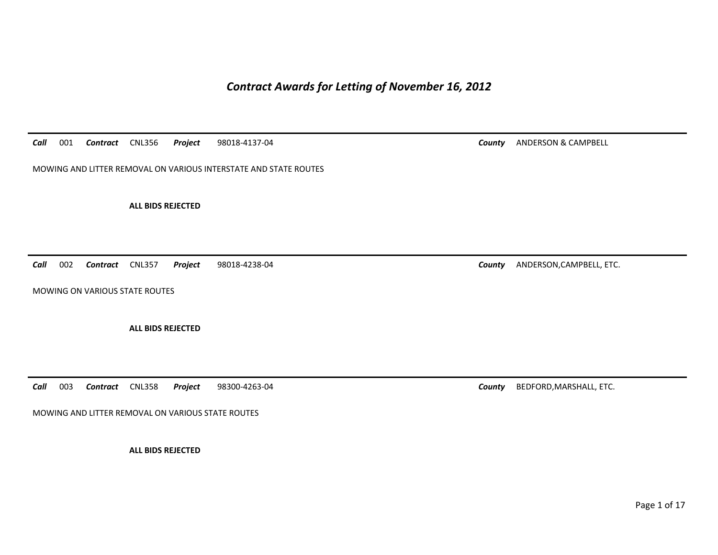*Contract Awards for Letting of November 16, 2012* 

*Call*001 *Contract* CNL356 *Project* 98018-4137-04 *County* ANDERSON & CAMPBELL

MOWING AND LITTER REMOVAL ON VARIOUS INTERSTATE AND STATE ROUTES

**ALL BIDS REJECTED** 

*Call*002 *Contract* CNL357 *Project* 98018-4238-04 *County* ANDERSON,CAMPBELL, ETC.

MOWING ON VARIOUS STATE ROUTES

**ALL BIDS REJECTED** 

*Call*003 *Contract* CNL358 *Project* 98300-4263-04 *County* BEDFORD,MARSHALL, ETC.

MOWING AND LITTER REMOVAL ON VARIOUS STATE ROUTES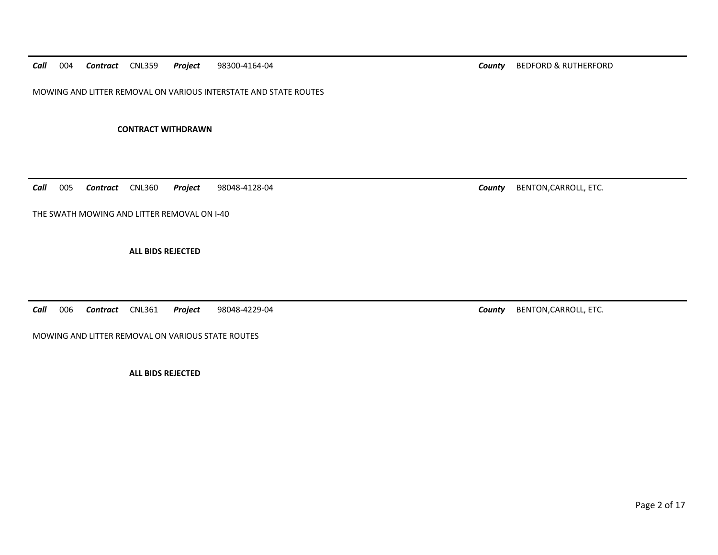*Call*004 *Contract* CNL359 *Project* 98300-4164-04 *County* BEDFORD & RUTHERFORD

MOWING AND LITTER REMOVAL ON VARIOUS INTERSTATE AND STATE ROUTES

**CONTRACT WITHDRAWN** 

*Call*005 *Contract* CNL360 *Project* 98048-4128-04 *County* BENTON,CARROLL, ETC.

THE SWATH MOWING AND LITTER REMOVAL ON I-40

**ALL BIDS REJECTED** 

*Call*006 *Contract* CNL361 *Project* 98048-4229-04 *County* BENTON,CARROLL, ETC.

MOWING AND LITTER REMOVAL ON VARIOUS STATE ROUTES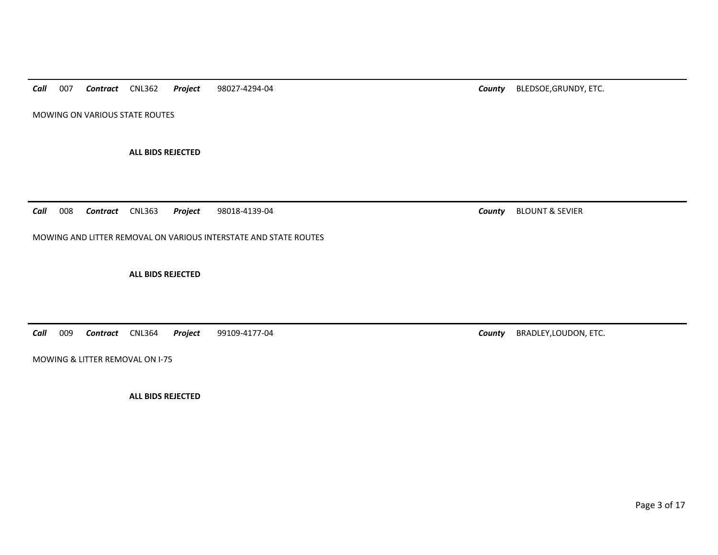*Call*007 *Contract* CNL362 *Project* 98027-4294-04 *County* BLEDSOE,GRUNDY, ETC.

MOWING ON VARIOUS STATE ROUTES

**ALL BIDS REJECTED** 

*Call*008 *Contract* CNL363 *Project* 98018-4139-04 *County* BLOUNT & SEVIER

MOWING AND LITTER REMOVAL ON VARIOUS INTERSTATE AND STATE ROUTES

**ALL BIDS REJECTED** 

*Call*009 *Contract* CNL364 *Project* 99109-4177-04 *County* BRADLEY,LOUDON, ETC.

MOWING & LITTER REMOVAL ON I-75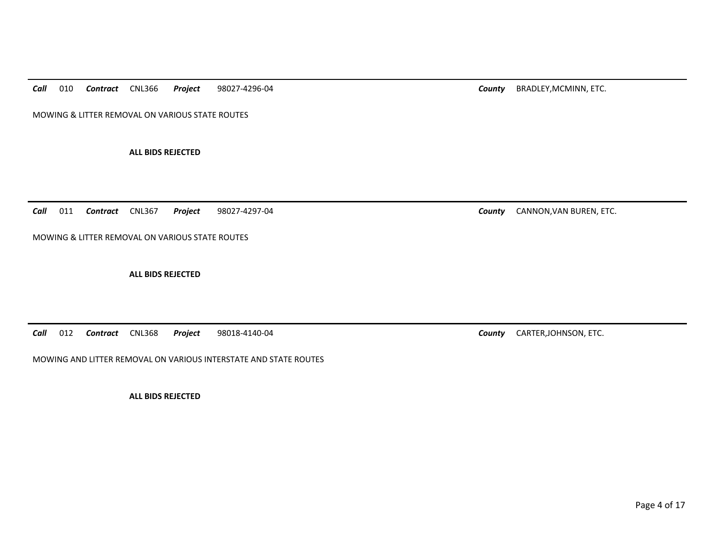*Call*010 *Contract* CNL366 *Project* 98027-4296-04 *County* BRADLEY,MCMINN, ETC.

MOWING & LITTER REMOVAL ON VARIOUS STATE ROUTES

**ALL BIDS REJECTED** 

*Call*011 *Contract* CNL367 *Project* 98027-4297-04 *County* CANNON,VAN BUREN, ETC.

MOWING & LITTER REMOVAL ON VARIOUS STATE ROUTES

**ALL BIDS REJECTED** 

*Call*012 *Contract* CNL368 *Project* 98018-4140-04 *County* CARTER,JOHNSON, ETC.

MOWING AND LITTER REMOVAL ON VARIOUS INTERSTATE AND STATE ROUTES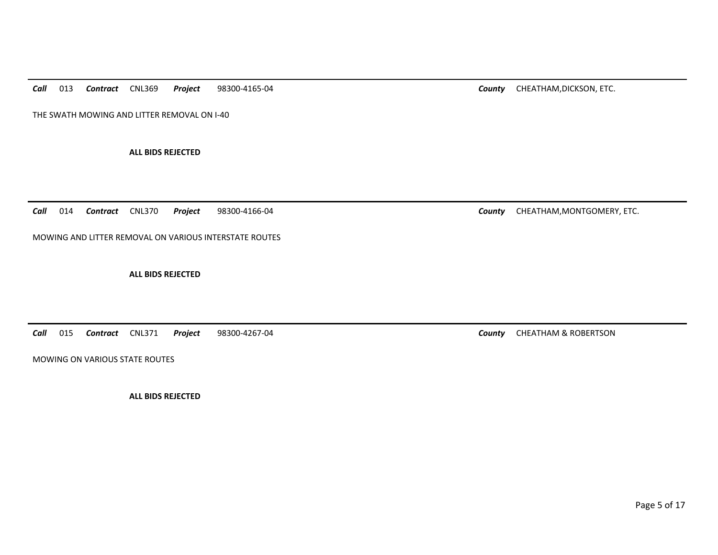*Call*013 *Contract* CNL369 *Project* 98300-4165-04 *County* CHEATHAM,DICKSON, ETC.

THE SWATH MOWING AND LITTER REMOVAL ON I-40

**ALL BIDS REJECTED** 

*Call*014 **Contract** CNL370 **Project** 98300-4166-04 **COUNTY CHEATHAM, MONTGOMERY, ETC.** 

MOWING AND LITTER REMOVAL ON VARIOUS INTERSTATE ROUTES

**ALL BIDS REJECTED** 

*Call*015 *Contract* CNL371 *Project* 98300-4267-04 *County* CHEATHAM & ROBERTSON

MOWING ON VARIOUS STATE ROUTES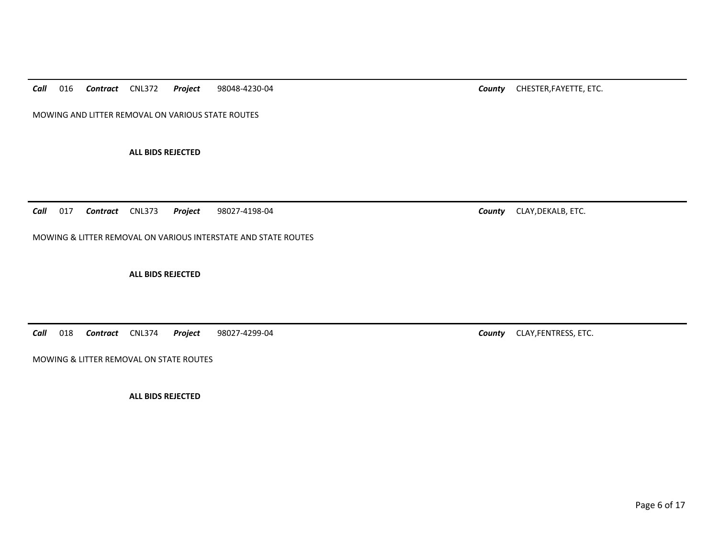*Call*016 *Contract* CNL372 *Project* 98048-4230-04 *County* CHESTER,FAYETTE, ETC.

MOWING AND LITTER REMOVAL ON VARIOUS STATE ROUTES

**ALL BIDS REJECTED** 

MOWING & LITTER REMOVAL ON VARIOUS INTERSTATE AND STATE ROUTES

**ALL BIDS REJECTED** 

*Call*018 *Contract* CNL374 *Project* 98027-4299-04 *County* CLAY,FENTRESS, ETC.

MOWING & LITTER REMOVAL ON STATE ROUTES

*Call*

**ALL BIDS REJECTED** 

017 *Contract* CNL373 *Project* 98027-4198-04 *County* CLAY,DEKALB, ETC.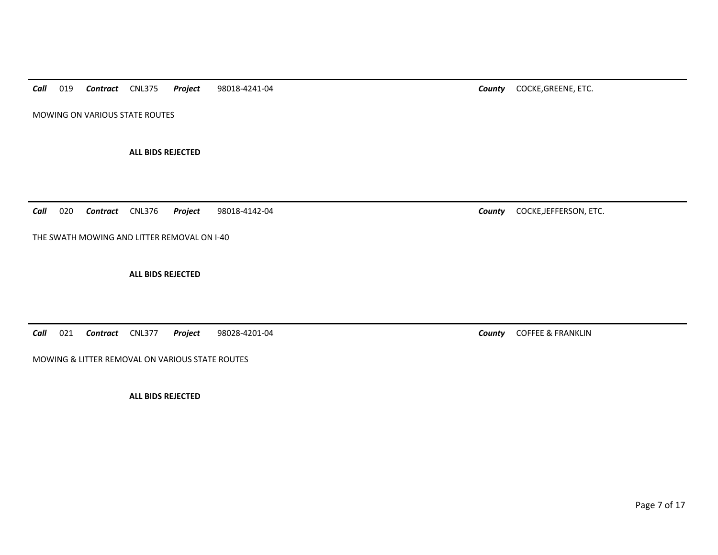*Call*019 *Contract* CNL375 *Project* 98018-4241-04 *County* COCKE,GREENE, ETC.

MOWING ON VARIOUS STATE ROUTES

**ALL BIDS REJECTED** 

*Call*020 *Contract* CNL376 *Project* 98018-4142-04 *County* COCKE,JEFFERSON, ETC.

THE SWATH MOWING AND LITTER REMOVAL ON I-40

**ALL BIDS REJECTED** 

*Call*021 *Contract* CNL377 *Project* 98028-4201-04 *County* COFFEE & FRANKLIN

MOWING & LITTER REMOVAL ON VARIOUS STATE ROUTES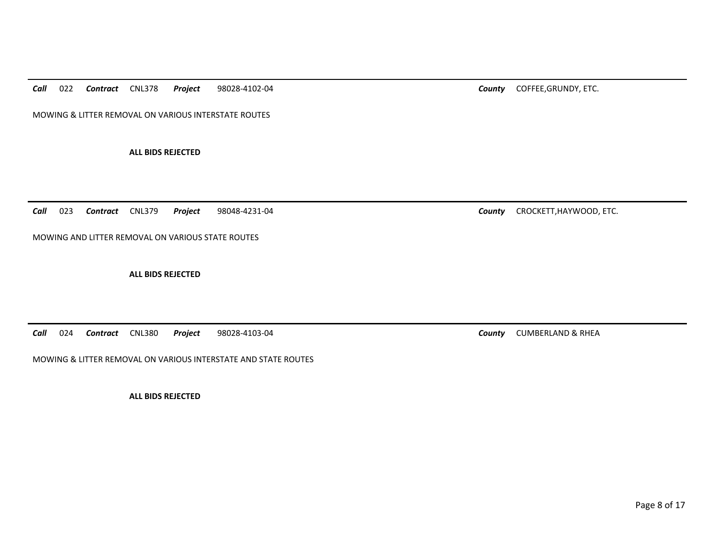*Call*022 *Contract* CNL378 *Project* 98028-4102-04 *County* COFFEE,GRUNDY, ETC.

MOWING & LITTER REMOVAL ON VARIOUS INTERSTATE ROUTES

**ALL BIDS REJECTED** 

*Call*023 *Contract* CNL379 *Project* 98048-4231-04 *County* CROCKETT,HAYWOOD, ETC.

MOWING AND LITTER REMOVAL ON VARIOUS STATE ROUTES

**ALL BIDS REJECTED** 

*Call*024 *Contract* CNL380 *Project* 98028-4103-04 *County* CUMBERLAND & RHEA

MOWING & LITTER REMOVAL ON VARIOUS INTERSTATE AND STATE ROUTES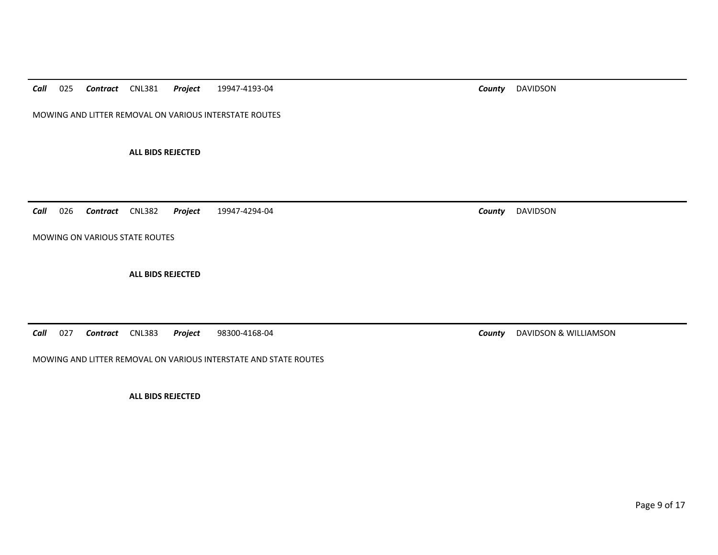*Call*025 *Contract* CNL381 *Project* 19947-4193-04 *County* DAVIDSON

MOWING AND LITTER REMOVAL ON VARIOUS INTERSTATE ROUTES

**ALL BIDS REJECTED** 

*Call*026 *Contract* CNL382 *Project* 19947-4294-04 *County* DAVIDSON

MOWING ON VARIOUS STATE ROUTES

**ALL BIDS REJECTED** 

*Call*027 *Contract* CNL383 *Project* 98300-4168-04 *County* DAVIDSON & WILLIAMSON

MOWING AND LITTER REMOVAL ON VARIOUS INTERSTATE AND STATE ROUTES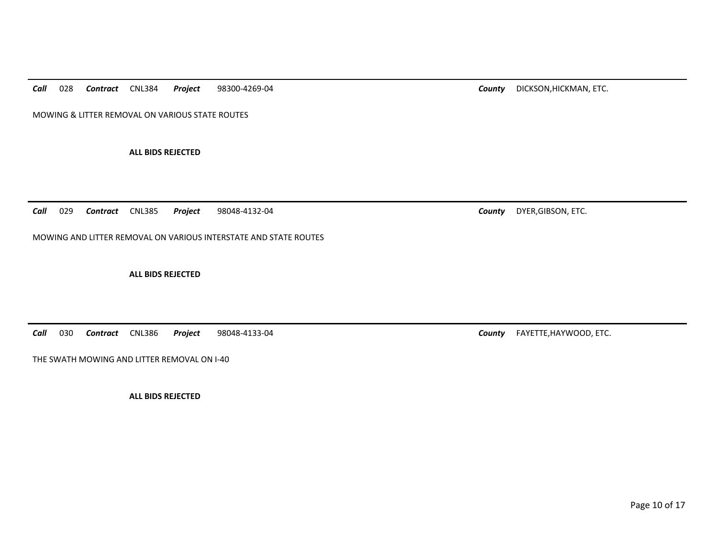*Call*028 *Contract* CNL384 *Project* 98300-4269-04 *County* DICKSON,HICKMAN, ETC.

MOWING & LITTER REMOVAL ON VARIOUS STATE ROUTES

**ALL BIDS REJECTED** 

*Call*029 *Contract* CNL385 *Project* 98048-4132-04 *County* DYER,GIBSON, ETC.

MOWING AND LITTER REMOVAL ON VARIOUS INTERSTATE AND STATE ROUTES

**ALL BIDS REJECTED** 

*Call*030 *Contract* CNL386 *Project* 98048-4133-04 *County* FAYETTE,HAYWOOD, ETC.

THE SWATH MOWING AND LITTER REMOVAL ON I-40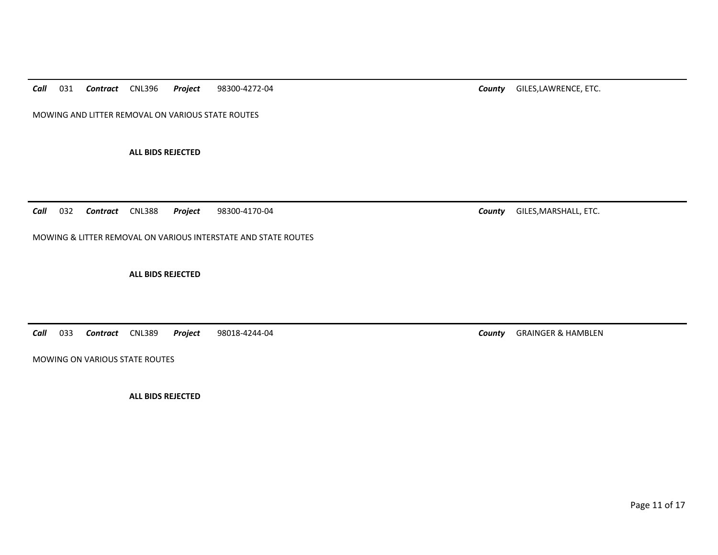*Call*031 *Contract* CNL396 *Project* 98300-4272-04 *County* GILES,LAWRENCE, ETC.

MOWING AND LITTER REMOVAL ON VARIOUS STATE ROUTES

**ALL BIDS REJECTED** 

*Call*032 *Contract* CNL388 *Project* 98300-4170-04 *County* GILES,MARSHALL, ETC.

MOWING & LITTER REMOVAL ON VARIOUS INTERSTATE AND STATE ROUTES

**ALL BIDS REJECTED** 

*Call*033 *Contract* CNL389 *Project* 98018-4244-04 *County* GRAINGER & HAMBLEN

MOWING ON VARIOUS STATE ROUTES

**ALL BIDS REJECTED** 

Page 11 of 17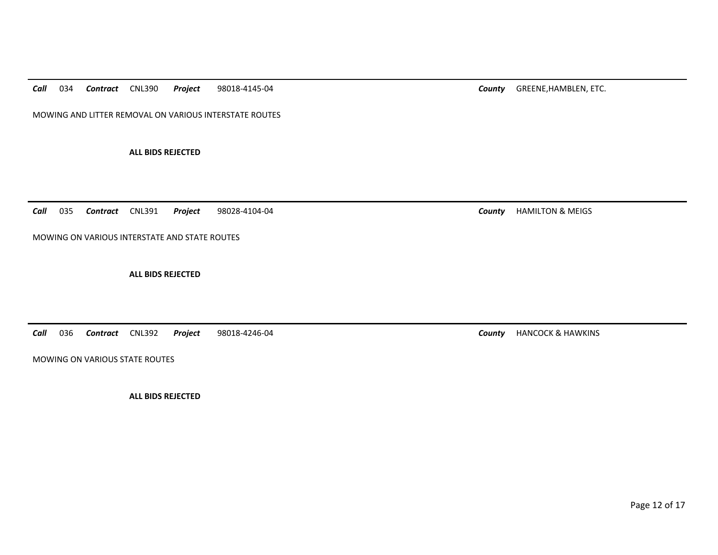*Call*034 *Contract* CNL390 *Project* 98018-4145-04 *County* GREENE,HAMBLEN, ETC.

MOWING AND LITTER REMOVAL ON VARIOUS INTERSTATE ROUTES

**ALL BIDS REJECTED** 

*Call*035 *Contract* CNL391 *Project* 98028-4104-04 *County* HAMILTON & MEIGS

MOWING ON VARIOUS INTERSTATE AND STATE ROUTES

**ALL BIDS REJECTED** 

*Call*036 *Contract* CNL392 *Project* 98018-4246-04 *County* HANCOCK & HAWKINS

MOWING ON VARIOUS STATE ROUTES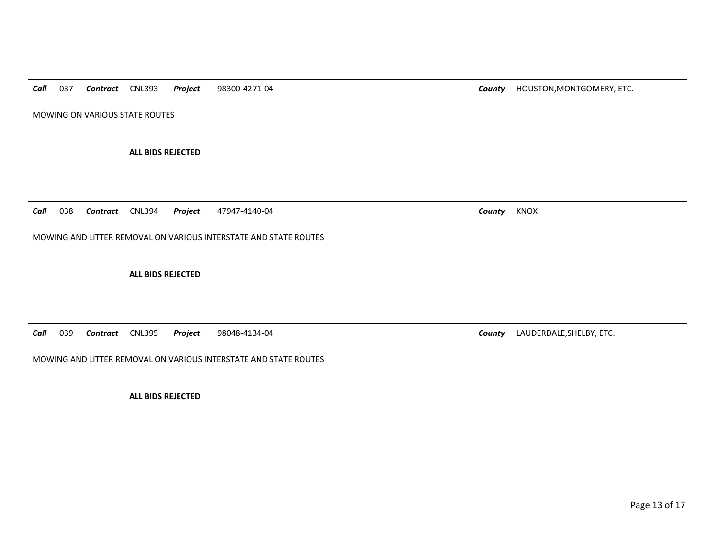*Call*037 *Contract* CNL393 *Project* 98300-4271-04 *County* HOUSTON,MONTGOMERY, ETC.

MOWING ON VARIOUS STATE ROUTES

**ALL BIDS REJECTED** 

*Call*038 *Contract* CNL394 *Project* 47947-4140-04 *County* KNOX

MOWING AND LITTER REMOVAL ON VARIOUS INTERSTATE AND STATE ROUTES

**ALL BIDS REJECTED** 

*Call*039 *Contract* CNL395 *Project* 98048-4134-04 *County* LAUDERDALE,SHELBY, ETC.

MOWING AND LITTER REMOVAL ON VARIOUS INTERSTATE AND STATE ROUTES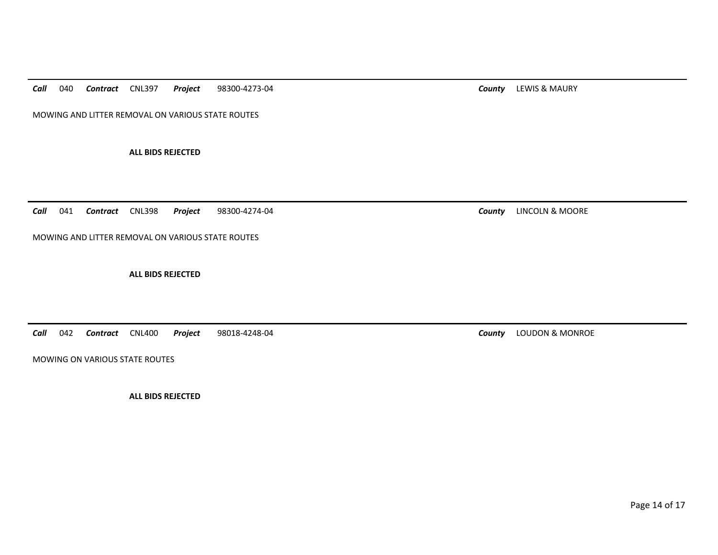*Call*040 *Contract* CNL397 *Project* 98300-4273-04 *County* LEWIS & MAURY

MOWING AND LITTER REMOVAL ON VARIOUS STATE ROUTES

**ALL BIDS REJECTED** 

*Call*041 *Contract* CNL398 *Project* 98300-4274-04 *County* LINCOLN & MOORE

MOWING AND LITTER REMOVAL ON VARIOUS STATE ROUTES

**ALL BIDS REJECTED** 

*Call*042 *Contract* CNL400 *Project* 98018-4248-04 *County* LOUDON & MONROE

MOWING ON VARIOUS STATE ROUTES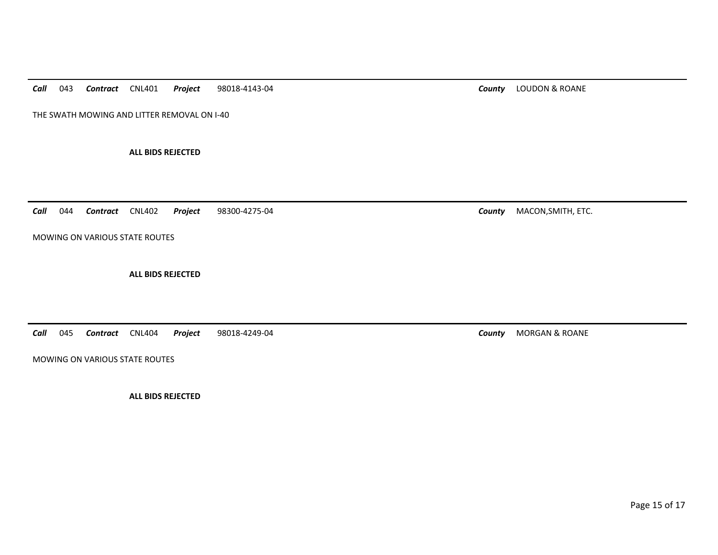*Call*043 *Contract* CNL401 *Project* 98018-4143-04 *County* LOUDON & ROANE

THE SWATH MOWING AND LITTER REMOVAL ON I-40

**ALL BIDS REJECTED** 

*Call*044 *Contract* CNL402 *Project* 98300-4275-04 *County* MACON,SMITH, ETC.

MOWING ON VARIOUS STATE ROUTES

**ALL BIDS REJECTED** 

*Call*045 *Contract* CNL404 *Project* 98018-4249-04 *County* MORGAN & ROANE

MOWING ON VARIOUS STATE ROUTES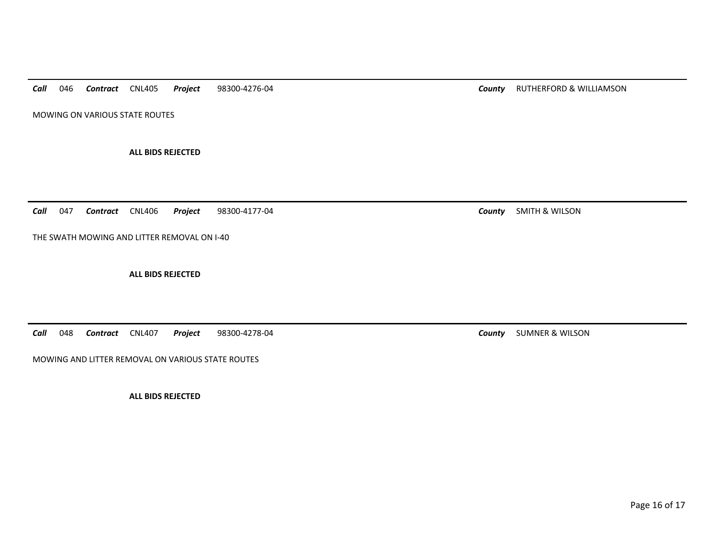*Call*046 *Contract* CNL405 *Project* 98300-4276-04 *County* RUTHERFORD & WILLIAMSON

MOWING ON VARIOUS STATE ROUTES

**ALL BIDS REJECTED** 

*Call*047 *Contract* CNL406 *Project* 98300-4177-04 *County* SMITH & WILSON

THE SWATH MOWING AND LITTER REMOVAL ON I-40

**ALL BIDS REJECTED** 

*Call*048 *Contract* CNL407 *Project* 98300-4278-04 *County* SUMNER & WILSON

MOWING AND LITTER REMOVAL ON VARIOUS STATE ROUTES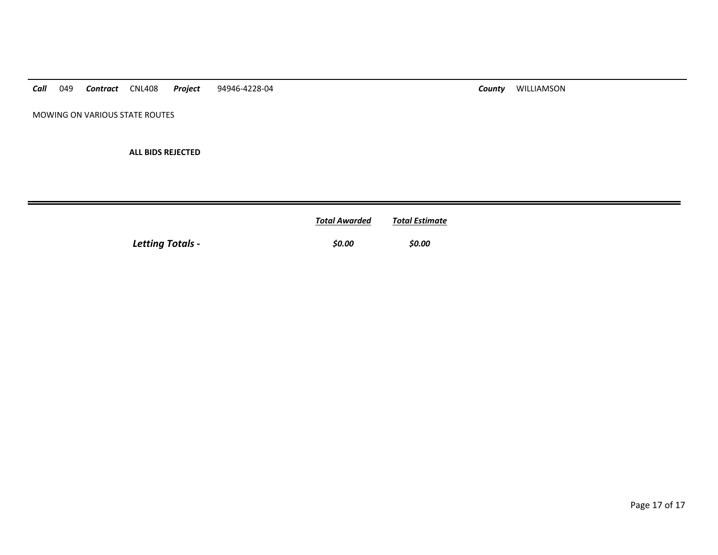*Call* 049 *Contract* CNL408 *Project* 94946-4228-04 *County* WILLIAMSON

MOWING ON VARIOUS STATE ROUTES

|                         | <b>Total Awarded</b> | Total Estimate |
|-------------------------|----------------------|----------------|
| <b>Letting Totals -</b> | \$0.00               | \$0.00         |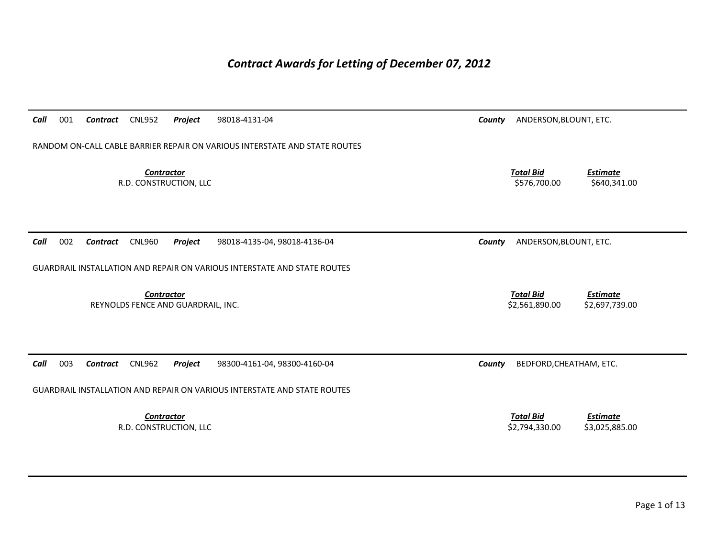## *Contract Awards for Letting of December 07, 2012*

| Call<br>001<br><b>CNL952</b><br>Project<br>Contract                             | 98018-4131-04                | County | ANDERSON, BLOUNT, ETC.             |                                   |  |  |  |
|---------------------------------------------------------------------------------|------------------------------|--------|------------------------------------|-----------------------------------|--|--|--|
| RANDOM ON-CALL CABLE BARRIER REPAIR ON VARIOUS INTERSTATE AND STATE ROUTES      |                              |        |                                    |                                   |  |  |  |
| <b>Contractor</b><br>R.D. CONSTRUCTION, LLC                                     |                              |        | <b>Total Bid</b><br>\$576,700.00   | <b>Estimate</b><br>\$640,341.00   |  |  |  |
| 002<br>Call<br><b>CNL960</b><br>Project<br>Contract                             | 98018-4135-04, 98018-4136-04 | County | ANDERSON, BLOUNT, ETC.             |                                   |  |  |  |
| <b>GUARDRAIL INSTALLATION AND REPAIR ON VARIOUS INTERSTATE AND STATE ROUTES</b> |                              |        |                                    |                                   |  |  |  |
| <b>Contractor</b><br>REYNOLDS FENCE AND GUARDRAIL, INC.                         |                              |        | <b>Total Bid</b><br>\$2,561,890.00 | <b>Estimate</b><br>\$2,697,739.00 |  |  |  |
| Call<br>003<br><b>CNL962</b><br>Contract<br>Project                             | 98300-4161-04, 98300-4160-04 | County | BEDFORD, CHEATHAM, ETC.            |                                   |  |  |  |
| <b>GUARDRAIL INSTALLATION AND REPAIR ON VARIOUS INTERSTATE AND STATE ROUTES</b> |                              |        |                                    |                                   |  |  |  |
| <b>Contractor</b><br>R.D. CONSTRUCTION, LLC                                     |                              |        | <b>Total Bid</b><br>\$2,794,330.00 | <b>Estimate</b><br>\$3,025,885.00 |  |  |  |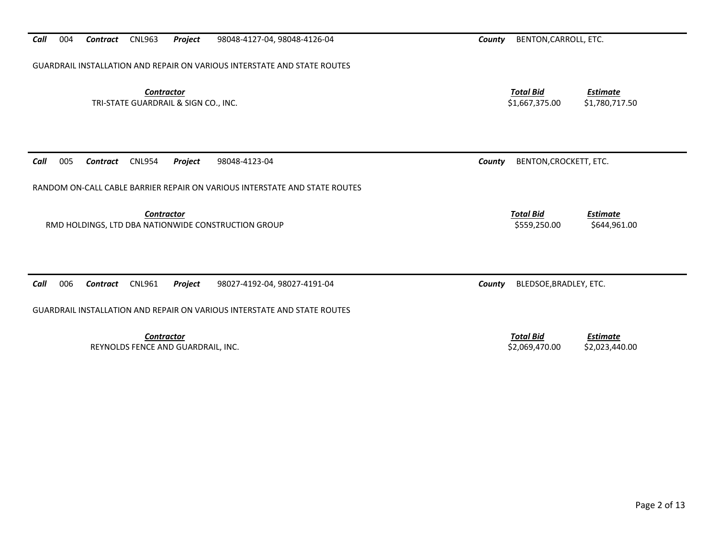*Call*004 *Contract* CNL963 *Project* 98048-4127-04, 98048-4126-04 *County* BENTON,CARROLL, ETC.

GUARDRAIL INSTALLATION AND REPAIR ON VARIOUS INTERSTATE AND STATE ROUTES

**Contractor** Total Bid TRI-STATE GUARDRAIL & SIGN CO., INC. \$1,667,375.00 \$1,780,717.50

*Call*005 *Contract* CNL954 *Project* 98048-4123-04 *County* BENTON,CROCKETT, ETC.

RANDOM ON-CALL CABLE BARRIER REPAIR ON VARIOUS INTERSTATE AND STATE ROUTES

**Contractor** Total Bid

RMD HOLDINGS, LTD DBA NATIONWIDE CONSTRUCTION GROUP **\$500 \$559,250.00** \$559,250.00 \$644,961.00

*Call*006 *Contract* CNL961 *Project* 98027-4192-04, 98027-4191-04 *County* BLEDSOE,BRADLEY, ETC.

GUARDRAIL INSTALLATION AND REPAIR ON VARIOUS INTERSTATE AND STATE ROUTES

*Contractor Total Bid*REYNOLDS FENCE AND GUARDRAIL, INC. THE SELFER SELFER AND GUARDRAIL, INC. THE SELFER SELFER AND STUDIES AND STUDIES AND STUDIES AND STUDIES AND STUDIES AND SELFER AND STUDIES AND SELFER AND STUDIES AND SELFER AND STUDIES AN

*Estimate*

*Estimate*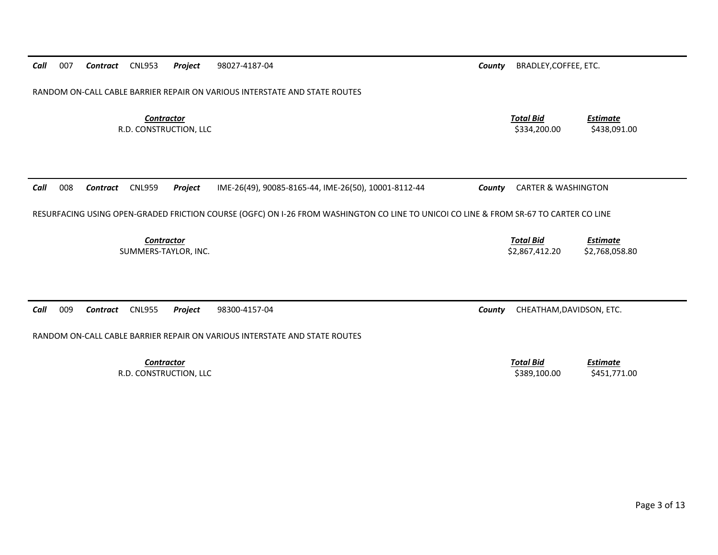| Call<br>007<br><b>CNL953</b><br>Project<br>98027-4187-04<br><b>Contract</b>                                                           | County                                                         | BRADLEY, COFFEE, ETC.              |                                   |  |  |  |  |  |
|---------------------------------------------------------------------------------------------------------------------------------------|----------------------------------------------------------------|------------------------------------|-----------------------------------|--|--|--|--|--|
| RANDOM ON-CALL CABLE BARRIER REPAIR ON VARIOUS INTERSTATE AND STATE ROUTES                                                            |                                                                |                                    |                                   |  |  |  |  |  |
| <b>Contractor</b><br>R.D. CONSTRUCTION, LLC                                                                                           |                                                                | <b>Total Bid</b><br>\$334,200.00   | Estimate<br>\$438,091.00          |  |  |  |  |  |
| 008<br>Call<br><b>CNL959</b><br>Project<br>Contract                                                                                   | IME-26(49), 90085-8165-44, IME-26(50), 10001-8112-44<br>County | <b>CARTER &amp; WASHINGTON</b>     |                                   |  |  |  |  |  |
| RESURFACING USING OPEN-GRADED FRICTION COURSE (OGFC) ON I-26 FROM WASHINGTON CO LINE TO UNICOI CO LINE & FROM SR-67 TO CARTER CO LINE |                                                                |                                    |                                   |  |  |  |  |  |
| <b>Contractor</b><br>SUMMERS-TAYLOR, INC.                                                                                             |                                                                | <b>Total Bid</b><br>\$2,867,412.20 | <b>Estimate</b><br>\$2,768,058.80 |  |  |  |  |  |
| 009<br>Call<br><b>CNL955</b><br>98300-4157-04<br><b>Contract</b><br>Project                                                           | County                                                         | CHEATHAM, DAVIDSON, ETC.           |                                   |  |  |  |  |  |
| RANDOM ON-CALL CABLE BARRIER REPAIR ON VARIOUS INTERSTATE AND STATE ROUTES                                                            |                                                                |                                    |                                   |  |  |  |  |  |
| <b>Contractor</b><br>R.D. CONSTRUCTION, LLC                                                                                           |                                                                | <b>Total Bid</b><br>\$389,100.00   | <b>Estimate</b><br>\$451,771.00   |  |  |  |  |  |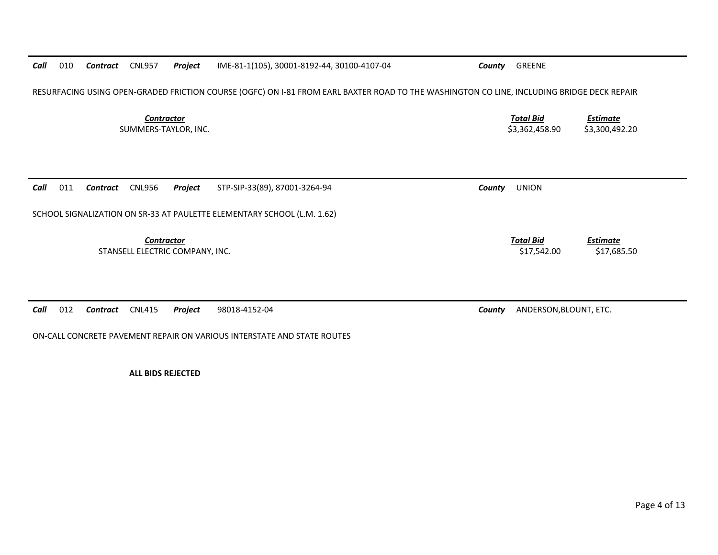*Call*010 *Contract* CNL957 *Project* IME-81-1(105), 30001-8192-44, 30100-4107-04 *County* GREENE

RESURFACING USING OPEN-GRADED FRICTION COURSE (OGFC) ON I-81 FROM EARL BAXTER ROAD TO THE WASHINGTON CO LINE, INCLUDING BRIDGE DECK REPAIR

**Contractor** Total Bid SUMMERS-TAYLOR, INC. \$3,362,458.90 \$3,300,492.20

*Call*011 *Contract* CNL956 *Project* STP-SIP-33(89), 87001-3264-94 *County* UNION

SCHOOL SIGNALIZATION ON SR-33 AT PAULETTE ELEMENTARY SCHOOL (L.M. 1.62)

**Contractor** Total Bid STANSELL ELECTRIC COMPANY, INC. **STANSELL ELECTRIC COMPANY, INC.** S17,685.50

*Call*012 *Contract* CNL415 *Project* 98018-4152-04 *County* ANDERSON,BLOUNT, ETC.

ON-CALL CONCRETE PAVEMENT REPAIR ON VARIOUS INTERSTATE AND STATE ROUTES

**ALL BIDS REJECTED** 

*Estimate*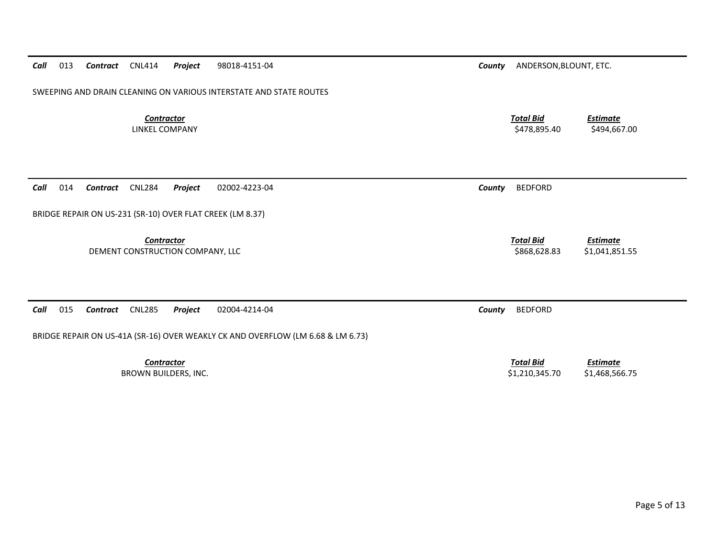*Call*013 *Contract* CNL414 *Project* 98018-4151-04 *County* ANDERSON,BLOUNT, ETC.

SWEEPING AND DRAIN CLEANING ON VARIOUS INTERSTATE AND STATE ROUTES

**Contractor** Total Bid

*Call*014 *Contract* CNL284 *Project* 02002-4223-04 *County* BEDFORD

BRIDGE REPAIR ON US-231 (SR-10) OVER FLAT CREEK (LM 8.37)

*Contractor Total Bid*

DEMENT CONSTRUCTION COMPANY, LLC **Example 20 and 20 and 20 and 20 and 20 and 20 and 20 and 20 and 20 and 20 and 20 and 20 and 20 and 20 and 20 and 20 and 20 and 20 and 20 and 20 and 20 and 20 and 20 and 20 and 20 and 20 an** 

*Call*015 *Contract* CNL285 *Project* 02004-4214-04 *County* BEDFORD

BRIDGE REPAIR ON US-41A (SR-16) OVER WEAKLY CK AND OVERFLOW (LM 6.68 & LM 6.73)

LINKEL COMPANY \$478,895.40 \$494,667.00

*Estimate*

*Estimate*

 *Estimate* BROWN BUILDERS, INC. 6. 2012 12:345.70 \$1,468,566.75

**Contractor** Total Bid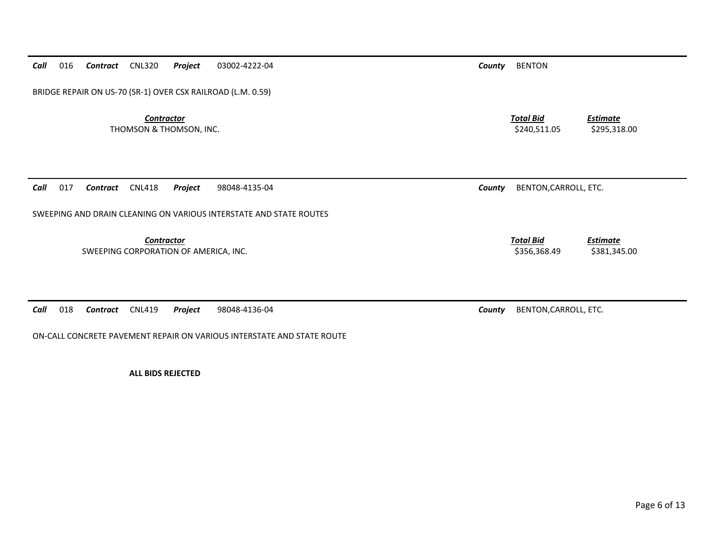*Call*016 *Contract* CNL320 *Project* 03002-4222-04 *County* BENTON

BRIDGE REPAIR ON US-70 (SR-1) OVER CSX RAILROAD (L.M. 0.59)

*Contractor Total Bid*THOMSON & THOMSON, INC. 6295,318.00

*Call*017 *Contract* CNL418 *Project* 98048-4135-04 *County* BENTON,CARROLL, ETC.

SWEEPING AND DRAIN CLEANING ON VARIOUS INTERSTATE AND STATE ROUTES

*Contractor Total Bid*

SWEEPING CORPORATION OF AMERICA, INC. <br>\$356,368.49 \$381,345.00

*Call*018 *Contract* CNL419 *Project* 98048-4136-04 *County* BENTON,CARROLL, ETC.

ON-CALL CONCRETE PAVEMENT REPAIR ON VARIOUS INTERSTATE AND STATE ROUTE

**ALL BIDS REJECTED** 

*Estimate*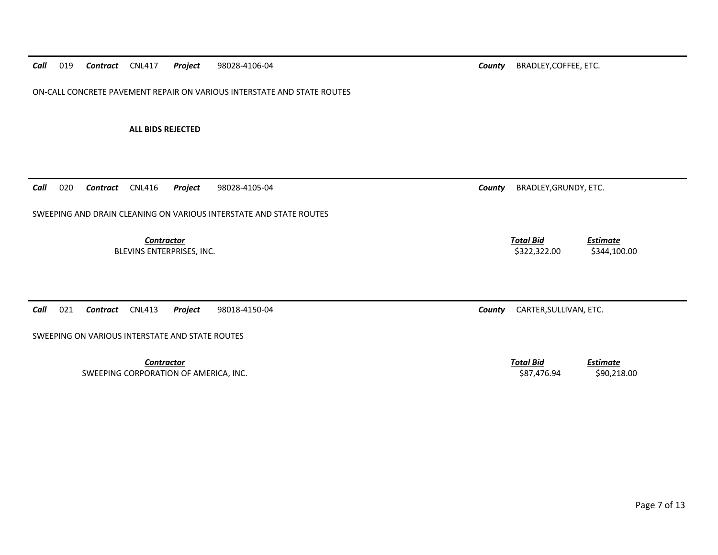ON-CALL CONCRETE PAVEMENT REPAIR ON VARIOUS INTERSTATE AND STATE ROUTES

**ALL BIDS REJECTED** 

*Call*020 *Contract* CNL416 *Project* 98028-4105-04 *County* BRADLEY,GRUNDY, ETC.

SWEEPING AND DRAIN CLEANING ON VARIOUS INTERSTATE AND STATE ROUTES

*Contractor Total Bid*BLEVINS ENTERPRISES, INC. \$322,322.00 \$344,100.00

*Call*021 *Contract* CNL413 *Project* 98018-4150-04 *County* CARTER,SULLIVAN, ETC.

SWEEPING ON VARIOUS INTERSTATE AND STATE ROUTES

*Contractor Total Bid*SWEEPING CORPORATION OF AMERICA, INC. \$90,218.00 \$87,476.94 \$90,218.00

*Estimate*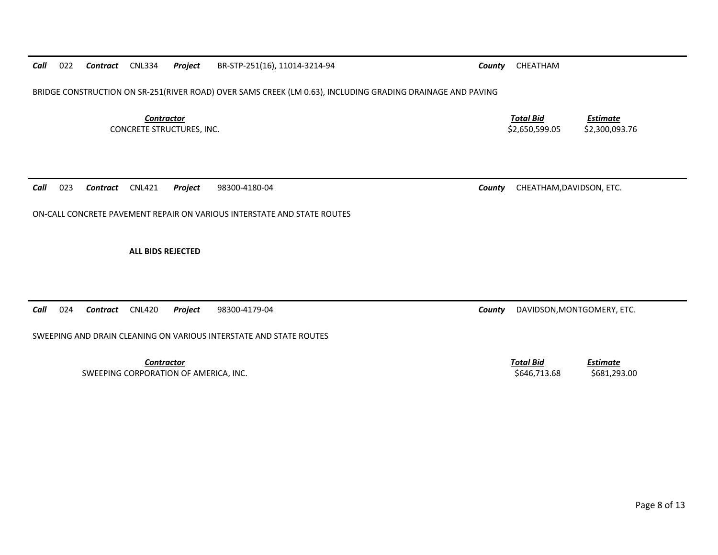## *Call*022 *Contract* CNL334 *Project* BR-STP-251(16), 11014-3214-94 *County* CHEATHAM

BRIDGE CONSTRUCTION ON SR-251(RIVER ROAD) OVER SAMS CREEK (LM 0.63), INCLUDING GRADING DRAINAGE AND PAVING

**Contractor** Total Bid

CONCRETE STRUCTURES, INC. \$2,650,599.05 \$2,300,093.76

*Call*023 *Contract* CNL421 *Project* 98300-4180-04 *County* CHEATHAM,DAVIDSON, ETC.

ON-CALL CONCRETE PAVEMENT REPAIR ON VARIOUS INTERSTATE AND STATE ROUTES

**ALL BIDS REJECTED** 

*Call*024 *Contract* CNL420 *Project* 98300-4179-04 *County* DAVIDSON,MONTGOMERY, ETC.

SWEEPING AND DRAIN CLEANING ON VARIOUS INTERSTATE AND STATE ROUTES

*Contractor Total Bid*SWEEPING CORPORATION OF AMERICA, INC. \$646,713.68 \$681,293.00

*Estimate*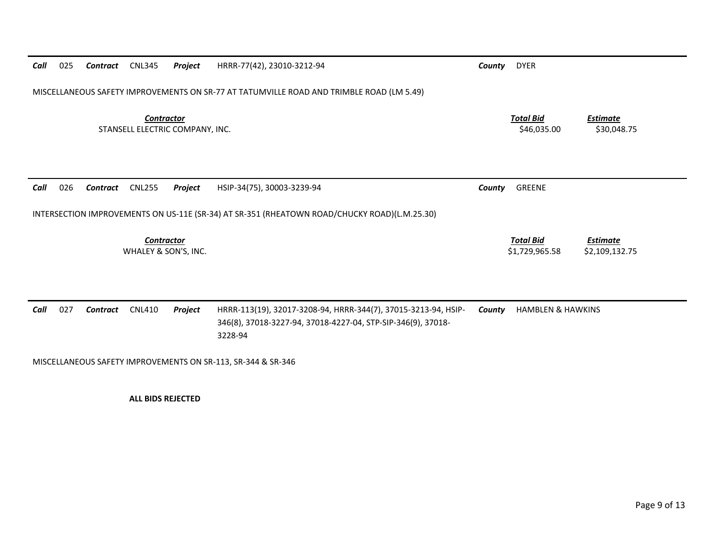| Call                                      | 025                                                                                          | Contract | <b>CNL345</b>                                        | Project | HRRR-77(42), 23010-3212-94                                                                                                                | County | <b>DYER</b>                        |                                   |  |
|-------------------------------------------|----------------------------------------------------------------------------------------------|----------|------------------------------------------------------|---------|-------------------------------------------------------------------------------------------------------------------------------------------|--------|------------------------------------|-----------------------------------|--|
|                                           | MISCELLANEOUS SAFETY IMPROVEMENTS ON SR-77 AT TATUMVILLE ROAD AND TRIMBLE ROAD (LM 5.49)     |          |                                                      |         |                                                                                                                                           |        |                                    |                                   |  |
|                                           |                                                                                              |          | <b>Contractor</b><br>STANSELL ELECTRIC COMPANY, INC. |         |                                                                                                                                           |        | <b>Total Bid</b><br>\$46,035.00    | <b>Estimate</b><br>\$30,048.75    |  |
| Call                                      | 026                                                                                          | Contract | <b>CNL255</b>                                        | Project | HSIP-34(75), 30003-3239-94                                                                                                                | County | GREENE                             |                                   |  |
|                                           | INTERSECTION IMPROVEMENTS ON US-11E (SR-34) AT SR-351 (RHEATOWN ROAD/CHUCKY ROAD)(L.M.25.30) |          |                                                      |         |                                                                                                                                           |        |                                    |                                   |  |
| <b>Contractor</b><br>WHALEY & SON'S, INC. |                                                                                              |          |                                                      |         |                                                                                                                                           |        | <b>Total Bid</b><br>\$1,729,965.58 | <b>Estimate</b><br>\$2,109,132.75 |  |
|                                           |                                                                                              |          |                                                      |         |                                                                                                                                           |        |                                    |                                   |  |
| Call                                      | 027                                                                                          | Contract | <b>CNL410</b>                                        | Project | HRRR-113(19), 32017-3208-94, HRRR-344(7), 37015-3213-94, HSIP-<br>346(8), 37018-3227-94, 37018-4227-04, STP-SIP-346(9), 37018-<br>3228-94 | County | <b>HAMBLEN &amp; HAWKINS</b>       |                                   |  |
|                                           | MISCELLANEOUS SAFETY IMPROVEMENTS ON SR-113, SR-344 & SR-346                                 |          |                                                      |         |                                                                                                                                           |        |                                    |                                   |  |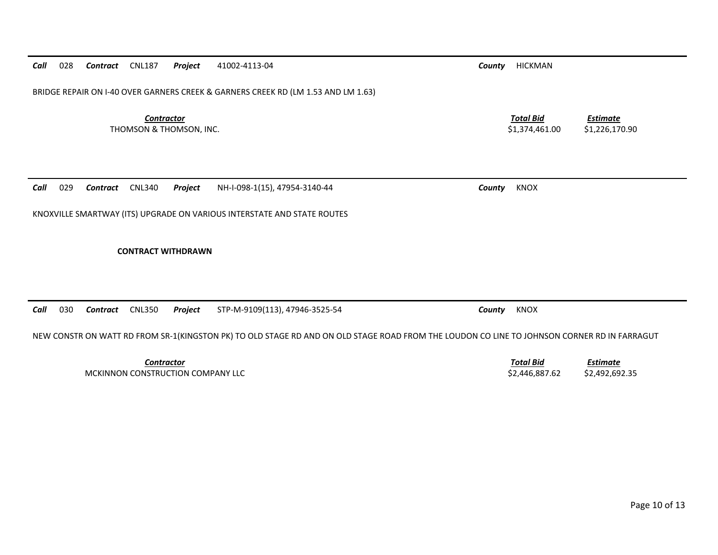*Call*028 *Contract* CNL187 *Project* 41002-4113-04 *County* HICKMAN

BRIDGE REPAIR ON I-40 OVER GARNERS CREEK & GARNERS CREEK RD (LM 1.53 AND LM 1.63)

**Contractor** Total Bid THOMSON & THOMSON, INC. 2012 12:374,461.00 \$1,274,461.00 \$1,226,170.90

*Call*029 *Contract* CNL340 *Project* NH-I-098-1(15), 47954-3140-44 *County* KNOX

KNOXVILLE SMARTWAY (ITS) UPGRADE ON VARIOUS INTERSTATE AND STATE ROUTES

**CONTRACT WITHDRAWN** 

*Call*030 *Contract* CNL350 *Project* STP-M-9109(113), 47946-3525-54 *County* KNOX

NEW CONSTR ON WATT RD FROM SR-1(KINGSTON PK) TO OLD STAGE RD AND ON OLD STAGE ROAD FROM THE LOUDON CO LINE TO JOHNSON CORNER RD IN FARRAGUT

*Contractor Total Bid*MCKINNON CONSTRUCTION COMPANY LLC **And the South Act of the SC 2006 S2,446,887.62** \$2,492,692.35

*Estimate*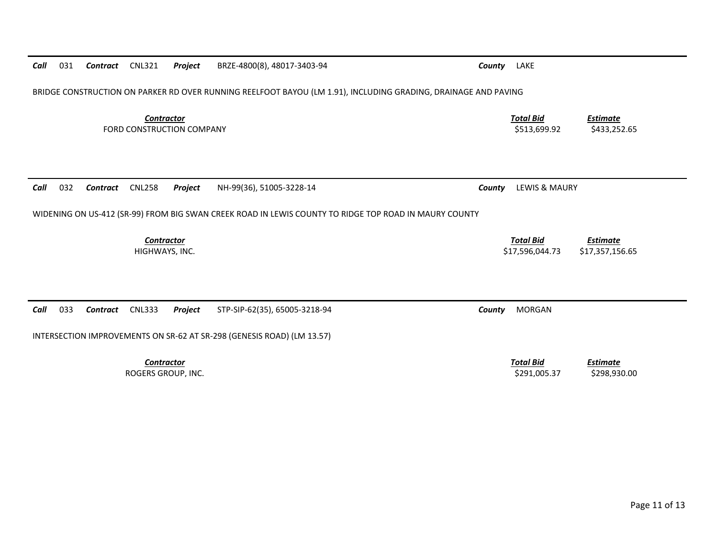| Call                                                                   | 031                                                                                                            | Contract | <b>CNL321</b>                           | Project | BRZE-4800(8), 48017-3403-94                                                                           | County | LAKE                                |                                    |  |
|------------------------------------------------------------------------|----------------------------------------------------------------------------------------------------------------|----------|-----------------------------------------|---------|-------------------------------------------------------------------------------------------------------|--------|-------------------------------------|------------------------------------|--|
|                                                                        | BRIDGE CONSTRUCTION ON PARKER RD OVER RUNNING REELFOOT BAYOU (LM 1.91), INCLUDING GRADING, DRAINAGE AND PAVING |          |                                         |         |                                                                                                       |        |                                     |                                    |  |
| <b>Contractor</b><br>FORD CONSTRUCTION COMPANY                         |                                                                                                                |          |                                         |         |                                                                                                       |        | <b>Total Bid</b><br>\$513,699.92    | <u>Estimate</u><br>\$433,252.65    |  |
| Call                                                                   | 032                                                                                                            | Contract | <b>CNL258</b>                           | Project | NH-99(36), 51005-3228-14                                                                              | County | LEWIS & MAURY                       |                                    |  |
|                                                                        |                                                                                                                |          |                                         |         |                                                                                                       |        |                                     |                                    |  |
|                                                                        |                                                                                                                |          |                                         |         | WIDENING ON US-412 (SR-99) FROM BIG SWAN CREEK ROAD IN LEWIS COUNTY TO RIDGE TOP ROAD IN MAURY COUNTY |        |                                     |                                    |  |
|                                                                        |                                                                                                                |          |                                         |         |                                                                                                       |        |                                     |                                    |  |
|                                                                        |                                                                                                                |          | <b>Contractor</b><br>HIGHWAYS, INC.     |         |                                                                                                       |        | <b>Total Bid</b><br>\$17,596,044.73 | <b>Estimate</b><br>\$17,357,156.65 |  |
|                                                                        |                                                                                                                |          |                                         |         |                                                                                                       |        |                                     |                                    |  |
|                                                                        |                                                                                                                |          |                                         |         |                                                                                                       |        |                                     |                                    |  |
|                                                                        |                                                                                                                |          |                                         |         |                                                                                                       |        |                                     |                                    |  |
| Call                                                                   | 033                                                                                                            | Contract | <b>CNL333</b>                           | Project | STP-SIP-62(35), 65005-3218-94                                                                         | County | <b>MORGAN</b>                       |                                    |  |
| INTERSECTION IMPROVEMENTS ON SR-62 AT SR-298 (GENESIS ROAD) (LM 13.57) |                                                                                                                |          |                                         |         |                                                                                                       |        |                                     |                                    |  |
|                                                                        |                                                                                                                |          | <b>Contractor</b><br>ROGERS GROUP, INC. |         |                                                                                                       |        | <b>Total Bid</b><br>\$291,005.37    | <b>Estimate</b><br>\$298,930.00    |  |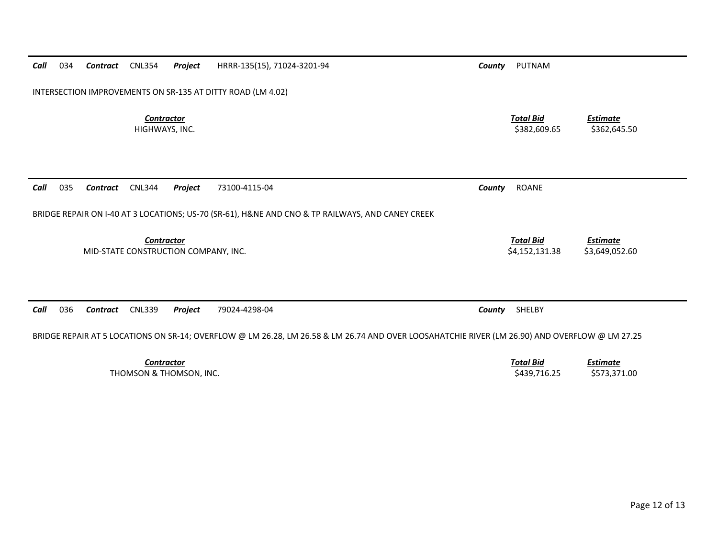| Call                                                                                                                                           | 034                                                                                              | Contract        | <b>CNL354</b>                       | Project                              | HRRR-135(15), 71024-3201-94 | County | PUTNAM                             |                                   |  |
|------------------------------------------------------------------------------------------------------------------------------------------------|--------------------------------------------------------------------------------------------------|-----------------|-------------------------------------|--------------------------------------|-----------------------------|--------|------------------------------------|-----------------------------------|--|
| INTERSECTION IMPROVEMENTS ON SR-135 AT DITTY ROAD (LM 4.02)                                                                                    |                                                                                                  |                 |                                     |                                      |                             |        |                                    |                                   |  |
|                                                                                                                                                |                                                                                                  |                 | <b>Contractor</b><br>HIGHWAYS, INC. |                                      |                             |        | <b>Total Bid</b><br>\$382,609.65   | Estimate<br>\$362,645.50          |  |
| Call                                                                                                                                           | 035                                                                                              | <b>Contract</b> | <b>CNL344</b>                       | Project                              | 73100-4115-04               | County | <b>ROANE</b>                       |                                   |  |
|                                                                                                                                                | BRIDGE REPAIR ON I-40 AT 3 LOCATIONS; US-70 (SR-61), H&NE AND CNO & TP RAILWAYS, AND CANEY CREEK |                 |                                     |                                      |                             |        |                                    |                                   |  |
|                                                                                                                                                |                                                                                                  |                 | Contractor                          | MID-STATE CONSTRUCTION COMPANY, INC. |                             |        | <b>Total Bid</b><br>\$4,152,131.38 | <b>Estimate</b><br>\$3,649,052.60 |  |
| Call                                                                                                                                           | 036                                                                                              | Contract        | <b>CNL339</b>                       | Project                              | 79024-4298-04               | County | SHELBY                             |                                   |  |
| BRIDGE REPAIR AT 5 LOCATIONS ON SR-14; OVERFLOW @ LM 26.28, LM 26.58 & LM 26.74 AND OVER LOOSAHATCHIE RIVER (LM 26.90) AND OVERFLOW @ LM 27.25 |                                                                                                  |                 |                                     |                                      |                             |        |                                    |                                   |  |
|                                                                                                                                                |                                                                                                  |                 | <b>Contractor</b>                   |                                      |                             |        | <b>Total Bid</b>                   | <b>Estimate</b>                   |  |

THOMSON & THOMSON, INC.